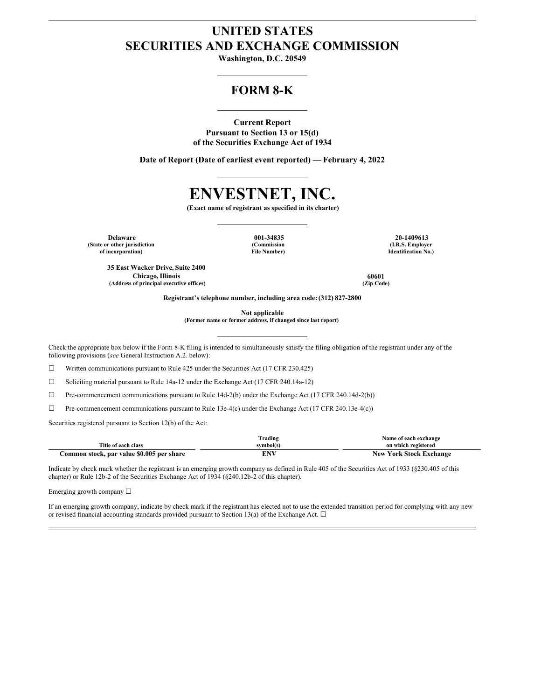# **UNITED STATES SECURITIES AND EXCHANGE COMMISSION**

**Washington, D.C. 20549**

# **FORM 8-K**

**Current Report Pursuant to Section 13 or 15(d) of the Securities Exchange Act of 1934**

**Date of Report (Date of earliest event reported) — February 4, 2022**

# **ENVESTNET, INC.**

**(Exact name of registrant as specified in its charter)**

**Delaware 001-34835 20-1409613 (State or other jurisdiction of incorporation)**

**(Commission File Number)**

**(I.R.S. Employer Identification No.)**

**35 East Wacker Drive, Suite 2400 Chicago, Illinois 60601 (Address of principal executive offices) (Zip Code)**

**Registrant's telephone number, including area code: (312) 827-2800**

**Not applicable**

**(Former name or former address, if changed since last report)**

Check the appropriate box below if the Form 8-K filing is intended to simultaneously satisfy the filing obligation of the registrant under any of the following provisions (*see* General Instruction A.2. below):

☐ Written communications pursuant to Rule 425 under the Securities Act (17 CFR 230.425)

☐ Soliciting material pursuant to Rule 14a-12 under the Exchange Act (17 CFR 240.14a-12)

☐ Pre-commencement communications pursuant to Rule 14d-2(b) under the Exchange Act (17 CFR 240.14d-2(b))

☐ Pre-commencement communications pursuant to Rule 13e-4(c) under the Exchange Act (17 CFR 240.13e-4(c))

Securities registered pursuant to Section 12(b) of the Act:

|                                           | frading     | Name of each exchange          |
|-------------------------------------------|-------------|--------------------------------|
| Title of each class                       | symbol(s)   | on which registered            |
| Common stock, par value \$0.005 per share | <b>DATE</b> | <b>New York Stock Exchange</b> |

Indicate by check mark whether the registrant is an emerging growth company as defined in Rule 405 of the Securities Act of 1933 (§230.405 of this chapter) or Rule 12b-2 of the Securities Exchange Act of 1934 (§240.12b-2 of this chapter).

Emerging growth company  $\Box$ 

If an emerging growth company, indicate by check mark if the registrant has elected not to use the extended transition period for complying with any new or revised financial accounting standards provided pursuant to Section 13(a) of the Exchange Act.  $\Box$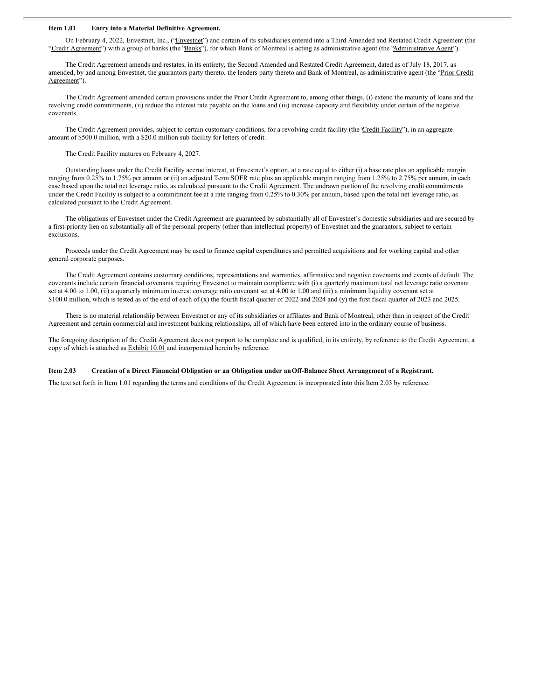# **Item 1.01 Entry into a Material Definitive Agreement.**

On February 4, 2022, Envestnet, Inc., ("Envestnet") and certain of its subsidiaries entered into a Third Amended and Restated Credit Agreement (the "Credit Agreement") with a group of banks (the 'Banks''), for which Bank of Montreal is acting as administrative agent (the 'Administrative Agent'').

The Credit Agreement amends and restates, in its entirety, the Second Amended and Restated Credit Agreement, dated as of July 18, 2017, as amended, by and among Envestnet, the guarantors party thereto, the lenders party thereto and Bank of Montreal, as administrative agent (the "Prior Credit Agreement").

The Credit Agreement amended certain provisions under the Prior Credit Agreement to, among other things, (i) extend the maturity of loans and the revolving credit commitments, (ii) reduce the interest rate payable on the loans and (iii) increase capacity and flexibility under certain of the negative covenants.

The Credit Agreement provides, subject to certain customary conditions, for a revolving credit facility (the *Credit Facility''*), in an aggregate amount of \$500.0 million, with a \$20.0 million sub-facility for letters of credit.

The Credit Facility matures on February 4, 2027.

Outstanding loans under the Credit Facility accrue interest, at Envestnet's option, at a rate equal to either (i) a base rate plus an applicable margin ranging from 0.25% to 1.75% per annum or (ii) an adjusted Term SOFR rate plus an applicable margin ranging from 1.25% to 2.75% per annum, in each case based upon the total net leverage ratio, as calculated pursuant to the Credit Agreement. The undrawn portion of the revolving credit commitments under the Credit Facility is subject to a commitment fee at a rate ranging from 0.25% to 0.30% per annum, based upon the total net leverage ratio, as calculated pursuant to the Credit Agreement.

The obligations of Envestnet under the Credit Agreement are guaranteed by substantially all of Envestnet's domestic subsidiaries and are secured by a first-priority lien on substantially all of the personal property (other than intellectual property) of Envestnet and the guarantors, subject to certain exclusions.

Proceeds under the Credit Agreement may be used to finance capital expenditures and permitted acquisitions and for working capital and other general corporate purposes.

The Credit Agreement contains customary conditions, representations and warranties, affirmative and negative covenants and events of default. The covenants include certain financial covenants requiring Envestnet to maintain compliance with (i) a quarterly maximum total net leverage ratio covenant set at 4.00 to 1.00, (ii) a quarterly minimum interest coverage ratio covenant set at 4.00 to 1.00 and (iii) a minimum liquidity covenant set at \$100.0 million, which is tested as of the end of each of (x) the fourth fiscal quarter of 2022 and 2024 and (y) the first fiscal quarter of 2023 and 2025.

There is no material relationship between Envestnet or any of its subsidiaries or affiliates and Bank of Montreal, other than in respect of the Credit Agreement and certain commercial and investment banking relationships, all of which have been entered into in the ordinary course of business.

The foregoing description of the Credit Agreement does not purport to be complete and is qualified, in its entirety, by reference to the Credit Agreement, a copy of which is attached as Exhibit 10.01 and incorporated herein by reference.

## Item 2.03 Creation of a Direct Financial Obligation or an Obligation under an Off-Balance Sheet Arrangement of a Registrant.

The text set forth in Item 1.01 regarding the terms and conditions of the Credit Agreement is incorporated into this Item 2.03 by reference.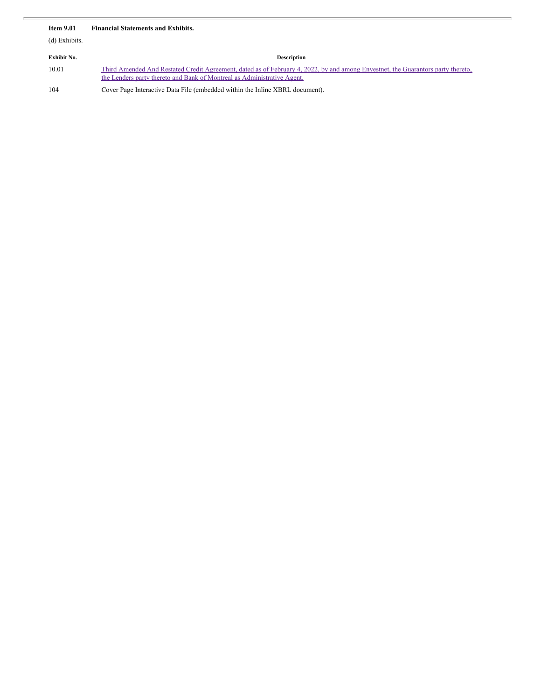# **Item 9.01 Financial Statements and Exhibits.**

(d) Exhibits.

| Exhibit No. | <b>Description</b>                                                                                                                                                                                          |
|-------------|-------------------------------------------------------------------------------------------------------------------------------------------------------------------------------------------------------------|
| 10.01       | Third Amended And Restated Credit Agreement, dated as of February 4, 2022, by and among Envestnet, the Guarantors party thereto,<br>the Lenders party thereto and Bank of Montreal as Administrative Agent. |
| 104         | Cover Page Interactive Data File (embedded within the Inline XBRL document).                                                                                                                                |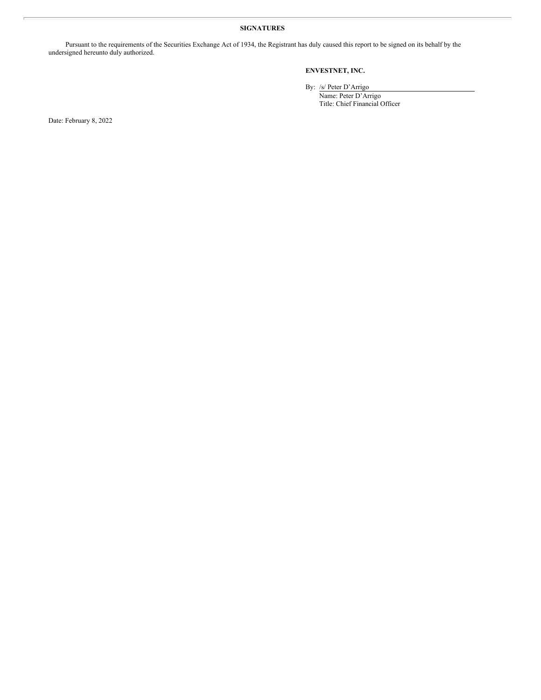# **SIGNATURES**

Pursuant to the requirements of the Securities Exchange Act of 1934, the Registrant has duly caused this report to be signed on its behalf by the undersigned hereunto duly authorized.

# **ENVESTNET, INC.**

By: /s/ Peter D'Arrigo

Name: Peter D'Arrigo Title: Chief Financial Officer

Date: February 8, 2022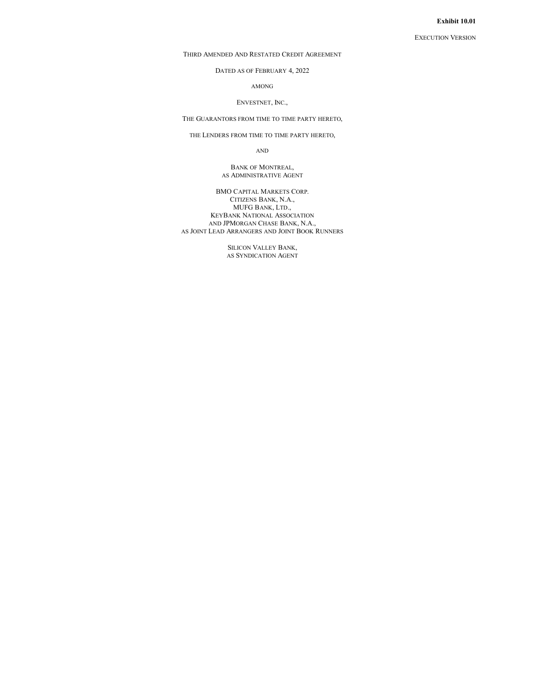# **Exhibit 10.01**

EXECUTION VERSION

# THIRD AMENDED AND RESTATED CREDIT AGREEMENT

DATED AS OF FEBRUARY 4, 2022

# AMONG

# ENVESTNET, INC.,

THE GUARANTORS FROM TIME TO TIME PARTY HERETO,

THE LENDERS FROM TIME TO TIME PARTY HERETO,

AND

BANK OF MONTREAL, AS ADMINISTRATIVE AGENT

BMO CAPITAL MARKETS CORP. CITIZENS BANK, N.A., MUFG BANK, LTD., KEYBANK NATIONAL ASSOCIATION AND JPMORGAN CHASE BANK, N.A., AS JOINT LEAD ARRANGERS AND JOINT BOOK RUNNERS

> SILICON VALLEY BANK, AS SYNDICATION AGENT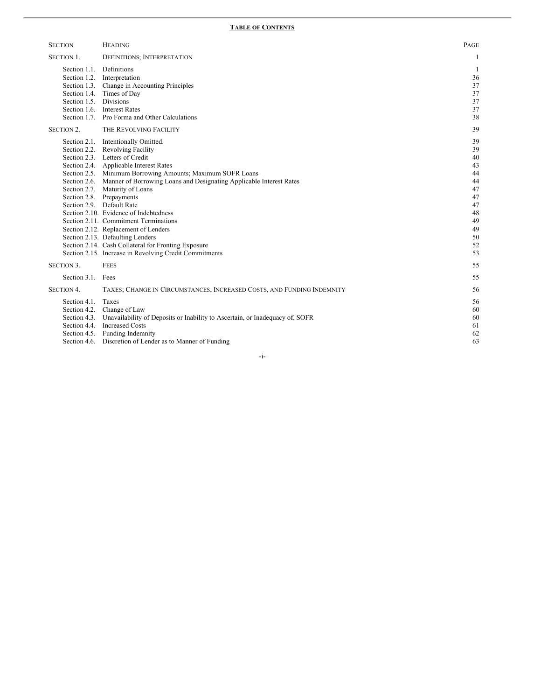| <b>SECTION</b>                                                               | <b>HEADING</b>                                                                                                                                                                                                                                                                                                                                                                                                                                                                                                                                                                                                                                                     | PAGE                                                                                   |
|------------------------------------------------------------------------------|--------------------------------------------------------------------------------------------------------------------------------------------------------------------------------------------------------------------------------------------------------------------------------------------------------------------------------------------------------------------------------------------------------------------------------------------------------------------------------------------------------------------------------------------------------------------------------------------------------------------------------------------------------------------|----------------------------------------------------------------------------------------|
| <b>SECTION 1.</b>                                                            | DEFINITIONS; INTERPRETATION                                                                                                                                                                                                                                                                                                                                                                                                                                                                                                                                                                                                                                        | 1                                                                                      |
| Section 1.1.<br>Section 1.2.<br>Section 1.3.<br>Section 1.4.<br>Section 1.5. | Definitions<br>Interpretation<br>Change in Accounting Principles<br>Times of Day<br><b>Divisions</b><br>Section 1.6. Interest Rates<br>Section 1.7. Pro Forma and Other Calculations                                                                                                                                                                                                                                                                                                                                                                                                                                                                               | 1<br>36<br>37<br>37<br>37<br>37<br>38                                                  |
| <b>SECTION 2.</b>                                                            | THE REVOLVING FACILITY                                                                                                                                                                                                                                                                                                                                                                                                                                                                                                                                                                                                                                             | 39                                                                                     |
| Section 2.1.                                                                 | Intentionally Omitted.<br>Section 2.2. Revolving Facility<br>Section 2.3. Letters of Credit<br>Section 2.4. Applicable Interest Rates<br>Section 2.5. Minimum Borrowing Amounts; Maximum SOFR Loans<br>Section 2.6. Manner of Borrowing Loans and Designating Applicable Interest Rates<br>Section 2.7. Maturity of Loans<br>Section 2.8. Prepayments<br>Section 2.9. Default Rate<br>Section 2.10. Evidence of Indebtedness<br>Section 2.11. Commitment Terminations<br>Section 2.12. Replacement of Lenders<br>Section 2.13. Defaulting Lenders<br>Section 2.14. Cash Collateral for Fronting Exposure<br>Section 2.15. Increase in Revolving Credit Commitments | 39<br>39<br>40<br>43<br>44<br>44<br>47<br>47<br>47<br>48<br>49<br>49<br>50<br>52<br>53 |
| <b>SECTION 3.</b>                                                            | <b>FEES</b>                                                                                                                                                                                                                                                                                                                                                                                                                                                                                                                                                                                                                                                        | 55                                                                                     |
| Section 3.1. Fees                                                            |                                                                                                                                                                                                                                                                                                                                                                                                                                                                                                                                                                                                                                                                    | 55                                                                                     |
| <b>SECTION 4.</b>                                                            | TAXES; CHANGE IN CIRCUMSTANCES, INCREASED COSTS, AND FUNDING INDEMNITY                                                                                                                                                                                                                                                                                                                                                                                                                                                                                                                                                                                             | 56                                                                                     |
| Section 4.1.<br>Section 4.2.<br>Section 4.3.                                 | Taxes<br>Change of Law<br>Unavailability of Deposits or Inability to Ascertain, or Inadequacy of, SOFR<br>Section 4.4. Increased Costs<br>Section 4.5. Funding Indemnity<br>Section 4.6. Discretion of Lender as to Manner of Funding                                                                                                                                                                                                                                                                                                                                                                                                                              | 56<br>60<br>60<br>61<br>62<br>63                                                       |

-i-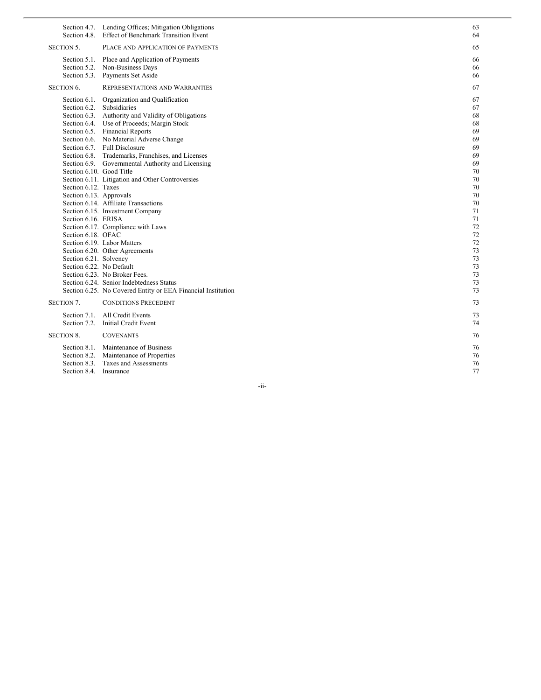| Section 4.8.                                                                                                                                                                                                  | Section 4.7. Lending Offices; Mitigation Obligations<br>Effect of Benchmark Transition Event                                                                                                                                                                                                                                                                                                                                                                                                                                                                                                                                                      | 63<br>64                                                                                                                               |
|---------------------------------------------------------------------------------------------------------------------------------------------------------------------------------------------------------------|---------------------------------------------------------------------------------------------------------------------------------------------------------------------------------------------------------------------------------------------------------------------------------------------------------------------------------------------------------------------------------------------------------------------------------------------------------------------------------------------------------------------------------------------------------------------------------------------------------------------------------------------------|----------------------------------------------------------------------------------------------------------------------------------------|
| SECTION 5.                                                                                                                                                                                                    | PLACE AND APPLICATION OF PAYMENTS                                                                                                                                                                                                                                                                                                                                                                                                                                                                                                                                                                                                                 | 65                                                                                                                                     |
|                                                                                                                                                                                                               | Section 5.1. Place and Application of Payments<br>Section 5.2. Non-Business Days<br>Section 5.3. Payments Set Aside                                                                                                                                                                                                                                                                                                                                                                                                                                                                                                                               | 66<br>66<br>66                                                                                                                         |
| <b>SECTION 6.</b>                                                                                                                                                                                             | <b>REPRESENTATIONS AND WARRANTIES</b>                                                                                                                                                                                                                                                                                                                                                                                                                                                                                                                                                                                                             | 67                                                                                                                                     |
| Section 6.1.<br>Section 6.2.<br>Section 6.10. Good Title<br>Section 6.12. Taxes<br>Section 6.13. Approvals<br>Section 6.16. ERISA<br>Section 6.18. OFAC<br>Section 6.21. Solvency<br>Section 6.22. No Default | Organization and Qualification<br>Subsidiaries<br>Section 6.3. Authority and Validity of Obligations<br>Section 6.4. Use of Proceeds; Margin Stock<br>Section 6.5. Financial Reports<br>Section 6.6. No Material Adverse Change<br>Section 6.7. Full Disclosure<br>Section 6.8. Trademarks, Franchises, and Licenses<br>Section 6.9. Governmental Authority and Licensing<br>Section 6.11. Litigation and Other Controversies<br>Section 6.14. Affiliate Transactions<br>Section 6.15. Investment Company<br>Section 6.17. Compliance with Laws<br>Section 6.19. Labor Matters<br>Section 6.20. Other Agreements<br>Section 6.23. No Broker Fees. | 67<br>67<br>68<br>68<br>69<br>69<br>69<br>69<br>69<br>70<br>70<br>70<br>70<br>70<br>71<br>71<br>72<br>72<br>72<br>73<br>73<br>73<br>73 |
|                                                                                                                                                                                                               | Section 6.24. Senior Indebtedness Status<br>Section 6.25. No Covered Entity or EEA Financial Institution                                                                                                                                                                                                                                                                                                                                                                                                                                                                                                                                          | 73<br>73                                                                                                                               |
| SECTION 7.                                                                                                                                                                                                    | <b>CONDITIONS PRECEDENT</b>                                                                                                                                                                                                                                                                                                                                                                                                                                                                                                                                                                                                                       | 73                                                                                                                                     |
| Section 7.2.                                                                                                                                                                                                  | Section 7.1. All Credit Events<br>Initial Credit Event                                                                                                                                                                                                                                                                                                                                                                                                                                                                                                                                                                                            | 73<br>74                                                                                                                               |
| <b>SECTION 8.</b>                                                                                                                                                                                             | <b>COVENANTS</b>                                                                                                                                                                                                                                                                                                                                                                                                                                                                                                                                                                                                                                  | 76                                                                                                                                     |
| Section 8.4. Insurance                                                                                                                                                                                        | Section 8.1. Maintenance of Business<br>Section 8.2. Maintenance of Properties<br>Section 8.3. Taxes and Assessments                                                                                                                                                                                                                                                                                                                                                                                                                                                                                                                              | 76<br>76<br>76<br>77                                                                                                                   |

- i i -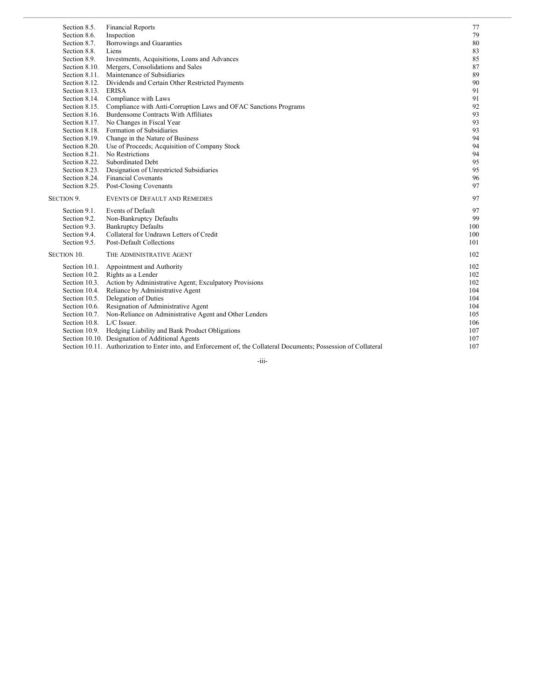| Section 8.5.              | <b>Financial Reports</b>                                                                                           | 77  |
|---------------------------|--------------------------------------------------------------------------------------------------------------------|-----|
| Section 8.6.              | Inspection                                                                                                         | 79  |
| Section 8.7.              | Borrowings and Guaranties                                                                                          | 80  |
| Section 8.8.              | Liens                                                                                                              | 83  |
| Section 8.9.              | Investments, Acquisitions, Loans and Advances                                                                      | 85  |
| Section 8.10.             | Mergers, Consolidations and Sales                                                                                  | 87  |
| Section 8.11.             | Maintenance of Subsidiaries                                                                                        | 89  |
| Section 8.12.             | Dividends and Certain Other Restricted Payments                                                                    | 90  |
| Section 8.13.             | ERISA                                                                                                              | 91  |
| Section 8.14.             | Compliance with Laws                                                                                               | 91  |
| Section 8.15.             | Compliance with Anti-Corruption Laws and OFAC Sanctions Programs                                                   | 92  |
| Section 8.16.             | <b>Burdensome Contracts With Affiliates</b>                                                                        | 93  |
|                           | Section 8.17. No Changes in Fiscal Year                                                                            | 93  |
|                           | Section 8.18. Formation of Subsidiaries                                                                            | 93  |
|                           | Section 8.19. Change in the Nature of Business                                                                     | 94  |
| Section 8.20.             | Use of Proceeds; Acquisition of Company Stock                                                                      | 94  |
| Section 8.21.             | No Restrictions                                                                                                    | 94  |
| Section 8.22.             | <b>Subordinated Debt</b>                                                                                           | 95  |
| Section 8.23.             | Designation of Unrestricted Subsidiaries                                                                           | 95  |
|                           | Section 8.24. Financial Covenants                                                                                  | 96  |
| Section 8.25.             | <b>Post-Closing Covenants</b>                                                                                      | 97  |
| <b>SECTION 9.</b>         | <b>EVENTS OF DEFAULT AND REMEDIES</b>                                                                              | 97  |
| Section 9.1.              | <b>Events of Default</b>                                                                                           | 97  |
| Section 9.2.              | Non-Bankruptcy Defaults                                                                                            | 99  |
| Section 9.3.              | <b>Bankruptcy Defaults</b>                                                                                         | 100 |
| Section 9.4.              | Collateral for Undrawn Letters of Credit                                                                           | 100 |
| Section 9.5.              | <b>Post-Default Collections</b>                                                                                    | 101 |
| <b>SECTION 10.</b>        | THE ADMINISTRATIVE AGENT                                                                                           | 102 |
| Section 10.1.             | Appointment and Authority                                                                                          | 102 |
|                           | Section 10.2. Rights as a Lender                                                                                   | 102 |
|                           | Section 10.3. Action by Administrative Agent; Exculpatory Provisions                                               | 102 |
| Section 10.4.             | Reliance by Administrative Agent                                                                                   | 104 |
|                           | Section 10.5. Delegation of Duties                                                                                 | 104 |
|                           | Section 10.6. Resignation of Administrative Agent                                                                  | 104 |
|                           | Section 10.7. Non-Reliance on Administrative Agent and Other Lenders                                               | 105 |
| Section 10.8. L/C Issuer. |                                                                                                                    | 106 |
|                           | Section 10.9. Hedging Liability and Bank Product Obligations                                                       | 107 |
|                           | Section 10.10. Designation of Additional Agents                                                                    | 107 |
|                           | Section 10.11. Authorization to Enter into, and Enforcement of, the Collateral Documents; Possession of Collateral | 107 |

-iii-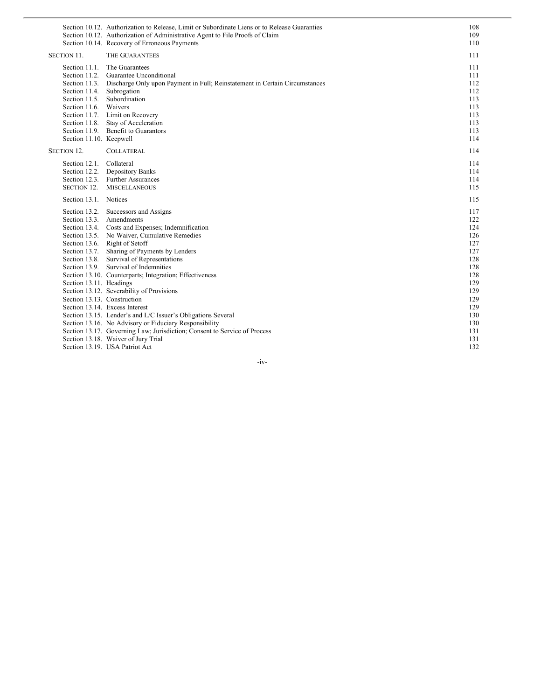|                             | Section 10.12. Authorization to Release, Limit or Subordinate Liens or to Release Guaranties | 108 |
|-----------------------------|----------------------------------------------------------------------------------------------|-----|
|                             | Section 10.12. Authorization of Administrative Agent to File Proofs of Claim                 | 109 |
|                             | Section 10.14. Recovery of Erroneous Payments                                                | 110 |
| <b>SECTION 11.</b>          | <b>THE GUARANTEES</b>                                                                        | 111 |
| Section 11.1.               | The Guarantees                                                                               | 111 |
|                             | Section 11.2. Guarantee Unconditional                                                        | 111 |
|                             | Section 11.3. Discharge Only upon Payment in Full; Reinstatement in Certain Circumstances    | 112 |
| Section 11.4.               | Subrogation                                                                                  | 112 |
| Section 11.5.               | Subordination                                                                                | 113 |
| Section 11.6.               | Waivers                                                                                      | 113 |
|                             | Section 11.7. Limit on Recovery                                                              | 113 |
|                             | Section 11.8. Stay of Acceleration                                                           | 113 |
|                             | Section 11.9. Benefit to Guarantors                                                          | 113 |
| Section 11.10. Keepwell     |                                                                                              | 114 |
| <b>SECTION 12.</b>          | <b>COLLATERAL</b>                                                                            | 114 |
| Section 12.1. Collateral    |                                                                                              | 114 |
|                             | Section 12.2. Depository Banks                                                               | 114 |
|                             | Section 12.3. Further Assurances                                                             | 114 |
| <b>SECTION 12.</b>          | <b>MISCELLANEOUS</b>                                                                         | 115 |
| Section 13.1. Notices       |                                                                                              | 115 |
|                             | Section 13.2. Successors and Assigns                                                         | 117 |
| Section 13.3. Amendments    |                                                                                              | 122 |
|                             | Section 13.4. Costs and Expenses; Indemnification                                            | 124 |
|                             | Section 13.5. No Waiver, Cumulative Remedies                                                 | 126 |
|                             | Section 13.6. Right of Setoff                                                                | 127 |
|                             | Section 13.7. Sharing of Payments by Lenders                                                 | 127 |
|                             | Section 13.8. Survival of Representations                                                    | 128 |
|                             | Section 13.9. Survival of Indemnities                                                        | 128 |
|                             | Section 13.10. Counterparts; Integration; Effectiveness                                      | 128 |
| Section 13.11. Headings     |                                                                                              | 129 |
|                             | Section 13.12. Severability of Provisions                                                    | 129 |
| Section 13.13. Construction |                                                                                              | 129 |
|                             | Section 13.14. Excess Interest                                                               | 129 |
|                             | Section 13.15. Lender's and L/C Issuer's Obligations Several                                 | 130 |
|                             | Section 13.16. No Advisory or Fiduciary Responsibility                                       | 130 |
|                             | Section 13.17. Governing Law; Jurisdiction; Consent to Service of Process                    | 131 |
|                             | Section 13.18. Waiver of Jury Trial                                                          | 131 |
|                             | Section 13.19. USA Patriot Act                                                               | 132 |

- i v -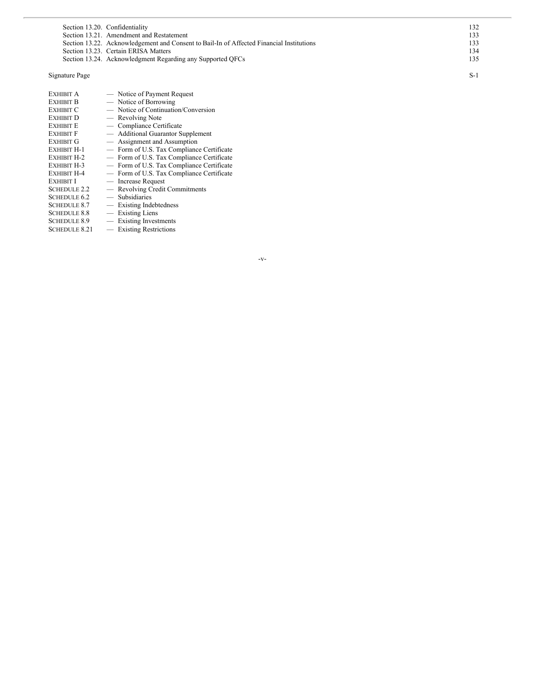|                | Section 13.20. Confidentiality                                                           | 132  |
|----------------|------------------------------------------------------------------------------------------|------|
|                | Section 13.21. Amendment and Restatement                                                 | 133  |
|                | Section 13.22. Acknowledgement and Consent to Bail-In of Affected Financial Institutions | 133  |
|                | Section 13.23. Certain ERISA Matters                                                     | 134  |
|                | Section 13.24. Acknowledgment Regarding any Supported QFCs                               | 135  |
|                |                                                                                          |      |
| Signature Page |                                                                                          | $S-$ |

| <b>EXHIBIT A</b>    | — Notice of Payment Request               |
|---------------------|-------------------------------------------|
| <b>EXHIBIT B</b>    | — Notice of Borrowing                     |
| EXHIBIT C           | — Notice of Continuation/Conversion       |
| <b>EXHIBIT D</b>    | — Revolving Note                          |
| <b>EXHIBIT E</b>    | — Compliance Certificate                  |
| <b>EXHIBIT F</b>    | — Additional Guarantor Supplement         |
| <b>EXHIBIT G</b>    | — Assignment and Assumption               |
| EXHIBIT H-1         | - Form of U.S. Tax Compliance Certificate |
| EXHIBIT H-2         | - Form of U.S. Tax Compliance Certificate |
| EXHIBIT H-3         | - Form of U.S. Tax Compliance Certificate |
| EXHIBIT H-4         | - Form of U.S. Tax Compliance Certificate |
| <b>EXHIBIT I</b>    | — Increase Request                        |
| <b>SCHEDULE 2.2</b> | - Revolving Credit Commitments            |
| <b>SCHEDULE 6.2</b> | - Subsidiaries                            |
| <b>SCHEDULE 8.7</b> | — Existing Indebtedness                   |

- Existing Liens
- SCHEDULE 8.8 — Existing Investments
- SCHEDULE 8.9
- SCHEDULE 8.21 — Existing Restrictions

- v -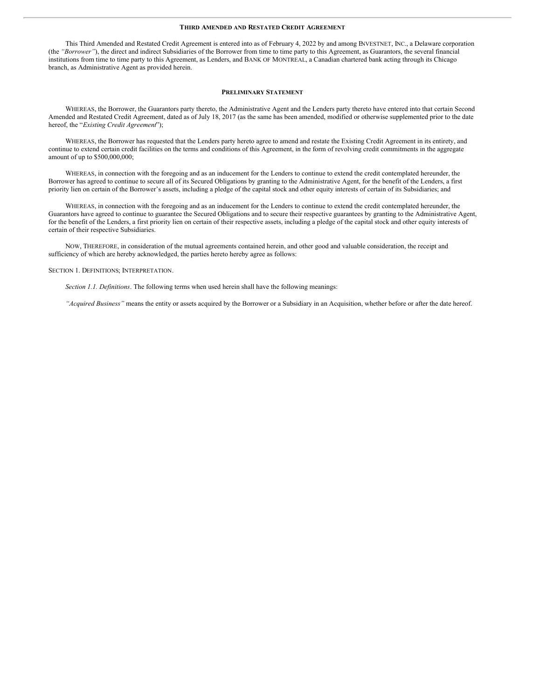#### **THIRD AMENDED AND RESTATED CREDIT AGREEMENT**

This Third Amended and Restated Credit Agreement is entered into as of February 4, 2022 by and among ENVESTNET, INC., a Delaware corporation (the *"Borrower"*), the direct and indirect Subsidiaries of the Borrower from time to time party to this Agreement, as Guarantors, the several financial institutions from time to time party to this Agreement, as Lenders, and BANK OF MONTREAL, a Canadian chartered bank acting through its Chicago branch, as Administrative Agent as provided herein.

#### **PRELIMINARY STATEMENT**

WHEREAS, the Borrower, the Guarantors party thereto, the Administrative Agent and the Lenders party thereto have entered into that certain Second Amended and Restated Credit Agreement, dated as of July 18, 2017 (as the same has been amended, modified or otherwise supplemented prior to the date hereof, the "*Existing Credit Agreement*");

WHEREAS, the Borrower has requested that the Lenders party hereto agree to amend and restate the Existing Credit Agreement in its entirety, and continue to extend certain credit facilities on the terms and conditions of this Agreement, in the form of revolving credit commitments in the aggregate amount of up to \$500,000,000;

WHEREAS, in connection with the foregoing and as an inducement for the Lenders to continue to extend the credit contemplated hereunder, the Borrower has agreed to continue to secure all of its Secured Obligations by granting to the Administrative Agent, for the benefit of the Lenders, a first priority lien on certain of the Borrower's assets, including a pledge of the capital stock and other equity interests of certain of its Subsidiaries; and

WHEREAS, in connection with the foregoing and as an inducement for the Lenders to continue to extend the credit contemplated hereunder, the Guarantors have agreed to continue to guarantee the Secured Obligations and to secure their respective guarantees by granting to the Administrative Agent, for the benefit of the Lenders, a first priority lien on certain of their respective assets, including a pledge of the capital stock and other equity interests of certain of their respective Subsidiaries.

NOW, THEREFORE, in consideration of the mutual agreements contained herein, and other good and valuable consideration, the receipt and sufficiency of which are hereby acknowledged, the parties hereto hereby agree as follows:

### SECTION 1. DEFINITIONS; INTERPRETATION.

*Section 1.1. Definitions*. The following terms when used herein shall have the following meanings:

*"Acquired Business"* means the entity or assets acquired by the Borrower or a Subsidiary in an Acquisition, whether before or after the date hereof.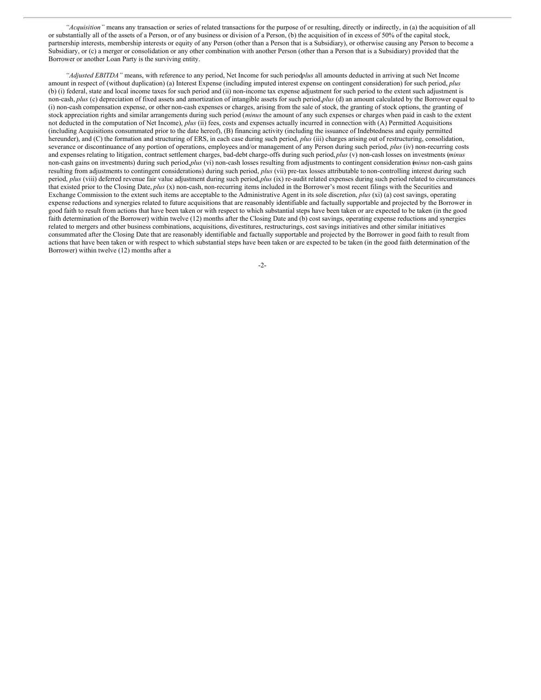*"Acquisition"* means any transaction or series of related transactions for the purpose of or resulting, directly or indirectly, in (a) the acquisition of all or substantially all of the assets of a Person, or of any business or division of a Person, (b) the acquisition of in excess of 50% of the capital stock, partnership interests, membership interests or equity of any Person (other than a Person that is a Subsidiary), or otherwise causing any Person to become a Subsidiary, or (c) a merger or consolidation or any other combination with another Person (other than a Person that is a Subsidiary) provided that the Borrower or another Loan Party is the surviving entity.

*"Adjusted EBITDA"* means, with reference to any period, Net Income for such period*plus* all amounts deducted in arriving at such Net Income amount in respect of (without duplication) (a) Interest Expense (including imputed interest expense on contingent consideration) for such period, *plus* (b) (i) federal, state and local income taxes for such period and (ii) non-income tax expense adjustment for such period to the extent such adjustment is non-cash, *plus* (c) depreciation of fixed assets and amortization of intangible assets for such period,*plus* (d) an amount calculated by the Borrower equal to (i) non-cash compensation expense, or other non-cash expenses or charges, arising from the sale of stock, the granting of stock options, the granting of stock appreciation rights and similar arrangements during such period (*minus* the amount of any such expenses or charges when paid in cash to the extent not deducted in the computation of Net Income), *plus* (ii) fees, costs and expenses actually incurred in connection with (A) Permitted Acquisitions (including Acquisitions consummated prior to the date hereof), (B) financing activity (including the issuance of Indebtedness and equity permitted hereunder), and (C) the formation and structuring of ERS, in each case during such period, *plus* (iii) charges arising out of restructuring, consolidation, severance or discontinuance of any portion of operations, employees and/or management of any Person during such period, *plus* (iv) non-recurring costs and expenses relating to litigation, contract settlement charges, bad-debt charge-offs during such period, *plus* (v) non-cash losses on investments (*minus* non-cash gains on investments) during such period,*plus* (vi) non-cash losses resulting from adjustments to contingent consideration (*minus* non-cash gains resulting from adjustments to contingent considerations) during such period, *plus* (vii) pre-tax losses attributable to non-controlling interest during such period, *plus* (viii) deferred revenue fair value adjustment during such period,*plus* (ix) re-audit related expenses during such period related to circumstances that existed prior to the Closing Date, *plus* (x) non-cash, non-recurring items included in the Borrower's most recent filings with the Securities and Exchange Commission to the extent such items are acceptable to the Administrative Agent in its sole discretion, *plus* (xi) (a) cost savings, operating expense reductions and synergies related to future acquisitions that are reasonably identifiable and factually supportable and projected by the Borrower in good faith to result from actions that have been taken or with respect to which substantial steps have been taken or are expected to be taken (in the good faith determination of the Borrower) within twelve (12) months after the Closing Date and (b) cost savings, operating expense reductions and synergies related to mergers and other business combinations, acquisitions, divestitures, restructurings, cost savings initiatives and other similar initiatives consummated after the Closing Date that are reasonably identifiable and factually supportable and projected by the Borrower in good faith to result from actions that have been taken or with respect to which substantial steps have been taken or are expected to be taken (in the good faith determination of the Borrower) within twelve (12) months after a

-2-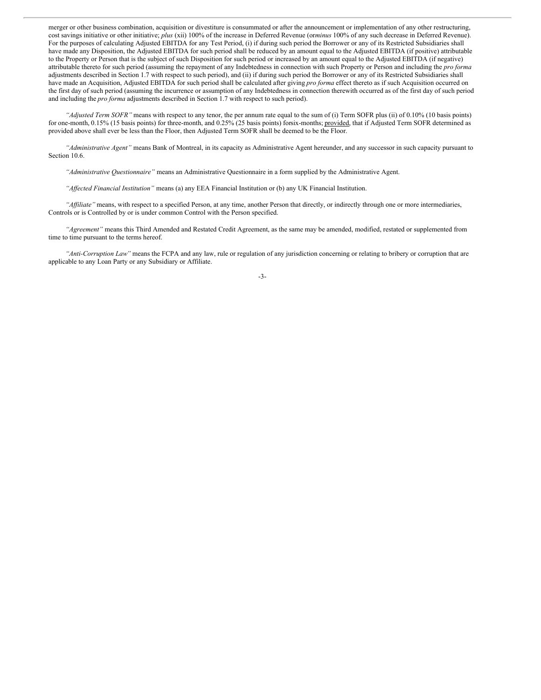merger or other business combination, acquisition or divestiture is consummated or after the announcement or implementation of any other restructuring, cost savings initiative or other initiative; *plus* (xii) 100% of the increase in Deferred Revenue (or*minus* 100% of any such decrease in Deferred Revenue). For the purposes of calculating Adjusted EBITDA for any Test Period, (i) if during such period the Borrower or any of its Restricted Subsidiaries shall have made any Disposition, the Adjusted EBITDA for such period shall be reduced by an amount equal to the Adjusted EBITDA (if positive) attributable to the Property or Person that is the subject of such Disposition for such period or increased by an amount equal to the Adjusted EBITDA (if negative) attributable thereto for such period (assuming the repayment of any Indebtedness in connection with such Property or Person and including the *pro forma* adjustments described in Section 1.7 with respect to such period), and (ii) if during such period the Borrower or any of its Restricted Subsidiaries shall have made an Acquisition, Adjusted EBITDA for such period shall be calculated after giving *pro forma* effect thereto as if such Acquisition occurred on the first day of such period (assuming the incurrence or assumption of any Indebtedness in connection therewith occurred as of the first day of such period and including the *pro forma* adjustments described in Section 1.7 with respect to such period).

*"Adjusted Term SOFR"* means with respect to any tenor, the per annum rate equal to the sum of (i) Term SOFR plus (ii) of 0.10% (10 basis points) for one-month, 0.15% (15 basis points) for three-month, and 0.25% (25 basis points) forsix-months; provided, that if Adjusted Term SOFR determined as provided above shall ever be less than the Floor, then Adjusted Term SOFR shall be deemed to be the Floor.

*"Administrative Agent"* means Bank of Montreal, in its capacity as Administrative Agent hereunder, and any successor in such capacity pursuant to Section 10.6.

*"Administrative Questionnaire"* means an Administrative Questionnaire in a form supplied by the Administrative Agent.

*"Af ected Financial Institution"* means (a) any EEA Financial Institution or (b) any UK Financial Institution.

*"Af iliate"* means, with respect to a specified Person, at any time, another Person that directly, or indirectly through one or more intermediaries, Controls or is Controlled by or is under common Control with the Person specified.

*"Agreement"* means this Third Amended and Restated Credit Agreement, as the same may be amended, modified, restated or supplemented from time to time pursuant to the terms hereof.

*"Anti-Corruption Law"* means the FCPA and any law, rule or regulation of any jurisdiction concerning or relating to bribery or corruption that are applicable to any Loan Party or any Subsidiary or Affiliate.

-3-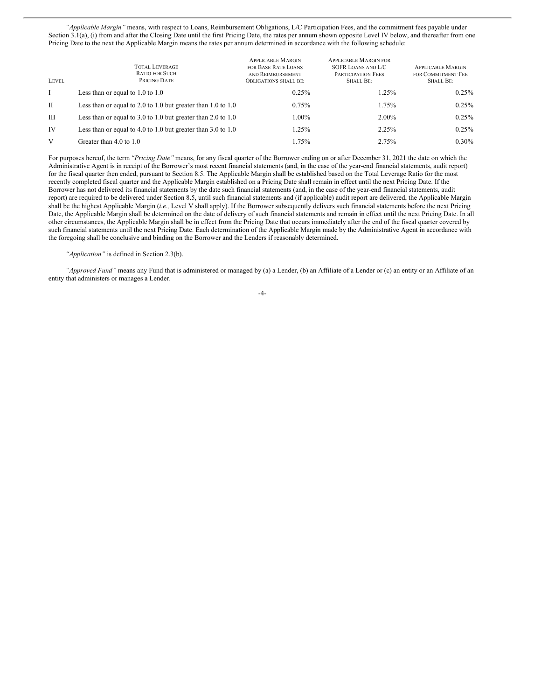*"Applicable Margin"* means, with respect to Loans, Reimbursement Obligations, L/C Participation Fees, and the commitment fees payable under Section  $3.1(a)$ , (i) from and after the Closing Date until the first Pricing Date, the rates per annum shown opposite Level IV below, and thereafter from one Pricing Date to the next the Applicable Margin means the rates per annum determined in accordance with the following schedule:

| LEVEL        | <b>TOTAL LEVERAGE</b><br><b>RATIO FOR SUCH</b><br>PRICING DATE | <b>APPLICABLE MARGIN</b><br><b>FOR BASE RATE LOANS</b><br>AND REIMBURSEMENT<br><b>OBLIGATIONS SHALL BE:</b> | <b>APPLICABLE MARGIN FOR</b><br>SOFR LOANS AND L/C<br>PARTICIPATION FEES<br><b>SHALL BE:</b> | <b>APPLICABLE MARGIN</b><br>FOR COMMITMENT FEE<br><b>SHALL BE:</b> |
|--------------|----------------------------------------------------------------|-------------------------------------------------------------------------------------------------------------|----------------------------------------------------------------------------------------------|--------------------------------------------------------------------|
| L            | Less than or equal to $1.0$ to $1.0$                           | $0.25\%$                                                                                                    | $1.25\%$                                                                                     | $0.25\%$                                                           |
| $\mathbf{H}$ | Less than or equal to 2.0 to 1.0 but greater than 1.0 to 1.0   | $0.75\%$                                                                                                    | 1.75%                                                                                        | $0.25\%$                                                           |
| Ш            | Less than or equal to 3.0 to 1.0 but greater than 2.0 to 1.0   | 1.00%                                                                                                       | $2.00\%$                                                                                     | $0.25\%$                                                           |
| IV           | Less than or equal to 4.0 to 1.0 but greater than 3.0 to 1.0   | 1.25%                                                                                                       | 2.25%                                                                                        | $0.25\%$                                                           |
| V            | Greater than 4.0 to 1.0                                        | 1.75%                                                                                                       | 2.75%                                                                                        | $0.30\%$                                                           |

For purposes hereof, the term*"Pricing Date"* means, for any fiscal quarter of the Borrower ending on or after December 31, 2021 the date on which the Administrative Agent is in receipt of the Borrower's most recent financial statements (and, in the case of the year-end financial statements, audit report) for the fiscal quarter then ended, pursuant to Section 8.5. The Applicable Margin shall be established based on the Total Leverage Ratio for the most recently completed fiscal quarter and the Applicable Margin established on a Pricing Date shall remain in effect until the next Pricing Date. If the Borrower has not delivered its financial statements by the date such financial statements (and, in the case of the year-end financial statements, audit report) are required to be delivered under Section 8.5, until such financial statements and (if applicable) audit report are delivered, the Applicable Margin shall be the highest Applicable Margin (*i.e.,* Level V shall apply). If the Borrower subsequently delivers such financial statements before the next Pricing Date, the Applicable Margin shall be determined on the date of delivery of such financial statements and remain in effect until the next Pricing Date. In all other circumstances, the Applicable Margin shall be in effect from the Pricing Date that occurs immediately after the end of the fiscal quarter covered by such financial statements until the next Pricing Date. Each determination of the Applicable Margin made by the Administrative Agent in accordance with the foregoing shall be conclusive and binding on the Borrower and the Lenders if reasonably determined.

#### *"Application"* is defined in Section 2.3(b).

*"Approved Fund"* means any Fund that is administered or managed by (a) a Lender, (b) an Affiliate of a Lender or (c) an entity or an Affiliate of an entity that administers or manages a Lender.

-4-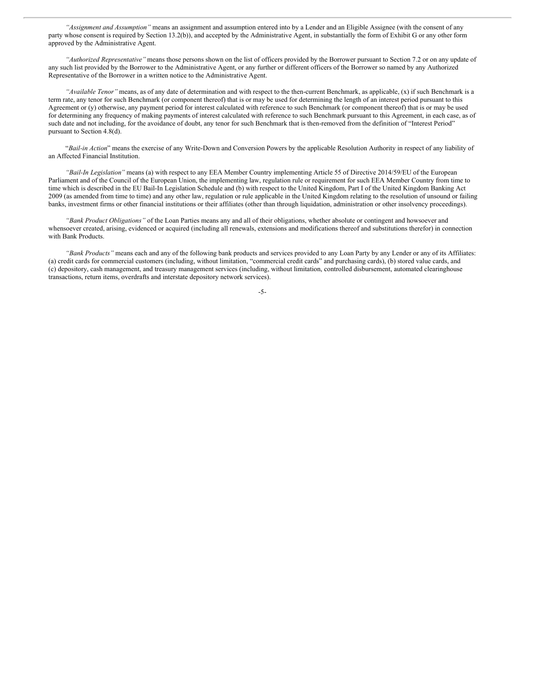*"Assignment and Assumption"* means an assignment and assumption entered into by a Lender and an Eligible Assignee (with the consent of any party whose consent is required by Section 13.2(b)), and accepted by the Administrative Agent, in substantially the form of Exhibit G or any other form approved by the Administrative Agent.

*"Authorized Representative"* means those persons shown on the list of officers provided by the Borrower pursuant to Section 7.2 or on any update of any such list provided by the Borrower to the Administrative Agent, or any further or different officers of the Borrower so named by any Authorized Representative of the Borrower in a written notice to the Administrative Agent.

*"Available Tenor"* means, as of any date of determination and with respect to the then-current Benchmark, as applicable, (x) if such Benchmark is a term rate, any tenor for such Benchmark (or component thereof) that is or may be used for determining the length of an interest period pursuant to this Agreement or (y) otherwise, any payment period for interest calculated with reference to such Benchmark (or component thereof) that is or may be used for determining any frequency of making payments of interest calculated with reference to such Benchmark pursuant to this Agreement, in each case, as of such date and not including, for the avoidance of doubt, any tenor for such Benchmark that is then-removed from the definition of "Interest Period" pursuant to Section 4.8(d).

"*Bail-in Action*" means the exercise of any Write-Down and Conversion Powers by the applicable Resolution Authority in respect of any liability of an Affected Financial Institution.

*"Bail-In Legislation"* means (a) with respect to any EEA Member Country implementing Article 55 of Directive 2014/59/EU of the European Parliament and of the Council of the European Union, the implementing law, regulation rule or requirement for such EEA Member Country from time to time which is described in the EU Bail-In Legislation Schedule and (b) with respect to the United Kingdom, Part I of the United Kingdom Banking Act 2009 (as amended from time to time) and any other law, regulation or rule applicable in the United Kingdom relating to the resolution of unsound or failing banks, investment firms or other financial institutions or their affiliates (other than through liquidation, administration or other insolvency proceedings).

*"Bank Product Obligations"* of the Loan Parties means any and all of their obligations, whether absolute or contingent and howsoever and whensoever created, arising, evidenced or acquired (including all renewals, extensions and modifications thereof and substitutions therefor) in connection with Bank Products.

"Bank Products" means each and any of the following bank products and services provided to any Loan Party by any Lender or any of its Affiliates: (a) credit cards for commercial customers (including, without limitation, "commercial credit cards" and purchasing cards), (b) stored value cards, and (c) depository, cash management, and treasury management services (including, without limitation, controlled disbursement, automated clearinghouse transactions, return items, overdrafts and interstate depository network services).

-5-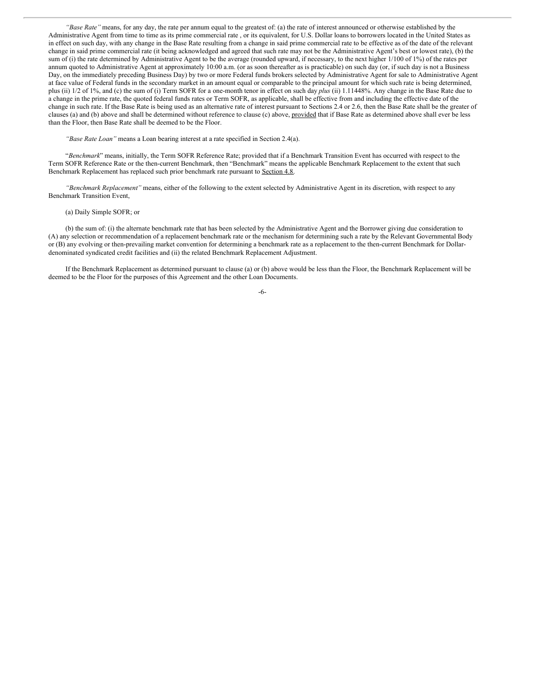*"Base Rate"* means, for any day, the rate per annum equal to the greatest of: (a) the rate of interest announced or otherwise established by the Administrative Agent from time to time as its prime commercial rate , or its equivalent, for U.S. Dollar loans to borrowers located in the United States as in effect on such day, with any change in the Base Rate resulting from a change in said prime commercial rate to be effective as of the date of the relevant change in said prime commercial rate (it being acknowledged and agreed that such rate may not be the Administrative Agent's best or lowest rate), (b) the sum of (i) the rate determined by Administrative Agent to be the average (rounded upward, if necessary, to the next higher 1/100 of 1%) of the rates per annum quoted to Administrative Agent at approximately 10:00 a.m. (or as soon thereafter as is practicable) on such day (or, if such day is not a Business Day, on the immediately preceding Business Day) by two or more Federal funds brokers selected by Administrative Agent for sale to Administrative Agent at face value of Federal funds in the secondary market in an amount equal or comparable to the principal amount for which such rate is being determined, plus (ii) 1/2 of 1%, and (c) the sum of (i) Term SOFR for a one-month tenor in effect on such day *plus* (ii) 1.11448%. Any change in the Base Rate due to a change in the prime rate, the quoted federal funds rates or Term SOFR, as applicable, shall be effective from and including the effective date of the change in such rate. If the Base Rate is being used as an alternative rate of interest pursuant to Sections 2.4 or 2.6, then the Base Rate shall be the greater of clauses (a) and (b) above and shall be determined without reference to clause (c) above, provided that if Base Rate as determined above shall ever be less than the Floor, then Base Rate shall be deemed to be the Floor.

*"Base Rate Loan"* means a Loan bearing interest at a rate specified in Section 2.4(a).

"*Benchmark*" means, initially, the Term SOFR Reference Rate; provided that if a Benchmark Transition Event has occurred with respect to the Term SOFR Reference Rate or the then-current Benchmark, then "Benchmark" means the applicable Benchmark Replacement to the extent that such Benchmark Replacement has replaced such prior benchmark rate pursuant to Section 4.8.

*"Benchmark Replacement"* means, either of the following to the extent selected by Administrative Agent in its discretion, with respect to any Benchmark Transition Event,

### (a) Daily Simple SOFR; or

(b) the sum of: (i) the alternate benchmark rate that has been selected by the Administrative Agent and the Borrower giving due consideration to (A) any selection or recommendation of a replacement benchmark rate or the mechanism for determining such a rate by the Relevant Governmental Body or (B) any evolving or then-prevailing market convention for determining a benchmark rate as a replacement to the then-current Benchmark for Dollardenominated syndicated credit facilities and (ii) the related Benchmark Replacement Adjustment.

If the Benchmark Replacement as determined pursuant to clause (a) or (b) above would be less than the Floor, the Benchmark Replacement will be deemed to be the Floor for the purposes of this Agreement and the other Loan Documents.

<sup>-6-</sup>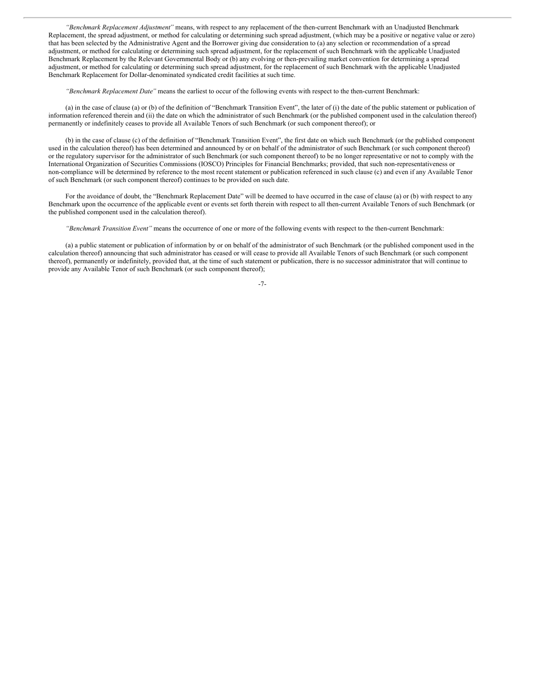*"Benchmark Replacement Adjustment"* means, with respect to any replacement of the then-current Benchmark with an Unadjusted Benchmark Replacement, the spread adjustment, or method for calculating or determining such spread adjustment, (which may be a positive or negative value or zero) that has been selected by the Administrative Agent and the Borrower giving due consideration to (a) any selection or recommendation of a spread adjustment, or method for calculating or determining such spread adjustment, for the replacement of such Benchmark with the applicable Unadjusted Benchmark Replacement by the Relevant Governmental Body or (b) any evolving or then-prevailing market convention for determining a spread adjustment, or method for calculating or determining such spread adjustment, for the replacement of such Benchmark with the applicable Unadjusted Benchmark Replacement for Dollar-denominated syndicated credit facilities at such time.

*"Benchmark Replacement Date"* means the earliest to occur of the following events with respect to the then-current Benchmark:

(a) in the case of clause (a) or (b) of the definition of "Benchmark Transition Event", the later of (i) the date of the public statement or publication of information referenced therein and (ii) the date on which the administrator of such Benchmark (or the published component used in the calculation thereof) permanently or indefinitely ceases to provide all Available Tenors of such Benchmark (or such component thereof); or

(b) in the case of clause (c) of the definition of "Benchmark Transition Event", the first date on which such Benchmark (or the published component used in the calculation thereof) has been determined and announced by or on behalf of the administrator of such Benchmark (or such component thereof) or the regulatory supervisor for the administrator of such Benchmark (or such component thereof) to be no longer representative or not to comply with the International Organization of Securities Commissions (IOSCO) Principles for Financial Benchmarks; provided, that such non-representativeness or non-compliance will be determined by reference to the most recent statement or publication referenced in such clause (c) and even if any Available Tenor of such Benchmark (or such component thereof) continues to be provided on such date.

For the avoidance of doubt, the "Benchmark Replacement Date" will be deemed to have occurred in the case of clause (a) or (b) with respect to any Benchmark upon the occurrence of the applicable event or events set forth therein with respect to all then-current Available Tenors of such Benchmark (or the published component used in the calculation thereof).

*"Benchmark Transition Event"* means the occurrence of one or more of the following events with respect to the then-current Benchmark:

(a) a public statement or publication of information by or on behalf of the administrator of such Benchmark (or the published component used in the calculation thereof) announcing that such administrator has ceased or will cease to provide all Available Tenors of such Benchmark (or such component thereof), permanently or indefinitely, provided that, at the time of such statement or publication, there is no successor administrator that will continue to provide any Available Tenor of such Benchmark (or such component thereof);

-7-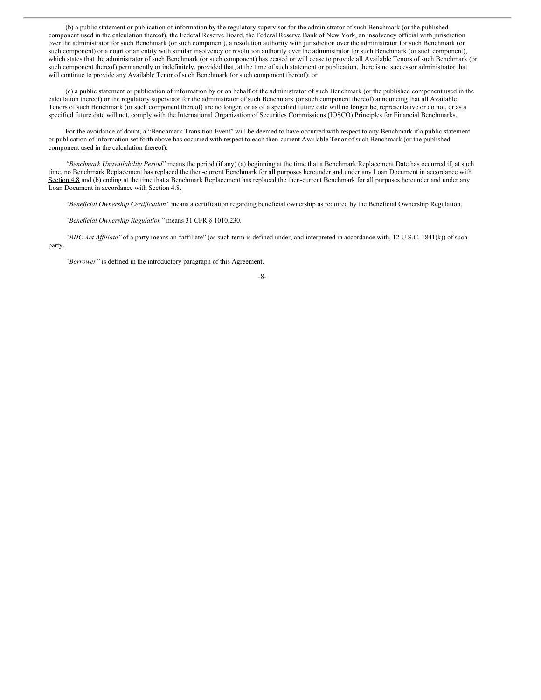(b) a public statement or publication of information by the regulatory supervisor for the administrator of such Benchmark (or the published component used in the calculation thereof), the Federal Reserve Board, the Federal Reserve Bank of New York, an insolvency official with jurisdiction over the administrator for such Benchmark (or such component), a resolution authority with jurisdiction over the administrator for such Benchmark (or such component) or a court or an entity with similar insolvency or resolution authority over the administrator for such Benchmark (or such component), which states that the administrator of such Benchmark (or such component) has ceased or will cease to provide all Available Tenors of such Benchmark (or such component thereof) permanently or indefinitely, provided that, at the time of such statement or publication, there is no successor administrator that will continue to provide any Available Tenor of such Benchmark (or such component thereof); or

(c) a public statement or publication of information by or on behalf of the administrator of such Benchmark (or the published component used in the calculation thereof) or the regulatory supervisor for the administrator of such Benchmark (or such component thereof) announcing that all Available Tenors of such Benchmark (or such component thereof) are no longer, or as of a specified future date will no longer be, representative or do not, or as a specified future date will not, comply with the International Organization of Securities Commissions (IOSCO) Principles for Financial Benchmarks.

For the avoidance of doubt, a "Benchmark Transition Event" will be deemed to have occurred with respect to any Benchmark if a public statement or publication of information set forth above has occurred with respect to each then-current Available Tenor of such Benchmark (or the published component used in the calculation thereof).

*"Benchmark Unavailability Period"* means the period (if any) (a) beginning at the time that a Benchmark Replacement Date has occurred if, at such time, no Benchmark Replacement has replaced the then-current Benchmark for all purposes hereunder and under any Loan Document in accordance with Section 4.8 and (b) ending at the time that a Benchmark Replacement has replaced the then-current Benchmark for all purposes hereunder and under any Loan Document in accordance with Section 4.8.

*"Beneficial Ownership Certification"* means a certification regarding beneficial ownership as required by the Beneficial Ownership Regulation.

*"Beneficial Ownership Regulation"* means 31 CFR § 1010.230.

*"BHC Act Af iliate"* of a party means an "affiliate" (as such term is defined under, and interpreted in accordance with, 12 U.S.C. 1841(k)) of such party.

*"Borrower"* is defined in the introductory paragraph of this Agreement.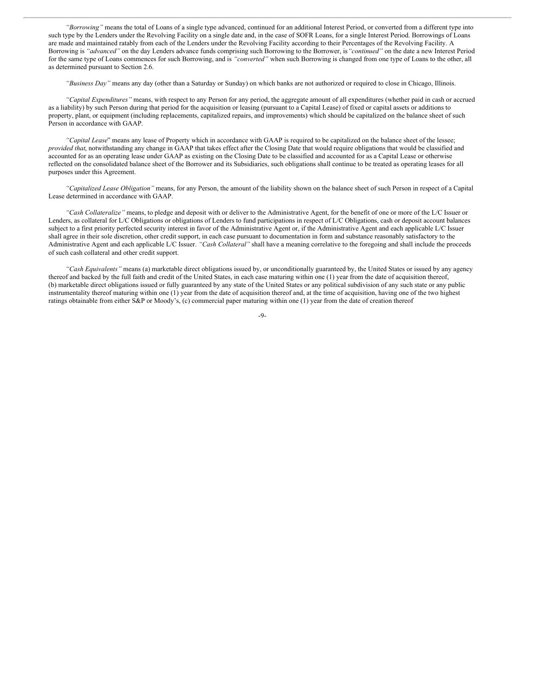*"Borrowing"* means the total of Loans of a single type advanced, continued for an additional Interest Period, or converted from a different type into such type by the Lenders under the Revolving Facility on a single date and, in the case of SOFR Loans, for a single Interest Period. Borrowings of Loans are made and maintained ratably from each of the Lenders under the Revolving Facility according to their Percentages of the Revolving Facility. A Borrowing is *"advanced"* on the day Lenders advance funds comprising such Borrowing to the Borrower, is*"continued"* on the date a new Interest Period for the same type of Loans commences for such Borrowing, and is *"converted"* when such Borrowing is changed from one type of Loans to the other, all as determined pursuant to Section 2.6.

*"Business Day"* means any day (other than a Saturday or Sunday) on which banks are not authorized or required to close in Chicago, Illinois.

*"Capital Expenditures"* means, with respect to any Person for any period, the aggregate amount of all expenditures (whether paid in cash or accrued as a liability) by such Person during that period for the acquisition or leasing (pursuant to a Capital Lease) of fixed or capital assets or additions to property, plant, or equipment (including replacements, capitalized repairs, and improvements) which should be capitalized on the balance sheet of such Person in accordance with GAAP.

*"Capital Lease*" means any lease of Property which in accordance with GAAP is required to be capitalized on the balance sheet of the lessee; *provided that*, notwithstanding any change in GAAP that takes effect after the Closing Date that would require obligations that would be classified and accounted for as an operating lease under GAAP as existing on the Closing Date to be classified and accounted for as a Capital Lease or otherwise reflected on the consolidated balance sheet of the Borrower and its Subsidiaries, such obligations shall continue to be treated as operating leases for all purposes under this Agreement.

*"Capitalized Lease Obligation"* means, for any Person, the amount of the liability shown on the balance sheet of such Person in respect of a Capital Lease determined in accordance with GAAP.

*"Cash Collateralize"* means, to pledge and deposit with or deliver to the Administrative Agent, for the benefit of one or more of the L/C Issuer or Lenders, as collateral for L/C Obligations or obligations of Lenders to fund participations in respect of L/C Obligations, cash or deposit account balances subject to a first priority perfected security interest in favor of the Administrative Agent or, if the Administrative Agent and each applicable L/C Issuer shall agree in their sole discretion, other credit support, in each case pursuant to documentation in form and substance reasonably satisfactory to the Administrative Agent and each applicable L/C Issuer. *"Cash Collateral"* shall have a meaning correlative to the foregoing and shall include the proceeds of such cash collateral and other credit support.

*"Cash Equivalents"* means (a) marketable direct obligations issued by, or unconditionally guaranteed by, the United States or issued by any agency thereof and backed by the full faith and credit of the United States, in each case maturing within one (1) year from the date of acquisition thereof, (b) marketable direct obligations issued or fully guaranteed by any state of the United States or any political subdivision of any such state or any public instrumentality thereof maturing within one (1) year from the date of acquisition thereof and, at the time of acquisition, having one of the two highest ratings obtainable from either S&P or Moody's, (c) commercial paper maturing within one (1) year from the date of creation thereof

-9-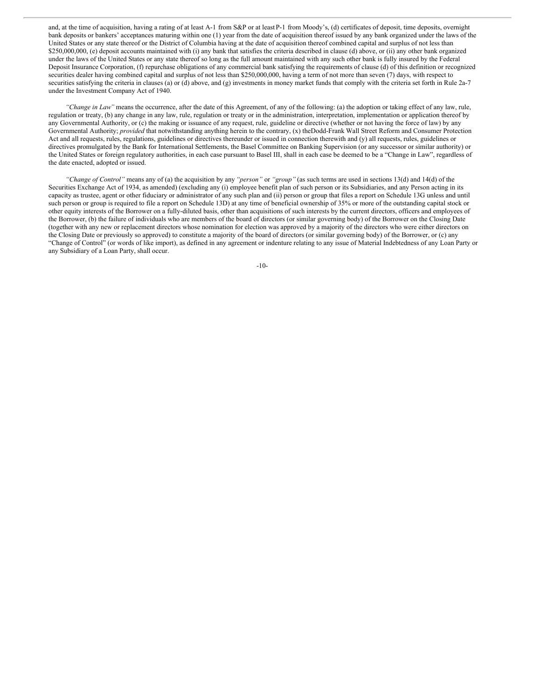and, at the time of acquisition, having a rating of at least A-1 from S&P or at least P-1 from Moody's, (d) certificates of deposit, time deposits, overnight bank deposits or bankers' acceptances maturing within one (1) year from the date of acquisition thereof issued by any bank organized under the laws of the United States or any state thereof or the District of Columbia having at the date of acquisition thereof combined capital and surplus of not less than \$250,000,000, (e) deposit accounts maintained with (i) any bank that satisfies the criteria described in clause (d) above, or (ii) any other bank organized under the laws of the United States or any state thereof so long as the full amount maintained with any such other bank is fully insured by the Federal Deposit Insurance Corporation, (f) repurchase obligations of any commercial bank satisfying the requirements of clause (d) of this definition or recognized securities dealer having combined capital and surplus of not less than \$250,000,000, having a term of not more than seven (7) days, with respect to securities satisfying the criteria in clauses (a) or (d) above, and (g) investments in money market funds that comply with the criteria set forth in Rule 2a-7 under the Investment Company Act of 1940.

*"Change in Law"* means the occurrence, after the date of this Agreement, of any of the following: (a) the adoption or taking effect of any law, rule, regulation or treaty, (b) any change in any law, rule, regulation or treaty or in the administration, interpretation, implementation or application thereof by any Governmental Authority, or (c) the making or issuance of any request, rule, guideline or directive (whether or not having the force of law) by any Governmental Authority; *provided* that notwithstanding anything herein to the contrary, (x) theDodd-Frank Wall Street Reform and Consumer Protection Act and all requests, rules, regulations, guidelines or directives thereunder or issued in connection therewith and (y) all requests, rules, guidelines or directives promulgated by the Bank for International Settlements, the Basel Committee on Banking Supervision (or any successor or similar authority) or the United States or foreign regulatory authorities, in each case pursuant to Basel III, shall in each case be deemed to be a "Change in Law", regardless of the date enacted, adopted or issued.

*"Change of Control"* means any of (a) the acquisition by any *"person"* or *"group"* (as such terms are used in sections 13(d) and 14(d) of the Securities Exchange Act of 1934, as amended) (excluding any (i) employee benefit plan of such person or its Subsidiaries, and any Person acting in its capacity as trustee, agent or other fiduciary or administrator of any such plan and (ii) person or group that files a report on Schedule 13G unless and until such person or group is required to file a report on Schedule 13D) at any time of beneficial ownership of 35% or more of the outstanding capital stock or other equity interests of the Borrower on a fully-diluted basis, other than acquisitions of such interests by the current directors, officers and employees of the Borrower, (b) the failure of individuals who are members of the board of directors (or similar governing body) of the Borrower on the Closing Date (together with any new or replacement directors whose nomination for election was approved by a majority of the directors who were either directors on the Closing Date or previously so approved) to constitute a majority of the board of directors (or similar governing body) of the Borrower, or (c) any "Change of Control" (or words of like import), as defined in any agreement or indenture relating to any issue of Material Indebtedness of any Loan Party or any Subsidiary of a Loan Party, shall occur.

-10-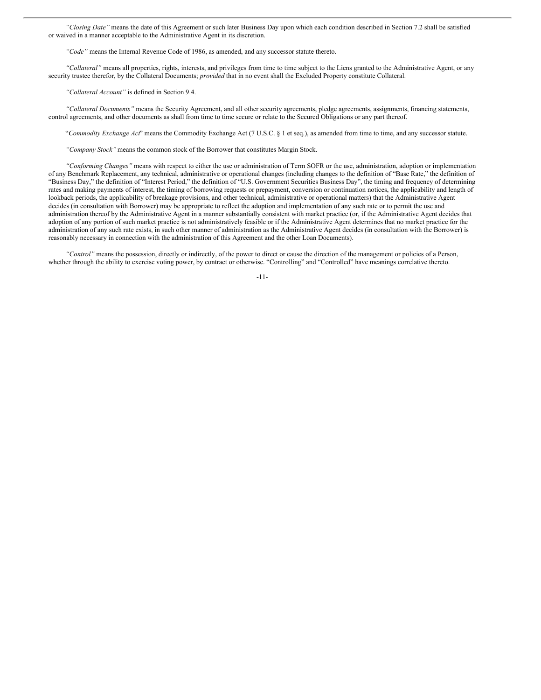*"Closing Date"* means the date of this Agreement or such later Business Day upon which each condition described in Section 7.2 shall be satisfied or waived in a manner acceptable to the Administrative Agent in its discretion.

*"Code"* means the Internal Revenue Code of 1986, as amended, and any successor statute thereto.

*"Collateral"* means all properties, rights, interests, and privileges from time to time subject to the Liens granted to the Administrative Agent, or any security trustee therefor, by the Collateral Documents; *provided* that in no event shall the Excluded Property constitute Collateral.

*"Collateral Account"* is defined in Section 9.4.

*"Collateral Documents"* means the Security Agreement, and all other security agreements, pledge agreements, assignments, financing statements, control agreements, and other documents as shall from time to time secure or relate to the Secured Obligations or any part thereof.

"*Commodity Exchange Act*" means the Commodity Exchange Act (7 U.S.C. § 1 et seq.), as amended from time to time, and any successor statute.

*"Company Stock"* means the common stock of the Borrower that constitutes Margin Stock.

*"Conforming Changes"* means with respect to either the use or administration of Term SOFR or the use, administration, adoption or implementation of any Benchmark Replacement, any technical, administrative or operational changes (including changes to the definition of "Base Rate," the definition of "Business Day," the definition of "Interest Period," the definition of "U.S. Government Securities Business Day", the timing and frequency of determining rates and making payments of interest, the timing of borrowing requests or prepayment, conversion or continuation notices, the applicability and length of lookback periods, the applicability of breakage provisions, and other technical, administrative or operational matters) that the Administrative Agent decides (in consultation with Borrower) may be appropriate to reflect the adoption and implementation of any such rate or to permit the use and administration thereof by the Administrative Agent in a manner substantially consistent with market practice (or, if the Administrative Agent decides that adoption of any portion of such market practice is not administratively feasible or if the Administrative Agent determines that no market practice for the administration of any such rate exists, in such other manner of administration as the Administrative Agent decides (in consultation with the Borrower) is reasonably necessary in connection with the administration of this Agreement and the other Loan Documents).

*"Control"* means the possession, directly or indirectly, of the power to direct or cause the direction of the management or policies of a Person, whether through the ability to exercise voting power, by contract or otherwise. "Controlling" and "Controlled" have meanings correlative thereto.

-11-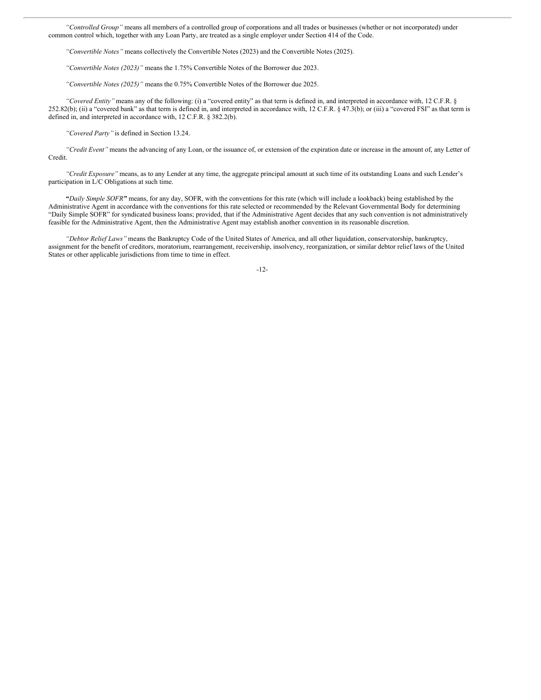*"Controlled Group"* means all members of a controlled group of corporations and all trades or businesses (whether or not incorporated) under common control which, together with any Loan Party, are treated as a single employer under Section 414 of the Code.

*"Convertible Notes"* means collectively the Convertible Notes (2023) and the Convertible Notes (2025).

*"Convertible Notes (2023)"* means the 1.75% Convertible Notes of the Borrower due 2023.

*"Convertible Notes (2025)"* means the 0.75% Convertible Notes of the Borrower due 2025.

*"Covered Entity"* means any of the following: (i) a "covered entity" as that term is defined in, and interpreted in accordance with, 12 C.F.R. §  $252.82(b)$ ; (ii) a "covered bank" as that term is defined in, and interpreted in accordance with, 12 C.F.R. § 47.3(b); or (iii) a "covered FSI" as that term is defined in, and interpreted in accordance with, 12 C.F.R. § 382.2(b).

*"Covered Party"* is defined in Section 13.24.

*"Credit Event"* means the advancing of any Loan, or the issuance of, or extension of the expiration date or increase in the amount of, any Letter of Credit.

*"Credit Exposure"* means, as to any Lender at any time, the aggregate principal amount at such time of its outstanding Loans and such Lender's participation in L/C Obligations at such time.

*"Daily Simple SOFR"* means, for any day, SOFR, with the conventions for this rate (which will include a lookback) being established by the Administrative Agent in accordance with the conventions for this rate selected or recommended by the Relevant Governmental Body for determining "Daily Simple SOFR" for syndicated business loans; provided, that if the Administrative Agent decides that any such convention is not administratively feasible for the Administrative Agent, then the Administrative Agent may establish another convention in its reasonable discretion.

*"Debtor Relief Laws"* means the Bankruptcy Code of the United States of America, and all other liquidation, conservatorship, bankruptcy, assignment for the benefit of creditors, moratorium, rearrangement, receivership, insolvency, reorganization, or similar debtor relief laws of the United States or other applicable jurisdictions from time to time in effect.

-12-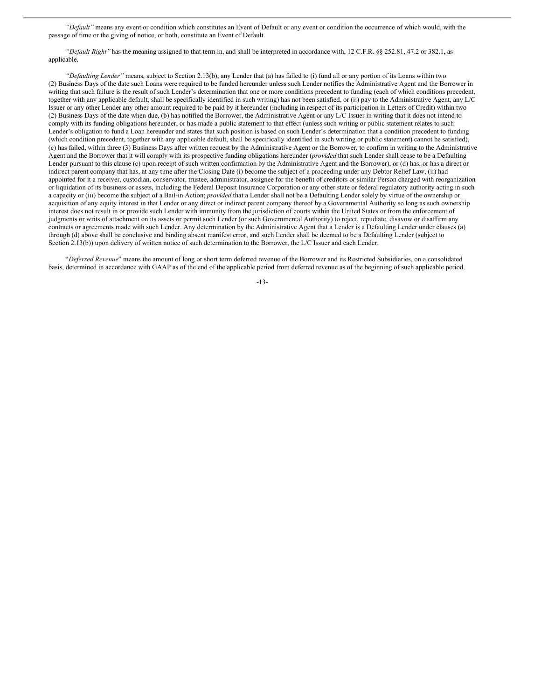*"Default"* means any event or condition which constitutes an Event of Default or any event or condition the occurrence of which would, with the passage of time or the giving of notice, or both, constitute an Event of Default.

*"Default Right"* has the meaning assigned to that term in, and shall be interpreted in accordance with, 12 C.F.R. §§ 252.81, 47.2 or 382.1, as applicable.

*"Defaulting Lender"* means, subject to Section 2.13(b), any Lender that (a) has failed to (i) fund all or any portion of its Loans within two (2) Business Days of the date such Loans were required to be funded hereunder unless such Lender notifies the Administrative Agent and the Borrower in writing that such failure is the result of such Lender's determination that one or more conditions precedent to funding (each of which conditions precedent, together with any applicable default, shall be specifically identified in such writing) has not been satisfied, or (ii) pay to the Administrative Agent, any L/C Issuer or any other Lender any other amount required to be paid by it hereunder (including in respect of its participation in Letters of Credit) within two (2) Business Days of the date when due, (b) has notified the Borrower, the Administrative Agent or any L/C Issuer in writing that it does not intend to comply with its funding obligations hereunder, or has made a public statement to that effect (unless such writing or public statement relates to such Lender's obligation to fund a Loan hereunder and states that such position is based on such Lender's determination that a condition precedent to funding (which condition precedent, together with any applicable default, shall be specifically identified in such writing or public statement) cannot be satisfied), (c) has failed, within three (3) Business Days after written request by the Administrative Agent or the Borrower, to confirm in writing to the Administrative Agent and the Borrower that it will comply with its prospective funding obligations hereunder (*provided* that such Lender shall cease to be a Defaulting Lender pursuant to this clause (c) upon receipt of such written confirmation by the Administrative Agent and the Borrower), or (d) has, or has a direct or indirect parent company that has, at any time after the Closing Date (i) become the subject of a proceeding under any Debtor Relief Law, (ii) had appointed for it a receiver, custodian, conservator, trustee, administrator, assignee for the benefit of creditors or similar Person charged with reorganization or liquidation of its business or assets, including the Federal Deposit Insurance Corporation or any other state or federal regulatory authority acting in such a capacity or (iii) become the subject of a Bail-in Action; *provided* that a Lender shall not be a Defaulting Lender solely by virtue of the ownership or acquisition of any equity interest in that Lender or any direct or indirect parent company thereof by a Governmental Authority so long as such ownership interest does not result in or provide such Lender with immunity from the jurisdiction of courts within the United States or from the enforcement of judgments or writs of attachment on its assets or permit such Lender (or such Governmental Authority) to reject, repudiate, disavow or disaffirm any contracts or agreements made with such Lender. Any determination by the Administrative Agent that a Lender is a Defaulting Lender under clauses (a) through (d) above shall be conclusive and binding absent manifest error, and such Lender shall be deemed to be a Defaulting Lender (subject to Section 2.13(b)) upon delivery of written notice of such determination to the Borrower, the L/C Issuer and each Lender.

"*Deferred Revenue*" means the amount of long or short term deferred revenue of the Borrower and its Restricted Subsidiaries, on a consolidated basis, determined in accordance with GAAP as of the end of the applicable period from deferred revenue as of the beginning of such applicable period.

-13-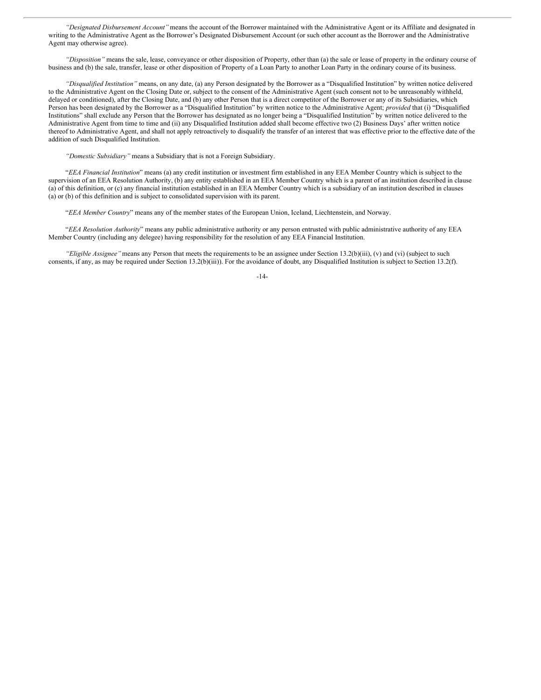*"Designated Disbursement Account"* means the account of the Borrower maintained with the Administrative Agent or its Affiliate and designated in writing to the Administrative Agent as the Borrower's Designated Disbursement Account (or such other account as the Borrower and the Administrative Agent may otherwise agree).

*"Disposition"* means the sale, lease, conveyance or other disposition of Property, other than (a) the sale or lease of property in the ordinary course of business and (b) the sale, transfer, lease or other disposition of Property of a Loan Party to another Loan Party in the ordinary course of its business.

*"Disqualified Institution"* means, on any date, (a) any Person designated by the Borrower as a "Disqualified Institution" by written notice delivered to the Administrative Agent on the Closing Date or, subject to the consent of the Administrative Agent (such consent not to be unreasonably withheld, delayed or conditioned), after the Closing Date, and (b) any other Person that is a direct competitor of the Borrower or any of its Subsidiaries, which Person has been designated by the Borrower as a "Disqualified Institution" by written notice to the Administrative Agent; *provided* that (i) "Disqualified Institutions" shall exclude any Person that the Borrower has designated as no longer being a "Disqualified Institution" by written notice delivered to the Administrative Agent from time to time and (ii) any Disqualified Institution added shall become effective two (2) Business Days' after written notice thereof to Administrative Agent, and shall not apply retroactively to disqualify the transfer of an interest that was effective prior to the effective date of the addition of such Disqualified Institution.

*"Domestic Subsidiary"* means a Subsidiary that is not a Foreign Subsidiary.

"*EEA Financial Institution*" means (a) any credit institution or investment firm established in any EEA Member Country which is subject to the supervision of an EEA Resolution Authority, (b) any entity established in an EEA Member Country which is a parent of an institution described in clause (a) of this definition, or (c) any financial institution established in an EEA Member Country which is a subsidiary of an institution described in clauses (a) or (b) of this definition and is subject to consolidated supervision with its parent.

"*EEA Member Country*" means any of the member states of the European Union, Iceland, Liechtenstein, and Norway.

"*EEA Resolution Authority*" means any public administrative authority or any person entrusted with public administrative authority of any EEA Member Country (including any delegee) having responsibility for the resolution of any EEA Financial Institution.

*"Eligible Assignee"* means any Person that meets the requirements to be an assignee under Section 13.2(b)(iii), (v) and (vi) (subject to such consents, if any, as may be required under Section 13.2(b)(iii)). For the avoidance of doubt, any Disqualified Institution is subject to Section 13.2(f).

-14-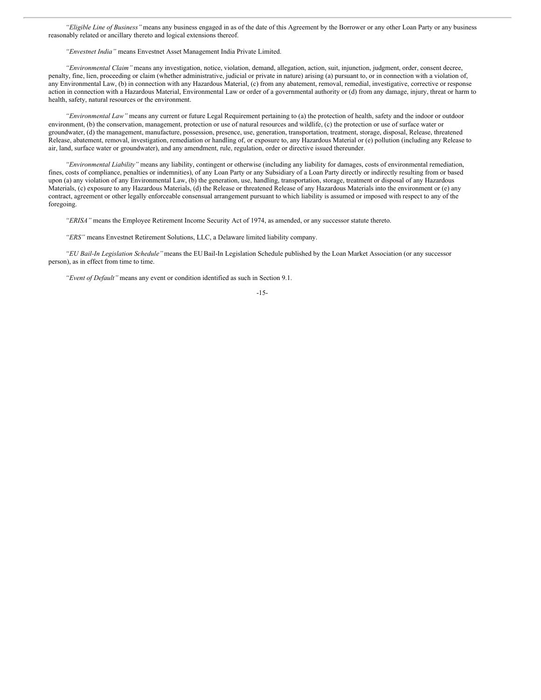*"Eligible Line of Business"* means any business engaged in as of the date of this Agreement by the Borrower or any other Loan Party or any business reasonably related or ancillary thereto and logical extensions thereof.

*"Envestnet India"* means Envestnet Asset Management India Private Limited.

*"Environmental Claim"* means any investigation, notice, violation, demand, allegation, action, suit, injunction, judgment, order, consent decree, penalty, fine, lien, proceeding or claim (whether administrative, judicial or private in nature) arising (a) pursuant to, or in connection with a violation of, any Environmental Law, (b) in connection with any Hazardous Material, (c) from any abatement, removal, remedial, investigative, corrective or response action in connection with a Hazardous Material, Environmental Law or order of a governmental authority or (d) from any damage, injury, threat or harm to health, safety, natural resources or the environment.

*"Environmental Law"* means any current or future Legal Requirement pertaining to (a) the protection of health, safety and the indoor or outdoor environment, (b) the conservation, management, protection or use of natural resources and wildlife, (c) the protection or use of surface water or groundwater, (d) the management, manufacture, possession, presence, use, generation, transportation, treatment, storage, disposal, Release, threatened Release, abatement, removal, investigation, remediation or handling of, or exposure to, any Hazardous Material or (e) pollution (including any Release to air, land, surface water or groundwater), and any amendment, rule, regulation, order or directive issued thereunder.

*"Environmental Liability"* means any liability, contingent or otherwise (including any liability for damages, costs of environmental remediation, fines, costs of compliance, penalties or indemnities), of any Loan Party or any Subsidiary of a Loan Party directly or indirectly resulting from or based upon (a) any violation of any Environmental Law, (b) the generation, use, handling, transportation, storage, treatment or disposal of any Hazardous Materials, (c) exposure to any Hazardous Materials, (d) the Release or threatened Release of any Hazardous Materials into the environment or (e) any contract, agreement or other legally enforceable consensual arrangement pursuant to which liability is assumed or imposed with respect to any of the foregoing.

*"ERISA"* means the Employee Retirement Income Security Act of 1974, as amended, or any successor statute thereto.

*"ERS"* means Envestnet Retirement Solutions, LLC, a Delaware limited liability company.

*"EU Bail-In Legislation Schedule"* means the EU Bail-In Legislation Schedule published by the Loan Market Association (or any successor person), as in effect from time to time.

*"Event of Default"* means any event or condition identified as such in Section 9.1.

-15-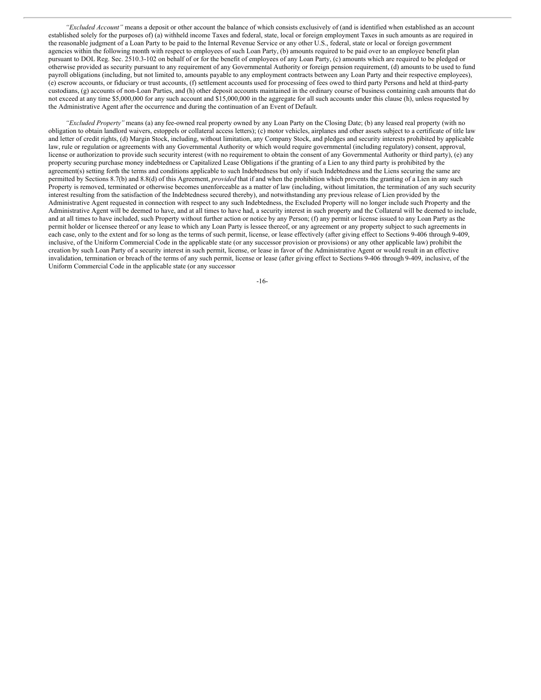*"Excluded Account"* means a deposit or other account the balance of which consists exclusively of (and is identified when established as an account established solely for the purposes of) (a) withheld income Taxes and federal, state, local or foreign employment Taxes in such amounts as are required in the reasonable judgment of a Loan Party to be paid to the Internal Revenue Service or any other U.S., federal, state or local or foreign government agencies within the following month with respect to employees of such Loan Party, (b) amounts required to be paid over to an employee benefit plan pursuant to DOL Reg. Sec. 2510.3-102 on behalf of or for the benefit of employees of any Loan Party, (c) amounts which are required to be pledged or otherwise provided as security pursuant to any requirement of any Governmental Authority or foreign pension requirement, (d) amounts to be used to fund payroll obligations (including, but not limited to, amounts payable to any employment contracts between any Loan Party and their respective employees), (e) escrow accounts, or fiduciary or trust accounts, (f) settlement accounts used for processing of fees owed to third party Persons and held at third-party custodians, (g) accounts of non-Loan Parties, and (h) other deposit accounts maintained in the ordinary course of business containing cash amounts that do not exceed at any time \$5,000,000 for any such account and \$15,000,000 in the aggregate for all such accounts under this clause (h), unless requested by the Administrative Agent after the occurrence and during the continuation of an Event of Default.

*"Excluded Property"* means (a) any fee-owned real property owned by any Loan Party on the Closing Date; (b) any leased real property (with no obligation to obtain landlord waivers, estoppels or collateral access letters); (c) motor vehicles, airplanes and other assets subject to a certificate of title law and letter of credit rights, (d) Margin Stock, including, without limitation, any Company Stock, and pledges and security interests prohibited by applicable law, rule or regulation or agreements with any Governmental Authority or which would require governmental (including regulatory) consent, approval, license or authorization to provide such security interest (with no requirement to obtain the consent of any Governmental Authority or third party), (e) any property securing purchase money indebtedness or Capitalized Lease Obligations if the granting of a Lien to any third party is prohibited by the agreement(s) setting forth the terms and conditions applicable to such Indebtedness but only if such Indebtedness and the Liens securing the same are permitted by Sections 8.7(b) and 8.8(d) of this Agreement, *provided* that if and when the prohibition which prevents the granting of a Lien in any such Property is removed, terminated or otherwise becomes unenforceable as a matter of law (including, without limitation, the termination of any such security interest resulting from the satisfaction of the Indebtedness secured thereby), and notwithstanding any previous release of Lien provided by the Administrative Agent requested in connection with respect to any such Indebtedness, the Excluded Property will no longer include such Property and the Administrative Agent will be deemed to have, and at all times to have had, a security interest in such property and the Collateral will be deemed to include, and at all times to have included, such Property without further action or notice by any Person; (f) any permit or license issued to any Loan Party as the permit holder or licensee thereof or any lease to which any Loan Party is lessee thereof, or any agreement or any property subject to such agreements in each case, only to the extent and for so long as the terms of such permit, license, or lease effectively (after giving effect to Sections 9-406 through 9-409, inclusive, of the Uniform Commercial Code in the applicable state (or any successor provision or provisions) or any other applicable law) prohibit the creation by such Loan Party of a security interest in such permit, license, or lease in favor of the Administrative Agent or would result in an effective invalidation, termination or breach of the terms of any such permit, license or lease (after giving effect to Sections 9-406 through 9-409, inclusive, of the Uniform Commercial Code in the applicable state (or any successor

-16-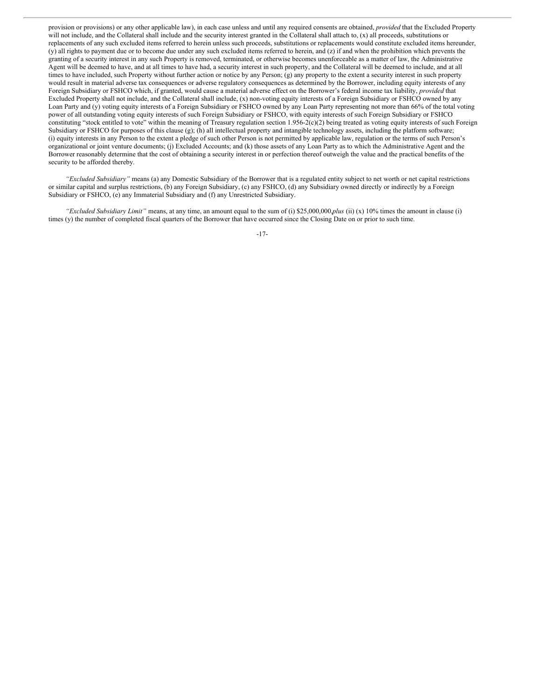provision or provisions) or any other applicable law), in each case unless and until any required consents are obtained, *provided* that the Excluded Property will not include, and the Collateral shall include and the security interest granted in the Collateral shall attach to, (x) all proceeds, substitutions or replacements of any such excluded items referred to herein unless such proceeds, substitutions or replacements would constitute excluded items hereunder, (y) all rights to payment due or to become due under any such excluded items referred to herein, and (z) if and when the prohibition which prevents the granting of a security interest in any such Property is removed, terminated, or otherwise becomes unenforceable as a matter of law, the Administrative Agent will be deemed to have, and at all times to have had, a security interest in such property, and the Collateral will be deemed to include, and at all times to have included, such Property without further action or notice by any Person;  $(g)$  any property to the extent a security interest in such property would result in material adverse tax consequences or adverse regulatory consequences as determined by the Borrower, including equity interests of any Foreign Subsidiary or FSHCO which, if granted, would cause a material adverse effect on the Borrower's federal income tax liability, *provided* that Excluded Property shall not include, and the Collateral shall include, (x) non-voting equity interests of a Foreign Subsidiary or FSHCO owned by any Loan Party and (y) voting equity interests of a Foreign Subsidiary or FSHCO owned by any Loan Party representing not more than 66% of the total voting power of all outstanding voting equity interests of such Foreign Subsidiary or FSHCO, with equity interests of such Foreign Subsidiary or FSHCO constituting "stock entitled to vote" within the meaning of Treasury regulation section 1.956-2(c)(2) being treated as voting equity interests of such Foreign Subsidiary or FSHCO for purposes of this clause (g); (h) all intellectual property and intangible technology assets, including the platform software; (i) equity interests in any Person to the extent a pledge of such other Person is not permitted by applicable law, regulation or the terms of such Person's organizational or joint venture documents; (j) Excluded Accounts; and (k) those assets of any Loan Party as to which the Administrative Agent and the Borrower reasonably determine that the cost of obtaining a security interest in or perfection thereof outweigh the value and the practical benefits of the security to be afforded thereby.

*"Excluded Subsidiary"* means (a) any Domestic Subsidiary of the Borrower that is a regulated entity subject to net worth or net capital restrictions or similar capital and surplus restrictions, (b) any Foreign Subsidiary, (c) any FSHCO, (d) any Subsidiary owned directly or indirectly by a Foreign Subsidiary or FSHCO, (e) any Immaterial Subsidiary and (f) any Unrestricted Subsidiary.

*"Excluded Subsidiary Limit"* means, at any time, an amount equal to the sum of (i) \$25,000,000,*plus* (ii) (x) 10% times the amount in clause (i) times (y) the number of completed fiscal quarters of the Borrower that have occurred since the Closing Date on or prior to such time.

-17-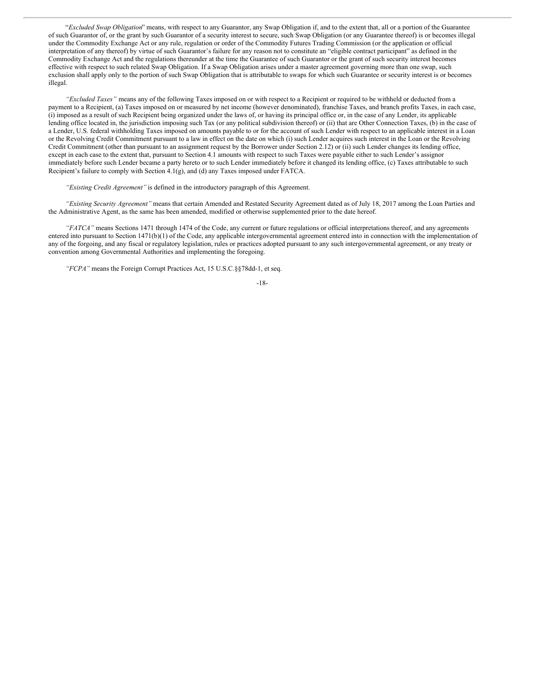"*Excluded Swap Obligation*" means, with respect to any Guarantor, any Swap Obligation if, and to the extent that, all or a portion of the Guarantee of such Guarantor of, or the grant by such Guarantor of a security interest to secure, such Swap Obligation (or any Guarantee thereof) is or becomes illegal under the Commodity Exchange Act or any rule, regulation or order of the Commodity Futures Trading Commission (or the application or official interpretation of any thereof) by virtue of such Guarantor's failure for any reason not to constitute an "eligible contract participant" as defined in the Commodity Exchange Act and the regulations thereunder at the time the Guarantee of such Guarantor or the grant of such security interest becomes effective with respect to such related Swap Obligation. If a Swap Obligation arises under a master agreement governing more than one swap, such exclusion shall apply only to the portion of such Swap Obligation that is attributable to swaps for which such Guarantee or security interest is or becomes illegal.

*"Excluded Taxes"* means any of the following Taxes imposed on or with respect to a Recipient or required to be withheld or deducted from a payment to a Recipient, (a) Taxes imposed on or measured by net income (however denominated), franchise Taxes, and branch profits Taxes, in each case, (i) imposed as a result of such Recipient being organized under the laws of, or having its principal office or, in the case of any Lender, its applicable lending office located in, the jurisdiction imposing such Tax (or any political subdivision thereof) or (ii) that are Other Connection Taxes, (b) in the case of a Lender, U.S. federal withholding Taxes imposed on amounts payable to or for the account of such Lender with respect to an applicable interest in a Loan or the Revolving Credit Commitment pursuant to a law in effect on the date on which (i) such Lender acquires such interest in the Loan or the Revolving Credit Commitment (other than pursuant to an assignment request by the Borrower under Section 2.12) or (ii) such Lender changes its lending office, except in each case to the extent that, pursuant to Section 4.1 amounts with respect to such Taxes were payable either to such Lender's assignor immediately before such Lender became a party hereto or to such Lender immediately before it changed its lending office, (c) Taxes attributable to such Recipient's failure to comply with Section 4.1(g), and (d) any Taxes imposed under FATCA.

*"Existing Credit Agreement"* is defined in the introductory paragraph of this Agreement.

*"Existing Security Agreement"* means that certain Amended and Restated Security Agreement dated as of July 18, 2017 among the Loan Parties and the Administrative Agent, as the same has been amended, modified or otherwise supplemented prior to the date hereof.

*"FATCA"* means Sections 1471 through 1474 of the Code, any current or future regulations or official interpretations thereof, and any agreements entered into pursuant to Section 1471(b)(1) of the Code, any applicable intergovernmental agreement entered into in connection with the implementation of any of the forgoing, and any fiscal or regulatory legislation, rules or practices adopted pursuant to any such intergovernmental agreement, or any treaty or convention among Governmental Authorities and implementing the foregoing.

*"FCPA"* means the Foreign Corrupt Practices Act, 15 U.S.C.§§78dd-1, et seq.

#### -18-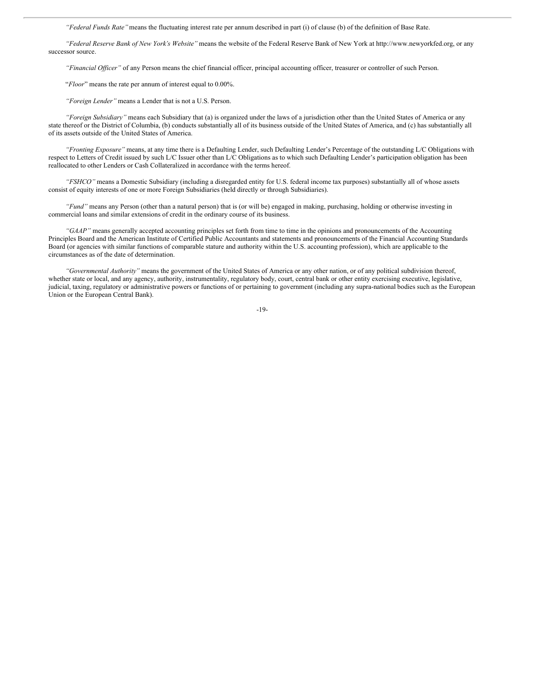*"Federal Funds Rate"*means the fluctuating interest rate per annum described in part (i) of clause (b) of the definition of Base Rate.

*"Federal Reserve Bank of New York's Website"* means the website of the Federal Reserve Bank of New York at http://www.newyorkfed.org, or any successor source.

*"Financial Of icer"* of any Person means the chief financial officer, principal accounting officer, treasurer or controller of such Person.

"*Floor*" means the rate per annum of interest equal to 0.00%.

*"Foreign Lender"* means a Lender that is not a U.S. Person.

*"Foreign Subsidiary"* means each Subsidiary that (a) is organized under the laws of a jurisdiction other than the United States of America or any state thereof or the District of Columbia, (b) conducts substantially all of its business outside of the United States of America, and (c) has substantially all of its assets outside of the United States of America.

*"Fronting Exposure"* means, at any time there is a Defaulting Lender, such Defaulting Lender's Percentage of the outstanding L/C Obligations with respect to Letters of Credit issued by such L/C Issuer other than L/C Obligations as to which such Defaulting Lender's participation obligation has been reallocated to other Lenders or Cash Collateralized in accordance with the terms hereof.

*"FSHCO"* means a Domestic Subsidiary (including a disregarded entity for U.S. federal income tax purposes) substantially all of whose assets consist of equity interests of one or more Foreign Subsidiaries (held directly or through Subsidiaries).

*"Fund"* means any Person (other than a natural person) that is (or will be) engaged in making, purchasing, holding or otherwise investing in commercial loans and similar extensions of credit in the ordinary course of its business.

*"GAAP"* means generally accepted accounting principles set forth from time to time in the opinions and pronouncements of the Accounting Principles Board and the American Institute of Certified Public Accountants and statements and pronouncements of the Financial Accounting Standards Board (or agencies with similar functions of comparable stature and authority within the U.S. accounting profession), which are applicable to the circumstances as of the date of determination.

*"Governmental Authority"* means the government of the United States of America or any other nation, or of any political subdivision thereof, whether state or local, and any agency, authority, instrumentality, regulatory body, court, central bank or other entity exercising executive, legislative, judicial, taxing, regulatory or administrative powers or functions of or pertaining to government (including any supra-national bodies such as the European Union or the European Central Bank).

-19-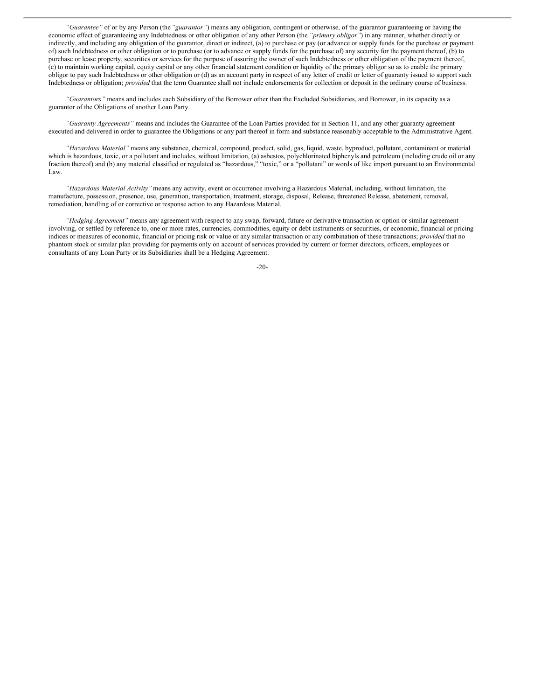*"Guarantee"* of or by any Person (the*"guarantor"*) means any obligation, contingent or otherwise, of the guarantor guaranteeing or having the economic effect of guaranteeing any Indebtedness or other obligation of any other Person (the *"primary obligor"*) in any manner, whether directly or indirectly, and including any obligation of the guarantor, direct or indirect, (a) to purchase or pay (or advance or supply funds for the purchase or payment of) such Indebtedness or other obligation or to purchase (or to advance or supply funds for the purchase of) any security for the payment thereof, (b) to purchase or lease property, securities or services for the purpose of assuring the owner of such Indebtedness or other obligation of the payment thereof, (c) to maintain working capital, equity capital or any other financial statement condition or liquidity of the primary obligor so as to enable the primary obligor to pay such Indebtedness or other obligation or (d) as an account party in respect of any letter of credit or letter of guaranty issued to support such Indebtedness or obligation; *provided* that the term Guarantee shall not include endorsements for collection or deposit in the ordinary course of business.

*"Guarantors"* means and includes each Subsidiary of the Borrower other than the Excluded Subsidiaries, and Borrower, in its capacity as a guarantor of the Obligations of another Loan Party.

*"Guaranty Agreements"* means and includes the Guarantee of the Loan Parties provided for in Section 11, and any other guaranty agreement executed and delivered in order to guarantee the Obligations or any part thereof in form and substance reasonably acceptable to the Administrative Agent.

*"Hazardous Material"* means any substance, chemical, compound, product, solid, gas, liquid, waste, byproduct, pollutant, contaminant or material which is hazardous, toxic, or a pollutant and includes, without limitation, (a) asbestos, polychlorinated biphenyls and petroleum (including crude oil or any fraction thereof) and (b) any material classified or regulated as "hazardous," "toxic," or a "pollutant" or words of like import pursuant to an Environmental Law.

*"Hazardous Material Activity"* means any activity, event or occurrence involving a Hazardous Material, including, without limitation, the manufacture, possession, presence, use, generation, transportation, treatment, storage, disposal, Release, threatened Release, abatement, removal, remediation, handling of or corrective or response action to any Hazardous Material.

*"Hedging Agreement"* means any agreement with respect to any swap, forward, future or derivative transaction or option or similar agreement involving, or settled by reference to, one or more rates, currencies, commodities, equity or debt instruments or securities, or economic, financial or pricing indices or measures of economic, financial or pricing risk or value or any similar transaction or any combination of these transactions; *provided* that no phantom stock or similar plan providing for payments only on account of services provided by current or former directors, officers, employees or consultants of any Loan Party or its Subsidiaries shall be a Hedging Agreement.

-20-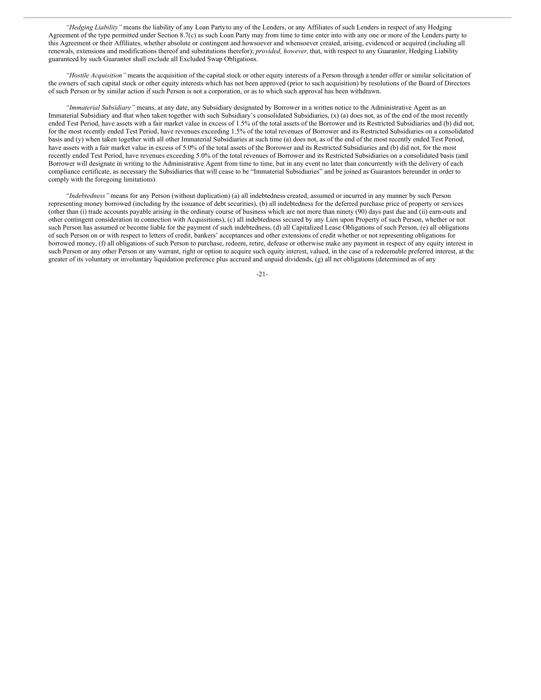*"Hedging Liability"* means the liability of any Loan Partyto any of the Lenders, or any Affiliates of such Lenders in respect of any Hedging Agreement of the type permitted under Section 8.7(c) as such Loan Party may from time to time enter into with any one or more of the Lenders party to this Agreement or their Affiliates, whether absolute or contingent and howsoever and whensoever created, arising, evidenced or acquired (including all renewals, extensions and modifications thereof and substitutions therefor); *provided, however,* that, with respect to any Guarantor, Hedging Liability guaranteed by such Guarantor shall exclude all Excluded Swap Obligations.

*"Hostile Acquisition"* means the acquisition of the capital stock or other equity interests of a Person through a tender offer or similar solicitation of the owners of such capital stock or other equity interests which has not been approved (prior to such acquisition) by resolutions of the Board of Directors of such Person or by similar action if such Person is not a corporation, or as to which such approval has been withdrawn.

*"Immaterial Subsidiary"* means, at any date, any Subsidiary designated by Borrower in a written notice to the Administrative Agent as an Immaterial Subsidiary and that when taken together with such Subsidiary's consolidated Subsidiaries, (x) (a) does not, as of the end of the most recently ended Test Period, have assets with a fair market value in excess of 1.5% of the total assets of the Borrower and its Restricted Subsidiaries and (b) did not, for the most recently ended Test Period, have revenues exceeding 1.5% of the total revenues of Borrower and its Restricted Subsidiaries on a consolidated basis and (y) when taken together with all other Immaterial Subsidiaries at such time (a) does not, as of the end of the most recently ended Test Period, have assets with a fair market value in excess of 5.0% of the total assets of the Borrower and its Restricted Subsidiaries and (b) did not, for the most recently ended Test Period, have revenues exceeding 5.0% of the total revenues of Borrower and its Restricted Subsidiaries on a consolidated basis (and Borrower will designate in writing to the Administrative Agent from time to time, but in any event no later than concurrently with the delivery of each compliance certificate, as necessary the Subsidiaries that will cease to be "Immaterial Subsidiaries" and be joined as Guarantors hereunder in order to comply with the foregoing limitations).

*"Indebtedness"* means for any Person (without duplication) (a) all indebtedness created, assumed or incurred in any manner by such Person representing money borrowed (including by the issuance of debt securities), (b) all indebtedness for the deferred purchase price of property or services (other than (i) trade accounts payable arising in the ordinary course of business which are not more than ninety (90) days past due and (ii) earn-outs and other contingent consideration in connection with Acquisitions), (c) all indebtedness secured by any Lien upon Property of such Person, whether or not such Person has assumed or become liable for the payment of such indebtedness, (d) all Capitalized Lease Obligations of such Person, (e) all obligations of such Person on or with respect to letters of credit, bankers' acceptances and other extensions of credit whether or not representing obligations for borrowed money, (f) all obligations of such Person to purchase, redeem, retire, defease or otherwise make any payment in respect of any equity interest in such Person or any other Person or any warrant, right or option to acquire such equity interest, valued, in the case of a redeemable preferred interest, at the greater of its voluntary or involuntary liquidation preference plus accrued and unpaid dividends, (g) all net obligations (determined as of any

-21-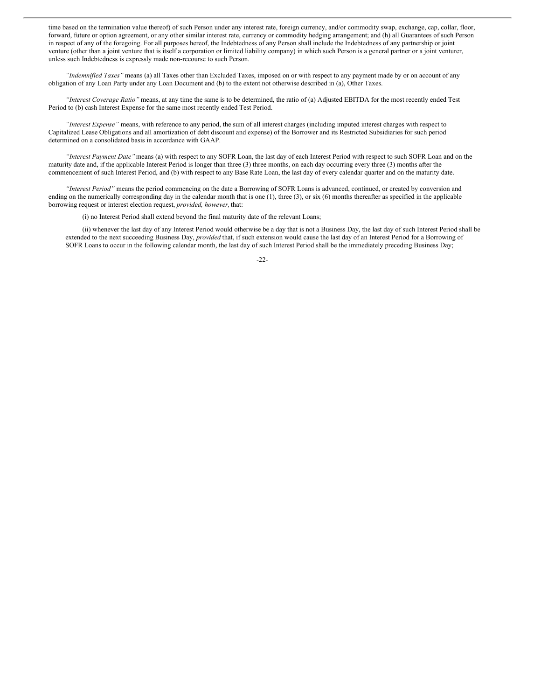time based on the termination value thereof) of such Person under any interest rate, foreign currency, and/or commodity swap, exchange, cap, collar, floor, forward, future or option agreement, or any other similar interest rate, currency or commodity hedging arrangement; and (h) all Guarantees of such Person in respect of any of the foregoing. For all purposes hereof, the Indebtedness of any Person shall include the Indebtedness of any partnership or joint venture (other than a joint venture that is itself a corporation or limited liability company) in which such Person is a general partner or a joint venturer, unless such Indebtedness is expressly made non-recourse to such Person.

*"Indemnified Taxes"* means (a) all Taxes other than Excluded Taxes, imposed on or with respect to any payment made by or on account of any obligation of any Loan Party under any Loan Document and (b) to the extent not otherwise described in (a), Other Taxes.

*"Interest Coverage Ratio"* means, at any time the same is to be determined, the ratio of (a) Adjusted EBITDA for the most recently ended Test Period to (b) cash Interest Expense for the same most recently ended Test Period.

*"Interest Expense"* means, with reference to any period, the sum of all interest charges (including imputed interest charges with respect to Capitalized Lease Obligations and all amortization of debt discount and expense) of the Borrower and its Restricted Subsidiaries for such period determined on a consolidated basis in accordance with GAAP.

*"Interest Payment Date"*means (a) with respect to any SOFR Loan, the last day of each Interest Period with respect to such SOFR Loan and on the maturity date and, if the applicable Interest Period is longer than three (3) three months, on each day occurring every three (3) months after the commencement of such Interest Period, and (b) with respect to any Base Rate Loan, the last day of every calendar quarter and on the maturity date.

*"Interest Period"* means the period commencing on the date a Borrowing of SOFR Loans is advanced, continued, or created by conversion and ending on the numerically corresponding day in the calendar month that is one  $(1)$ , three  $(3)$ , or six  $(6)$  months thereafter as specified in the applicable borrowing request or interest election request, *provided, however,* that:

(i) no Interest Period shall extend beyond the final maturity date of the relevant Loans;

(ii) whenever the last day of any Interest Period would otherwise be a day that is not a Business Day, the last day of such Interest Period shall be extended to the next succeeding Business Day, *provided* that, if such extension would cause the last day of an Interest Period for a Borrowing of SOFR Loans to occur in the following calendar month, the last day of such Interest Period shall be the immediately preceding Business Day;

-22-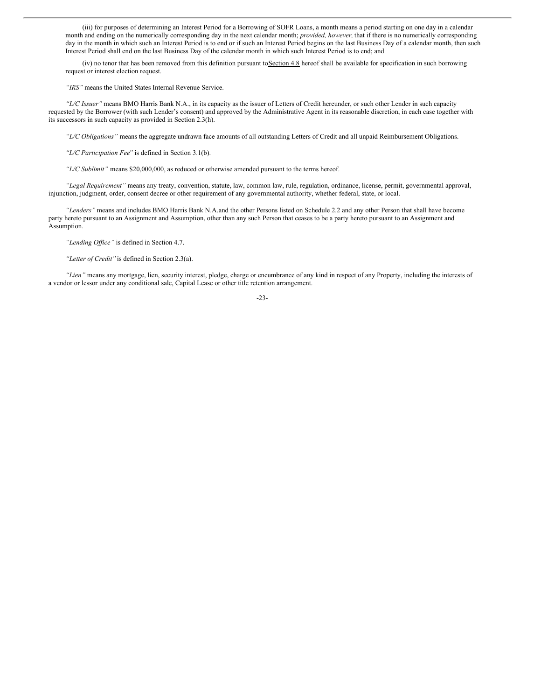(iii) for purposes of determining an Interest Period for a Borrowing of SOFR Loans, a month means a period starting on one day in a calendar month and ending on the numerically corresponding day in the next calendar month; *provided, however,* that if there is no numerically corresponding day in the month in which such an Interest Period is to end or if such an Interest Period begins on the last Business Day of a calendar month, then such Interest Period shall end on the last Business Day of the calendar month in which such Interest Period is to end; and

(iv) no tenor that has been removed from this definition pursuant to Section 4.8 hereof shall be available for specification in such borrowing request or interest election request.

*"IRS"* means the United States Internal Revenue Service.

*"L/C Issuer"* means BMO Harris Bank N.A., in its capacity as the issuer of Letters of Credit hereunder, or such other Lender in such capacity requested by the Borrower (with such Lender's consent) and approved by the Administrative Agent in its reasonable discretion, in each case together with its successors in such capacity as provided in Section 2.3(h).

*"L/C Obligations"* means the aggregate undrawn face amounts of all outstanding Letters of Credit and all unpaid Reimbursement Obligations.

*"L/C Participation Fee"* is defined in Section 3.1(b).

*"L/C Sublimit"* means \$20,000,000, as reduced or otherwise amended pursuant to the terms hereof.

*"Legal Requirement"* means any treaty, convention, statute, law, common law, rule, regulation, ordinance, license, permit, governmental approval, injunction, judgment, order, consent decree or other requirement of any governmental authority, whether federal, state, or local.

*"Lenders"* means and includes BMO Harris Bank N.A.and the other Persons listed on Schedule 2.2 and any other Person that shall have become party hereto pursuant to an Assignment and Assumption, other than any such Person that ceases to be a party hereto pursuant to an Assignment and Assumption.

"Lending Office" is defined in Section 4.7.

*"Letter of Credit"* is defined in Section 2.3(a).

*"Lien"* means any mortgage, lien, security interest, pledge, charge or encumbrance of any kind in respect of any Property, including the interests of a vendor or lessor under any conditional sale, Capital Lease or other title retention arrangement.

-23-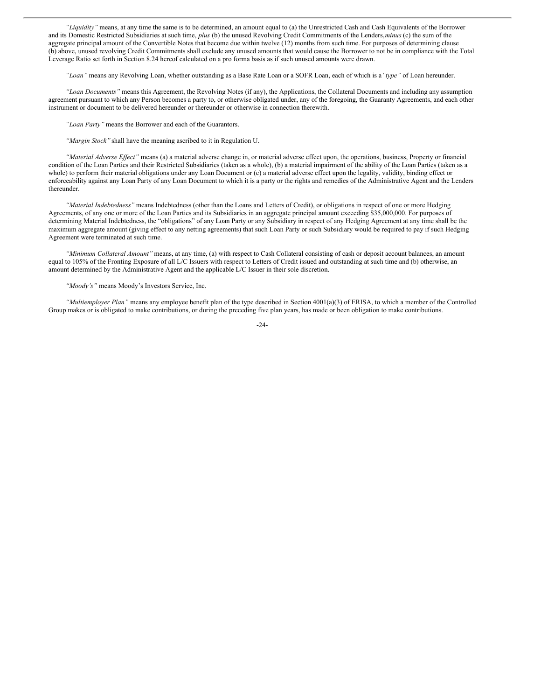*"Liquidity"* means, at any time the same is to be determined, an amount equal to (a) the Unrestricted Cash and Cash Equivalents of the Borrower and its Domestic Restricted Subsidiaries at such time, *plus* (b) the unused Revolving Credit Commitments of the Lenders,*minus* (c) the sum of the aggregate principal amount of the Convertible Notes that become due within twelve (12) months from such time. For purposes of determining clause (b) above, unused revolving Credit Commitments shall exclude any unused amounts that would cause the Borrower to not be in compliance with the Total Leverage Ratio set forth in Section 8.24 hereof calculated on a pro forma basis as if such unused amounts were drawn.

*"Loan"* means any Revolving Loan, whether outstanding as a Base Rate Loan or a SOFR Loan, each of which is a*"type"* of Loan hereunder.

*"Loan Documents"* means this Agreement, the Revolving Notes (if any), the Applications, the Collateral Documents and including any assumption agreement pursuant to which any Person becomes a party to, or otherwise obligated under, any of the foregoing, the Guaranty Agreements, and each other instrument or document to be delivered hereunder or thereunder or otherwise in connection therewith.

*"Loan Party"* means the Borrower and each of the Guarantors.

*"Margin Stock"* shall have the meaning ascribed to it in Regulation U.

*"Material Adverse Effect"* means (a) a material adverse change in, or material adverse effect upon, the operations, business, Property or financial condition of the Loan Parties and their Restricted Subsidiaries (taken as a whole), (b) a material impairment of the ability of the Loan Parties (taken as a whole) to perform their material obligations under any Loan Document or (c) a material adverse effect upon the legality, validity, binding effect or enforceability against any Loan Party of any Loan Document to which it is a party or the rights and remedies of the Administrative Agent and the Lenders thereunder.

*"Material Indebtedness"* means Indebtedness (other than the Loans and Letters of Credit), or obligations in respect of one or more Hedging Agreements, of any one or more of the Loan Parties and its Subsidiaries in an aggregate principal amount exceeding \$35,000,000. For purposes of determining Material Indebtedness, the "obligations" of any Loan Party or any Subsidiary in respect of any Hedging Agreement at any time shall be the maximum aggregate amount (giving effect to any netting agreements) that such Loan Party or such Subsidiary would be required to pay if such Hedging Agreement were terminated at such time.

*"Minimum Collateral Amount"* means, at any time, (a) with respect to Cash Collateral consisting of cash or deposit account balances, an amount equal to 105% of the Fronting Exposure of all L/C Issuers with respect to Letters of Credit issued and outstanding at such time and (b) otherwise, an amount determined by the Administrative Agent and the applicable L/C Issuer in their sole discretion.

*"Moody's"* means Moody's Investors Service, Inc.

*"Multiemployer Plan"* means any employee benefit plan of the type described in Section 4001(a)(3) of ERISA, to which a member of the Controlled Group makes or is obligated to make contributions, or during the preceding five plan years, has made or been obligation to make contributions.

-24-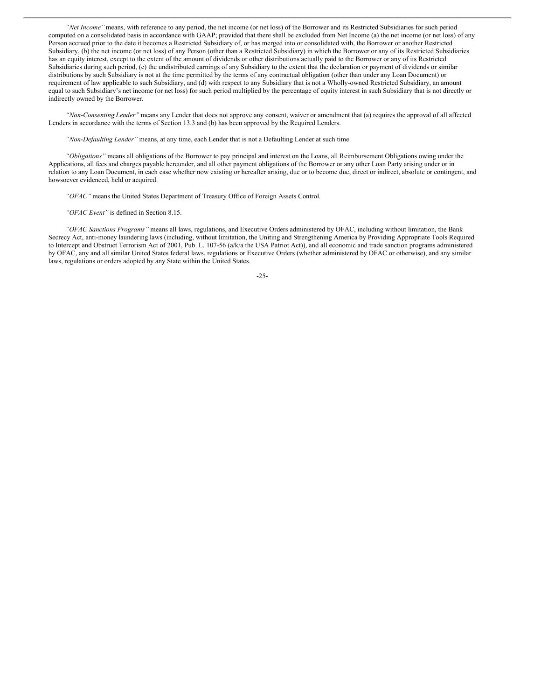*"Net Income"* means, with reference to any period, the net income (or net loss) of the Borrower and its Restricted Subsidiaries for such period computed on a consolidated basis in accordance with GAAP; provided that there shall be excluded from Net Income (a) the net income (or net loss) of any Person accrued prior to the date it becomes a Restricted Subsidiary of, or has merged into or consolidated with, the Borrower or another Restricted Subsidiary, (b) the net income (or net loss) of any Person (other than a Restricted Subsidiary) in which the Borrower or any of its Restricted Subsidiaries has an equity interest, except to the extent of the amount of dividends or other distributions actually paid to the Borrower or any of its Restricted Subsidiaries during such period, (c) the undistributed earnings of any Subsidiary to the extent that the declaration or payment of dividends or similar distributions by such Subsidiary is not at the time permitted by the terms of any contractual obligation (other than under any Loan Document) or requirement of law applicable to such Subsidiary, and (d) with respect to any Subsidiary that is not a Wholly-owned Restricted Subsidiary, an amount equal to such Subsidiary's net income (or net loss) for such period multiplied by the percentage of equity interest in such Subsidiary that is not directly or indirectly owned by the Borrower.

*"Non-Consenting Lender"* means any Lender that does not approve any consent, waiver or amendment that (a) requires the approval of all affected Lenders in accordance with the terms of Section 13.3 and (b) has been approved by the Required Lenders.

*"Non-Defaulting Lender"* means, at any time, each Lender that is not a Defaulting Lender at such time.

*"Obligations"* means all obligations of the Borrower to pay principal and interest on the Loans, all Reimbursement Obligations owing under the Applications, all fees and charges payable hereunder, and all other payment obligations of the Borrower or any other Loan Party arising under or in relation to any Loan Document, in each case whether now existing or hereafter arising, due or to become due, direct or indirect, absolute or contingent, and howsoever evidenced, held or acquired.

*"OFAC"* means the United States Department of Treasury Office of Foreign Assets Control.

*"OFAC Event"* is defined in Section 8.15.

*"OFAC Sanctions Programs"* means all laws, regulations, and Executive Orders administered by OFAC, including without limitation, the Bank Secrecy Act, anti-money laundering laws (including, without limitation, the Uniting and Strengthening America by Providing Appropriate Tools Required to Intercept and Obstruct Terrorism Act of 2001, Pub. L. 107-56 (a/k/a the USA Patriot Act)), and all economic and trade sanction programs administered by OFAC, any and all similar United States federal laws, regulations or Executive Orders (whether administered by OFAC or otherwise), and any similar laws, regulations or orders adopted by any State within the United States.

-25-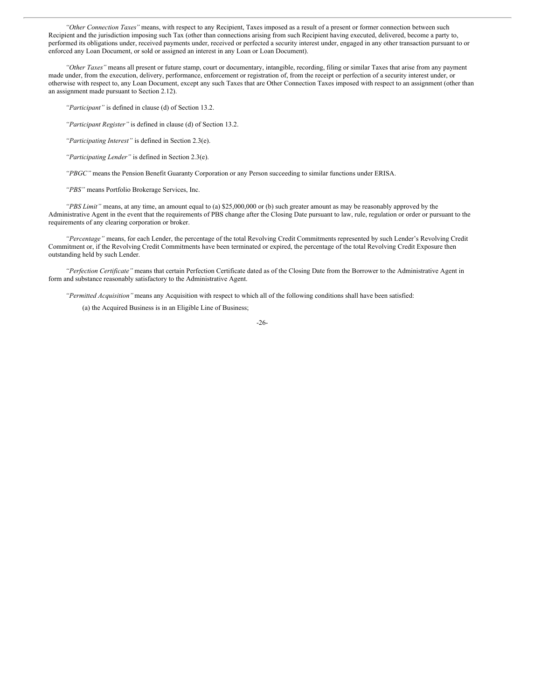*"Other Connection Taxes"* means, with respect to any Recipient, Taxes imposed as a result of a present or former connection between such Recipient and the jurisdiction imposing such Tax (other than connections arising from such Recipient having executed, delivered, become a party to, performed its obligations under, received payments under, received or perfected a security interest under, engaged in any other transaction pursuant to or enforced any Loan Document, or sold or assigned an interest in any Loan or Loan Document).

*"Other Taxes"* means all present or future stamp, court or documentary, intangible, recording, filing or similar Taxes that arise from any payment made under, from the execution, delivery, performance, enforcement or registration of, from the receipt or perfection of a security interest under, or otherwise with respect to, any Loan Document, except any such Taxes that are Other Connection Taxes imposed with respect to an assignment (other than an assignment made pursuant to Section 2.12).

*"Participant"* is defined in clause (d) of Section 13.2.

*"Participant Register"* is defined in clause (d) of Section 13.2.

*"Participating Interest"* is defined in Section 2.3(e).

*"Participating Lender"* is defined in Section 2.3(e).

*"PBGC"* means the Pension Benefit Guaranty Corporation or any Person succeeding to similar functions under ERISA.

*"PBS"* means Portfolio Brokerage Services, Inc.

*"PBS Limit"* means, at any time, an amount equal to (a) \$25,000,000 or (b) such greater amount as may be reasonably approved by the Administrative Agent in the event that the requirements of PBS change after the Closing Date pursuant to law, rule, regulation or order or pursuant to the requirements of any clearing corporation or broker.

*"Percentage"* means, for each Lender, the percentage of the total Revolving Credit Commitments represented by such Lender's Revolving Credit Commitment or, if the Revolving Credit Commitments have been terminated or expired, the percentage of the total Revolving Credit Exposure then outstanding held by such Lender.

*"Perfection Certificate"* means that certain Perfection Certificate dated as of the Closing Date from the Borrower to the Administrative Agent in form and substance reasonably satisfactory to the Administrative Agent.

*"Permitted Acquisition"* means any Acquisition with respect to which all of the following conditions shall have been satisfied:

(a) the Acquired Business is in an Eligible Line of Business;

-26-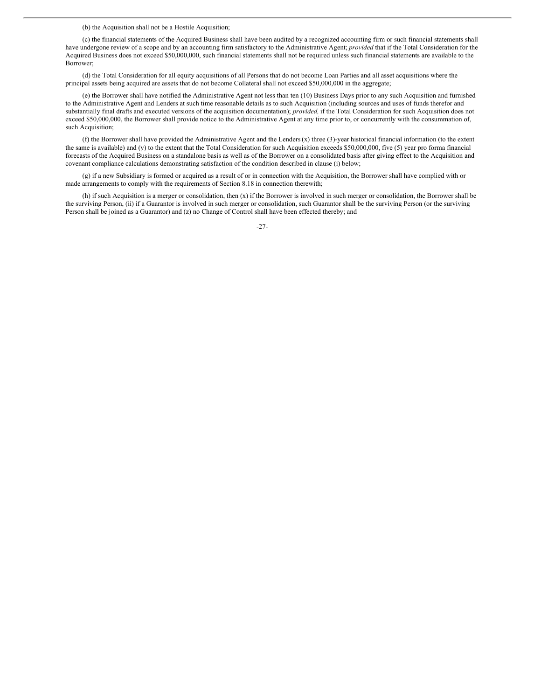(b) the Acquisition shall not be a Hostile Acquisition;

(c) the financial statements of the Acquired Business shall have been audited by a recognized accounting firm or such financial statements shall have undergone review of a scope and by an accounting firm satisfactory to the Administrative Agent; *provided* that if the Total Consideration for the Acquired Business does not exceed \$50,000,000, such financial statements shall not be required unless such financial statements are available to the Borrower;

(d) the Total Consideration for all equity acquisitions of all Persons that do not become Loan Parties and all asset acquisitions where the principal assets being acquired are assets that do not become Collateral shall not exceed \$50,000,000 in the aggregate;

(e) the Borrower shall have notified the Administrative Agent not less than ten (10) Business Days prior to any such Acquisition and furnished to the Administrative Agent and Lenders at such time reasonable details as to such Acquisition (including sources and uses of funds therefor and substantially final drafts and executed versions of the acquisition documentation); *provided,* if the Total Consideration for such Acquisition does not exceed \$50,000,000, the Borrower shall provide notice to the Administrative Agent at any time prior to, or concurrently with the consummation of, such Acquisition;

(f) the Borrower shall have provided the Administrative Agent and the Lenders(x) three (3)-year historical financial information (to the extent the same is available) and (y) to the extent that the Total Consideration for such Acquisition exceeds \$50,000,000, five (5) year pro forma financial forecasts of the Acquired Business on a standalone basis as well as of the Borrower on a consolidated basis after giving effect to the Acquisition and covenant compliance calculations demonstrating satisfaction of the condition described in clause (i) below;

(g) if a new Subsidiary is formed or acquired as a result of or in connection with the Acquisition, the Borrower shall have complied with or made arrangements to comply with the requirements of Section 8.18 in connection therewith;

(h) if such Acquisition is a merger or consolidation, then (x) if the Borrower is involved in such merger or consolidation, the Borrower shall be the surviving Person, (ii) if a Guarantor is involved in such merger or consolidation, such Guarantor shall be the surviving Person (or the surviving Person shall be joined as a Guarantor) and (z) no Change of Control shall have been effected thereby; and

-27-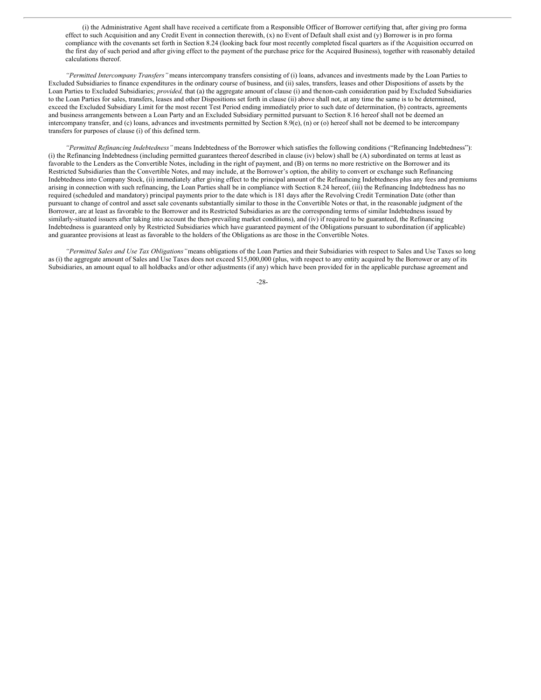(i) the Administrative Agent shall have received a certificate from a Responsible Officer of Borrower certifying that, after giving pro forma effect to such Acquisition and any Credit Event in connection therewith,  $(x)$  no Event of Default shall exist and  $(y)$  Borrower is in pro forma compliance with the covenants set forth in Section 8.24 (looking back four most recently completed fiscal quarters as if the Acquisition occurred on the first day of such period and after giving effect to the payment of the purchase price for the Acquired Business), together with reasonably detailed calculations thereof.

*"Permitted Intercompany Transfers"*means intercompany transfers consisting of (i) loans, advances and investments made by the Loan Parties to Excluded Subsidiaries to finance expenditures in the ordinary course of business, and (ii) sales, transfers, leases and other Dispositions of assets by the Loan Parties to Excluded Subsidiaries; *provided,* that (a) the aggregate amount of clause (i) and thenon-cash consideration paid by Excluded Subsidiaries to the Loan Parties for sales, transfers, leases and other Dispositions set forth in clause (ii) above shall not, at any time the same is to be determined, exceed the Excluded Subsidiary Limit for the most recent Test Period ending immediately prior to such date of determination, (b) contracts, agreements and business arrangements between a Loan Party and an Excluded Subsidiary permitted pursuant to Section 8.16 hereof shall not be deemed an intercompany transfer, and (c) loans, advances and investments permitted by Section 8.9(e), (n) or (o) hereof shall not be deemed to be intercompany transfers for purposes of clause (i) of this defined term.

*"Permitted Refinancing Indebtedness"* means Indebtedness of the Borrower which satisfies the following conditions ("Refinancing Indebtedness"): (i) the Refinancing Indebtedness (including permitted guarantees thereof described in clause (iv) below) shall be (A) subordinated on terms at least as favorable to the Lenders as the Convertible Notes, including in the right of payment, and (B) on terms no more restrictive on the Borrower and its Restricted Subsidiaries than the Convertible Notes, and may include, at the Borrower's option, the ability to convert or exchange such Refinancing Indebtedness into Company Stock, (ii) immediately after giving effect to the principal amount of the Refinancing Indebtedness plus any fees and premiums arising in connection with such refinancing, the Loan Parties shall be in compliance with Section 8.24 hereof, (iii) the Refinancing Indebtedness has no required (scheduled and mandatory) principal payments prior to the date which is 181 days after the Revolving Credit Termination Date (other than pursuant to change of control and asset sale covenants substantially similar to those in the Convertible Notes or that, in the reasonable judgment of the Borrower, are at least as favorable to the Borrower and its Restricted Subsidiaries as are the corresponding terms of similar Indebtedness issued by similarly-situated issuers after taking into account the then-prevailing market conditions), and (iv) if required to be guaranteed, the Refinancing Indebtedness is guaranteed only by Restricted Subsidiaries which have guaranteed payment of the Obligations pursuant to subordination (if applicable) and guarantee provisions at least as favorable to the holders of the Obligations as are those in the Convertible Notes.

*"Permitted Sales and Use Tax Obligations"*means obligations of the Loan Parties and their Subsidiaries with respect to Sales and Use Taxes so long as (i) the aggregate amount of Sales and Use Taxes does not exceed \$15,000,000 (plus, with respect to any entity acquired by the Borrower or any of its Subsidiaries, an amount equal to all holdbacks and/or other adjustments (if any) which have been provided for in the applicable purchase agreement and

-28-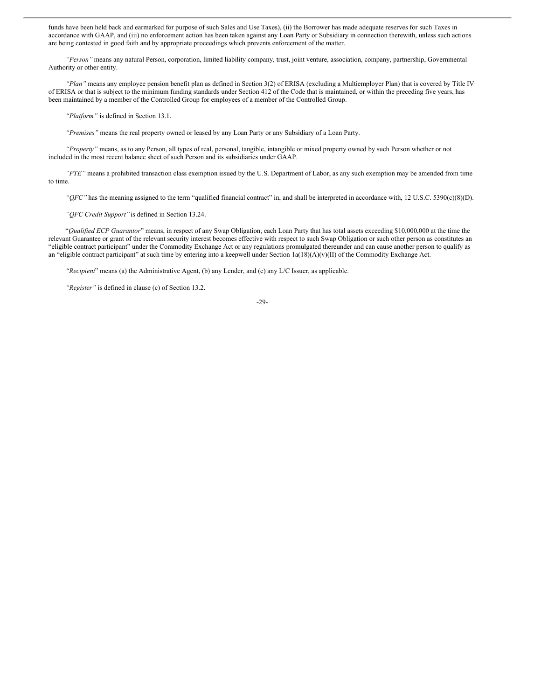funds have been held back and earmarked for purpose of such Sales and Use Taxes), (ii) the Borrower has made adequate reserves for such Taxes in accordance with GAAP, and (iii) no enforcement action has been taken against any Loan Party or Subsidiary in connection therewith, unless such actions are being contested in good faith and by appropriate proceedings which prevents enforcement of the matter.

*"Person"* means any natural Person, corporation, limited liability company, trust, joint venture, association, company, partnership, Governmental Authority or other entity.

*"Plan"* means any employee pension benefit plan as defined in Section 3(2) of ERISA (excluding a Multiemployer Plan) that is covered by Title IV of ERISA or that is subject to the minimum funding standards under Section 412 of the Code that is maintained, or within the preceding five years, has been maintained by a member of the Controlled Group for employees of a member of the Controlled Group.

*"Platform"* is defined in Section 13.1.

*"Premises"* means the real property owned or leased by any Loan Party or any Subsidiary of a Loan Party.

*"Property"* means, as to any Person, all types of real, personal, tangible, intangible or mixed property owned by such Person whether or not included in the most recent balance sheet of such Person and its subsidiaries under GAAP.

*"PTE"* means a prohibited transaction class exemption issued by the U.S. Department of Labor, as any such exemption may be amended from time to time.

*"QFC"* has the meaning assigned to the term "qualified financial contract" in, and shall be interpreted in accordance with, 12 U.S.C. 5390(c)(8)(D).

*"QFC Credit Support"*is defined in Section 13.24.

"*Qualified ECP Guarantor*" means, in respect of any Swap Obligation, each Loan Party that has total assets exceeding \$10,000,000 at the time the relevant Guarantee or grant of the relevant security interest becomes effective with respect to such Swap Obligation or such other person as constitutes an "eligible contract participant" under the Commodity Exchange Act or any regulations promulgated thereunder and can cause another person to qualify as an "eligible contract participant" at such time by entering into a keepwell under Section  $1a(18)(A)(v)(II)$  of the Commodity Exchange Act.

*"Recipient*" means (a) the Administrative Agent, (b) any Lender, and (c) any L/C Issuer, as applicable.

*"Register"* is defined in clause (c) of Section 13.2.

-29-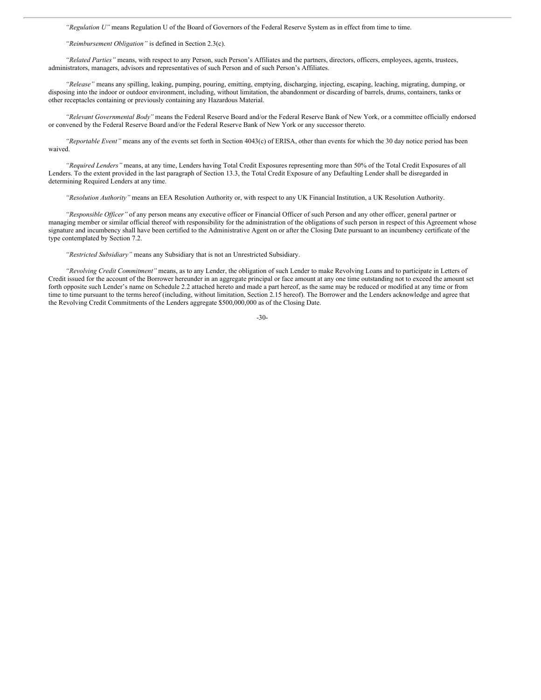*"Regulation U"* means Regulation U of the Board of Governors of the Federal Reserve System as in effect from time to time.

*"Reimbursement Obligation"* is defined in Section 2.3(c).

*"Related Parties"* means, with respect to any Person, such Person's Affiliates and the partners, directors, officers, employees, agents, trustees, administrators, managers, advisors and representatives of such Person and of such Person's Affiliates.

*"Release"* means any spilling, leaking, pumping, pouring, emitting, emptying, discharging, injecting, escaping, leaching, migrating, dumping, or disposing into the indoor or outdoor environment, including, without limitation, the abandonment or discarding of barrels, drums, containers, tanks or other receptacles containing or previously containing any Hazardous Material.

*"Relevant Governmental Body"* means the Federal Reserve Board and/or the Federal Reserve Bank of New York, or a committee officially endorsed or convened by the Federal Reserve Board and/or the Federal Reserve Bank of New York or any successor thereto.

*"Reportable Event"* means any of the events set forth in Section 4043(c) of ERISA, other than events for which the 30 day notice period has been waived.

*"Required Lenders"* means, at any time, Lenders having Total Credit Exposures representing more than 50% of the Total Credit Exposures of all Lenders. To the extent provided in the last paragraph of Section 13.3, the Total Credit Exposure of any Defaulting Lender shall be disregarded in determining Required Lenders at any time.

*"Resolution Authority"* means an EEA Resolution Authority or, with respect to any UK Financial Institution, a UK Resolution Authority.

*"Responsible Of icer"* of any person means any executive officer or Financial Officer of such Person and any other officer, general partner or managing member or similar official thereof with responsibility for the administration of the obligations of such person in respect of this Agreement whose signature and incumbency shall have been certified to the Administrative Agent on or after the Closing Date pursuant to an incumbency certificate of the type contemplated by Section 7.2.

*"Restricted Subsidiary"* means any Subsidiary that is not an Unrestricted Subsidiary.

*"Revolving Credit Commitment"* means, as to any Lender, the obligation of such Lender to make Revolving Loans and to participate in Letters of Credit issued for the account of the Borrower hereunder in an aggregate principal or face amount at any one time outstanding not to exceed the amount set forth opposite such Lender's name on Schedule 2.2 attached hereto and made a part hereof, as the same may be reduced or modified at any time or from time to time pursuant to the terms hereof (including, without limitation, Section 2.15 hereof). The Borrower and the Lenders acknowledge and agree that the Revolving Credit Commitments of the Lenders aggregate \$500,000,000 as of the Closing Date.

-30-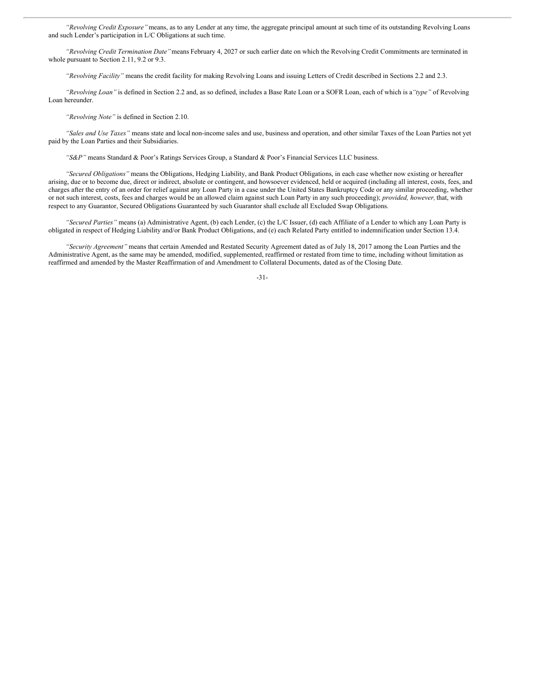*"Revolving Credit Exposure"*means, as to any Lender at any time, the aggregate principal amount at such time of its outstanding Revolving Loans and such Lender's participation in L/C Obligations at such time.

*"Revolving Credit Termination Date"*means February 4, 2027 or such earlier date on which the Revolving Credit Commitments are terminated in whole pursuant to Section 2.11, 9.2 or 9.3.

*"Revolving Facility"* means the credit facility for making Revolving Loans and issuing Letters of Credit described in Sections 2.2 and 2.3.

*"Revolving Loan"* is defined in Section 2.2 and, as so defined, includes a Base Rate Loan or a SOFR Loan, each of which is a*"type"* of Revolving Loan hereunder.

*"Revolving Note"* is defined in Section 2.10.

*"Sales and Use Taxes"* means state and local non-income sales and use, business and operation, and other similar Taxes of the Loan Parties not yet paid by the Loan Parties and their Subsidiaries.

*"S&P"* means Standard & Poor's Ratings Services Group, a Standard & Poor's Financial Services LLC business.

*"Secured Obligations"* means the Obligations, Hedging Liability, and Bank Product Obligations, in each case whether now existing or hereafter arising, due or to become due, direct or indirect, absolute or contingent, and howsoever evidenced, held or acquired (including all interest, costs, fees, and charges after the entry of an order for relief against any Loan Party in a case under the United States Bankruptcy Code or any similar proceeding, whether or not such interest, costs, fees and charges would be an allowed claim against such Loan Party in any such proceeding); *provided, however,* that, with respect to any Guarantor, Secured Obligations Guaranteed by such Guarantor shall exclude all Excluded Swap Obligations.

*"Secured Parties"* means (a) Administrative Agent, (b) each Lender, (c) the L/C Issuer, (d) each Affiliate of a Lender to which any Loan Party is obligated in respect of Hedging Liability and/or Bank Product Obligations, and (e) each Related Party entitled to indemnification under Section 13.4.

*"Security Agreement"* means that certain Amended and Restated Security Agreement dated as of July 18, 2017 among the Loan Parties and the Administrative Agent, as the same may be amended, modified, supplemented, reaffirmed or restated from time to time, including without limitation as reaffirmed and amended by the Master Reaffirmation of and Amendment to Collateral Documents, dated as of the Closing Date.

-31-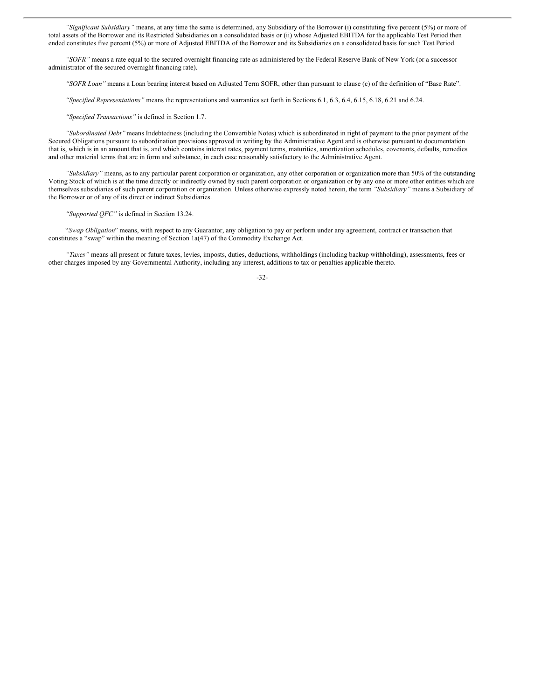*"Significant Subsidiary"* means, at any time the same is determined, any Subsidiary of the Borrower (i) constituting five percent (5%) or more of total assets of the Borrower and its Restricted Subsidiaries on a consolidated basis or (ii) whose Adjusted EBITDA for the applicable Test Period then ended constitutes five percent (5%) or more of Adjusted EBITDA of the Borrower and its Subsidiaries on a consolidated basis for such Test Period.

*"SOFR"* means a rate equal to the secured overnight financing rate as administered by the Federal Reserve Bank of New York (or a successor administrator of the secured overnight financing rate).

*"SOFR Loan"* means a Loan bearing interest based on Adjusted Term SOFR, other than pursuant to clause (c) of the definition of "Base Rate".

*"Specified Representations"* means the representations and warranties set forth in Sections 6.1, 6.3, 6.4, 6.15, 6.18, 6.21 and 6.24.

*"Specified Transactions"* is defined in Section 1.7.

*"Subordinated Debt"* means Indebtedness (including the Convertible Notes) which is subordinated in right of payment to the prior payment of the Secured Obligations pursuant to subordination provisions approved in writing by the Administrative Agent and is otherwise pursuant to documentation that is, which is in an amount that is, and which contains interest rates, payment terms, maturities, amortization schedules, covenants, defaults, remedies and other material terms that are in form and substance, in each case reasonably satisfactory to the Administrative Agent.

*"Subsidiary"* means, as to any particular parent corporation or organization, any other corporation or organization more than 50% of the outstanding Voting Stock of which is at the time directly or indirectly owned by such parent corporation or organization or by any one or more other entities which are themselves subsidiaries of such parent corporation or organization. Unless otherwise expressly noted herein, the term *"Subsidiary"* means a Subsidiary of the Borrower or of any of its direct or indirect Subsidiaries.

*"Supported QFC"* is defined in Section 13.24.

"*Swap Obligation*" means, with respect to any Guarantor, any obligation to pay or perform under any agreement, contract or transaction that constitutes a "swap" within the meaning of Section 1a(47) of the Commodity Exchange Act.

*"Taxes"* means all present or future taxes, levies, imposts, duties, deductions, withholdings (including backup withholding), assessments, fees or other charges imposed by any Governmental Authority, including any interest, additions to tax or penalties applicable thereto.

-32-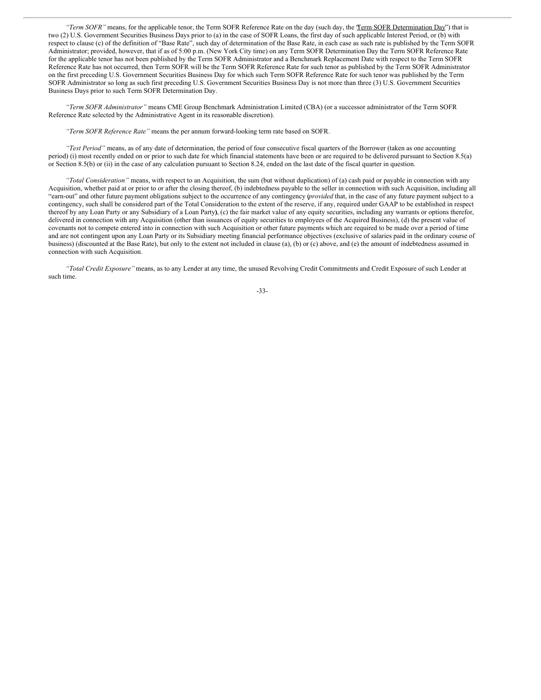*"Term SOFR"* means, for the applicable tenor, the Term SOFR Reference Rate on the day (such day, the Term SOFR Determination Day") that is two (2) U.S. Government Securities Business Days prior to (a) in the case of SOFR Loans, the first day of such applicable Interest Period, or (b) with respect to clause (c) of the definition of "Base Rate", such day of determination of the Base Rate, in each case as such rate is published by the Term SOFR Administrator; provided, however, that if as of 5:00 p.m. (New York City time) on any Term SOFR Determination Day the Term SOFR Reference Rate for the applicable tenor has not been published by the Term SOFR Administrator and a Benchmark Replacement Date with respect to the Term SOFR Reference Rate has not occurred, then Term SOFR will be the Term SOFR Reference Rate for such tenor as published by the Term SOFR Administrator on the first preceding U.S. Government Securities Business Day for which such Term SOFR Reference Rate for such tenor was published by the Term SOFR Administrator so long as such first preceding U.S. Government Securities Business Day is not more than three (3) U.S. Government Securities Business Days prior to such Term SOFR Determination Day.

*"Term SOFR Administrator"* means CME Group Benchmark Administration Limited (CBA) (or a successor administrator of the Term SOFR Reference Rate selected by the Administrative Agent in its reasonable discretion).

*"Term SOFR Reference Rate"* means the per annum forward-looking term rate based on SOFR.

*"Test Period"* means, as of any date of determination, the period of four consecutive fiscal quarters of the Borrower (taken as one accounting period) (i) most recently ended on or prior to such date for which financial statements have been or are required to be delivered pursuant to Section 8.5(a) or Section 8.5(b) or (ii) in the case of any calculation pursuant to Section 8.24, ended on the last date of the fiscal quarter in question.

*"Total Consideration"* means, with respect to an Acquisition, the sum (but without duplication) of (a) cash paid or payable in connection with any Acquisition, whether paid at or prior to or after the closing thereof, (b) indebtedness payable to the seller in connection with such Acquisition, including all "earn-out" and other future payment obligations subject to the occurrence of any contingency (*provided* that, in the case of any future payment subject to a contingency, such shall be considered part of the Total Consideration to the extent of the reserve, if any, required under GAAP to be established in respect thereof by any Loan Party or any Subsidiary of a Loan Party**)**, (c) the fair market value of any equity securities, including any warrants or options therefor, delivered in connection with any Acquisition (other than issuances of equity securities to employees of the Acquired Business), (d) the present value of covenants not to compete entered into in connection with such Acquisition or other future payments which are required to be made over a period of time and are not contingent upon any Loan Party or its Subsidiary meeting financial performance objectives (exclusive of salaries paid in the ordinary course of business) (discounted at the Base Rate), but only to the extent not included in clause (a), (b) or (c) above, and (e) the amount of indebtedness assumed in connection with such Acquisition.

*"Total Credit Exposure"* means, as to any Lender at any time, the unused Revolving Credit Commitments and Credit Exposure of such Lender at such time.

-33-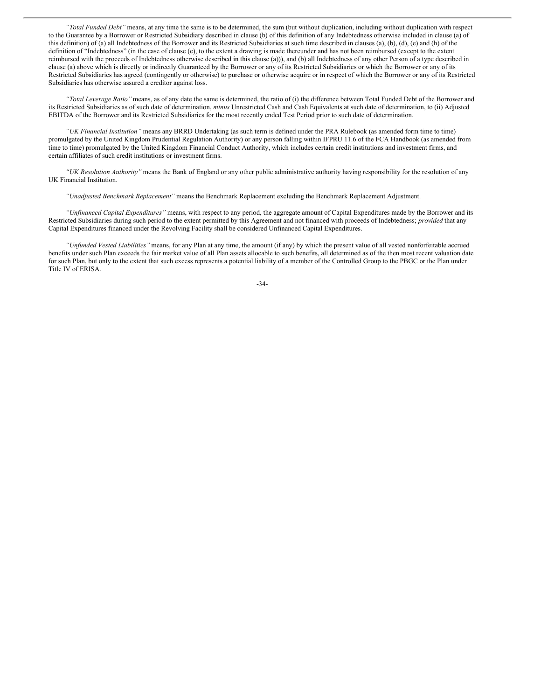*"Total Funded Debt"* means, at any time the same is to be determined, the sum (but without duplication, including without duplication with respect to the Guarantee by a Borrower or Restricted Subsidiary described in clause (b) of this definition of any Indebtedness otherwise included in clause (a) of this definition) of (a) all Indebtedness of the Borrower and its Restricted Subsidiaries at such time described in clauses (a), (b), (d), (e) and (h) of the definition of "Indebtedness" (in the case of clause (e), to the extent a drawing is made thereunder and has not been reimbursed (except to the extent reimbursed with the proceeds of Indebtedness otherwise described in this clause (a))), and (b) all Indebtedness of any other Person of a type described in clause (a) above which is directly or indirectly Guaranteed by the Borrower or any of its Restricted Subsidiaries or which the Borrower or any of its Restricted Subsidiaries has agreed (contingently or otherwise) to purchase or otherwise acquire or in respect of which the Borrower or any of its Restricted Subsidiaries has otherwise assured a creditor against loss.

*"Total Leverage Ratio"* means, as of any date the same is determined, the ratio of (i) the difference between Total Funded Debt of the Borrower and its Restricted Subsidiaries as of such date of determination, *minus* Unrestricted Cash and Cash Equivalents at such date of determination, to (ii) Adjusted EBITDA of the Borrower and its Restricted Subsidiaries for the most recently ended Test Period prior to such date of determination.

*"UK Financial Institution"* means any BRRD Undertaking (as such term is defined under the PRA Rulebook (as amended form time to time) promulgated by the United Kingdom Prudential Regulation Authority) or any person falling within IFPRU 11.6 of the FCA Handbook (as amended from time to time) promulgated by the United Kingdom Financial Conduct Authority, which includes certain credit institutions and investment firms, and certain affiliates of such credit institutions or investment firms.

*"UK Resolution Authority"* means the Bank of England or any other public administrative authority having responsibility for the resolution of any UK Financial Institution.

*"Unadjusted Benchmark Replacement"* means the Benchmark Replacement excluding the Benchmark Replacement Adjustment.

*"Unfinanced Capital Expenditures"* means, with respect to any period, the aggregate amount of Capital Expenditures made by the Borrower and its Restricted Subsidiaries during such period to the extent permitted by this Agreement and not financed with proceeds of Indebtedness; *provided* that any Capital Expenditures financed under the Revolving Facility shall be considered Unfinanced Capital Expenditures.

*"Unfunded Vested Liabilities"* means, for any Plan at any time, the amount (if any) by which the present value of all vested nonforfeitable accrued benefits under such Plan exceeds the fair market value of all Plan assets allocable to such benefits, all determined as of the then most recent valuation date for such Plan, but only to the extent that such excess represents a potential liability of a member of the Controlled Group to the PBGC or the Plan under Title IV of ERISA.

-34-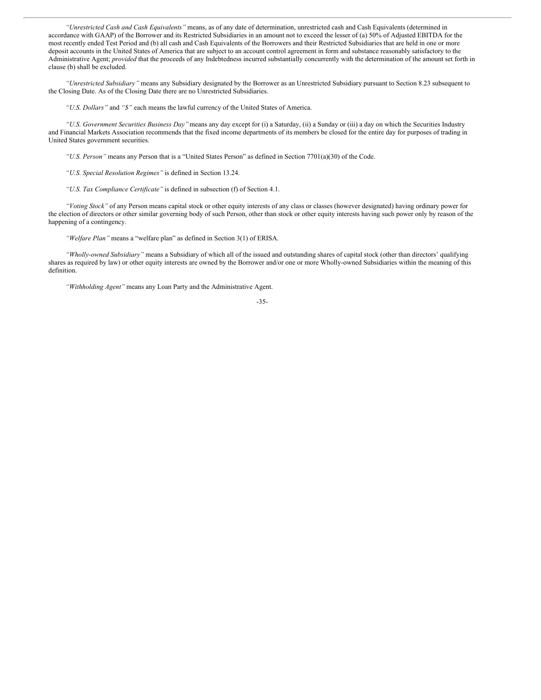*"Unrestricted Cash and Cash Equivalents"* means, as of any date of determination, unrestricted cash and Cash Equivalents (determined in accordance with GAAP) of the Borrower and its Restricted Subsidiaries in an amount not to exceed the lesser of (a) 50% of Adjusted EBITDA for the most recently ended Test Period and (b) all cash and Cash Equivalents of the Borrowers and their Restricted Subsidiaries that are held in one or more deposit accounts in the United States of America that are subject to an account control agreement in form and substance reasonably satisfactory to the Administrative Agent; *provided* that the proceeds of any Indebtedness incurred substantially concurrently with the determination of the amount set forth in clause (b) shall be excluded.

*"Unrestricted Subsidiary"* means any Subsidiary designated by the Borrower as an Unrestricted Subsidiary pursuant to Section 8.23 subsequent to the Closing Date. As of the Closing Date there are no Unrestricted Subsidiaries.

*"U.S. Dollars"* and *"\$"* each means the lawful currency of the United States of America.

*"U.S. Government Securities Business Day"*means any day except for (i) a Saturday, (ii) a Sunday or (iii) a day on which the Securities Industry and Financial Markets Association recommends that the fixed income departments of its members be closed for the entire day for purposes of trading in United States government securities.

*"U.S. Person"* means any Person that is a "United States Person" as defined in Section 7701(a)(30) of the Code.

*"U.S. Special Resolution Regimes"* is defined in Section 13.24.

*"U.S. Tax Compliance Certificate"* is defined in subsection (f) of Section 4.1.

*"Voting Stock"* of any Person means capital stock or other equity interests of any class or classes (however designated) having ordinary power for the election of directors or other similar governing body of such Person, other than stock or other equity interests having such power only by reason of the happening of a contingency.

*"Welfare Plan"* means a "welfare plan" as defined in Section 3(1) of ERISA.

*"Wholly-owned Subsidiary"* means a Subsidiary of which all of the issued and outstanding shares of capital stock (other than directors' qualifying shares as required by law) or other equity interests are owned by the Borrower and/or one or more Wholly-owned Subsidiaries within the meaning of this definition.

*"Withholding Agent"* means any Loan Party and the Administrative Agent.

-35-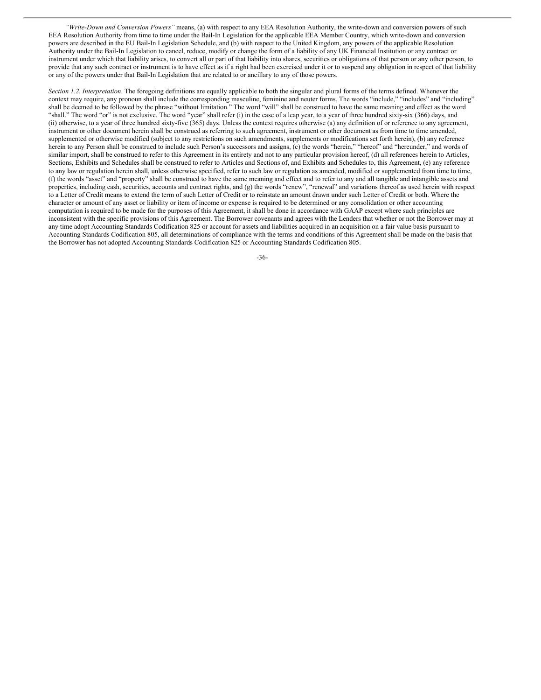*"Write-Down and Conversion Powers"* means, (a) with respect to any EEA Resolution Authority, the write-down and conversion powers of such EEA Resolution Authority from time to time under the Bail-In Legislation for the applicable EEA Member Country, which write-down and conversion powers are described in the EU Bail-In Legislation Schedule, and (b) with respect to the United Kingdom, any powers of the applicable Resolution Authority under the Bail-In Legislation to cancel, reduce, modify or change the form of a liability of any UK Financial Institution or any contract or instrument under which that liability arises, to convert all or part of that liability into shares, securities or obligations of that person or any other person, to provide that any such contract or instrument is to have effect as if a right had been exercised under it or to suspend any obligation in respect of that liability or any of the powers under that Bail-In Legislation that are related to or ancillary to any of those powers.

*Section 1.2. Interpretation*. The foregoing definitions are equally applicable to both the singular and plural forms of the terms defined. Whenever the context may require, any pronoun shall include the corresponding masculine, feminine and neuter forms. The words "include," "includes" and "including" shall be deemed to be followed by the phrase "without limitation." The word "will" shall be construed to have the same meaning and effect as the word "shall." The word "or" is not exclusive. The word "year" shall refer (i) in the case of a leap year, to a year of three hundred sixty-six (366) days, and (ii) otherwise, to a year of three hundred sixty-five (365) days. Unless the context requires otherwise (a) any definition of or reference to any agreement, instrument or other document herein shall be construed as referring to such agreement, instrument or other document as from time to time amended, supplemented or otherwise modified (subject to any restrictions on such amendments, supplements or modifications set forth herein), (b) any reference herein to any Person shall be construed to include such Person's successors and assigns, (c) the words "herein," "hereof" and "hereunder," and words of similar import, shall be construed to refer to this Agreement in its entirety and not to any particular provision hereof, (d) all references herein to Articles, Sections, Exhibits and Schedules shall be construed to refer to Articles and Sections of, and Exhibits and Schedules to, this Agreement, (e) any reference to any law or regulation herein shall, unless otherwise specified, refer to such law or regulation as amended, modified or supplemented from time to time, (f) the words "asset" and "property" shall be construed to have the same meaning and effect and to refer to any and all tangible and intangible assets and properties, including cash, securities, accounts and contract rights, and (g) the words "renew", "renewal" and variations thereof as used herein with respect to a Letter of Credit means to extend the term of such Letter of Credit or to reinstate an amount drawn under such Letter of Credit or both. Where the character or amount of any asset or liability or item of income or expense is required to be determined or any consolidation or other accounting computation is required to be made for the purposes of this Agreement, it shall be done in accordance with GAAP except where such principles are inconsistent with the specific provisions of this Agreement. The Borrower covenants and agrees with the Lenders that whether or not the Borrower may at any time adopt Accounting Standards Codification 825 or account for assets and liabilities acquired in an acquisition on a fair value basis pursuant to Accounting Standards Codification 805, all determinations of compliance with the terms and conditions of this Agreement shall be made on the basis that the Borrower has not adopted Accounting Standards Codification 825 or Accounting Standards Codification 805.

-36-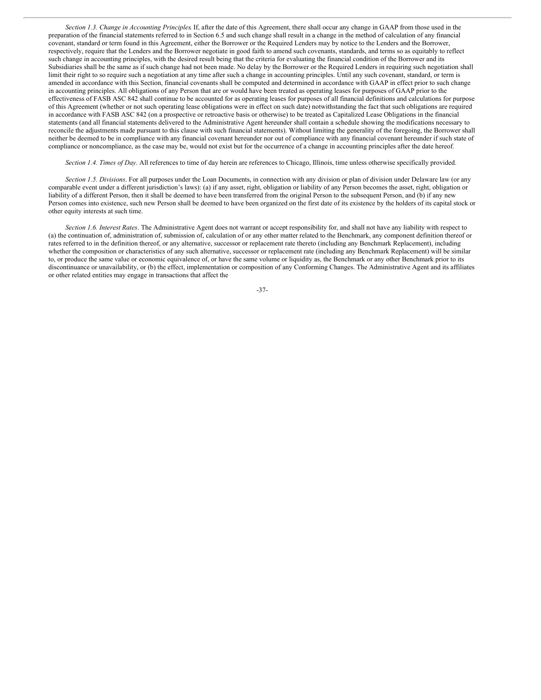*Section 1.3. Change in Accounting Principles*. If, after the date of this Agreement, there shall occur any change in GAAP from those used in the preparation of the financial statements referred to in Section 6.5 and such change shall result in a change in the method of calculation of any financial covenant, standard or term found in this Agreement, either the Borrower or the Required Lenders may by notice to the Lenders and the Borrower, respectively, require that the Lenders and the Borrower negotiate in good faith to amend such covenants, standards, and terms so as equitably to reflect such change in accounting principles, with the desired result being that the criteria for evaluating the financial condition of the Borrower and its Subsidiaries shall be the same as if such change had not been made. No delay by the Borrower or the Required Lenders in requiring such negotiation shall limit their right to so require such a negotiation at any time after such a change in accounting principles. Until any such covenant, standard, or term is amended in accordance with this Section, financial covenants shall be computed and determined in accordance with GAAP in effect prior to such change in accounting principles. All obligations of any Person that are or would have been treated as operating leases for purposes of GAAP prior to the effectiveness of FASB ASC 842 shall continue to be accounted for as operating leases for purposes of all financial definitions and calculations for purpose of this Agreement (whether or not such operating lease obligations were in effect on such date) notwithstanding the fact that such obligations are required in accordance with FASB ASC 842 (on a prospective or retroactive basis or otherwise) to be treated as Capitalized Lease Obligations in the financial statements (and all financial statements delivered to the Administrative Agent hereunder shall contain a schedule showing the modifications necessary to reconcile the adjustments made pursuant to this clause with such financial statements). Without limiting the generality of the foregoing, the Borrower shall neither be deemed to be in compliance with any financial covenant hereunder nor out of compliance with any financial covenant hereunder if such state of compliance or noncompliance, as the case may be, would not exist but for the occurrence of a change in accounting principles after the date hereof.

*Section 1.4. Times of Day*. All references to time of day herein are references to Chicago, Illinois, time unless otherwise specifically provided.

*Section 1.5. Divisions*. For all purposes under the Loan Documents, in connection with any division or plan of division under Delaware law (or any comparable event under a different jurisdiction's laws): (a) if any asset, right, obligation or liability of any Person becomes the asset, right, obligation or liability of a different Person, then it shall be deemed to have been transferred from the original Person to the subsequent Person, and (b) if any new Person comes into existence, such new Person shall be deemed to have been organized on the first date of its existence by the holders of its capital stock or other equity interests at such time.

*Section 1.6. Interest Rates*. The Administrative Agent does not warrant or accept responsibility for, and shall not have any liability with respect to (a) the continuation of, administration of, submission of, calculation of or any other matter related to the Benchmark, any component definition thereof or rates referred to in the definition thereof, or any alternative, successor or replacement rate thereto (including any Benchmark Replacement), including whether the composition or characteristics of any such alternative, successor or replacement rate (including any Benchmark Replacement) will be similar to, or produce the same value or economic equivalence of, or have the same volume or liquidity as, the Benchmark or any other Benchmark prior to its discontinuance or unavailability, or (b) the effect, implementation or composition of any Conforming Changes. The Administrative Agent and its affiliates or other related entities may engage in transactions that affect the

-37-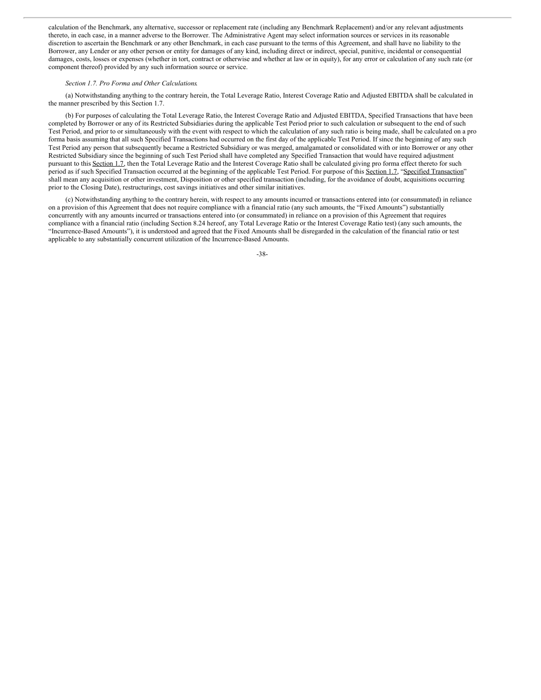calculation of the Benchmark, any alternative, successor or replacement rate (including any Benchmark Replacement) and/or any relevant adjustments thereto, in each case, in a manner adverse to the Borrower. The Administrative Agent may select information sources or services in its reasonable discretion to ascertain the Benchmark or any other Benchmark, in each case pursuant to the terms of this Agreement, and shall have no liability to the Borrower, any Lender or any other person or entity for damages of any kind, including direct or indirect, special, punitive, incidental or consequential damages, costs, losses or expenses (whether in tort, contract or otherwise and whether at law or in equity), for any error or calculation of any such rate (or component thereof) provided by any such information source or service.

### *Section 1.7. Pro Forma and Other Calculations*.

(a) Notwithstanding anything to the contrary herein, the Total Leverage Ratio, Interest Coverage Ratio and Adjusted EBITDA shall be calculated in the manner prescribed by this Section 1.7.

(b) For purposes of calculating the Total Leverage Ratio, the Interest Coverage Ratio and Adjusted EBITDA, Specified Transactions that have been completed by Borrower or any of its Restricted Subsidiaries during the applicable Test Period prior to such calculation or subsequent to the end of such Test Period, and prior to or simultaneously with the event with respect to which the calculation of any such ratio is being made, shall be calculated on a pro forma basis assuming that all such Specified Transactions had occurred on the first day of the applicable Test Period. If since the beginning of any such Test Period any person that subsequently became a Restricted Subsidiary or was merged, amalgamated or consolidated with or into Borrower or any other Restricted Subsidiary since the beginning of such Test Period shall have completed any Specified Transaction that would have required adjustment pursuant to this Section 1.7, then the Total Leverage Ratio and the Interest Coverage Ratio shall be calculated giving pro forma effect thereto for such period as if such Specified Transaction occurred at the beginning of the applicable Test Period. For purpose of this Section 1.7, "Specified Transaction" shall mean any acquisition or other investment, Disposition or other specified transaction (including, for the avoidance of doubt, acquisitions occurring prior to the Closing Date), restructurings, cost savings initiatives and other similar initiatives.

(c) Notwithstanding anything to the contrary herein, with respect to any amounts incurred or transactions entered into (or consummated) in reliance on a provision of this Agreement that does not require compliance with a financial ratio (any such amounts, the "Fixed Amounts") substantially concurrently with any amounts incurred or transactions entered into (or consummated) in reliance on a provision of this Agreement that requires compliance with a financial ratio (including Section 8.24 hereof, any Total Leverage Ratio or the Interest Coverage Ratio test) (any such amounts, the "Incurrence-Based Amounts"), it is understood and agreed that the Fixed Amounts shall be disregarded in the calculation of the financial ratio or test applicable to any substantially concurrent utilization of the Incurrence-Based Amounts.

-38-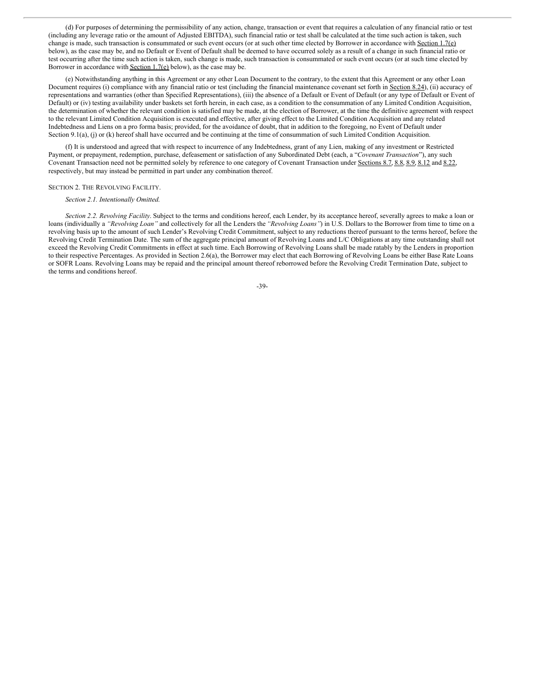(d) For purposes of determining the permissibility of any action, change, transaction or event that requires a calculation of any financial ratio or test (including any leverage ratio or the amount of Adjusted EBITDA), such financial ratio or test shall be calculated at the time such action is taken, such change is made, such transaction is consummated or such event occurs (or at such other time elected by Borrower in accordance with Section 1.7(e) below), as the case may be, and no Default or Event of Default shall be deemed to have occurred solely as a result of a change in such financial ratio or test occurring after the time such action is taken, such change is made, such transaction is consummated or such event occurs (or at such time elected by Borrower in accordance with Section 1.7(e) below), as the case may be.

(e) Notwithstanding anything in this Agreement or any other Loan Document to the contrary, to the extent that this Agreement or any other Loan Document requires (i) compliance with any financial ratio or test (including the financial maintenance covenant set forth in Section 8.24), (ii) accuracy of representations and warranties (other than Specified Representations), (iii) the absence of a Default or Event of Default (or any type of Default or Event of Default) or (iv) testing availability under baskets set forth herein, in each case, as a condition to the consummation of any Limited Condition Acquisition, the determination of whether the relevant condition is satisfied may be made, at the election of Borrower, at the time the definitive agreement with respect to the relevant Limited Condition Acquisition is executed and effective, after giving effect to the Limited Condition Acquisition and any related Indebtedness and Liens on a pro forma basis; provided, for the avoidance of doubt, that in addition to the foregoing, no Event of Default under Section 9.1(a), (j) or (k) hereof shall have occurred and be continuing at the time of consummation of such Limited Condition Acquisition.

(f) It is understood and agreed that with respect to incurrence of any Indebtedness, grant of any Lien, making of any investment or Restricted Payment, or prepayment, redemption, purchase, defeasement or satisfaction of any Subordinated Debt (each, a "*Covenant Transaction*"), any such Covenant Transaction need not be permitted solely by reference to one category of Covenant Transaction under Sections 8.7, 8.8, 8.9, 8.12 and 8.22, respectively, but may instead be permitted in part under any combination thereof.

#### SECTION 2. THE REVOLVING FACILITY.

## *Section 2.1. Intentionally Omitted*.

*Section 2.2. Revolving Facility*. Subject to the terms and conditions hereof, each Lender, by its acceptance hereof, severally agrees to make a loan or loans (individually a *"Revolving Loan"* and collectively for all the Lenders the *"Revolving Loans"*) in U.S. Dollars to the Borrower from time to time on a revolving basis up to the amount of such Lender's Revolving Credit Commitment, subject to any reductions thereof pursuant to the terms hereof, before the Revolving Credit Termination Date. The sum of the aggregate principal amount of Revolving Loans and L/C Obligations at any time outstanding shall not exceed the Revolving Credit Commitments in effect at such time. Each Borrowing of Revolving Loans shall be made ratably by the Lenders in proportion to their respective Percentages. As provided in Section 2.6(a), the Borrower may elect that each Borrowing of Revolving Loans be either Base Rate Loans or SOFR Loans. Revolving Loans may be repaid and the principal amount thereof reborrowed before the Revolving Credit Termination Date, subject to the terms and conditions hereof.

-39-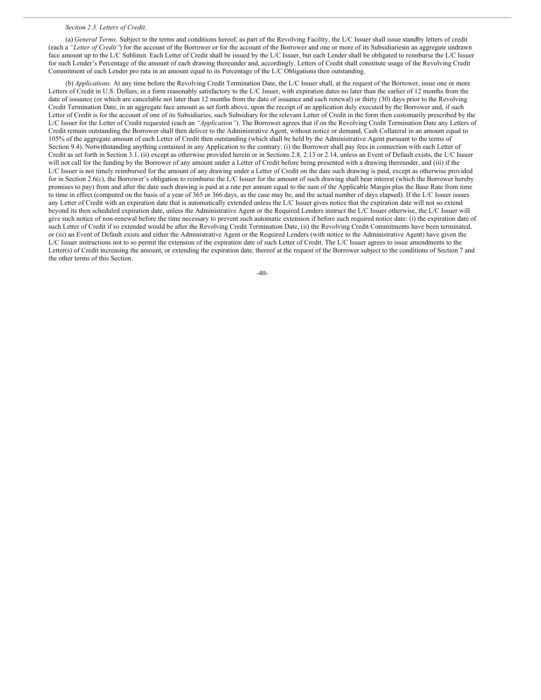#### *Section 2.3. Letters of Credit*.

(a) *General Terms.* Subject to the terms and conditions hereof, as part of the Revolving Facility, the L/C Issuer shall issue standby letters of credit (each a *"Letter of Credit"*) for the account of the Borrower or for the account of the Borrower and one or more of its Subsidiariesin an aggregate undrawn face amount up to the L/C Sublimit. Each Letter of Credit shall be issued by the L/C Issuer, but each Lender shall be obligated to reimburse the L/C Issuer for such Lender's Percentage of the amount of each drawing thereunder and, accordingly, Letters of Credit shall constitute usage of the Revolving Credit Commitment of each Lender pro rata in an amount equal to its Percentage of the L/C Obligations then outstanding.

(b) *Applications.* At any time before the Revolving Credit Termination Date, the L/C Issuer shall, at the request of the Borrower, issue one or more Letters of Credit in U.S. Dollars, in a form reasonably satisfactory to the L/C Issuer, with expiration dates no later than the earlier of 12 months from the date of issuance (or which are cancelable not later than 12 months from the date of issuance and each renewal) or thirty (30) days prior to the Revolving Credit Termination Date, in an aggregate face amount as set forth above, upon the receipt of an application duly executed by the Borrower and, if such Letter of Credit is for the account of one of its Subsidiaries, such Subsidiary for the relevant Letter of Credit in the form then customarily prescribed by the L/C Issuer for the Letter of Credit requested (each an *"Application"*). The Borrower agrees that if on the Revolving Credit Termination Date any Letters of Credit remain outstanding the Borrower shall then deliver to the Administrative Agent, without notice or demand, Cash Collateral in an amount equal to 105% of the aggregate amount of each Letter of Credit then outstanding (which shall be held by the Administrative Agent pursuant to the terms of Section 9.4). Notwithstanding anything contained in any Application to the contrary: (i) the Borrower shall pay fees in connection with each Letter of Credit as set forth in Section 3.1, (ii) except as otherwise provided herein or in Sections 2.8, 2.13 or 2.14, unless an Event of Default exists, the L/C Issuer will not call for the funding by the Borrower of any amount under a Letter of Credit before being presented with a drawing thereunder, and (iii) if the L/C Issuer is not timely reimbursed for the amount of any drawing under a Letter of Credit on the date such drawing is paid, except as otherwise provided for in Section 2.6(c), the Borrower's obligation to reimburse the L/C Issuer for the amount of such drawing shall bear interest (which the Borrower hereby promises to pay) from and after the date such drawing is paid at a rate per annum equal to the sum of the Applicable Margin plus the Base Rate from time to time in effect (computed on the basis of a year of 365 or 366 days, as the case may be, and the actual number of days elapsed). If the L/C Issuer issues any Letter of Credit with an expiration date that is automatically extended unless the L/C Issuer gives notice that the expiration date will not so extend beyond its then scheduled expiration date, unless the Administrative Agent or the Required Lenders instruct the L/C Issuer otherwise, the L/C Issuer will give such notice of non-renewal before the time necessary to prevent such automatic extension if before such required notice date: (i) the expiration date of such Letter of Credit if so extended would be after the Revolving Credit Termination Date, (ii) the Revolving Credit Commitments have been terminated, or (iii) an Event of Default exists and either the Administrative Agent or the Required Lenders (with notice to the Administrative Agent) have given the L/C Issuer instructions not to so permit the extension of the expiration date of such Letter of Credit. The L/C Issuer agrees to issue amendments to the Letter(s) of Credit increasing the amount, or extending the expiration date, thereof at the request of the Borrower subject to the conditions of Section 7 and the other terms of this Section.

-40-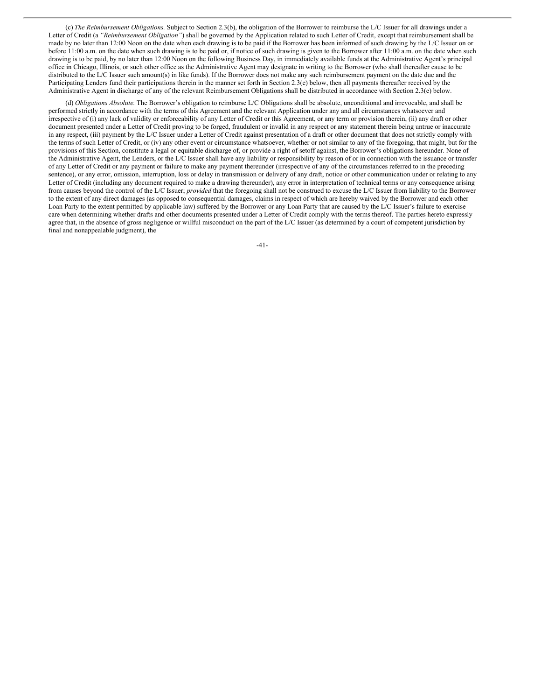(c) *The Reimbursement Obligations.* Subject to Section 2.3(b), the obligation of the Borrower to reimburse the L/C Issuer for all drawings under a Letter of Credit (a *"Reimbursement Obligation"*) shall be governed by the Application related to such Letter of Credit, except that reimbursement shall be made by no later than 12:00 Noon on the date when each drawing is to be paid if the Borrower has been informed of such drawing by the L/C Issuer on or before 11:00 a.m. on the date when such drawing is to be paid or, if notice of such drawing is given to the Borrower after 11:00 a.m. on the date when such drawing is to be paid, by no later than 12:00 Noon on the following Business Day, in immediately available funds at the Administrative Agent's principal office in Chicago, Illinois, or such other office as the Administrative Agent may designate in writing to the Borrower (who shall thereafter cause to be distributed to the L/C Issuer such amount(s) in like funds). If the Borrower does not make any such reimbursement payment on the date due and the Participating Lenders fund their participations therein in the manner set forth in Section 2.3(e) below, then all payments thereafter received by the Administrative Agent in discharge of any of the relevant Reimbursement Obligations shall be distributed in accordance with Section 2.3(e) below.

(d) *Obligations Absolute.* The Borrower's obligation to reimburse L/C Obligations shall be absolute, unconditional and irrevocable, and shall be performed strictly in accordance with the terms of this Agreement and the relevant Application under any and all circumstances whatsoever and irrespective of (i) any lack of validity or enforceability of any Letter of Credit or this Agreement, or any term or provision therein, (ii) any draft or other document presented under a Letter of Credit proving to be forged, fraudulent or invalid in any respect or any statement therein being untrue or inaccurate in any respect, (iii) payment by the L/C Issuer under a Letter of Credit against presentation of a draft or other document that does not strictly comply with the terms of such Letter of Credit, or (iv) any other event or circumstance whatsoever, whether or not similar to any of the foregoing, that might, but for the provisions of this Section, constitute a legal or equitable discharge of, or provide a right of setoff against, the Borrower's obligations hereunder. None of the Administrative Agent, the Lenders, or the L/C Issuer shall have any liability or responsibility by reason of or in connection with the issuance or transfer of any Letter of Credit or any payment or failure to make any payment thereunder (irrespective of any of the circumstances referred to in the preceding sentence), or any error, omission, interruption, loss or delay in transmission or delivery of any draft, notice or other communication under or relating to any Letter of Credit (including any document required to make a drawing thereunder), any error in interpretation of technical terms or any consequence arising from causes beyond the control of the L/C Issuer; *provided* that the foregoing shall not be construed to excuse the L/C Issuer from liability to the Borrower to the extent of any direct damages (as opposed to consequential damages, claims in respect of which are hereby waived by the Borrower and each other Loan Party to the extent permitted by applicable law) suffered by the Borrower or any Loan Party that are caused by the L/C Issuer's failure to exercise care when determining whether drafts and other documents presented under a Letter of Credit comply with the terms thereof. The parties hereto expressly agree that, in the absence of gross negligence or willful misconduct on the part of the L/C Issuer (as determined by a court of competent jurisdiction by final and nonappealable judgment), the

-41-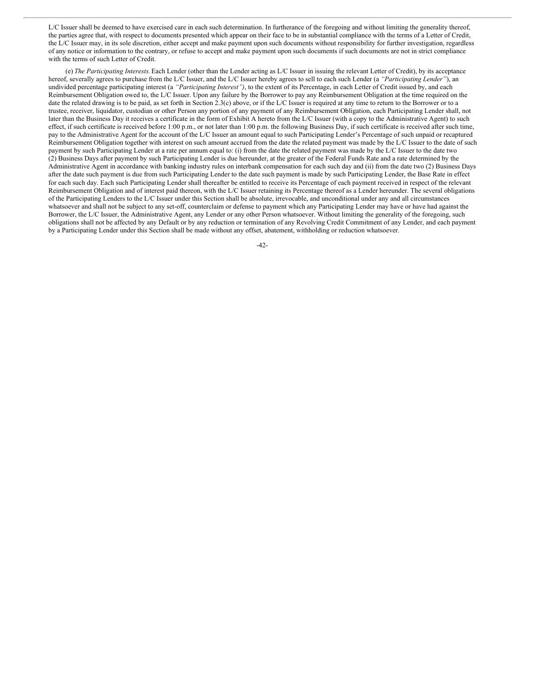L/C Issuer shall be deemed to have exercised care in each such determination. In furtherance of the foregoing and without limiting the generality thereof, the parties agree that, with respect to documents presented which appear on their face to be in substantial compliance with the terms of a Letter of Credit, the L/C Issuer may, in its sole discretion, either accept and make payment upon such documents without responsibility for further investigation, regardless of any notice or information to the contrary, or refuse to accept and make payment upon such documents if such documents are not in strict compliance with the terms of such Letter of Credit.

(e) *The Participating Interests.* Each Lender (other than the Lender acting as L/C Issuer in issuing the relevant Letter of Credit), by its acceptance hereof, severally agrees to purchase from the L/C Issuer, and the L/C Issuer hereby agrees to sell to each such Lender (a *"Participating Lender"*), an undivided percentage participating interest (a *"Participating Interest")*, to the extent of its Percentage, in each Letter of Credit issued by, and each Reimbursement Obligation owed to, the L/C Issuer. Upon any failure by the Borrower to pay any Reimbursement Obligation at the time required on the date the related drawing is to be paid, as set forth in Section 2.3(c) above, or if the L/C Issuer is required at any time to return to the Borrower or to a trustee, receiver, liquidator, custodian or other Person any portion of any payment of any Reimbursement Obligation, each Participating Lender shall, not later than the Business Day it receives a certificate in the form of Exhibit A hereto from the L/C Issuer (with a copy to the Administrative Agent) to such effect, if such certificate is received before 1:00 p.m., or not later than 1:00 p.m. the following Business Day, if such certificate is received after such time, pay to the Administrative Agent for the account of the L/C Issuer an amount equal to such Participating Lender's Percentage of such unpaid or recaptured Reimbursement Obligation together with interest on such amount accrued from the date the related payment was made by the L/C Issuer to the date of such payment by such Participating Lender at a rate per annum equal to: (i) from the date the related payment was made by the L/C Issuer to the date two (2) Business Days after payment by such Participating Lender is due hereunder, at the greater of the Federal Funds Rate and a rate determined by the Administrative Agent in accordance with banking industry rules on interbank compensation for each such day and (ii) from the date two (2) Business Days after the date such payment is due from such Participating Lender to the date such payment is made by such Participating Lender, the Base Rate in effect for each such day. Each such Participating Lender shall thereafter be entitled to receive its Percentage of each payment received in respect of the relevant Reimbursement Obligation and of interest paid thereon, with the L/C Issuer retaining its Percentage thereof as a Lender hereunder. The several obligations of the Participating Lenders to the L/C Issuer under this Section shall be absolute, irrevocable, and unconditional under any and all circumstances whatsoever and shall not be subject to any set-off, counterclaim or defense to payment which any Participating Lender may have or have had against the Borrower, the L/C Issuer, the Administrative Agent, any Lender or any other Person whatsoever. Without limiting the generality of the foregoing, such obligations shall not be affected by any Default or by any reduction or termination of any Revolving Credit Commitment of any Lender, and each payment by a Participating Lender under this Section shall be made without any offset, abatement, withholding or reduction whatsoever.

-42-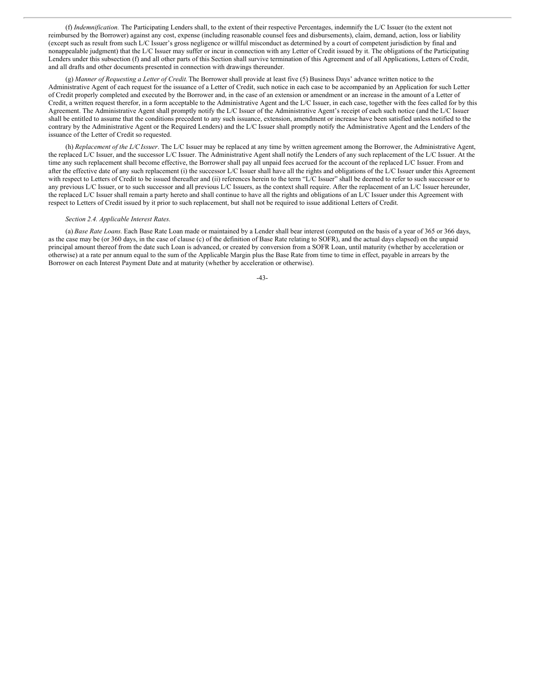(f) *Indemnification.* The Participating Lenders shall, to the extent of their respective Percentages, indemnify the L/C Issuer (to the extent not reimbursed by the Borrower) against any cost, expense (including reasonable counsel fees and disbursements), claim, demand, action, loss or liability (except such as result from such L/C Issuer's gross negligence or willful misconduct as determined by a court of competent jurisdiction by final and nonappealable judgment) that the L/C Issuer may suffer or incur in connection with any Letter of Credit issued by it. The obligations of the Participating Lenders under this subsection (f) and all other parts of this Section shall survive termination of this Agreement and of all Applications, Letters of Credit, and all drafts and other documents presented in connection with drawings thereunder.

(g) *Manner of Requesting a Letter of Credit.*The Borrower shall provide at least five (5) Business Days' advance written notice to the Administrative Agent of each request for the issuance of a Letter of Credit, such notice in each case to be accompanied by an Application for such Letter of Credit properly completed and executed by the Borrower and, in the case of an extension or amendment or an increase in the amount of a Letter of Credit, a written request therefor, in a form acceptable to the Administrative Agent and the L/C Issuer, in each case, together with the fees called for by this Agreement. The Administrative Agent shall promptly notify the L/C Issuer of the Administrative Agent's receipt of each such notice (and the L/C Issuer shall be entitled to assume that the conditions precedent to any such issuance, extension, amendment or increase have been satisfied unless notified to the contrary by the Administrative Agent or the Required Lenders) and the L/C Issuer shall promptly notify the Administrative Agent and the Lenders of the issuance of the Letter of Credit so requested.

(h) *Replacement of the L/CIssuer*. The L/C Issuer may be replaced at any time by written agreement among the Borrower, the Administrative Agent, the replaced L/C Issuer, and the successor L/C Issuer. The Administrative Agent shall notify the Lenders of any such replacement of the L/C Issuer. At the time any such replacement shall become effective, the Borrower shall pay all unpaid fees accrued for the account of the replaced L/C Issuer. From and after the effective date of any such replacement (i) the successor L/C Issuer shall have all the rights and obligations of the L/C Issuer under this Agreement with respect to Letters of Credit to be issued thereafter and (ii) references herein to the term "L/C Issuer" shall be deemed to refer to such successor or to any previous L/C Issuer, or to such successor and all previous L/C Issuers, as the context shall require. After the replacement of an L/C Issuer hereunder, the replaced L/C Issuer shall remain a party hereto and shall continue to have all the rights and obligations of an L/C Issuer under this Agreement with respect to Letters of Credit issued by it prior to such replacement, but shall not be required to issue additional Letters of Credit.

#### *Section 2.4. Applicable Interest Rates*.

(a) *Base Rate Loans.* Each Base Rate Loan made or maintained by a Lender shall bear interest (computed on the basis of a year of 365 or 366 days, as the case may be (or 360 days, in the case of clause (c) of the definition of Base Rate relating to SOFR), and the actual days elapsed) on the unpaid principal amount thereof from the date such Loan is advanced, or created by conversion from a SOFR Loan, until maturity (whether by acceleration or otherwise) at a rate per annum equal to the sum of the Applicable Margin plus the Base Rate from time to time in effect, payable in arrears by the Borrower on each Interest Payment Date and at maturity (whether by acceleration or otherwise).

-43-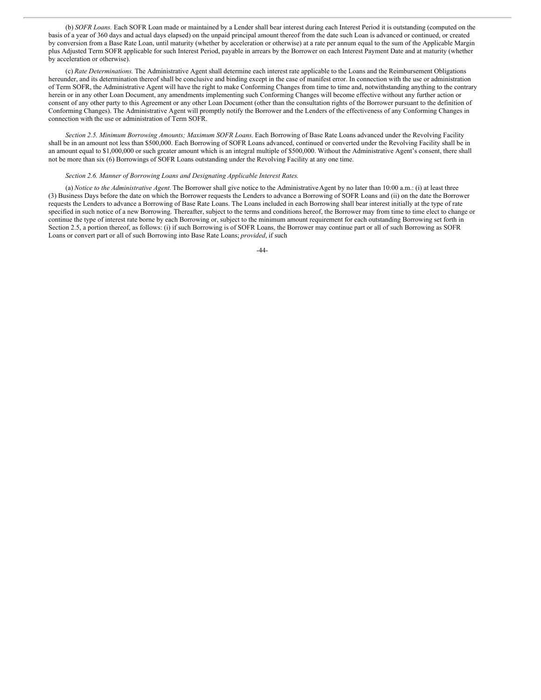(b) *SOFR Loans.* Each SOFR Loan made or maintained by a Lender shall bear interest during each Interest Period it is outstanding (computed on the basis of a year of 360 days and actual days elapsed) on the unpaid principal amount thereof from the date such Loan is advanced or continued, or created by conversion from a Base Rate Loan, until maturity (whether by acceleration or otherwise) at a rate per annum equal to the sum of the Applicable Margin plus Adjusted Term SOFR applicable for such Interest Period, payable in arrears by the Borrower on each Interest Payment Date and at maturity (whether by acceleration or otherwise).

(c) *Rate Determinations.* The Administrative Agent shall determine each interest rate applicable to the Loans and the Reimbursement Obligations hereunder, and its determination thereof shall be conclusive and binding except in the case of manifest error. In connection with the use or administration of Term SOFR, the Administrative Agent will have the right to make Conforming Changes from time to time and, notwithstanding anything to the contrary herein or in any other Loan Document, any amendments implementing such Conforming Changes will become effective without any further action or consent of any other party to this Agreement or any other Loan Document (other than the consultation rights of the Borrower pursuant to the definition of Conforming Changes). The Administrative Agent will promptly notify the Borrower and the Lenders of the effectiveness of any Conforming Changes in connection with the use or administration of Term SOFR.

*Section 2.5. Minimum Borrowing Amounts; Maximum SOFR Loans*. Each Borrowing of Base Rate Loans advanced under the Revolving Facility shall be in an amount not less than \$500,000. Each Borrowing of SOFR Loans advanced, continued or converted under the Revolving Facility shall be in an amount equal to \$1,000,000 or such greater amount which is an integral multiple of \$500,000. Without the Administrative Agent's consent, there shall not be more than six (6) Borrowings of SOFR Loans outstanding under the Revolving Facility at any one time.

## *Section 2.6. Manner of Borrowing Loans and Designating Applicable Interest Rates*.

(a) *Notice to the Administrative Agent.* The Borrower shall give notice to the AdministrativeAgent by no later than 10:00 a.m.: (i) at least three (3) Business Days before the date on which the Borrower requests the Lenders to advance a Borrowing of SOFR Loans and (ii) on the date the Borrower requests the Lenders to advance a Borrowing of Base Rate Loans. The Loans included in each Borrowing shall bear interest initially at the type of rate specified in such notice of a new Borrowing. Thereafter, subject to the terms and conditions hereof, the Borrower may from time to time elect to change or continue the type of interest rate borne by each Borrowing or, subject to the minimum amount requirement for each outstanding Borrowing set forth in Section 2.5, a portion thereof, as follows: (i) if such Borrowing is of SOFR Loans, the Borrower may continue part or all of such Borrowing as SOFR Loans or convert part or all of such Borrowing into Base Rate Loans; *provided*, if such

-44-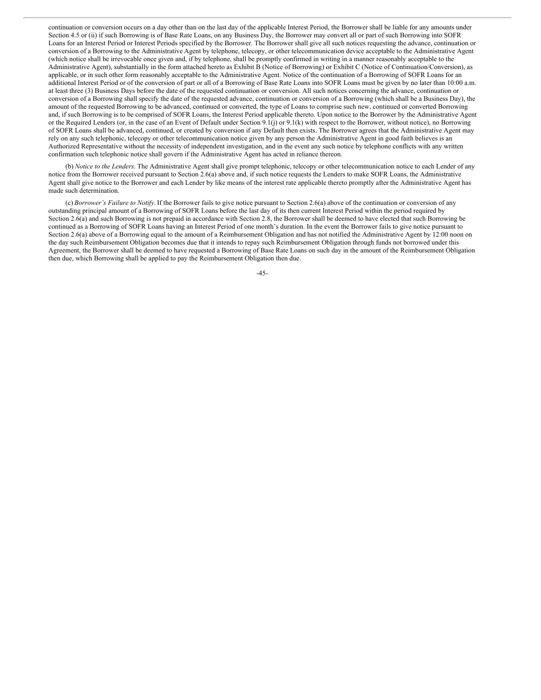continuation or conversion occurs on a day other than on the last day of the applicable Interest Period, the Borrower shall be liable for any amounts under Section 4.5 or (ii) if such Borrowing is of Base Rate Loans, on any Business Day, the Borrower may convert all or part of such Borrowing into SOFR Loans for an Interest Period or Interest Periods specified by the Borrower. The Borrower shall give all such notices requesting the advance, continuation or conversion of a Borrowing to the Administrative Agent by telephone, telecopy, or other telecommunication device acceptable to the Administrative Agent (which notice shall be irrevocable once given and, if by telephone, shall be promptly confirmed in writing in a manner reasonably acceptable to the Administrative Agent), substantially in the form attached hereto as Exhibit B (Notice of Borrowing) or Exhibit C (Notice of Continuation/Conversion), as applicable, or in such other form reasonably acceptable to the Administrative Agent. Notice of the continuation of a Borrowing of SOFR Loans for an additional Interest Period or of the conversion of part or all of a Borrowing of Base Rate Loans into SOFR Loans must be given by no later than 10:00 a.m. at least three (3) Business Days before the date of the requested continuation or conversion. All such notices concerning the advance, continuation or conversion of a Borrowing shall specify the date of the requested advance, continuation or conversion of a Borrowing (which shall be a Business Day), the amount of the requested Borrowing to be advanced, continued or converted, the type of Loans to comprise such new, continued or converted Borrowing and, if such Borrowing is to be comprised of SOFR Loans, the Interest Period applicable thereto. Upon notice to the Borrower by the Administrative Agent or the Required Lenders (or, in the case of an Event of Default under Section 9.1(j) or 9.1(k) with respect to the Borrower, without notice), no Borrowing of SOFR Loans shall be advanced, continued, or created by conversion if any Default then exists. The Borrower agrees that the Administrative Agent may rely on any such telephonic, telecopy or other telecommunication notice given by any person the Administrative Agent in good faith believes is an Authorized Representative without the necessity of independent investigation, and in the event any such notice by telephone conflicts with any written confirmation such telephonic notice shall govern if the Administrative Agent has acted in reliance thereon.

(b) *Notice to the Lenders*. The Administrative Agent shall give prompt telephonic, telecopy or other telecommunication notice to each Lender of any notice from the Borrower received pursuant to Section 2.6(a) above and, if such notice requests the Lenders to make SOFR Loans, the Administrative Agent shall give notice to the Borrower and each Lender by like means of the interest rate applicable thereto promptly after the Administrative Agent has made such determination.

(c) *Borrower's Failure to Notify.* If the Borrower fails to give notice pursuant to Section 2.6(a) above of the continuation or conversion of any outstanding principal amount of a Borrowing of SOFR Loans before the last day of its then current Interest Period within the period required by Section 2.6(a) and such Borrowing is not prepaid in accordance with Section 2.8, the Borrower shall be deemed to have elected that such Borrowing be continued as a Borrowing of SOFR Loans having an Interest Period of one month's duration. In the event the Borrower fails to give notice pursuant to Section 2.6(a) above of a Borrowing equal to the amount of a Reimbursement Obligation and has not notified the Administrative Agent by 12:00 noon on the day such Reimbursement Obligation becomes due that it intends to repay such Reimbursement Obligation through funds not borrowed under this Agreement, the Borrower shall be deemed to have requested a Borrowing of Base Rate Loans on such day in the amount of the Reimbursement Obligation then due, which Borrowing shall be applied to pay the Reimbursement Obligation then due.

-45-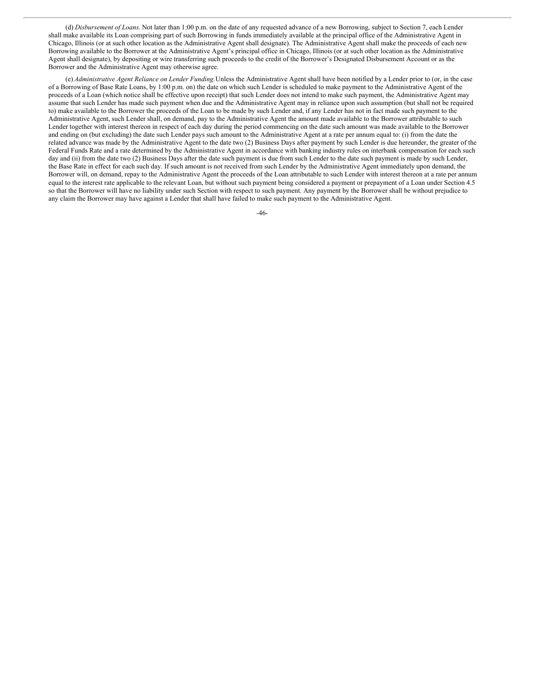(d) *Disbursement of Loans*. Not later than 1:00 p.m. on the date of any requested advance of a new Borrowing, subject to Section 7, each Lender shall make available its Loan comprising part of such Borrowing in funds immediately available at the principal office of the Administrative Agent in Chicago, Illinois (or at such other location as the Administrative Agent shall designate). The Administrative Agent shall make the proceeds of each new Borrowing available to the Borrower at the Administrative Agent's principal office in Chicago, Illinois (or at such other location as the Administrative Agent shall designate), by depositing or wire transferring such proceeds to the credit of the Borrower's Designated Disbursement Account or as the Borrower and the Administrative Agent may otherwise agree.

(e) *Administrative Agent Reliance on Lender Funding.*Unless the Administrative Agent shall have been notified by a Lender prior to (or, in the case of a Borrowing of Base Rate Loans, by 1:00 p.m. on) the date on which such Lender is scheduled to make payment to the Administrative Agent of the proceeds of a Loan (which notice shall be effective upon receipt) that such Lender does not intend to make such payment, the Administrative Agent may assume that such Lender has made such payment when due and the Administrative Agent may in reliance upon such assumption (but shall not be required to) make available to the Borrower the proceeds of the Loan to be made by such Lender and, if any Lender has not in fact made such payment to the Administrative Agent, such Lender shall, on demand, pay to the Administrative Agent the amount made available to the Borrower attributable to such Lender together with interest thereon in respect of each day during the period commencing on the date such amount was made available to the Borrower and ending on (but excluding) the date such Lender pays such amount to the Administrative Agent at a rate per annum equal to: (i) from the date the related advance was made by the Administrative Agent to the date two (2) Business Days after payment by such Lender is due hereunder, the greater of the Federal Funds Rate and a rate determined by the Administrative Agent in accordance with banking industry rules on interbank compensation for each such day and (ii) from the date two (2) Business Days after the date such payment is due from such Lender to the date such payment is made by such Lender, the Base Rate in effect for each such day. If such amount is not received from such Lender by the Administrative Agent immediately upon demand, the Borrower will, on demand, repay to the Administrative Agent the proceeds of the Loan attributable to such Lender with interest thereon at a rate per annum equal to the interest rate applicable to the relevant Loan, but without such payment being considered a payment or prepayment of a Loan under Section 4.5 so that the Borrower will have no liability under such Section with respect to such payment. Any payment by the Borrower shall be without prejudice to any claim the Borrower may have against a Lender that shall have failed to make such payment to the Administrative Agent.

-46-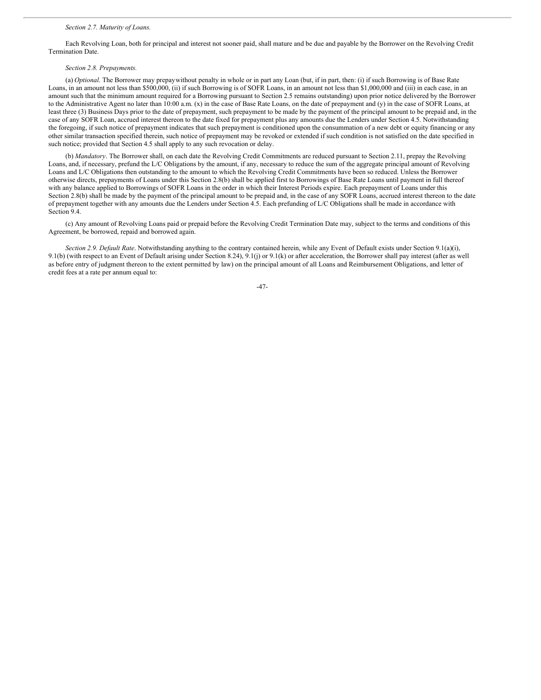#### *Section 2.7. Maturity of Loans.*

Each Revolving Loan, both for principal and interest not sooner paid, shall mature and be due and payable by the Borrower on the Revolving Credit Termination Date.

# *Section 2.8. Prepayments.*

(a) *Optional*. The Borrower may prepaywithout penalty in whole or in part any Loan (but, if in part, then: (i) if such Borrowing is of Base Rate Loans, in an amount not less than \$500,000, (ii) if such Borrowing is of SOFR Loans, in an amount not less than \$1,000,000 and (iii) in each case, in an amount such that the minimum amount required for a Borrowing pursuant to Section 2.5 remains outstanding) upon prior notice delivered by the Borrower to the Administrative Agent no later than 10:00 a.m. (x) in the case of Base Rate Loans, on the date of prepayment and (y) in the case of SOFR Loans, at least three (3) Business Days prior to the date of prepayment, such prepayment to be made by the payment of the principal amount to be prepaid and, in the case of any SOFR Loan, accrued interest thereon to the date fixed for prepayment plus any amounts due the Lenders under Section 4.5. Notwithstanding the foregoing, if such notice of prepayment indicates that such prepayment is conditioned upon the consummation of a new debt or equity financing or any other similar transaction specified therein, such notice of prepayment may be revoked or extended if such condition is not satisfied on the date specified in such notice; provided that Section 4.5 shall apply to any such revocation or delay.

(b) *Mandatory*. The Borrower shall, on each date the Revolving Credit Commitments are reduced pursuant to Section 2.11, prepay the Revolving Loans, and, if necessary, prefund the L/C Obligations by the amount, if any, necessary to reduce the sum of the aggregate principal amount of Revolving Loans and L/C Obligations then outstanding to the amount to which the Revolving Credit Commitments have been so reduced. Unless the Borrower otherwise directs, prepayments of Loans under this Section 2.8(b) shall be applied first to Borrowings of Base Rate Loans until payment in full thereof with any balance applied to Borrowings of SOFR Loans in the order in which their Interest Periods expire. Each prepayment of Loans under this Section 2.8(b) shall be made by the payment of the principal amount to be prepaid and, in the case of any SOFR Loans, accrued interest thereon to the date of prepayment together with any amounts due the Lenders under Section 4.5. Each prefunding of L/C Obligations shall be made in accordance with Section 9.4.

(c) Any amount of Revolving Loans paid or prepaid before the Revolving Credit Termination Date may, subject to the terms and conditions of this Agreement, be borrowed, repaid and borrowed again.

*Section 2.9. Default Rate*. Notwithstanding anything to the contrary contained herein, while any Event of Default exists under Section 9.1(a)(i), 9.1(b) (with respect to an Event of Default arising under Section 8.24), 9.1(j) or 9.1(k) or after acceleration, the Borrower shall pay interest (after as well as before entry of judgment thereon to the extent permitted by law) on the principal amount of all Loans and Reimbursement Obligations, and letter of credit fees at a rate per annum equal to:

# -47-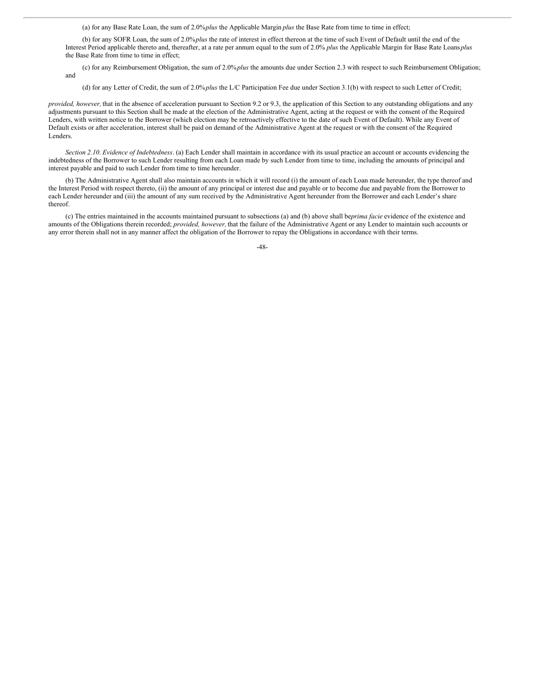(a) for any Base Rate Loan, the sum of 2.0%*plus* the Applicable Margin *plus* the Base Rate from time to time in effect;

(b) for any SOFR Loan, the sum of 2.0%*plus* the rate of interest in effect thereon at the time of such Event of Default until the end of the Interest Period applicable thereto and, thereafter, at a rate per annum equal to the sum of 2.0% *plus* the Applicable Margin for Base Rate Loans*plus* the Base Rate from time to time in effect;

(c) for any Reimbursement Obligation, the sum of 2.0%*plus* the amounts due under Section 2.3 with respect to such Reimbursement Obligation; and

(d) for any Letter of Credit, the sum of 2.0%*plus* the L/C Participation Fee due under Section 3.1(b) with respect to such Letter of Credit;

*provided, however,* that in the absence of acceleration pursuant to Section 9.2 or 9.3, the application of this Section to any outstanding obligations and any adjustments pursuant to this Section shall be made at the election of the Administrative Agent, acting at the request or with the consent of the Required Lenders, with written notice to the Borrower (which election may be retroactively effective to the date of such Event of Default). While any Event of Default exists or after acceleration, interest shall be paid on demand of the Administrative Agent at the request or with the consent of the Required Lenders.

*Section 2.10. Evidence of Indebtedness*. (a) Each Lender shall maintain in accordance with its usual practice an account or accounts evidencing the indebtedness of the Borrower to such Lender resulting from each Loan made by such Lender from time to time, including the amounts of principal and interest payable and paid to such Lender from time to time hereunder.

(b) The Administrative Agent shall also maintain accounts in which it will record (i) the amount of each Loan made hereunder, the type thereof and the Interest Period with respect thereto, (ii) the amount of any principal or interest due and payable or to become due and payable from the Borrower to each Lender hereunder and (iii) the amount of any sum received by the Administrative Agent hereunder from the Borrower and each Lender's share thereof.

(c) The entries maintained in the accounts maintained pursuant to subsections (a) and (b) above shall be*prima facie* evidence of the existence and amounts of the Obligations therein recorded; *provided, however,* that the failure of the Administrative Agent or any Lender to maintain such accounts or any error therein shall not in any manner affect the obligation of the Borrower to repay the Obligations in accordance with their terms.

-48-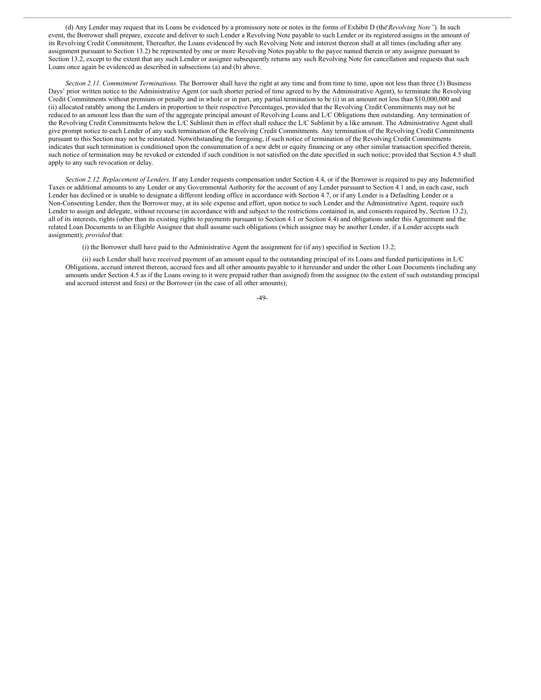(d) Any Lender may request that its Loans be evidenced by a promissory note or notes in the forms of Exhibit D (the*"Revolving Note"*). In such event, the Borrower shall prepare, execute and deliver to such Lender a Revolving Note payable to such Lender or its registered assigns in the amount of its Revolving Credit Commitment, Thereafter, the Loans evidenced by such Revolving Note and interest thereon shall at all times (including after any assignment pursuant to Section 13.2) be represented by one or more Revolving Notes payable to the payee named therein or any assignee pursuant to Section 13.2, except to the extent that any such Lender or assignee subsequently returns any such Revolving Note for cancellation and requests that such Loans once again be evidenced as described in subsections (a) and (b) above.

*Section 2.11. Commitment Terminations*. The Borrower shall have the right at any time and from time to time, upon not less than three (3) Business Days' prior written notice to the Administrative Agent (or such shorter period of time agreed to by the Administrative Agent), to terminate the Revolving Credit Commitments without premium or penalty and in whole or in part, any partial termination to be (i) in an amount not less than \$10,000,000 and (ii) allocated ratably among the Lenders in proportion to their respective Percentages, provided that the Revolving Credit Commitments may not be reduced to an amount less than the sum of the aggregate principal amount of Revolving Loans and L/C Obligations then outstanding. Any termination of the Revolving Credit Commitments below the L/C Sublimit then in effect shall reduce the L/C Sublimit by a like amount. The Administrative Agent shall give prompt notice to each Lender of any such termination of the Revolving Credit Commitments. Any termination of the Revolving Credit Commitments pursuant to this Section may not be reinstated. Notwithstanding the foregoing, if such notice of termination of the Revolving Credit Commitments indicates that such termination is conditioned upon the consummation of a new debt or equity financing or any other similar transaction specified therein, such notice of termination may be revoked or extended if such condition is not satisfied on the date specified in such notice; provided that Section 4.5 shall apply to any such revocation or delay.

*Section 2.12. Replacement of Lenders*. If any Lender requests compensation under Section 4.4, or if the Borrower is required to pay any Indemnified Taxes or additional amounts to any Lender or any Governmental Authority for the account of any Lender pursuant to Section 4.1 and, in each case, such Lender has declined or is unable to designate a different lending office in accordance with Section 4.7, or if any Lender is a Defaulting Lender or a Non-Consenting Lender, then the Borrower may, at its sole expense and effort, upon notice to such Lender and the Administrative Agent, require such Lender to assign and delegate, without recourse (in accordance with and subject to the restrictions contained in, and consents required by, Section 13.2), all of its interests, rights (other than its existing rights to payments pursuant to Section 4.1 or Section 4.4) and obligations under this Agreement and the related Loan Documents to an Eligible Assignee that shall assume such obligations (which assignee may be another Lender, if a Lender accepts such assignment); *provided* that:

(i) the Borrower shall have paid to the Administrative Agent the assignment fee (if any) specified in Section 13.2;

(ii) such Lender shall have received payment of an amount equal to the outstanding principal of its Loans and funded participations in L/C Obligations, accrued interest thereon, accrued fees and all other amounts payable to it hereunder and under the other Loan Documents (including any amounts under Section 4.5 as if the Loans owing to it were prepaid rather than assigned) from the assignee (to the extent of such outstanding principal and accrued interest and fees) or the Borrower (in the case of all other amounts);

-49-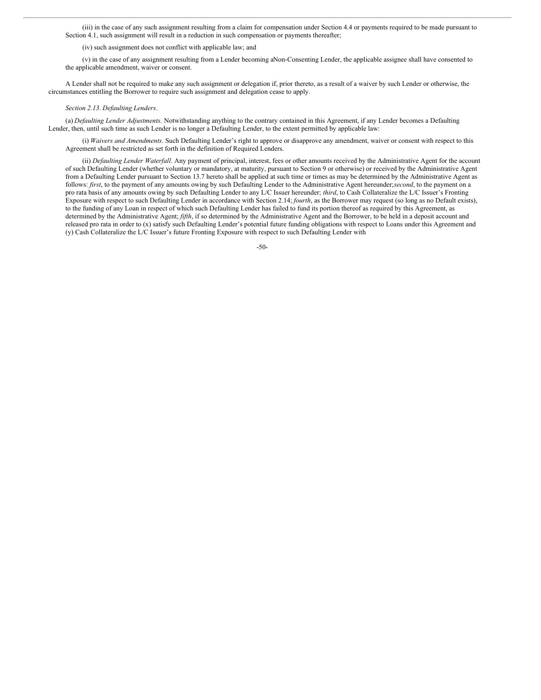(iii) in the case of any such assignment resulting from a claim for compensation under Section 4.4 or payments required to be made pursuant to Section 4.1, such assignment will result in a reduction in such compensation or payments thereafter;

(iv) such assignment does not conflict with applicable law; and

(v) in the case of any assignment resulting from a Lender becoming aNon-Consenting Lender, the applicable assignee shall have consented to the applicable amendment, waiver or consent.

A Lender shall not be required to make any such assignment or delegation if, prior thereto, as a result of a waiver by such Lender or otherwise, the circumstances entitling the Borrower to require such assignment and delegation cease to apply.

#### *Section 2.13. Defaulting Lenders*.

(a) *Defaulting Lender Adjustments.* Notwithstanding anything to the contrary contained in this Agreement, if any Lender becomes a Defaulting Lender, then, until such time as such Lender is no longer a Defaulting Lender, to the extent permitted by applicable law:

(i) *Waivers and Amendments*. Such Defaulting Lender's right to approve or disapprove any amendment, waiver or consent with respect to this Agreement shall be restricted as set forth in the definition of Required Lenders.

(ii) *Defaulting Lender Waterfall*. Any payment of principal, interest, fees or other amounts received by the Administrative Agent for the account of such Defaulting Lender (whether voluntary or mandatory, at maturity, pursuant to Section 9 or otherwise) or received by the Administrative Agent from a Defaulting Lender pursuant to Section 13.7 hereto shall be applied at such time or times as may be determined by the Administrative Agent as follows: *first*, to the payment of any amounts owing by such Defaulting Lender to the Administrative Agent hereunder;*second*, to the payment on a pro rata basis of any amounts owing by such Defaulting Lender to any L/C Issuer hereunder; *third*, to Cash Collateralize the L/C Issuer's Fronting Exposure with respect to such Defaulting Lender in accordance with Section 2.14; *fourth*, as the Borrower may request (so long as no Default exists), to the funding of any Loan in respect of which such Defaulting Lender has failed to fund its portion thereof as required by this Agreement, as determined by the Administrative Agent; *fifth*, if so determined by the Administrative Agent and the Borrower, to be held in a deposit account and released pro rata in order to (x) satisfy such Defaulting Lender's potential future funding obligations with respect to Loans under this Agreement and (y) Cash Collateralize the L/C Issuer's future Fronting Exposure with respect to such Defaulting Lender with

-50-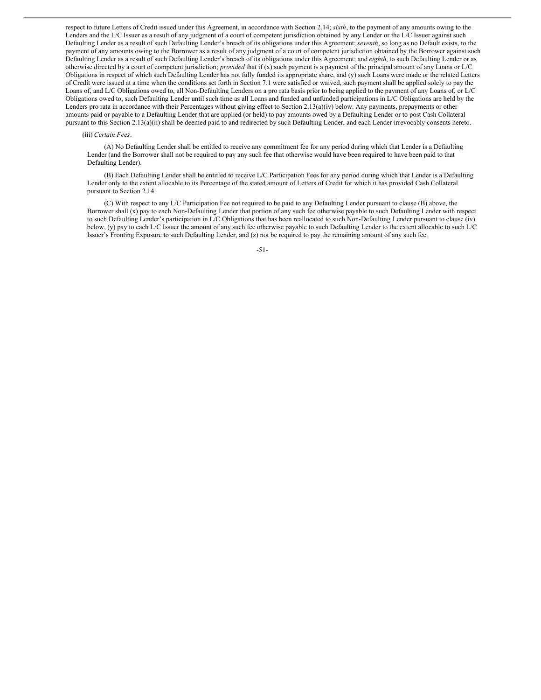respect to future Letters of Credit issued under this Agreement, in accordance with Section 2.14; *sixth*, to the payment of any amounts owing to the Lenders and the L/C Issuer as a result of any judgment of a court of competent jurisdiction obtained by any Lender or the L/C Issuer against such Defaulting Lender as a result of such Defaulting Lender's breach of its obligations under this Agreement; *seventh*, so long as no Default exists, to the payment of any amounts owing to the Borrower as a result of any judgment of a court of competent jurisdiction obtained by the Borrower against such Defaulting Lender as a result of such Defaulting Lender's breach of its obligations under this Agreement; and *eighth*, to such Defaulting Lender or as otherwise directed by a court of competent jurisdiction; *provided* that if (x) such payment is a payment of the principal amount of any Loans or L/C Obligations in respect of which such Defaulting Lender has not fully funded its appropriate share, and (y) such Loans were made or the related Letters of Credit were issued at a time when the conditions set forth in Section 7.1 were satisfied or waived, such payment shall be applied solely to pay the Loans of, and L/C Obligations owed to, all Non-Defaulting Lenders on a pro rata basis prior to being applied to the payment of any Loans of, or L/C Obligations owed to, such Defaulting Lender until such time as all Loans and funded and unfunded participations in L/C Obligations are held by the Lenders pro rata in accordance with their Percentages without giving effect to Section 2.13(a)(iv) below. Any payments, prepayments or other amounts paid or payable to a Defaulting Lender that are applied (or held) to pay amounts owed by a Defaulting Lender or to post Cash Collateral pursuant to this Section 2.13(a)(ii) shall be deemed paid to and redirected by such Defaulting Lender, and each Lender irrevocably consents hereto.

# (iii) *Certain Fees*.

(A) No Defaulting Lender shall be entitled to receive any commitment fee for any period during which that Lender is a Defaulting Lender (and the Borrower shall not be required to pay any such fee that otherwise would have been required to have been paid to that Defaulting Lender).

(B) Each Defaulting Lender shall be entitled to receive L/C Participation Fees for any period during which that Lender is a Defaulting Lender only to the extent allocable to its Percentage of the stated amount of Letters of Credit for which it has provided Cash Collateral pursuant to Section 2.14.

(C) With respect to any L/C Participation Fee not required to be paid to any Defaulting Lender pursuant to clause (B) above, the Borrower shall (x) pay to each Non-Defaulting Lender that portion of any such fee otherwise payable to such Defaulting Lender with respect to such Defaulting Lender's participation in L/C Obligations that has been reallocated to such Non-Defaulting Lender pursuant to clause (iv) below, (y) pay to each L/C Issuer the amount of any such fee otherwise payable to such Defaulting Lender to the extent allocable to such L/C Issuer's Fronting Exposure to such Defaulting Lender, and (z) not be required to pay the remaining amount of any such fee.

-51-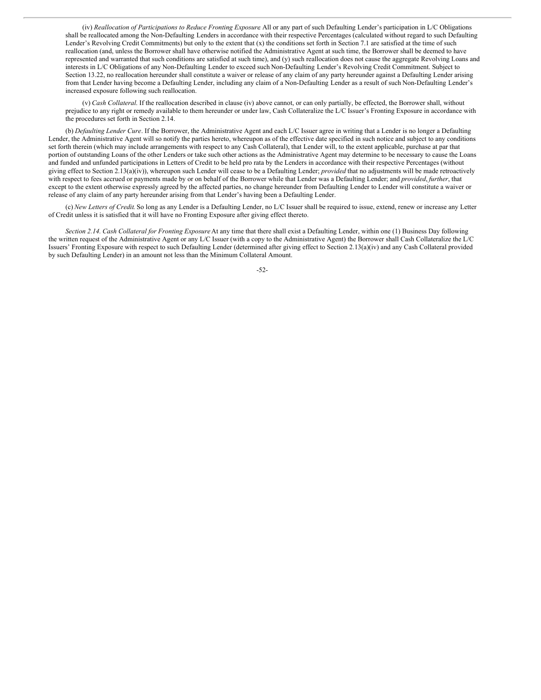(iv) *Reallocation of Participations to Reduce Fronting Exposure*. All or any part of such Defaulting Lender's participation in L/C Obligations shall be reallocated among the Non-Defaulting Lenders in accordance with their respective Percentages (calculated without regard to such Defaulting Lender's Revolving Credit Commitments) but only to the extent that  $(x)$  the conditions set forth in Section 7.1 are satisfied at the time of such reallocation (and, unless the Borrower shall have otherwise notified the Administrative Agent at such time, the Borrower shall be deemed to have represented and warranted that such conditions are satisfied at such time), and  $(y)$  such reallocation does not cause the aggregate Revolving Loans and interests in L/C Obligations of any Non-Defaulting Lender to exceed such Non-Defaulting Lender's Revolving Credit Commitment. Subject to Section 13.22, no reallocation hereunder shall constitute a waiver or release of any claim of any party hereunder against a Defaulting Lender arising from that Lender having become a Defaulting Lender, including any claim of a Non-Defaulting Lender as a result of such Non-Defaulting Lender's increased exposure following such reallocation.

(v) *Cash Collateral*. If the reallocation described in clause (iv) above cannot, or can only partially, be effected, the Borrower shall, without prejudice to any right or remedy available to them hereunder or under law, Cash Collateralize the L/C Issuer's Fronting Exposure in accordance with the procedures set forth in Section 2.14.

(b) *Defaulting Lender Cure*. If the Borrower, the Administrative Agent and each L/C Issuer agree in writing that a Lender is no longer a Defaulting Lender, the Administrative Agent will so notify the parties hereto, whereupon as of the effective date specified in such notice and subject to any conditions set forth therein (which may include arrangements with respect to any Cash Collateral), that Lender will, to the extent applicable, purchase at par that portion of outstanding Loans of the other Lenders or take such other actions as the Administrative Agent may determine to be necessary to cause the Loans and funded and unfunded participations in Letters of Credit to be held pro rata by the Lenders in accordance with their respective Percentages (without giving effect to Section 2.13(a)(iv)), whereupon such Lender will cease to be a Defaulting Lender; *provided* that no adjustments will be made retroactively with respect to fees accrued or payments made by or on behalf of the Borrower while that Lender was a Defaulting Lender; and *provided*, *further*, that except to the extent otherwise expressly agreed by the affected parties, no change hereunder from Defaulting Lender to Lender will constitute a waiver or release of any claim of any party hereunder arising from that Lender's having been a Defaulting Lender.

(c) *New Letters of Credit*. So long as any Lender is a Defaulting Lender, no L/C Issuer shall be required to issue, extend, renew or increase any Letter of Credit unless it is satisfied that it will have no Fronting Exposure after giving effect thereto.

*Section 2.14. Cash Collateral for Fronting Exposure*At any time that there shall exist a Defaulting Lender, within one (1) Business Day following the written request of the Administrative Agent or any L/C Issuer (with a copy to the Administrative Agent) the Borrower shall Cash Collateralize the L/C Issuers' Fronting Exposure with respect to such Defaulting Lender (determined after giving effect to Section 2.13(a)(iv) and any Cash Collateral provided by such Defaulting Lender) in an amount not less than the Minimum Collateral Amount.

-52-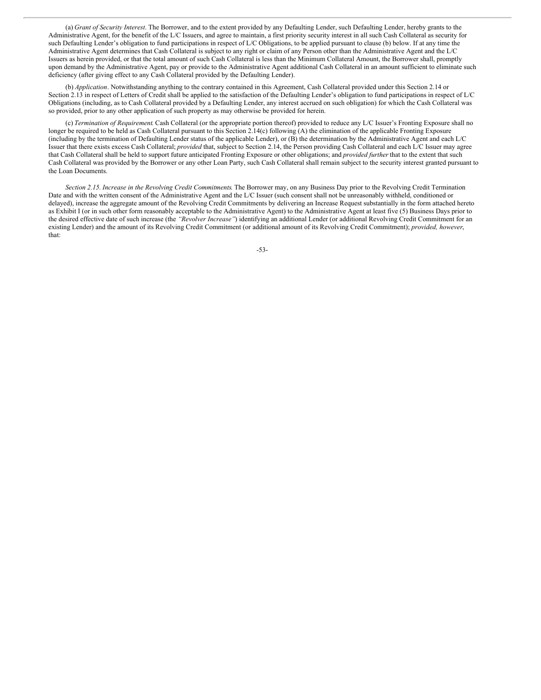(a) *Grant of Security Interest*. The Borrower, and to the extent provided by any Defaulting Lender, such Defaulting Lender, hereby grants to the Administrative Agent, for the benefit of the L/C Issuers, and agree to maintain, a first priority security interest in all such Cash Collateral as security for such Defaulting Lender's obligation to fund participations in respect of L/C Obligations, to be applied pursuant to clause (b) below. If at any time the Administrative Agent determines that Cash Collateral is subject to any right or claim of any Person other than the Administrative Agent and the L/C Issuers as herein provided, or that the total amount of such Cash Collateral is less than the Minimum Collateral Amount, the Borrower shall, promptly upon demand by the Administrative Agent, pay or provide to the Administrative Agent additional Cash Collateral in an amount sufficient to eliminate such deficiency (after giving effect to any Cash Collateral provided by the Defaulting Lender).

(b) *Application*. Notwithstanding anything to the contrary contained in this Agreement, Cash Collateral provided under this Section 2.14 or Section 2.13 in respect of Letters of Credit shall be applied to the satisfaction of the Defaulting Lender's obligation to fund participations in respect of L/C Obligations (including, as to Cash Collateral provided by a Defaulting Lender, any interest accrued on such obligation) for which the Cash Collateral was so provided, prior to any other application of such property as may otherwise be provided for herein.

(c) *Termination of Requirement*. Cash Collateral (or the appropriate portion thereof) provided to reduce any L/C Issuer's Fronting Exposure shall no longer be required to be held as Cash Collateral pursuant to this Section 2.14(c) following (A) the elimination of the applicable Fronting Exposure (including by the termination of Defaulting Lender status of the applicable Lender), or (B) the determination by the Administrative Agent and each L/C Issuer that there exists excess Cash Collateral; *provided* that, subject to Section 2.14, the Person providing Cash Collateral and each L/C Issuer may agree that Cash Collateral shall be held to support future anticipated Fronting Exposure or other obligations; and *provided further* that to the extent that such Cash Collateral was provided by the Borrower or any other Loan Party, such Cash Collateral shall remain subject to the security interest granted pursuant to the Loan Documents.

*Section 2.15. Increase in the Revolving Credit Commitments*. The Borrower may, on any Business Day prior to the Revolving Credit Termination Date and with the written consent of the Administrative Agent and the L/C Issuer (such consent shall not be unreasonably withheld, conditioned or delayed), increase the aggregate amount of the Revolving Credit Commitments by delivering an Increase Request substantially in the form attached hereto as Exhibit I (or in such other form reasonably acceptable to the Administrative Agent) to the Administrative Agent at least five (5) Business Days prior to the desired effective date of such increase (the *"Revolver Increase"*) identifying an additional Lender (or additional Revolving Credit Commitment for an existing Lender) and the amount of its Revolving Credit Commitment (or additional amount of its Revolving Credit Commitment); *provided, however*, that:

-53-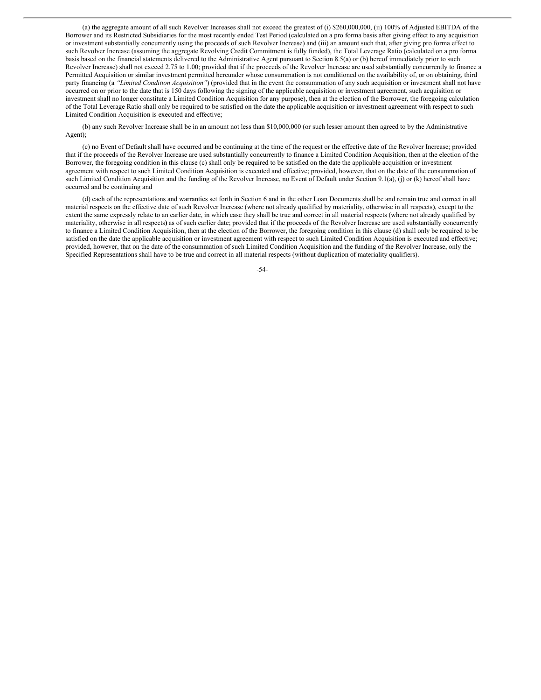(a) the aggregate amount of all such Revolver Increases shall not exceed the greatest of (i) \$260,000,000, (ii) 100% of Adjusted EBITDA of the Borrower and its Restricted Subsidiaries for the most recently ended Test Period (calculated on a pro forma basis after giving effect to any acquisition or investment substantially concurrently using the proceeds of such Revolver Increase) and (iii) an amount such that, after giving pro forma effect to such Revolver Increase (assuming the aggregate Revolving Credit Commitment is fully funded), the Total Leverage Ratio (calculated on a pro forma basis based on the financial statements delivered to the Administrative Agent pursuant to Section 8.5(a) or (b) hereof immediately prior to such Revolver Increase) shall not exceed 2.75 to 1.00; provided that if the proceeds of the Revolver Increase are used substantially concurrently to finance a Permitted Acquisition or similar investment permitted hereunder whose consummation is not conditioned on the availability of, or on obtaining, third party financing (a *"Limited Condition Acquisition"*) (provided that in the event the consummation of any such acquisition or investment shall not have occurred on or prior to the date that is 150 days following the signing of the applicable acquisition or investment agreement, such acquisition or investment shall no longer constitute a Limited Condition Acquisition for any purpose), then at the election of the Borrower, the foregoing calculation of the Total Leverage Ratio shall only be required to be satisfied on the date the applicable acquisition or investment agreement with respect to such Limited Condition Acquisition is executed and effective;

(b) any such Revolver Increase shall be in an amount not less than \$10,000,000 (or such lesser amount then agreed to by the Administrative Agent);

(c) no Event of Default shall have occurred and be continuing at the time of the request or the effective date of the Revolver Increase; provided that if the proceeds of the Revolver Increase are used substantially concurrently to finance a Limited Condition Acquisition, then at the election of the Borrower, the foregoing condition in this clause (c) shall only be required to be satisfied on the date the applicable acquisition or investment agreement with respect to such Limited Condition Acquisition is executed and effective; provided, however, that on the date of the consummation of such Limited Condition Acquisition and the funding of the Revolver Increase, no Event of Default under Section 9.1(a), (j) or (k) hereof shall have occurred and be continuing and

(d) each of the representations and warranties set forth in Section 6 and in the other Loan Documents shall be and remain true and correct in all material respects on the effective date of such Revolver Increase (where not already qualified by materiality, otherwise in all respects**)**, except to the extent the same expressly relate to an earlier date, in which case they shall be true and correct in all material respects (where not already qualified by materiality, otherwise in all respects**)** as of such earlier date; provided that if the proceeds of the Revolver Increase are used substantially concurrently to finance a Limited Condition Acquisition, then at the election of the Borrower, the foregoing condition in this clause (d) shall only be required to be satisfied on the date the applicable acquisition or investment agreement with respect to such Limited Condition Acquisition is executed and effective; provided, however, that on the date of the consummation of such Limited Condition Acquisition and the funding of the Revolver Increase, only the Specified Representations shall have to be true and correct in all material respects (without duplication of materiality qualifiers).

-54-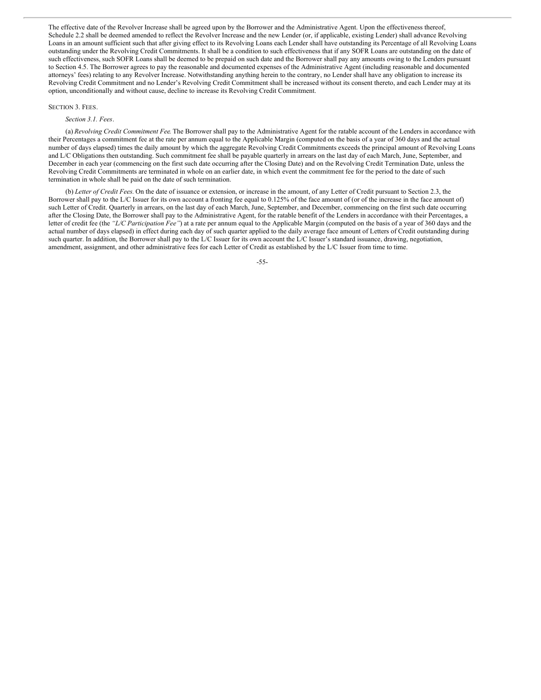The effective date of the Revolver Increase shall be agreed upon by the Borrower and the Administrative Agent. Upon the effectiveness thereof, Schedule 2.2 shall be deemed amended to reflect the Revolver Increase and the new Lender (or, if applicable, existing Lender) shall advance Revolving Loans in an amount sufficient such that after giving effect to its Revolving Loans each Lender shall have outstanding its Percentage of all Revolving Loans outstanding under the Revolving Credit Commitments. It shall be a condition to such effectiveness that if any SOFR Loans are outstanding on the date of such effectiveness, such SOFR Loans shall be deemed to be prepaid on such date and the Borrower shall pay any amounts owing to the Lenders pursuant to Section 4.5. The Borrower agrees to pay the reasonable and documented expenses of the Administrative Agent (including reasonable and documented attorneys' fees) relating to any Revolver Increase. Notwithstanding anything herein to the contrary, no Lender shall have any obligation to increase its Revolving Credit Commitment and no Lender's Revolving Credit Commitment shall be increased without its consent thereto, and each Lender may at its option, unconditionally and without cause, decline to increase its Revolving Credit Commitment.

### SECTION 3. FEES.

### *Section 3.1. Fees*.

(a) *Revolving Credit Commitment Fee*. The Borrower shall pay to the Administrative Agent for the ratable account of the Lenders in accordance with their Percentages a commitment fee at the rate per annum equal to the Applicable Margin (computed on the basis of a year of 360 days and the actual number of days elapsed) times the daily amount by which the aggregate Revolving Credit Commitments exceeds the principal amount of Revolving Loans and L/C Obligations then outstanding. Such commitment fee shall be payable quarterly in arrears on the last day of each March, June, September, and December in each year (commencing on the first such date occurring after the Closing Date) and on the Revolving Credit Termination Date, unless the Revolving Credit Commitments are terminated in whole on an earlier date, in which event the commitment fee for the period to the date of such termination in whole shall be paid on the date of such termination.

(b) *Letter of Credit Fees.* On the date of issuance or extension, or increase in the amount, of any Letter of Credit pursuant to Section 2.3, the Borrower shall pay to the L/C Issuer for its own account a fronting fee equal to 0.125% of the face amount of (or of the increase in the face amount of) such Letter of Credit. Quarterly in arrears, on the last day of each March, June, September, and December, commencing on the first such date occurring after the Closing Date, the Borrower shall pay to the Administrative Agent, for the ratable benefit of the Lenders in accordance with their Percentages, a letter of credit fee (the *"L/C Participation Fee"*) at a rate per annum equal to the Applicable Margin (computed on the basis of a year of 360 days and the actual number of days elapsed) in effect during each day of such quarter applied to the daily average face amount of Letters of Credit outstanding during such quarter. In addition, the Borrower shall pay to the L/C Issuer for its own account the L/C Issuer's standard issuance, drawing, negotiation, amendment, assignment, and other administrative fees for each Letter of Credit as established by the L/C Issuer from time to time.

-55-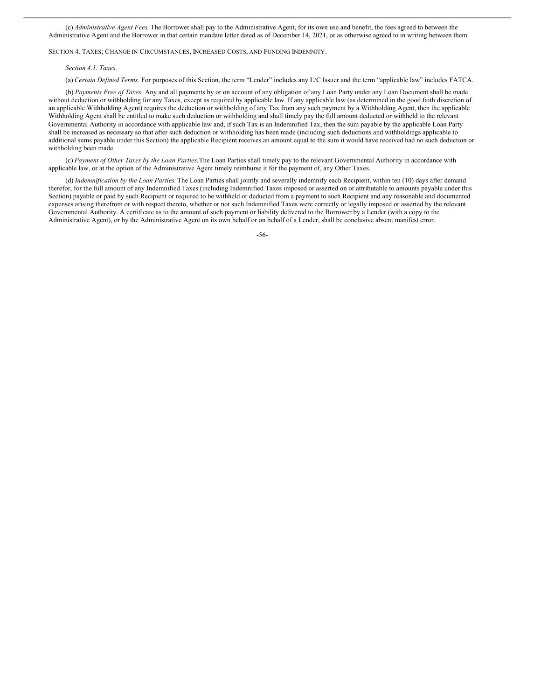(c) *Administrative Agent Fees*. The Borrower shall pay to the Administrative Agent, for its own use and benefit, the fees agreed to between the Administrative Agent and the Borrower in that certain mandate letter dated as of December 14, 2021, or as otherwise agreed to in writing between them.

SECTION 4. TAXES; CHANGE IN CIRCUMSTANCES, INCREASED COSTS, AND FUNDING INDEMNITY.

## *Section 4.1. Taxes*.

(a) *Certain Defined Terms.* For purposes of this Section, the term "Lender" includes any L/C Issuer and the term "applicable law" includes FATCA.

(b) *Payments Free of Taxes.* Any and all payments by or on account of any obligation of any Loan Party under any Loan Document shall be made without deduction or withholding for any Taxes, except as required by applicable law. If any applicable law (as determined in the good faith discretion of an applicable Withholding Agent) requires the deduction or withholding of any Tax from any such payment by a Withholding Agent, then the applicable Withholding Agent shall be entitled to make such deduction or withholding and shall timely pay the full amount deducted or withheld to the relevant Governmental Authority in accordance with applicable law and, if such Tax is an Indemnified Tax, then the sum payable by the applicable Loan Party shall be increased as necessary so that after such deduction or withholding has been made (including such deductions and withholdings applicable to additional sums payable under this Section) the applicable Recipient receives an amount equal to the sum it would have received had no such deduction or withholding been made.

(c) *Payment of Other Taxes by the Loan Parties.*The Loan Parties shall timely pay to the relevant Governmental Authority in accordance with applicable law, or at the option of the Administrative Agent timely reimburse it for the payment of, any Other Taxes.

(d) *Indemnification by the Loan Parties.* The Loan Parties shall jointly and severally indemnify each Recipient, within ten (10) days after demand therefor, for the full amount of any Indemnified Taxes (including Indemnified Taxes imposed or asserted on or attributable to amounts payable under this Section) payable or paid by such Recipient or required to be withheld or deducted from a payment to such Recipient and any reasonable and documented expenses arising therefrom or with respect thereto, whether or not such Indemnified Taxes were correctly or legally imposed or asserted by the relevant Governmental Authority. A certificate as to the amount of such payment or liability delivered to the Borrower by a Lender (with a copy to the Administrative Agent), or by the Administrative Agent on its own behalf or on behalf of a Lender, shall be conclusive absent manifest error.

-56-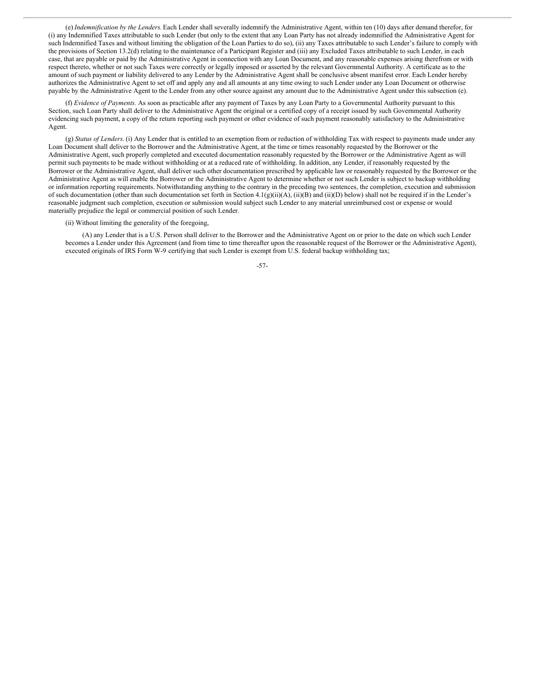(e) *Indemnification by the Lenders.*Each Lender shall severally indemnify the Administrative Agent, within ten (10) days after demand therefor, for (i) any Indemnified Taxes attributable to such Lender (but only to the extent that any Loan Party has not already indemnified the Administrative Agent for such Indemnified Taxes and without limiting the obligation of the Loan Parties to do so), (ii) any Taxes attributable to such Lender's failure to comply with the provisions of Section 13.2(d) relating to the maintenance of a Participant Register and (iii) any Excluded Taxes attributable to such Lender, in each case, that are payable or paid by the Administrative Agent in connection with any Loan Document, and any reasonable expenses arising therefrom or with respect thereto, whether or not such Taxes were correctly or legally imposed or asserted by the relevant Governmental Authority. A certificate as to the amount of such payment or liability delivered to any Lender by the Administrative Agent shall be conclusive absent manifest error. Each Lender hereby authorizes the Administrative Agent to set off and apply any and all amounts at any time owing to such Lender under any Loan Document or otherwise payable by the Administrative Agent to the Lender from any other source against any amount due to the Administrative Agent under this subsection (e).

(f) *Evidence of Payments.* As soon as practicable after any payment of Taxes by any Loan Party to a Governmental Authority pursuant to this Section, such Loan Party shall deliver to the Administrative Agent the original or a certified copy of a receipt issued by such Governmental Authority evidencing such payment, a copy of the return reporting such payment or other evidence of such payment reasonably satisfactory to the Administrative Agent.

(g) *Status of Lenders.* (i) Any Lender that is entitled to an exemption from or reduction of withholding Tax with respect to payments made under any Loan Document shall deliver to the Borrower and the Administrative Agent, at the time or times reasonably requested by the Borrower or the Administrative Agent, such properly completed and executed documentation reasonably requested by the Borrower or the Administrative Agent as will permit such payments to be made without withholding or at a reduced rate of withholding. In addition, any Lender, if reasonably requested by the Borrower or the Administrative Agent, shall deliver such other documentation prescribed by applicable law or reasonably requested by the Borrower or the Administrative Agent as will enable the Borrower or the Administrative Agent to determine whether or not such Lender is subject to backup withholding or information reporting requirements. Notwithstanding anything to the contrary in the preceding two sentences, the completion, execution and submission of such documentation (other than such documentation set forth in Section 4.1(g)(ii)(A), (ii)(B) and (ii)(D) below) shall not be required if in the Lender's reasonable judgment such completion, execution or submission would subject such Lender to any material unreimbursed cost or expense or would materially prejudice the legal or commercial position of such Lender.

## (ii) Without limiting the generality of the foregoing,

(A) any Lender that is a U.S. Person shall deliver to the Borrower and the Administrative Agent on or prior to the date on which such Lender becomes a Lender under this Agreement (and from time to time thereafter upon the reasonable request of the Borrower or the Administrative Agent), executed originals of IRS Form W-9 certifying that such Lender is exempt from U.S. federal backup withholding tax;

-57-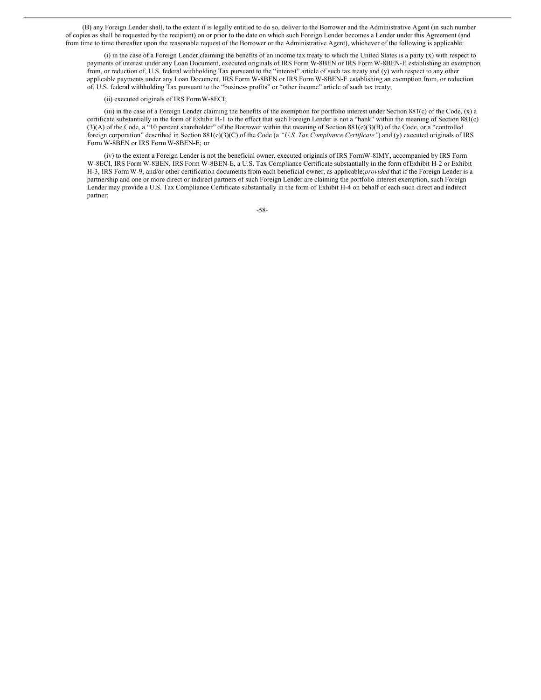(B) any Foreign Lender shall, to the extent it is legally entitled to do so, deliver to the Borrower and the Administrative Agent (in such number of copies as shall be requested by the recipient) on or prior to the date on which such Foreign Lender becomes a Lender under this Agreement (and from time to time thereafter upon the reasonable request of the Borrower or the Administrative Agent), whichever of the following is applicable:

(i) in the case of a Foreign Lender claiming the benefits of an income tax treaty to which the United States is a party (x) with respect to payments of interest under any Loan Document, executed originals of IRS Form W-8BEN or IRS Form W-8BEN-E establishing an exemption from, or reduction of, U.S. federal withholding Tax pursuant to the "interest" article of such tax treaty and (y) with respect to any other applicable payments under any Loan Document, IRS Form W-8BEN or IRS Form W-8BEN-E establishing an exemption from, or reduction of, U.S. federal withholding Tax pursuant to the "business profits" or "other income" article of such tax treaty;

#### (ii) executed originals of IRS FormW-8ECI;

(iii) in the case of a Foreign Lender claiming the benefits of the exemption for portfolio interest under Section 881(c) of the Code, (x) a certificate substantially in the form of Exhibit H-1 to the effect that such Foreign Lender is not a "bank" within the meaning of Section 881(c) (3)(A) of the Code, a "10 percent shareholder" of the Borrower within the meaning of Section 881(c)(3)(B) of the Code, or a "controlled foreign corporation" described in Section 881(c)(3)(C) of the Code (a *"U.S. Tax Compliance Certificate"*) and (y) executed originals of IRS Form W-8BEN or IRS Form W-8BEN-E; or

(iv) to the extent a Foreign Lender is not the beneficial owner, executed originals of IRS FormW-8IMY, accompanied by IRS Form W-8ECI, IRS Form W-8BEN, IRS Form W-8BEN-E, a U.S. Tax Compliance Certificate substantially in the form ofExhibit H-2 or Exhibit H-3, IRS Form W-9, and/or other certification documents from each beneficial owner, as applicable;*provided* that if the Foreign Lender is a partnership and one or more direct or indirect partners of such Foreign Lender are claiming the portfolio interest exemption, such Foreign Lender may provide a U.S. Tax Compliance Certificate substantially in the form of Exhibit H-4 on behalf of each such direct and indirect partner;

<sup>-58-</sup>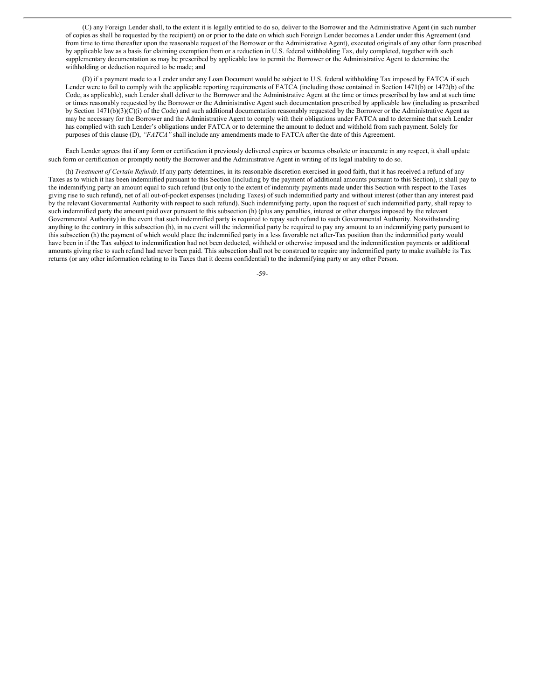(C) any Foreign Lender shall, to the extent it is legally entitled to do so, deliver to the Borrower and the Administrative Agent (in such number of copies as shall be requested by the recipient) on or prior to the date on which such Foreign Lender becomes a Lender under this Agreement (and from time to time thereafter upon the reasonable request of the Borrower or the Administrative Agent), executed originals of any other form prescribed by applicable law as a basis for claiming exemption from or a reduction in U.S. federal withholding Tax, duly completed, together with such supplementary documentation as may be prescribed by applicable law to permit the Borrower or the Administrative Agent to determine the withholding or deduction required to be made; and

(D) if a payment made to a Lender under any Loan Document would be subject to U.S. federal withholding Tax imposed by FATCA if such Lender were to fail to comply with the applicable reporting requirements of FATCA (including those contained in Section 1471(b) or 1472(b) of the Code, as applicable), such Lender shall deliver to the Borrower and the Administrative Agent at the time or times prescribed by law and at such time or times reasonably requested by the Borrower or the Administrative Agent such documentation prescribed by applicable law (including as prescribed by Section 1471(b)(3)(C)(i) of the Code) and such additional documentation reasonably requested by the Borrower or the Administrative Agent as may be necessary for the Borrower and the Administrative Agent to comply with their obligations under FATCA and to determine that such Lender has complied with such Lender's obligations under FATCA or to determine the amount to deduct and withhold from such payment. Solely for purposes of this clause (D), *"FATCA"* shall include any amendments made to FATCA after the date of this Agreement.

Each Lender agrees that if any form or certification it previously delivered expires or becomes obsolete or inaccurate in any respect, it shall update such form or certification or promptly notify the Borrower and the Administrative Agent in writing of its legal inability to do so.

(h) *Treatment of Certain Refunds.*If any party determines, in its reasonable discretion exercised in good faith, that it has received a refund of any Taxes as to which it has been indemnified pursuant to this Section (including by the payment of additional amounts pursuant to this Section), it shall pay to the indemnifying party an amount equal to such refund (but only to the extent of indemnity payments made under this Section with respect to the Taxes giving rise to such refund), net of all out-of-pocket expenses (including Taxes) of such indemnified party and without interest (other than any interest paid by the relevant Governmental Authority with respect to such refund). Such indemnifying party, upon the request of such indemnified party, shall repay to such indemnified party the amount paid over pursuant to this subsection (h) (plus any penalties, interest or other charges imposed by the relevant Governmental Authority) in the event that such indemnified party is required to repay such refund to such Governmental Authority. Notwithstanding anything to the contrary in this subsection (h), in no event will the indemnified party be required to pay any amount to an indemnifying party pursuant to this subsection (h) the payment of which would place the indemnified party in a less favorable net after-Tax position than the indemnified party would have been in if the Tax subject to indemnification had not been deducted, withheld or otherwise imposed and the indemnification payments or additional amounts giving rise to such refund had never been paid. This subsection shall not be construed to require any indemnified party to make available its Tax returns (or any other information relating to its Taxes that it deems confidential) to the indemnifying party or any other Person.

-59-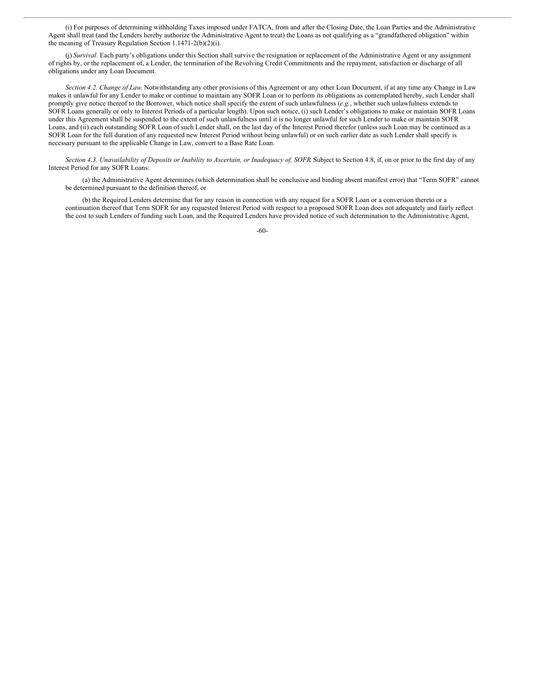(i) For purposes of determining withholding Taxes imposed under FATCA, from and after the Closing Date, the Loan Parties and the Administrative Agent shall treat (and the Lenders hereby authorize the Administrative Agent to treat) the Loans as not qualifying as a "grandfathered obligation" within the meaning of Treasury Regulation Section 1.1471-2(b)(2)(i).

(j) *Survival.* Each party's obligations under this Section shall survive the resignation or replacement of the Administrative Agent or any assignment of rights by, or the replacement of, a Lender, the termination of the Revolving Credit Commitments and the repayment, satisfaction or discharge of all obligations under any Loan Document.

*Section 4.2. Change of Law*. Notwithstanding any other provisions of this Agreement or any other Loan Document, if at any time any Change in Law makes it unlawful for any Lender to make or continue to maintain any SOFR Loan or to perform its obligations as contemplated hereby, such Lender shall promptly give notice thereof to the Borrower, which notice shall specify the extent of such unlawfulness (*e.g.*, whether such unlawfulness extends to SOFR Loans generally or only to Interest Periods of a particular length). Upon such notice, (i) such Lender's obligations to make or maintain SOFR Loans under this Agreement shall be suspended to the extent of such unlawfulness until it is no longer unlawful for such Lender to make or maintain SOFR Loans, and (ii) each outstanding SOFR Loan of such Lender shall, on the last day of the Interest Period therefor (unless such Loan may be continued as a SOFR Loan for the full duration of any requested new Interest Period without being unlawful) or on such earlier date as such Lender shall specify is necessary pursuant to the applicable Change in Law, convert to a Base Rate Loan.

Section 4.3. Unavailability of Deposits or Inability to Ascertain, or Inadequacy of, SOFR Subject to Section 4.8, if, on or prior to the first day of any Interest Period for any SOFR Loans:

(a) the Administrative Agent determines (which determination shall be conclusive and binding absent manifest error) that "Term SOFR" cannot be determined pursuant to the definition thereof, or

(b) the Required Lenders determine that for any reason in connection with any request for a SOFR Loan or a conversion thereto or a continuation thereof that Term SOFR for any requested Interest Period with respect to a proposed SOFR Loan does not adequately and fairly reflect the cost to such Lenders of funding such Loan, and the Required Lenders have provided notice of such determination to the Administrative Agent,

-60-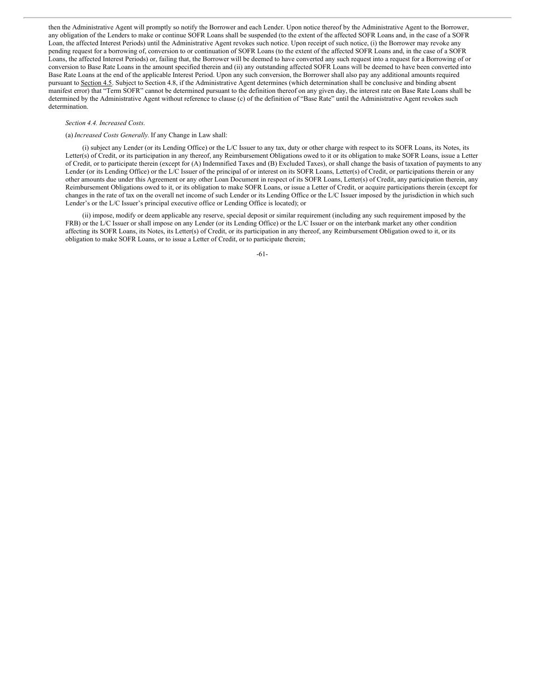then the Administrative Agent will promptly so notify the Borrower and each Lender. Upon notice thereof by the Administrative Agent to the Borrower, any obligation of the Lenders to make or continue SOFR Loans shall be suspended (to the extent of the affected SOFR Loans and, in the case of a SOFR Loan, the affected Interest Periods) until the Administrative Agent revokes such notice. Upon receipt of such notice, (i) the Borrower may revoke any pending request for a borrowing of, conversion to or continuation of SOFR Loans (to the extent of the affected SOFR Loans and, in the case of a SOFR Loans, the affected Interest Periods) or, failing that, the Borrower will be deemed to have converted any such request into a request for a Borrowing of or conversion to Base Rate Loans in the amount specified therein and (ii) any outstanding affected SOFR Loans will be deemed to have been converted into Base Rate Loans at the end of the applicable Interest Period. Upon any such conversion, the Borrower shall also pay any additional amounts required pursuant to Section 4.5. Subject to Section 4.8, if the Administrative Agent determines (which determination shall be conclusive and binding absent manifest error) that "Term SOFR" cannot be determined pursuant to the definition thereof on any given day, the interest rate on Base Rate Loans shall be determined by the Administrative Agent without reference to clause (c) of the definition of "Base Rate" until the Administrative Agent revokes such determination.

#### *Section 4.4. Increased Costs*.

## (a) *Increased Costs Generally.* If any Change in Law shall:

(i) subject any Lender (or its Lending Office) or the L/C Issuer to any tax, duty or other charge with respect to its SOFR Loans, its Notes, its Letter(s) of Credit, or its participation in any thereof, any Reimbursement Obligations owed to it or its obligation to make SOFR Loans, issue a Letter of Credit, or to participate therein (except for (A) Indemnified Taxes and (B) Excluded Taxes), or shall change the basis of taxation of payments to any Lender (or its Lending Office) or the L/C Issuer of the principal of or interest on its SOFR Loans, Letter(s) of Credit, or participations therein or any other amounts due under this Agreement or any other Loan Document in respect of its SOFR Loans, Letter(s) of Credit, any participation therein, any Reimbursement Obligations owed to it, or its obligation to make SOFR Loans, or issue a Letter of Credit, or acquire participations therein (except for changes in the rate of tax on the overall net income of such Lender or its Lending Office or the L/C Issuer imposed by the jurisdiction in which such Lender's or the L/C Issuer's principal executive office or Lending Office is located); or

(ii) impose, modify or deem applicable any reserve, special deposit or similar requirement (including any such requirement imposed by the FRB) or the L/C Issuer or shall impose on any Lender (or its Lending Office) or the L/C Issuer or on the interbank market any other condition affecting its SOFR Loans, its Notes, its Letter(s) of Credit, or its participation in any thereof, any Reimbursement Obligation owed to it, or its obligation to make SOFR Loans, or to issue a Letter of Credit, or to participate therein;

-61-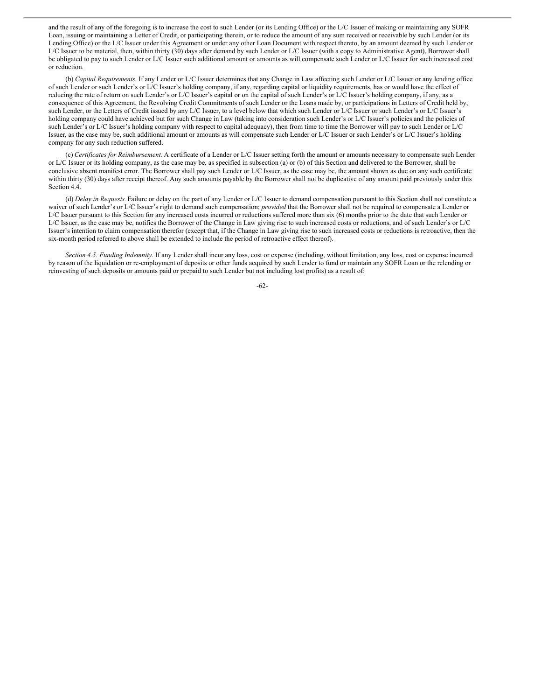and the result of any of the foregoing is to increase the cost to such Lender (or its Lending Office) or the L/C Issuer of making or maintaining any SOFR Loan, issuing or maintaining a Letter of Credit, or participating therein, or to reduce the amount of any sum received or receivable by such Lender (or its Lending Office) or the L/C Issuer under this Agreement or under any other Loan Document with respect thereto, by an amount deemed by such Lender or L/C Issuer to be material, then, within thirty (30) days after demand by such Lender or L/C Issuer (with a copy to Administrative Agent), Borrower shall be obligated to pay to such Lender or L/C Issuer such additional amount or amounts as will compensate such Lender or L/C Issuer for such increased cost or reduction.

(b) *Capital Requirements.* If any Lender or L/C Issuer determines that any Change in Law affecting such Lender or L/C Issuer or any lending office of such Lender or such Lender's or L/C Issuer's holding company, if any, regarding capital or liquidity requirements, has or would have the effect of reducing the rate of return on such Lender's or L/C Issuer's capital or on the capital of such Lender's or L/C Issuer's holding company, if any, as a consequence of this Agreement, the Revolving Credit Commitments of such Lender or the Loans made by, or participations in Letters of Credit held by, such Lender, or the Letters of Credit issued by any L/C Issuer, to a level below that which such Lender or L/C Issuer or such Lender's or L/C Issuer's holding company could have achieved but for such Change in Law (taking into consideration such Lender's or L/C Issuer's policies and the policies of such Lender's or L/C Issuer's holding company with respect to capital adequacy), then from time to time the Borrower will pay to such Lender or L/C Issuer, as the case may be, such additional amount or amounts as will compensate such Lender or L/C Issuer or such Lender's or L/C Issuer's holding company for any such reduction suffered.

(c) *Certificates for Reimbursement.* A certificate of a Lender or L/C Issuer setting forth the amount or amounts necessary to compensate such Lender or L/C Issuer or its holding company, as the case may be, as specified in subsection (a) or (b) of this Section and delivered to the Borrower, shall be conclusive absent manifest error. The Borrower shall pay such Lender or L/C Issuer, as the case may be, the amount shown as due on any such certificate within thirty (30) days after receipt thereof. Any such amounts payable by the Borrower shall not be duplicative of any amount paid previously under this Section 4.4.

(d) *Delay in Requests.* Failure or delay on the part of any Lender or L/C Issuer to demand compensation pursuant to this Section shall not constitute a waiver of such Lender's or L/C Issuer's right to demand such compensation; *provided* that the Borrower shall not be required to compensate a Lender or L/C Issuer pursuant to this Section for any increased costs incurred or reductions suffered more than six (6) months prior to the date that such Lender or L/C Issuer, as the case may be, notifies the Borrower of the Change in Law giving rise to such increased costs or reductions, and of such Lender's or L/C Issuer's intention to claim compensation therefor (except that, if the Change in Law giving rise to such increased costs or reductions is retroactive, then the six-month period referred to above shall be extended to include the period of retroactive effect thereof).

*Section 4.5. Funding Indemnity*. If any Lender shall incur any loss, cost or expense (including, without limitation, any loss, cost or expense incurred by reason of the liquidation or re-employment of deposits or other funds acquired by such Lender to fund or maintain any SOFR Loan or the relending or reinvesting of such deposits or amounts paid or prepaid to such Lender but not including lost profits) as a result of:

-62-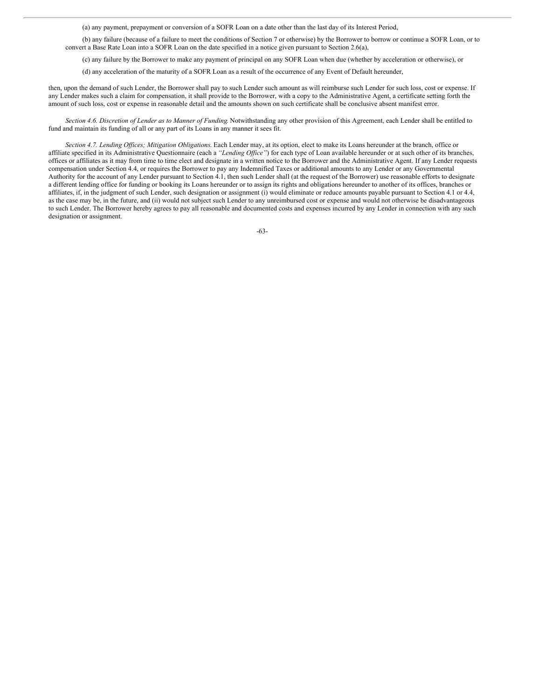(a) any payment, prepayment or conversion of a SOFR Loan on a date other than the last day of its Interest Period,

(b) any failure (because of a failure to meet the conditions of Section 7 or otherwise) by the Borrower to borrow or continue a SOFR Loan, or to convert a Base Rate Loan into a SOFR Loan on the date specified in a notice given pursuant to Section 2.6(a),

(c) any failure by the Borrower to make any payment of principal on any SOFR Loan when due (whether by acceleration or otherwise), or

(d) any acceleration of the maturity of a SOFR Loan as a result of the occurrence of any Event of Default hereunder,

then, upon the demand of such Lender, the Borrower shall pay to such Lender such amount as will reimburse such Lender for such loss, cost or expense. If any Lender makes such a claim for compensation, it shall provide to the Borrower, with a copy to the Administrative Agent, a certificate setting forth the amount of such loss, cost or expense in reasonable detail and the amounts shown on such certificate shall be conclusive absent manifest error.

*Section 4.6. Discretion of Lender as to Manner of Funding*. Notwithstanding any other provision of this Agreement, each Lender shall be entitled to fund and maintain its funding of all or any part of its Loans in any manner it sees fit.

*Section 4.7. Lending Of ices; Mitigation Obligations*. Each Lender may, at its option, elect to make its Loans hereunder at the branch, office or affiliate specified in its Administrative Questionnaire (each a "Lending Office") for each type of Loan available hereunder or at such other of its branches, offices or affiliates as it may from time to time elect and designate in a written notice to the Borrower and the Administrative Agent. If any Lender requests compensation under Section 4.4, or requires the Borrower to pay any Indemnified Taxes or additional amounts to any Lender or any Governmental Authority for the account of any Lender pursuant to Section 4.1, then such Lender shall (at the request of the Borrower) use reasonable efforts to designate a different lending office for funding or booking its Loans hereunder or to assign its rights and obligations hereunder to another of its offices, branches or affiliates, if, in the judgment of such Lender, such designation or assignment (i) would eliminate or reduce amounts payable pursuant to Section 4.1 or 4.4, as the case may be, in the future, and (ii) would not subject such Lender to any unreimbursed cost or expense and would not otherwise be disadvantageous to such Lender. The Borrower hereby agrees to pay all reasonable and documented costs and expenses incurred by any Lender in connection with any such designation or assignment.

-63-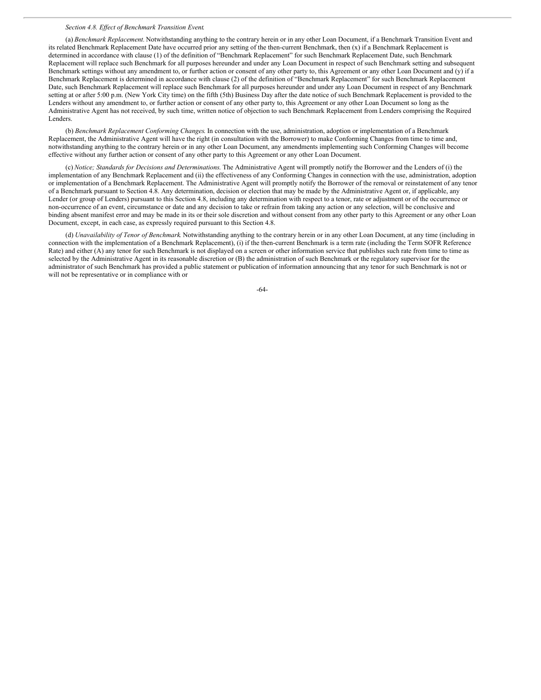### *Section 4.8. Ef ect of Benchmark Transition Event*.

(a) *Benchmark Replacement.* Notwithstanding anything to the contrary herein or in any other Loan Document, if a Benchmark Transition Event and its related Benchmark Replacement Date have occurred prior any setting of the then-current Benchmark, then (x) if a Benchmark Replacement is determined in accordance with clause (1) of the definition of "Benchmark Replacement" for such Benchmark Replacement Date, such Benchmark Replacement will replace such Benchmark for all purposes hereunder and under any Loan Document in respect of such Benchmark setting and subsequent Benchmark settings without any amendment to, or further action or consent of any other party to, this Agreement or any other Loan Document and (y) if a Benchmark Replacement is determined in accordance with clause (2) of the definition of "Benchmark Replacement" for such Benchmark Replacement Date, such Benchmark Replacement will replace such Benchmark for all purposes hereunder and under any Loan Document in respect of any Benchmark setting at or after 5:00 p.m. (New York City time) on the fifth (5th) Business Day after the date notice of such Benchmark Replacement is provided to the Lenders without any amendment to, or further action or consent of any other party to, this Agreement or any other Loan Document so long as the Administrative Agent has not received, by such time, written notice of objection to such Benchmark Replacement from Lenders comprising the Required Lenders.

(b) *Benchmark Replacement Conforming Changes*. In connection with the use, administration, adoption or implementation of a Benchmark Replacement, the Administrative Agent will have the right (in consultation with the Borrower) to make Conforming Changes from time to time and, notwithstanding anything to the contrary herein or in any other Loan Document, any amendments implementing such Conforming Changes will become effective without any further action or consent of any other party to this Agreement or any other Loan Document.

(c) *Notice; Standards for Decisions and Determinations*. The Administrative Agent will promptly notify the Borrower and the Lenders of (i) the implementation of any Benchmark Replacement and (ii) the effectiveness of any Conforming Changes in connection with the use, administration, adoption or implementation of a Benchmark Replacement. The Administrative Agent will promptly notify the Borrower of the removal or reinstatement of any tenor of a Benchmark pursuant to Section 4.8. Any determination, decision or election that may be made by the Administrative Agent or, if applicable, any Lender (or group of Lenders) pursuant to this Section 4.8, including any determination with respect to a tenor, rate or adjustment or of the occurrence or non-occurrence of an event, circumstance or date and any decision to take or refrain from taking any action or any selection, will be conclusive and binding absent manifest error and may be made in its or their sole discretion and without consent from any other party to this Agreement or any other Loan Document, except, in each case, as expressly required pursuant to this Section 4.8.

(d) *Unavailability of Tenor of Benchmark*. Notwithstanding anything to the contrary herein or in any other Loan Document, at any time (including in connection with the implementation of a Benchmark Replacement), (i) if the then-current Benchmark is a term rate (including the Term SOFR Reference Rate) and either (A) any tenor for such Benchmark is not displayed on a screen or other information service that publishes such rate from time to time as selected by the Administrative Agent in its reasonable discretion or (B) the administration of such Benchmark or the regulatory supervisor for the administrator of such Benchmark has provided a public statement or publication of information announcing that any tenor for such Benchmark is not or will not be representative or in compliance with or

-64-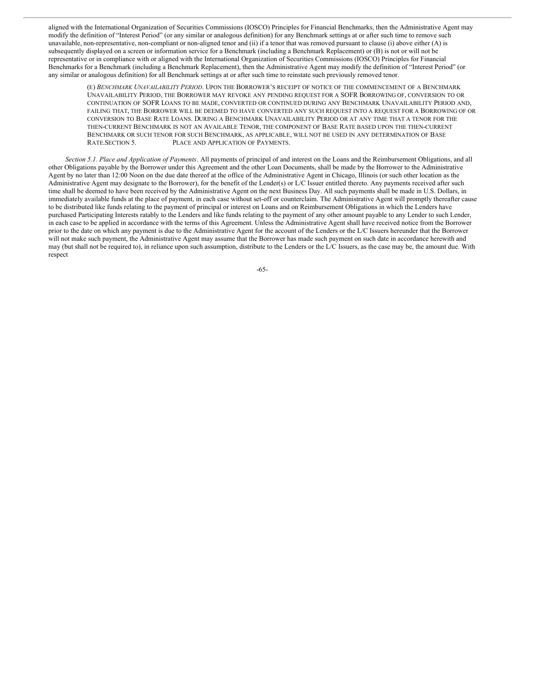aligned with the International Organization of Securities Commissions (IOSCO) Principles for Financial Benchmarks, then the Administrative Agent may modify the definition of "Interest Period" (or any similar or analogous definition) for any Benchmark settings at or after such time to remove such unavailable, non-representative, non-compliant or non-aligned tenor and (ii) if a tenor that was removed pursuant to clause (i) above either (A) is subsequently displayed on a screen or information service for a Benchmark (including a Benchmark Replacement) or (B) is not or will not be representative or in compliance with or aligned with the International Organization of Securities Commissions (IOSCO) Principles for Financial Benchmarks for a Benchmark (including a Benchmark Replacement), then the Administrative Agent may modify the definition of "Interest Period" (or any similar or analogous definition) for all Benchmark settings at or after such time to reinstate such previously removed tenor.

(E) *BENCHMARK UNAVAILABILITY PERIOD*. UPON THE BORROWER'S RECEIPT OF NOTICE OF THE COMMENCEMENT OF A BENCHMARK UNAVAILABILITY PERIOD, THE BORROWER MAY REVOKE ANY PENDING REQUEST FOR A SOFR BORROWING OF, CONVERSION TO OR CONTINUATION OF SOFR LOANS TO BE MADE, CONVERTED OR CONTINUED DURING ANY BENCHMARK UNAVAILABILITY PERIOD AND, FAILING THAT, THE BORROWER WILL BE DEEMED TO HAVE CONVERTED ANY SUCH REQUEST INTO A REQUEST FOR A BORROWING OF OR CONVERSION TO BASE RATE LOANS. DURING A BENCHMARK UNAVAILABILITY PERIOD OR AT ANY TIME THAT A TENOR FOR THE THEN-CURRENT BENCHMARK IS NOT AN AVAILABLE TENOR, THE COMPONENT OF BASE RATE BASED UPON THE THEN-CURRENT BENCHMARK OR SUCH TENOR FOR SUCH BENCHMARK, AS APPLICABLE, WILL NOT BE USED IN ANY DETERMINATION OF BASE RATE.SECTION 5. PLACE AND APPLICATION OF PAYMENTS.

*Section 5.1. Place and Application of Payments*. All payments of principal of and interest on the Loans and the Reimbursement Obligations, and all other Obligations payable by the Borrower under this Agreement and the other Loan Documents, shall be made by the Borrower to the Administrative Agent by no later than 12:00 Noon on the due date thereof at the office of the Administrative Agent in Chicago, Illinois (or such other location as the Administrative Agent may designate to the Borrower), for the benefit of the Lender(s) or L/C Issuer entitled thereto. Any payments received after such time shall be deemed to have been received by the Administrative Agent on the next Business Day. All such payments shall be made in U.S. Dollars, in immediately available funds at the place of payment, in each case without set-off or counterclaim. The Administrative Agent will promptly thereafter cause to be distributed like funds relating to the payment of principal or interest on Loans and on Reimbursement Obligations in which the Lenders have purchased Participating Interests ratably to the Lenders and like funds relating to the payment of any other amount payable to any Lender to such Lender, in each case to be applied in accordance with the terms of this Agreement. Unless the Administrative Agent shall have received notice from the Borrower prior to the date on which any payment is due to the Administrative Agent for the account of the Lenders or the L/C Issuers hereunder that the Borrower will not make such payment, the Administrative Agent may assume that the Borrower has made such payment on such date in accordance herewith and may (but shall not be required to), in reliance upon such assumption, distribute to the Lenders or the L/C Issuers, as the case may be, the amount due. With respect

-65-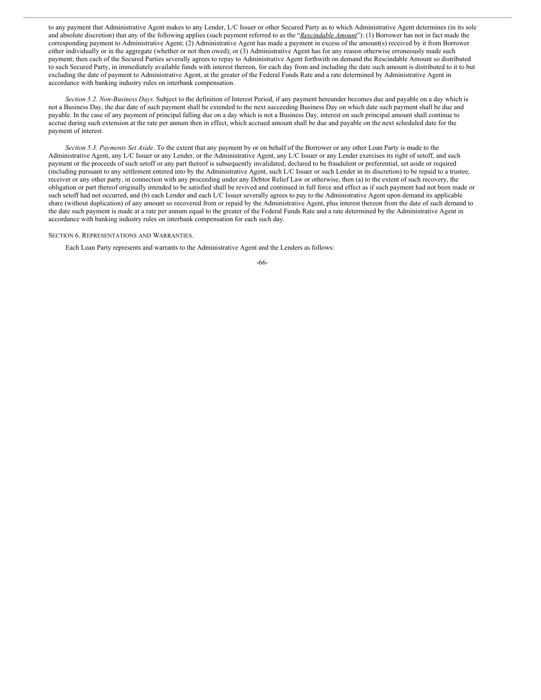to any payment that Administrative Agent makes to any Lender, L/C Issuer or other Secured Party as to which Administrative Agent determines (in its sole and absolute discretion) that any of the following applies (such payment referred to as the "*Rescindable Amount*"): (1) Borrower has not in fact made the corresponding payment to Administrative Agent; (2) Administrative Agent has made a payment in excess of the amount(s) received by it from Borrower either individually or in the aggregate (whether or not then owed); or (3) Administrative Agent has for any reason otherwise erroneously made such payment; then each of the Secured Parties severally agrees to repay to Administrative Agent forthwith on demand the Rescindable Amount so distributed to such Secured Party, in immediately available funds with interest thereon, for each day from and including the date such amount is distributed to it to but excluding the date of payment to Administrative Agent, at the greater of the Federal Funds Rate and a rate determined by Administrative Agent in accordance with banking industry rules on interbank compensation.

*Section 5.2. Non-Business Days.* Subject to the definition of Interest Period, if any payment hereunder becomes due and payable on a day which is not a Business Day, the due date of such payment shall be extended to the next succeeding Business Day on which date such payment shall be due and payable. In the case of any payment of principal falling due on a day which is not a Business Day, interest on such principal amount shall continue to accrue during such extension at the rate per annum then in effect, which accrued amount shall be due and payable on the next scheduled date for the payment of interest.

*Section 5.3. Payments Set Aside*. To the extent that any payment by or on behalf of the Borrower or any other Loan Party is made to the Administrative Agent, any L/C Issuer or any Lender, or the Administrative Agent, any L/C Issuer or any Lender exercises its right of setoff, and such payment or the proceeds of such setoff or any part thereof is subsequently invalidated, declared to be fraudulent or preferential, set aside or required (including pursuant to any settlement entered into by the Administrative Agent, such L/C Issuer or such Lender in its discretion) to be repaid to a trustee, receiver or any other party, in connection with any proceeding under any Debtor Relief Law or otherwise, then (a) to the extent of such recovery, the obligation or part thereof originally intended to be satisfied shall be revived and continued in full force and effect as if such payment had not been made or such setoff had not occurred, and (b) each Lender and each L/C Issuer severally agrees to pay to the Administrative Agent upon demand its applicable share (without duplication) of any amount so recovered from or repaid by the Administrative Agent, plus interest thereon from the date of such demand to the date such payment is made at a rate per annum equal to the greater of the Federal Funds Rate and a rate determined by the Administrative Agent in accordance with banking industry rules on interbank compensation for each such day.

SECTION 6. REPRESENTATIONS AND WARRANTIES.

Each Loan Party represents and warrants to the Administrative Agent and the Lenders as follows:

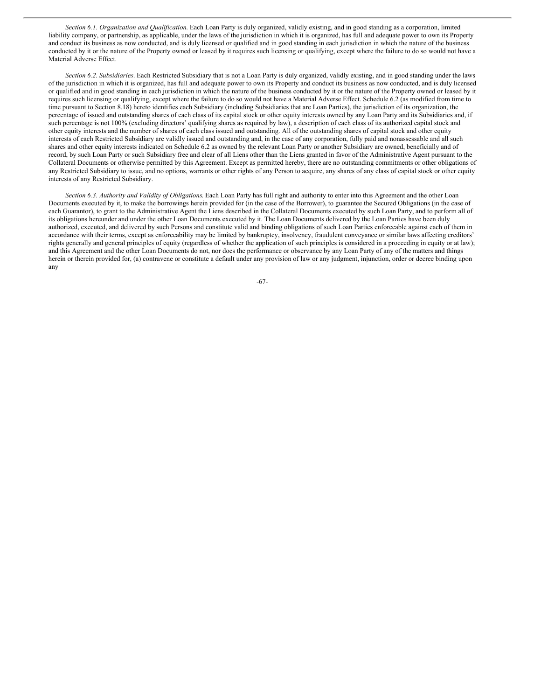*Section 6.1. Organization and Qualification*. Each Loan Party is duly organized, validly existing, and in good standing as a corporation, limited liability company, or partnership, as applicable, under the laws of the jurisdiction in which it is organized, has full and adequate power to own its Property and conduct its business as now conducted, and is duly licensed or qualified and in good standing in each jurisdiction in which the nature of the business conducted by it or the nature of the Property owned or leased by it requires such licensing or qualifying, except where the failure to do so would not have a Material Adverse Effect.

*Section 6.2. Subsidiaries*. Each Restricted Subsidiary that is not a Loan Party is duly organized, validly existing, and in good standing under the laws of the jurisdiction in which it is organized, has full and adequate power to own its Property and conduct its business as now conducted, and is duly licensed or qualified and in good standing in each jurisdiction in which the nature of the business conducted by it or the nature of the Property owned or leased by it requires such licensing or qualifying, except where the failure to do so would not have a Material Adverse Effect. Schedule 6.2 (as modified from time to time pursuant to Section 8.18) hereto identifies each Subsidiary (including Subsidiaries that are Loan Parties), the jurisdiction of its organization, the percentage of issued and outstanding shares of each class of its capital stock or other equity interests owned by any Loan Party and its Subsidiaries and, if such percentage is not 100% (excluding directors' qualifying shares as required by law), a description of each class of its authorized capital stock and other equity interests and the number of shares of each class issued and outstanding. All of the outstanding shares of capital stock and other equity interests of each Restricted Subsidiary are validly issued and outstanding and, in the case of any corporation, fully paid and nonassessable and all such shares and other equity interests indicated on Schedule 6.2 as owned by the relevant Loan Party or another Subsidiary are owned, beneficially and of record, by such Loan Party or such Subsidiary free and clear of all Liens other than the Liens granted in favor of the Administrative Agent pursuant to the Collateral Documents or otherwise permitted by this Agreement. Except as permitted hereby, there are no outstanding commitments or other obligations of any Restricted Subsidiary to issue, and no options, warrants or other rights of any Person to acquire, any shares of any class of capital stock or other equity interests of any Restricted Subsidiary.

*Section 6.3. Authority and Validity of Obligations*. Each Loan Party has full right and authority to enter into this Agreement and the other Loan Documents executed by it, to make the borrowings herein provided for (in the case of the Borrower), to guarantee the Secured Obligations (in the case of each Guarantor), to grant to the Administrative Agent the Liens described in the Collateral Documents executed by such Loan Party, and to perform all of its obligations hereunder and under the other Loan Documents executed by it. The Loan Documents delivered by the Loan Parties have been duly authorized, executed, and delivered by such Persons and constitute valid and binding obligations of such Loan Parties enforceable against each of them in accordance with their terms, except as enforceability may be limited by bankruptcy, insolvency, fraudulent conveyance or similar laws affecting creditors' rights generally and general principles of equity (regardless of whether the application of such principles is considered in a proceeding in equity or at law); and this Agreement and the other Loan Documents do not, nor does the performance or observance by any Loan Party of any of the matters and things herein or therein provided for, (a) contravene or constitute a default under any provision of law or any judgment, injunction, order or decree binding upon any

-67-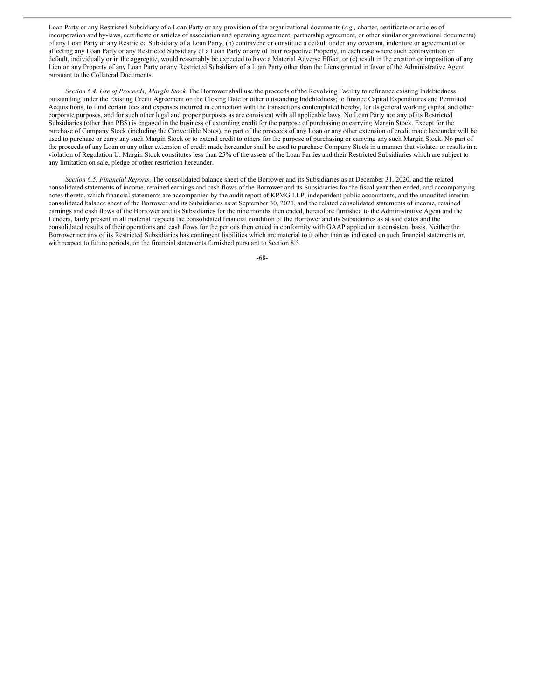Loan Party or any Restricted Subsidiary of a Loan Party or any provision of the organizational documents (*e.g.,* charter, certificate or articles of incorporation and by-laws, certificate or articles of association and operating agreement, partnership agreement, or other similar organizational documents) of any Loan Party or any Restricted Subsidiary of a Loan Party, (b) contravene or constitute a default under any covenant, indenture or agreement of or affecting any Loan Party or any Restricted Subsidiary of a Loan Party or any of their respective Property, in each case where such contravention or default, individually or in the aggregate, would reasonably be expected to have a Material Adverse Effect, or (c) result in the creation or imposition of any Lien on any Property of any Loan Party or any Restricted Subsidiary of a Loan Party other than the Liens granted in favor of the Administrative Agent pursuant to the Collateral Documents.

*Section 6.4. Use of Proceeds; Margin Stock*. The Borrower shall use the proceeds of the Revolving Facility to refinance existing Indebtedness outstanding under the Existing Credit Agreement on the Closing Date or other outstanding Indebtedness; to finance Capital Expenditures and Permitted Acquisitions, to fund certain fees and expenses incurred in connection with the transactions contemplated hereby, for its general working capital and other corporate purposes, and for such other legal and proper purposes as are consistent with all applicable laws. No Loan Party nor any of its Restricted Subsidiaries (other than PBS) is engaged in the business of extending credit for the purpose of purchasing or carrying Margin Stock. Except for the purchase of Company Stock (including the Convertible Notes), no part of the proceeds of any Loan or any other extension of credit made hereunder will be used to purchase or carry any such Margin Stock or to extend credit to others for the purpose of purchasing or carrying any such Margin Stock. No part of the proceeds of any Loan or any other extension of credit made hereunder shall be used to purchase Company Stock in a manner that violates or results in a violation of Regulation U. Margin Stock constitutes less than 25% of the assets of the Loan Parties and their Restricted Subsidiaries which are subject to any limitation on sale, pledge or other restriction hereunder.

*Section 6.5. Financial Reports*. The consolidated balance sheet of the Borrower and its Subsidiaries as at December 31, 2020, and the related consolidated statements of income, retained earnings and cash flows of the Borrower and its Subsidiaries for the fiscal year then ended, and accompanying notes thereto, which financial statements are accompanied by the audit report of KPMG LLP, independent public accountants, and the unaudited interim consolidated balance sheet of the Borrower and its Subsidiaries as at September 30, 2021, and the related consolidated statements of income, retained earnings and cash flows of the Borrower and its Subsidiaries for the nine months then ended, heretofore furnished to the Administrative Agent and the Lenders, fairly present in all material respects the consolidated financial condition of the Borrower and its Subsidiaries as at said dates and the consolidated results of their operations and cash flows for the periods then ended in conformity with GAAP applied on a consistent basis. Neither the Borrower nor any of its Restricted Subsidiaries has contingent liabilities which are material to it other than as indicated on such financial statements or, with respect to future periods, on the financial statements furnished pursuant to Section 8.5.

-68-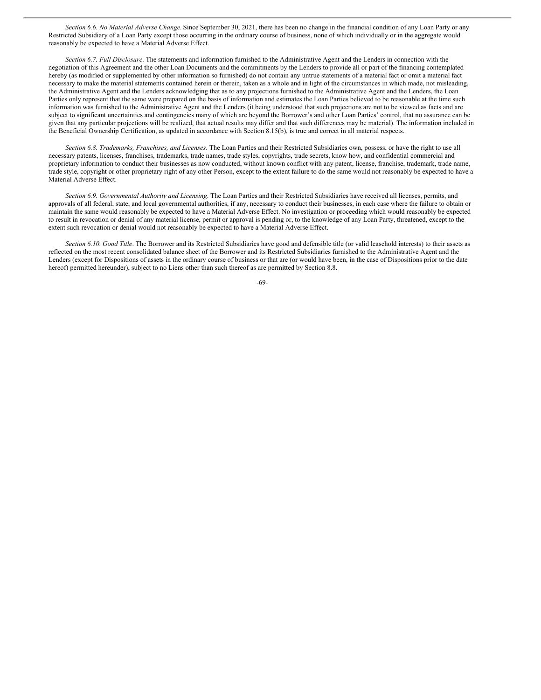*Section 6.6. No Material Adverse Change.* Since September 30, 2021, there has been no change in the financial condition of any Loan Party or any Restricted Subsidiary of a Loan Party except those occurring in the ordinary course of business, none of which individually or in the aggregate would reasonably be expected to have a Material Adverse Effect.

*Section 6.7. Full Disclosure*. The statements and information furnished to the Administrative Agent and the Lenders in connection with the negotiation of this Agreement and the other Loan Documents and the commitments by the Lenders to provide all or part of the financing contemplated hereby (as modified or supplemented by other information so furnished) do not contain any untrue statements of a material fact or omit a material fact necessary to make the material statements contained herein or therein, taken as a whole and in light of the circumstances in which made, not misleading, the Administrative Agent and the Lenders acknowledging that as to any projections furnished to the Administrative Agent and the Lenders, the Loan Parties only represent that the same were prepared on the basis of information and estimates the Loan Parties believed to be reasonable at the time such information was furnished to the Administrative Agent and the Lenders (it being understood that such projections are not to be viewed as facts and are subject to significant uncertainties and contingencies many of which are beyond the Borrower's and other Loan Parties' control, that no assurance can be given that any particular projections will be realized, that actual results may differ and that such differences may be material). The information included in the Beneficial Ownership Certification, as updated in accordance with Section 8.15(b), is true and correct in all material respects.

*Section 6.8. Trademarks, Franchises, and Licenses*. The Loan Parties and their Restricted Subsidiaries own, possess, or have the right to use all necessary patents, licenses, franchises, trademarks, trade names, trade styles, copyrights, trade secrets, know how, and confidential commercial and proprietary information to conduct their businesses as now conducted, without known conflict with any patent, license, franchise, trademark, trade name, trade style, copyright or other proprietary right of any other Person, except to the extent failure to do the same would not reasonably be expected to have a Material Adverse Effect.

*Section 6.9. Governmental Authority and Licensing*. The Loan Parties and their Restricted Subsidiaries have received all licenses, permits, and approvals of all federal, state, and local governmental authorities, if any, necessary to conduct their businesses, in each case where the failure to obtain or maintain the same would reasonably be expected to have a Material Adverse Effect. No investigation or proceeding which would reasonably be expected to result in revocation or denial of any material license, permit or approval is pending or, to the knowledge of any Loan Party, threatened, except to the extent such revocation or denial would not reasonably be expected to have a Material Adverse Effect.

*Section 6.10. Good Title*. The Borrower and its Restricted Subsidiaries have good and defensible title (or valid leasehold interests) to their assets as reflected on the most recent consolidated balance sheet of the Borrower and its Restricted Subsidiaries furnished to the Administrative Agent and the Lenders (except for Dispositions of assets in the ordinary course of business or that are (or would have been, in the case of Dispositions prior to the date hereof) permitted hereunder), subject to no Liens other than such thereof as are permitted by Section 8.8.

-69-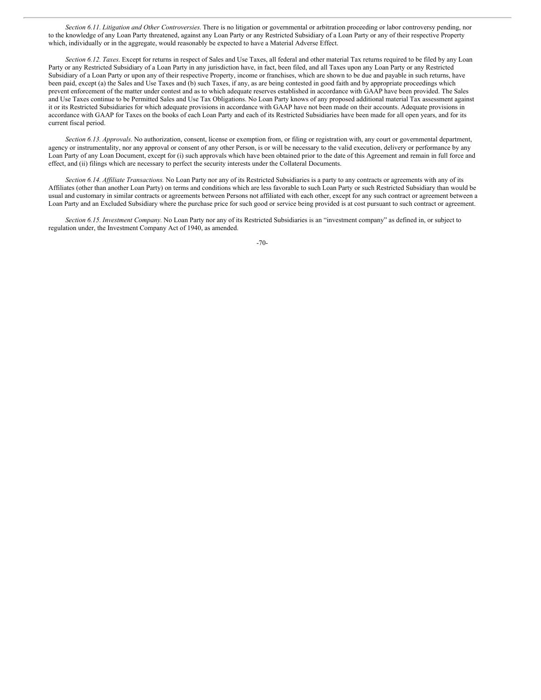*Section 6.11. Litigation and Other Controversies.* There is no litigation or governmental or arbitration proceeding or labor controversy pending, nor to the knowledge of any Loan Party threatened, against any Loan Party or any Restricted Subsidiary of a Loan Party or any of their respective Property which, individually or in the aggregate, would reasonably be expected to have a Material Adverse Effect.

*Section 6.12. Taxes*. Except for returns in respect of Sales and Use Taxes, all federal and other material Tax returns required to be filed by any Loan Party or any Restricted Subsidiary of a Loan Party in any jurisdiction have, in fact, been filed, and all Taxes upon any Loan Party or any Restricted Subsidiary of a Loan Party or upon any of their respective Property, income or franchises, which are shown to be due and payable in such returns, have been paid, except (a) the Sales and Use Taxes and (b) such Taxes, if any, as are being contested in good faith and by appropriate proceedings which prevent enforcement of the matter under contest and as to which adequate reserves established in accordance with GAAP have been provided. The Sales and Use Taxes continue to be Permitted Sales and Use Tax Obligations. No Loan Party knows of any proposed additional material Tax assessment against it or its Restricted Subsidiaries for which adequate provisions in accordance with GAAP have not been made on their accounts. Adequate provisions in accordance with GAAP for Taxes on the books of each Loan Party and each of its Restricted Subsidiaries have been made for all open years, and for its current fiscal period.

*Section 6.13. Approvals*. No authorization, consent, license or exemption from, or filing or registration with, any court or governmental department, agency or instrumentality, nor any approval or consent of any other Person, is or will be necessary to the valid execution, delivery or performance by any Loan Party of any Loan Document, except for (i) such approvals which have been obtained prior to the date of this Agreement and remain in full force and effect, and (ii) filings which are necessary to perfect the security interests under the Collateral Documents.

*Section* 6.14. *Affiliate Transactions*. No Loan Party nor any of its Restricted Subsidiaries is a party to any contracts or agreements with any of its Affiliates (other than another Loan Party) on terms and conditions which are less favorable to such Loan Party or such Restricted Subsidiary than would be usual and customary in similar contracts or agreements between Persons not affiliated with each other, except for any such contract or agreement between a Loan Party and an Excluded Subsidiary where the purchase price for such good or service being provided is at cost pursuant to such contract or agreement.

*Section 6.15. Investment Company.* No Loan Party nor any of its Restricted Subsidiaries is an "investment company" as defined in, or subject to regulation under, the Investment Company Act of 1940, as amended.

-70-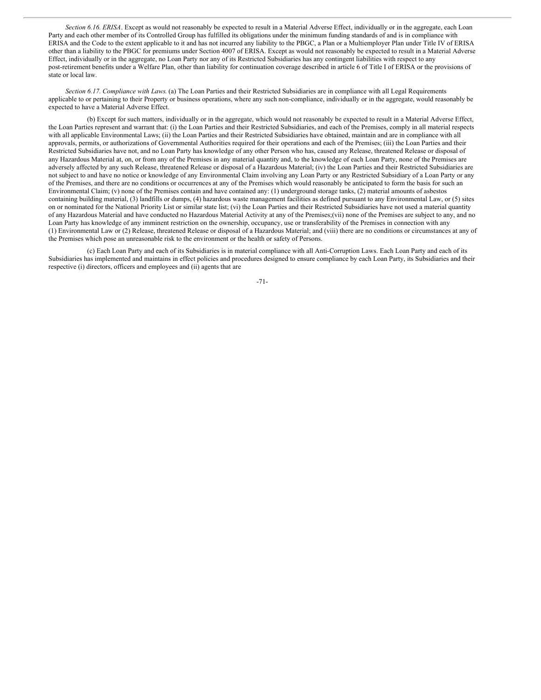*Section 6.16. ERISA*. Except as would not reasonably be expected to result in a Material Adverse Effect, individually or in the aggregate, each Loan Party and each other member of its Controlled Group has fulfilled its obligations under the minimum funding standards of and is in compliance with ERISA and the Code to the extent applicable to it and has not incurred any liability to the PBGC, a Plan or a Multiemployer Plan under Title IV of ERISA other than a liability to the PBGC for premiums under Section 4007 of ERISA. Except as would not reasonably be expected to result in a Material Adverse Effect, individually or in the aggregate, no Loan Party nor any of its Restricted Subsidiaries has any contingent liabilities with respect to any post-retirement benefits under a Welfare Plan, other than liability for continuation coverage described in article 6 of Title I of ERISA or the provisions of state or local law.

*Section 6.17. Compliance with Laws*. (a) The Loan Parties and their Restricted Subsidiaries are in compliance with all Legal Requirements applicable to or pertaining to their Property or business operations, where any such non-compliance, individually or in the aggregate, would reasonably be expected to have a Material Adverse Effect.

(b) Except for such matters, individually or in the aggregate, which would not reasonably be expected to result in a Material Adverse Effect, the Loan Parties represent and warrant that: (i) the Loan Parties and their Restricted Subsidiaries, and each of the Premises, comply in all material respects with all applicable Environmental Laws; (ii) the Loan Parties and their Restricted Subsidiaries have obtained, maintain and are in compliance with all approvals, permits, or authorizations of Governmental Authorities required for their operations and each of the Premises; (iii) the Loan Parties and their Restricted Subsidiaries have not, and no Loan Party has knowledge of any other Person who has, caused any Release, threatened Release or disposal of any Hazardous Material at, on, or from any of the Premises in any material quantity and, to the knowledge of each Loan Party, none of the Premises are adversely affected by any such Release, threatened Release or disposal of a Hazardous Material; (iv) the Loan Parties and their Restricted Subsidiaries are not subject to and have no notice or knowledge of any Environmental Claim involving any Loan Party or any Restricted Subsidiary of a Loan Party or any of the Premises, and there are no conditions or occurrences at any of the Premises which would reasonably be anticipated to form the basis for such an Environmental Claim; (v) none of the Premises contain and have contained any: (1) underground storage tanks, (2) material amounts of asbestos containing building material, (3) landfills or dumps, (4) hazardous waste management facilities as defined pursuant to any Environmental Law, or (5) sites on or nominated for the National Priority List or similar state list; (vi) the Loan Parties and their Restricted Subsidiaries have not used a material quantity of any Hazardous Material and have conducted no Hazardous Material Activity at any of the Premises;(vii) none of the Premises are subject to any, and no Loan Party has knowledge of any imminent restriction on the ownership, occupancy, use or transferability of the Premises in connection with any (1) Environmental Law or (2) Release, threatened Release or disposal of a Hazardous Material; and (viii) there are no conditions or circumstances at any of the Premises which pose an unreasonable risk to the environment or the health or safety of Persons.

(c) Each Loan Party and each of its Subsidiaries is in material compliance with all Anti-Corruption Laws. Each Loan Party and each of its Subsidiaries has implemented and maintains in effect policies and procedures designed to ensure compliance by each Loan Party, its Subsidiaries and their respective (i) directors, officers and employees and (ii) agents that are

-71-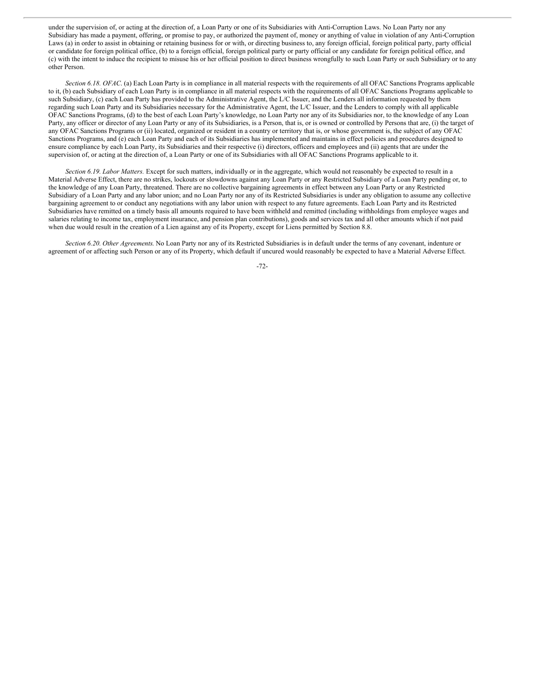under the supervision of, or acting at the direction of, a Loan Party or one of its Subsidiaries with Anti-Corruption Laws. No Loan Party nor any Subsidiary has made a payment, offering, or promise to pay, or authorized the payment of, money or anything of value in violation of any Anti-Corruption Laws (a) in order to assist in obtaining or retaining business for or with, or directing business to, any foreign official, foreign political party, party official or candidate for foreign political office, (b) to a foreign official, foreign political party or party official or any candidate for foreign political office, and (c) with the intent to induce the recipient to misuse his or her official position to direct business wrongfully to such Loan Party or such Subsidiary or to any other Person.

*Section 6.18. OFAC*. (a) Each Loan Party is in compliance in all material respects with the requirements of all OFAC Sanctions Programs applicable to it, (b) each Subsidiary of each Loan Party is in compliance in all material respects with the requirements of all OFAC Sanctions Programs applicable to such Subsidiary, (c) each Loan Party has provided to the Administrative Agent, the L/C Issuer, and the Lenders all information requested by them regarding such Loan Party and its Subsidiaries necessary for the Administrative Agent, the L/C Issuer, and the Lenders to comply with all applicable OFAC Sanctions Programs, (d) to the best of each Loan Party's knowledge, no Loan Party nor any of its Subsidiaries nor, to the knowledge of any Loan Party, any officer or director of any Loan Party or any of its Subsidiaries, is a Person, that is, or is owned or controlled by Persons that are, (i) the target of any OFAC Sanctions Programs or (ii) located, organized or resident in a country or territory that is, or whose government is, the subject of any OFAC Sanctions Programs, and (e) each Loan Party and each of its Subsidiaries has implemented and maintains in effect policies and procedures designed to ensure compliance by each Loan Party, its Subsidiaries and their respective (i) directors, officers and employees and (ii) agents that are under the supervision of, or acting at the direction of, a Loan Party or one of its Subsidiaries with all OFAC Sanctions Programs applicable to it.

*Section 6.19. Labor Matters.* Except for such matters, individually or in the aggregate, which would not reasonably be expected to result in a Material Adverse Effect, there are no strikes, lockouts or slowdowns against any Loan Party or any Restricted Subsidiary of a Loan Party pending or, to the knowledge of any Loan Party, threatened. There are no collective bargaining agreements in effect between any Loan Party or any Restricted Subsidiary of a Loan Party and any labor union; and no Loan Party nor any of its Restricted Subsidiaries is under any obligation to assume any collective bargaining agreement to or conduct any negotiations with any labor union with respect to any future agreements. Each Loan Party and its Restricted Subsidiaries have remitted on a timely basis all amounts required to have been withheld and remitted (including withholdings from employee wages and salaries relating to income tax, employment insurance, and pension plan contributions), goods and services tax and all other amounts which if not paid when due would result in the creation of a Lien against any of its Property, except for Liens permitted by Section 8.8.

*Section 6.20. Other Agreements*. No Loan Party nor any of its Restricted Subsidiaries is in default under the terms of any covenant, indenture or agreement of or affecting such Person or any of its Property, which default if uncured would reasonably be expected to have a Material Adverse Effect.

-72-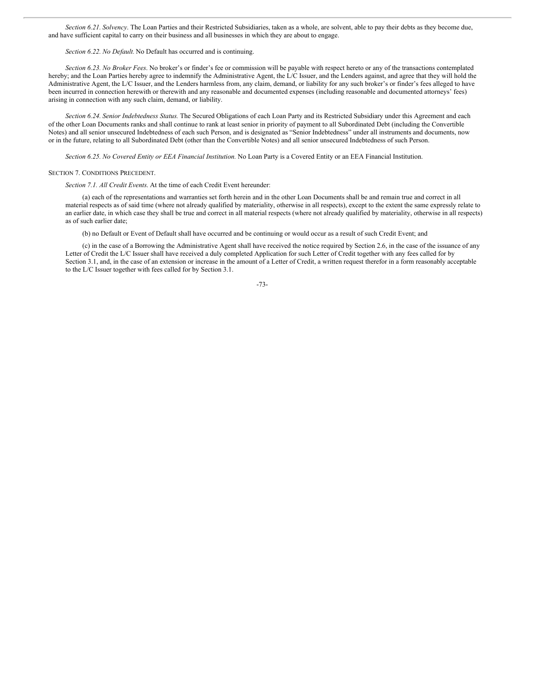*Section 6.21. Solvency*. The Loan Parties and their Restricted Subsidiaries, taken as a whole, are solvent, able to pay their debts as they become due, and have sufficient capital to carry on their business and all businesses in which they are about to engage.

### *Section 6.22. No Default.* No Default has occurred and is continuing.

*Section 6.23. No Broker Fees*. No broker's or finder's fee or commission will be payable with respect hereto or any of the transactions contemplated hereby; and the Loan Parties hereby agree to indemnify the Administrative Agent, the L/C Issuer, and the Lenders against, and agree that they will hold the Administrative Agent, the L/C Issuer, and the Lenders harmless from, any claim, demand, or liability for any such broker's or finder's fees alleged to have been incurred in connection herewith or therewith and any reasonable and documented expenses (including reasonable and documented attorneys' fees) arising in connection with any such claim, demand, or liability.

*Section 6.24. Senior Indebtedness Status.* The Secured Obligations of each Loan Party and its Restricted Subsidiary under this Agreement and each of the other Loan Documents ranks and shall continue to rank at least senior in priority of payment to all Subordinated Debt (including the Convertible Notes) and all senior unsecured Indebtedness of each such Person, and is designated as "Senior Indebtedness" under all instruments and documents, now or in the future, relating to all Subordinated Debt (other than the Convertible Notes) and all senior unsecured Indebtedness of such Person.

*Section 6.25. No Covered Entity or EEA Financial Institution.* No Loan Party is a Covered Entity or an EEA Financial Institution.

#### SECTION 7. CONDITIONS PRECEDENT.

*Section 7.1. All Credit Events*. At the time of each Credit Event hereunder:

(a) each of the representations and warranties set forth herein and in the other Loan Documents shall be and remain true and correct in all material respects as of said time (where not already qualified by materiality, otherwise in all respects), except to the extent the same expressly relate to an earlier date, in which case they shall be true and correct in all material respects (where not already qualified by materiality, otherwise in all respects) as of such earlier date;

(b) no Default or Event of Default shall have occurred and be continuing or would occur as a result of such Credit Event; and

(c) in the case of a Borrowing the Administrative Agent shall have received the notice required by Section 2.6, in the case of the issuance of any Letter of Credit the L/C Issuer shall have received a duly completed Application for such Letter of Credit together with any fees called for by Section 3.1, and, in the case of an extension or increase in the amount of a Letter of Credit, a written request therefor in a form reasonably acceptable to the L/C Issuer together with fees called for by Section 3.1.

-73-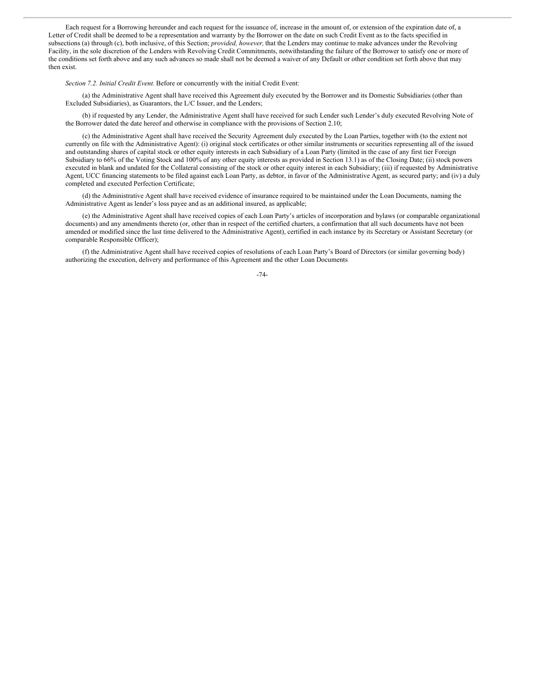Each request for a Borrowing hereunder and each request for the issuance of, increase in the amount of, or extension of the expiration date of, a Letter of Credit shall be deemed to be a representation and warranty by the Borrower on the date on such Credit Event as to the facts specified in subsections (a) through (c), both inclusive, of this Section; *provided, however,* that the Lenders may continue to make advances under the Revolving Facility, in the sole discretion of the Lenders with Revolving Credit Commitments, notwithstanding the failure of the Borrower to satisfy one or more of the conditions set forth above and any such advances so made shall not be deemed a waiver of any Default or other condition set forth above that may then exist.

*Section 7.2. Initial Credit Event.* Before or concurrently with the initial Credit Event:

(a) the Administrative Agent shall have received this Agreement duly executed by the Borrower and its Domestic Subsidiaries (other than Excluded Subsidiaries), as Guarantors, the L/C Issuer, and the Lenders;

(b) if requested by any Lender, the Administrative Agent shall have received for such Lender such Lender's duly executed Revolving Note of the Borrower dated the date hereof and otherwise in compliance with the provisions of Section 2.10;

(c) the Administrative Agent shall have received the Security Agreement duly executed by the Loan Parties, together with (to the extent not currently on file with the Administrative Agent): (i) original stock certificates or other similar instruments or securities representing all of the issued and outstanding shares of capital stock or other equity interests in each Subsidiary of a Loan Party (limited in the case of any first tier Foreign Subsidiary to 66% of the Voting Stock and 100% of any other equity interests as provided in Section 13.1) as of the Closing Date; (ii) stock powers executed in blank and undated for the Collateral consisting of the stock or other equity interest in each Subsidiary; (iii) if requested by Administrative Agent, UCC financing statements to be filed against each Loan Party, as debtor, in favor of the Administrative Agent, as secured party; and (iv) a duly completed and executed Perfection Certificate;

(d) the Administrative Agent shall have received evidence of insurance required to be maintained under the Loan Documents, naming the Administrative Agent as lender's loss payee and as an additional insured, as applicable;

(e) the Administrative Agent shall have received copies of each Loan Party's articles of incorporation and bylaws (or comparable organizational documents) and any amendments thereto (or, other than in respect of the certified charters, a confirmation that all such documents have not been amended or modified since the last time delivered to the Administrative Agent), certified in each instance by its Secretary or Assistant Secretary (or comparable Responsible Officer);

(f) the Administrative Agent shall have received copies of resolutions of each Loan Party's Board of Directors (or similar governing body) authorizing the execution, delivery and performance of this Agreement and the other Loan Documents

-74-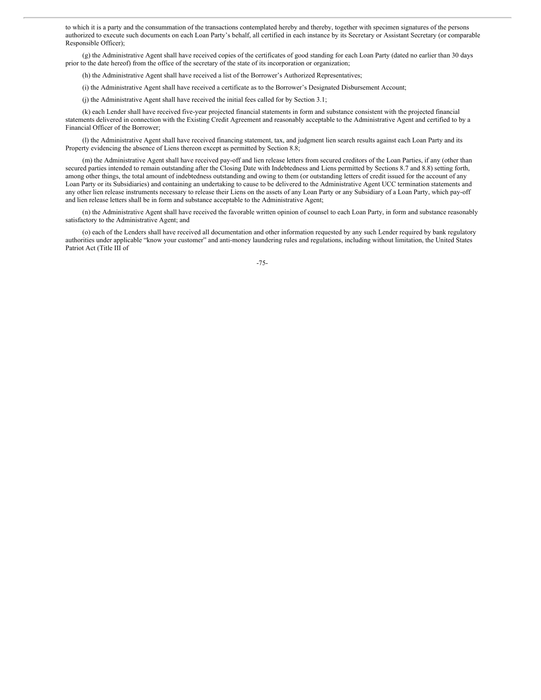to which it is a party and the consummation of the transactions contemplated hereby and thereby, together with specimen signatures of the persons authorized to execute such documents on each Loan Party's behalf, all certified in each instance by its Secretary or Assistant Secretary (or comparable Responsible Officer);

(g) the Administrative Agent shall have received copies of the certificates of good standing for each Loan Party (dated no earlier than 30 days prior to the date hereof) from the office of the secretary of the state of its incorporation or organization;

(h) the Administrative Agent shall have received a list of the Borrower's Authorized Representatives;

(i) the Administrative Agent shall have received a certificate as to the Borrower's Designated Disbursement Account;

(j) the Administrative Agent shall have received the initial fees called for by Section 3.1;

(k) each Lender shall have received five-year projected financial statements in form and substance consistent with the projected financial statements delivered in connection with the Existing Credit Agreement and reasonably acceptable to the Administrative Agent and certified to by a Financial Officer of the Borrower;

(l) the Administrative Agent shall have received financing statement, tax, and judgment lien search results against each Loan Party and its Property evidencing the absence of Liens thereon except as permitted by Section 8.8;

(m) the Administrative Agent shall have received pay-off and lien release letters from secured creditors of the Loan Parties, if any (other than secured parties intended to remain outstanding after the Closing Date with Indebtedness and Liens permitted by Sections 8.7 and 8.8) setting forth, among other things, the total amount of indebtedness outstanding and owing to them (or outstanding letters of credit issued for the account of any Loan Party or its Subsidiaries) and containing an undertaking to cause to be delivered to the Administrative Agent UCC termination statements and any other lien release instruments necessary to release their Liens on the assets of any Loan Party or any Subsidiary of a Loan Party, which pay-off and lien release letters shall be in form and substance acceptable to the Administrative Agent;

(n) the Administrative Agent shall have received the favorable written opinion of counsel to each Loan Party, in form and substance reasonably satisfactory to the Administrative Agent; and

(o) each of the Lenders shall have received all documentation and other information requested by any such Lender required by bank regulatory authorities under applicable "know your customer" and anti-money laundering rules and regulations, including without limitation, the United States Patriot Act (Title III of

-75-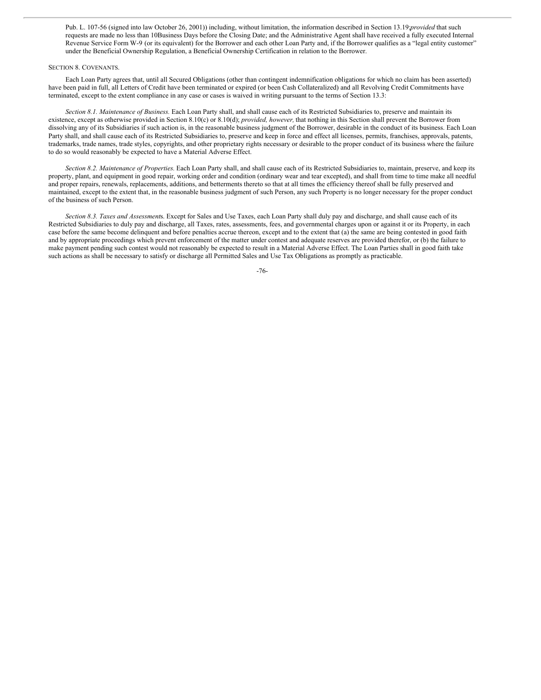Pub. L. 107-56 (signed into law October 26, 2001)) including, without limitation, the information described in Section 13.19;*provided* that such requests are made no less than 10Business Days before the Closing Date; and the Administrative Agent shall have received a fully executed Internal Revenue Service Form W-9 (or its equivalent) for the Borrower and each other Loan Party and, if the Borrower qualifies as a "legal entity customer" under the Beneficial Ownership Regulation, a Beneficial Ownership Certification in relation to the Borrower.

# SECTION 8. COVENANTS.

Each Loan Party agrees that, until all Secured Obligations (other than contingent indemnification obligations for which no claim has been asserted) have been paid in full, all Letters of Credit have been terminated or expired (or been Cash Collateralized) and all Revolving Credit Commitments have terminated, except to the extent compliance in any case or cases is waived in writing pursuant to the terms of Section 13.3:

*Section 8.1. Maintenance of Business.* Each Loan Party shall, and shall cause each of its Restricted Subsidiaries to, preserve and maintain its existence, except as otherwise provided in Section 8.10(c) or 8.10(d); *provided, however,* that nothing in this Section shall prevent the Borrower from dissolving any of its Subsidiaries if such action is, in the reasonable business judgment of the Borrower, desirable in the conduct of its business. Each Loan Party shall, and shall cause each of its Restricted Subsidiaries to, preserve and keep in force and effect all licenses, permits, franchises, approvals, patents, trademarks, trade names, trade styles, copyrights, and other proprietary rights necessary or desirable to the proper conduct of its business where the failure to do so would reasonably be expected to have a Material Adverse Effect.

*Section 8.2. Maintenance of Properties.* Each Loan Party shall, and shall cause each of its Restricted Subsidiaries to, maintain, preserve, and keep its property, plant, and equipment in good repair, working order and condition (ordinary wear and tear excepted), and shall from time to time make all needful and proper repairs, renewals, replacements, additions, and betterments thereto so that at all times the efficiency thereof shall be fully preserved and maintained, except to the extent that, in the reasonable business judgment of such Person, any such Property is no longer necessary for the proper conduct of the business of such Person.

*Section 8.3. Taxes and Assessment*s. Except for Sales and Use Taxes, each Loan Party shall duly pay and discharge, and shall cause each of its Restricted Subsidiaries to duly pay and discharge, all Taxes, rates, assessments, fees, and governmental charges upon or against it or its Property, in each case before the same become delinquent and before penalties accrue thereon, except and to the extent that (a) the same are being contested in good faith and by appropriate proceedings which prevent enforcement of the matter under contest and adequate reserves are provided therefor, or (b) the failure to make payment pending such contest would not reasonably be expected to result in a Material Adverse Effect. The Loan Parties shall in good faith take such actions as shall be necessary to satisfy or discharge all Permitted Sales and Use Tax Obligations as promptly as practicable.

-76-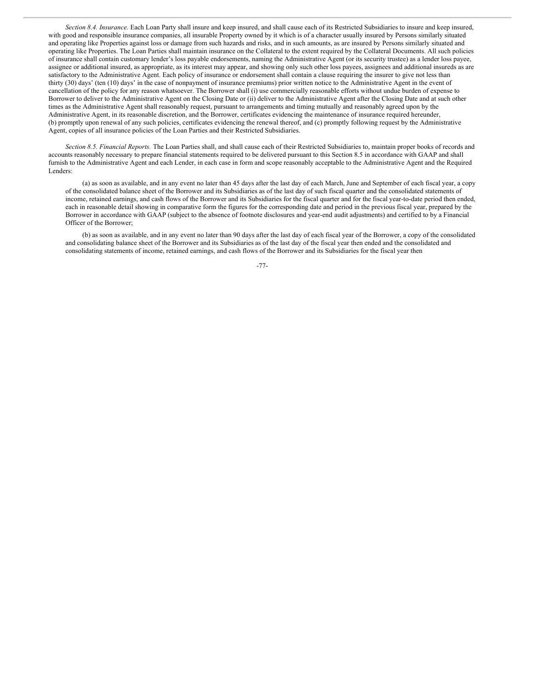*Section 8.4. Insurance.* Each Loan Party shall insure and keep insured, and shall cause each of its Restricted Subsidiaries to insure and keep insured, with good and responsible insurance companies, all insurable Property owned by it which is of a character usually insured by Persons similarly situated and operating like Properties against loss or damage from such hazards and risks, and in such amounts, as are insured by Persons similarly situated and operating like Properties. The Loan Parties shall maintain insurance on the Collateral to the extent required by the Collateral Documents. All such policies of insurance shall contain customary lender's loss payable endorsements, naming the Administrative Agent (or its security trustee) as a lender loss payee, assignee or additional insured, as appropriate, as its interest may appear, and showing only such other loss payees, assignees and additional insureds as are satisfactory to the Administrative Agent. Each policy of insurance or endorsement shall contain a clause requiring the insurer to give not less than thirty (30) days' (ten (10) days' in the case of nonpayment of insurance premiums) prior written notice to the Administrative Agent in the event of cancellation of the policy for any reason whatsoever. The Borrower shall (i) use commercially reasonable efforts without undue burden of expense to Borrower to deliver to the Administrative Agent on the Closing Date or (ii) deliver to the Administrative Agent after the Closing Date and at such other times as the Administrative Agent shall reasonably request, pursuant to arrangements and timing mutually and reasonably agreed upon by the Administrative Agent, in its reasonable discretion, and the Borrower, certificates evidencing the maintenance of insurance required hereunder, (b) promptly upon renewal of any such policies, certificates evidencing the renewal thereof, and (c) promptly following request by the Administrative Agent, copies of all insurance policies of the Loan Parties and their Restricted Subsidiaries.

*Section 8.5. Financial Reports.* The Loan Parties shall, and shall cause each of their Restricted Subsidiaries to, maintain proper books of records and accounts reasonably necessary to prepare financial statements required to be delivered pursuant to this Section 8.5 in accordance with GAAP and shall furnish to the Administrative Agent and each Lender, in each case in form and scope reasonably acceptable to the Administrative Agent and the Required Lenders:

(a) as soon as available, and in any event no later than 45 days after the last day of each March, June and September of each fiscal year, a copy of the consolidated balance sheet of the Borrower and its Subsidiaries as of the last day of such fiscal quarter and the consolidated statements of income, retained earnings, and cash flows of the Borrower and its Subsidiaries for the fiscal quarter and for the fiscal year-to-date period then ended, each in reasonable detail showing in comparative form the figures for the corresponding date and period in the previous fiscal year, prepared by the Borrower in accordance with GAAP (subject to the absence of footnote disclosures and year-end audit adjustments) and certified to by a Financial Officer of the Borrower;

(b) as soon as available, and in any event no later than 90 days after the last day of each fiscal year of the Borrower, a copy of the consolidated and consolidating balance sheet of the Borrower and its Subsidiaries as of the last day of the fiscal year then ended and the consolidated and consolidating statements of income, retained earnings, and cash flows of the Borrower and its Subsidiaries for the fiscal year then

-77-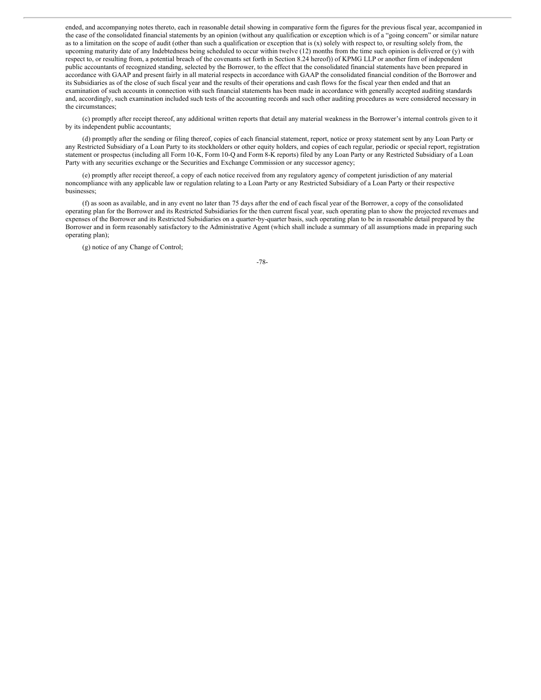ended, and accompanying notes thereto, each in reasonable detail showing in comparative form the figures for the previous fiscal year, accompanied in the case of the consolidated financial statements by an opinion (without any qualification or exception which is of a "going concern" or similar nature as to a limitation on the scope of audit (other than such a qualification or exception that is  $(x)$  solely with respect to, or resulting solely from, the upcoming maturity date of any Indebtedness being scheduled to occur within twelve (12) months from the time such opinion is delivered or (y) with respect to, or resulting from, a potential breach of the covenants set forth in Section 8.24 hereof)) of KPMG LLP or another firm of independent public accountants of recognized standing, selected by the Borrower, to the effect that the consolidated financial statements have been prepared in accordance with GAAP and present fairly in all material respects in accordance with GAAP the consolidated financial condition of the Borrower and its Subsidiaries as of the close of such fiscal year and the results of their operations and cash flows for the fiscal year then ended and that an examination of such accounts in connection with such financial statements has been made in accordance with generally accepted auditing standards and, accordingly, such examination included such tests of the accounting records and such other auditing procedures as were considered necessary in the circumstances;

(c) promptly after receipt thereof, any additional written reports that detail any material weakness in the Borrower's internal controls given to it by its independent public accountants;

(d) promptly after the sending or filing thereof, copies of each financial statement, report, notice or proxy statement sent by any Loan Party or any Restricted Subsidiary of a Loan Party to its stockholders or other equity holders, and copies of each regular, periodic or special report, registration statement or prospectus (including all Form 10-K, Form 10-Q and Form 8-K reports) filed by any Loan Party or any Restricted Subsidiary of a Loan Party with any securities exchange or the Securities and Exchange Commission or any successor agency;

(e) promptly after receipt thereof, a copy of each notice received from any regulatory agency of competent jurisdiction of any material noncompliance with any applicable law or regulation relating to a Loan Party or any Restricted Subsidiary of a Loan Party or their respective businesses;

(f) as soon as available, and in any event no later than 75 days after the end of each fiscal year of the Borrower, a copy of the consolidated operating plan for the Borrower and its Restricted Subsidiaries for the then current fiscal year, such operating plan to show the projected revenues and expenses of the Borrower and its Restricted Subsidiaries on a quarter-by-quarter basis, such operating plan to be in reasonable detail prepared by the Borrower and in form reasonably satisfactory to the Administrative Agent (which shall include a summary of all assumptions made in preparing such operating plan);

(g) notice of any Change of Control;

-78-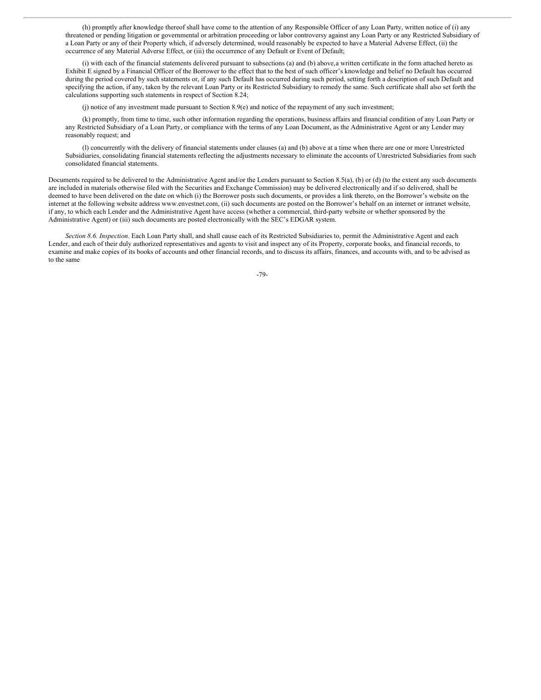(h) promptly after knowledge thereof shall have come to the attention of any Responsible Officer of any Loan Party, written notice of (i) any threatened or pending litigation or governmental or arbitration proceeding or labor controversy against any Loan Party or any Restricted Subsidiary of a Loan Party or any of their Property which, if adversely determined, would reasonably be expected to have a Material Adverse Effect, (ii) the occurrence of any Material Adverse Effect, or (iii) the occurrence of any Default or Event of Default;

(i) with each of the financial statements delivered pursuant to subsections (a) and (b) above,a written certificate in the form attached hereto as Exhibit E signed by a Financial Officer of the Borrower to the effect that to the best of such officer's knowledge and belief no Default has occurred during the period covered by such statements or, if any such Default has occurred during such period, setting forth a description of such Default and specifying the action, if any, taken by the relevant Loan Party or its Restricted Subsidiary to remedy the same. Such certificate shall also set forth the calculations supporting such statements in respect of Section 8.24;

(j) notice of any investment made pursuant to Section 8.9(e) and notice of the repayment of any such investment;

(k) promptly, from time to time, such other information regarding the operations, business affairs and financial condition of any Loan Party or any Restricted Subsidiary of a Loan Party, or compliance with the terms of any Loan Document, as the Administrative Agent or any Lender may reasonably request; and

(l) concurrently with the delivery of financial statements under clauses (a) and (b) above at a time when there are one or more Unrestricted Subsidiaries, consolidating financial statements reflecting the adjustments necessary to eliminate the accounts of Unrestricted Subsidiaries from such consolidated financial statements.

Documents required to be delivered to the Administrative Agent and/or the Lenders pursuant to Section 8.5(a), (b) or (d) (to the extent any such documents are included in materials otherwise filed with the Securities and Exchange Commission) may be delivered electronically and if so delivered, shall be deemed to have been delivered on the date on which (i) the Borrower posts such documents, or provides a link thereto, on the Borrower's website on the internet at the following website address www.envestnet.com, (ii) such documents are posted on the Borrower's behalf on an internet or intranet website, if any, to which each Lender and the Administrative Agent have access (whether a commercial, third-party website or whether sponsored by the Administrative Agent) or (iii) such documents are posted electronically with the SEC's EDGAR system.

*Section 8.6. Inspection*. Each Loan Party shall, and shall cause each of its Restricted Subsidiaries to, permit the Administrative Agent and each Lender, and each of their duly authorized representatives and agents to visit and inspect any of its Property, corporate books, and financial records, to examine and make copies of its books of accounts and other financial records, and to discuss its affairs, finances, and accounts with, and to be advised as to the same

-79-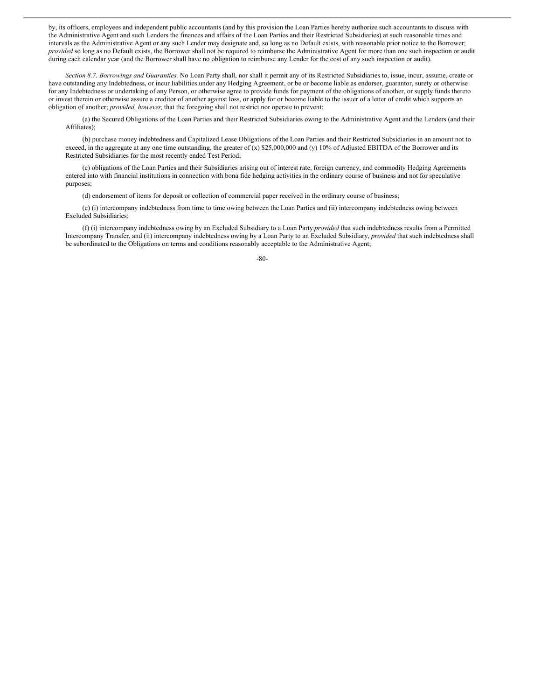by, its officers, employees and independent public accountants (and by this provision the Loan Parties hereby authorize such accountants to discuss with the Administrative Agent and such Lenders the finances and affairs of the Loan Parties and their Restricted Subsidiaries) at such reasonable times and intervals as the Administrative Agent or any such Lender may designate and, so long as no Default exists, with reasonable prior notice to the Borrower; *provided* so long as no Default exists, the Borrower shall not be required to reimburse the Administrative Agent for more than one such inspection or audit during each calendar year (and the Borrower shall have no obligation to reimburse any Lender for the cost of any such inspection or audit).

*Section 8.7. Borrowings and Guaranties.* No Loan Party shall, nor shall it permit any of its Restricted Subsidiaries to, issue, incur, assume, create or have outstanding any Indebtedness, or incur liabilities under any Hedging Agreement, or be or become liable as endorser, guarantor, surety or otherwise for any Indebtedness or undertaking of any Person, or otherwise agree to provide funds for payment of the obligations of another, or supply funds thereto or invest therein or otherwise assure a creditor of another against loss, or apply for or become liable to the issuer of a letter of credit which supports an obligation of another; *provided, however,* that the foregoing shall not restrict nor operate to prevent:

(a) the Secured Obligations of the Loan Parties and their Restricted Subsidiaries owing to the Administrative Agent and the Lenders (and their Affiliates);

(b) purchase money indebtedness and Capitalized Lease Obligations of the Loan Parties and their Restricted Subsidiaries in an amount not to exceed, in the aggregate at any one time outstanding, the greater of (x) \$25,000,000 and (y) 10% of Adjusted EBITDA of the Borrower and its Restricted Subsidiaries for the most recently ended Test Period;

(c) obligations of the Loan Parties and their Subsidiaries arising out of interest rate, foreign currency, and commodity Hedging Agreements entered into with financial institutions in connection with bona fide hedging activities in the ordinary course of business and not for speculative purposes;

(d) endorsement of items for deposit or collection of commercial paper received in the ordinary course of business;

(e) (i) intercompany indebtedness from time to time owing between the Loan Parties and (ii) intercompany indebtedness owing between Excluded Subsidiaries;

(f) (i) intercompany indebtedness owing by an Excluded Subsidiary to a Loan Party*provided* that such indebtedness results from a Permitted Intercompany Transfer, and (ii) intercompany indebtedness owing by a Loan Party to an Excluded Subsidiary, *provided* that such indebtedness shall be subordinated to the Obligations on terms and conditions reasonably acceptable to the Administrative Agent;

-80-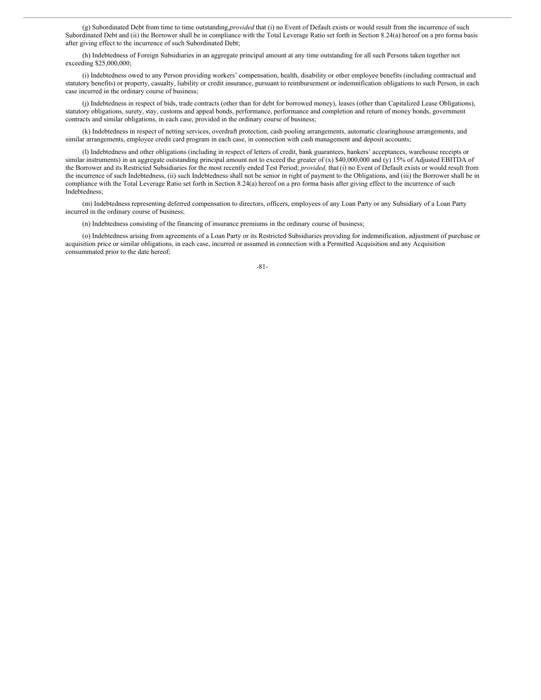(g) Subordinated Debt from time to time outstanding,*provided* that (i) no Event of Default exists or would result from the incurrence of such Subordinated Debt and (ii) the Borrower shall be in compliance with the Total Leverage Ratio set forth in Section 8.24(a) hereof on a pro forma basis after giving effect to the incurrence of such Subordinated Debt;

(h) Indebtedness of Foreign Subsidiaries in an aggregate principal amount at any time outstanding for all such Persons taken together not exceeding \$25,000,000;

(i) Indebtedness owed to any Person providing workers' compensation, health, disability or other employee benefits (including contractual and statutory benefits) or property, casualty, liability or credit insurance, pursuant to reimbursement or indemnification obligations to such Person, in each case incurred in the ordinary course of business;

(j) Indebtedness in respect of bids, trade contracts (other than for debt for borrowed money), leases (other than Capitalized Lease Obligations), statutory obligations, surety, stay, customs and appeal bonds, performance, performance and completion and return of money bonds, government contracts and similar obligations, in each case, provided in the ordinary course of business;

(k) Indebtedness in respect of netting services, overdraft protection, cash pooling arrangements, automatic clearinghouse arrangements, and similar arrangements, employee credit card program in each case, in connection with cash management and deposit accounts;

(l) Indebtedness and other obligations (including in respect of letters of credit, bank guarantees, bankers' acceptances, warehouse receipts or similar instruments) in an aggregate outstanding principal amount not to exceed the greater of (x) \$40,000,000 and (y) 15% of Adjusted EBITDA of the Borrower and its Restricted Subsidiaries for the most recently ended Test Period; *provided,* that (i) no Event of Default exists or would result from the incurrence of such Indebtedness, (ii) such Indebtedness shall not be senior in right of payment to the Obligations, and (iii) the Borrower shall be in compliance with the Total Leverage Ratio set forth in Section 8.24(a) hereof on a pro forma basis after giving effect to the incurrence of such Indebtedness;

(m) Indebtedness representing deferred compensation to directors, officers, employees of any Loan Party or any Subsidiary of a Loan Party incurred in the ordinary course of business;

(n) Indebtedness consisting of the financing of insurance premiums in the ordinary course of business;

(o) Indebtedness arising from agreements of a Loan Party or its Restricted Subsidiaries providing for indemnification, adjustment of purchase or acquisition price or similar obligations, in each case, incurred or assumed in connection with a Permitted Acquisition and any Acquisition consummated prior to the date hereof;

-81-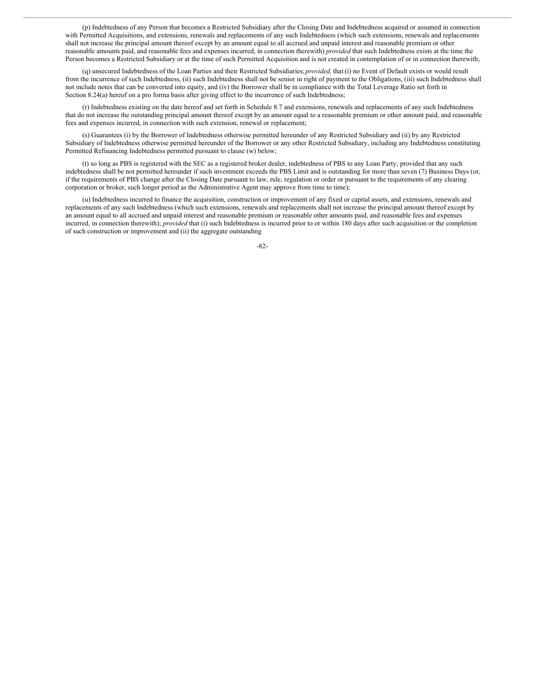(p) Indebtedness of any Person that becomes a Restricted Subsidiary after the Closing Date and Indebtedness acquired or assumed in connection with Permitted Acquisitions, and extensions, renewals and replacements of any such Indebtedness (which such extensions, renewals and replacements shall not increase the principal amount thereof except by an amount equal to all accrued and unpaid interest and reasonable premium or other reasonable amounts paid, and reasonable fees and expenses incurred, in connection therewith) *provided* that such Indebtedness exists at the time the Person becomes a Restricted Subsidiary or at the time of such Permitted Acquisition and is not created in contemplation of or in connection therewith;

(q) unsecured Indebtedness of the Loan Parties and their Restricted Subsidiaries; *provided,* that (i) no Event of Default exists or would result from the incurrence of such Indebtedness, (ii) such Indebtedness shall not be senior in right of payment to the Obligations, (iii) such Indebtedness shall not include notes that can be converted into equity, and (iv) the Borrower shall be in compliance with the Total Leverage Ratio set forth in Section 8.24(a) hereof on a pro forma basis after giving effect to the incurrence of such Indebtedness;

(r) Indebtedness existing on the date hereof and set forth in Schedule 8.7 and extensions, renewals and replacements of any such Indebtedness that do not increase the outstanding principal amount thereof except by an amount equal to a reasonable premium or other amount paid, and reasonable fees and expenses incurred, in connection with such extension, renewal or replacement;

(s) Guarantees (i) by the Borrower of Indebtedness otherwise permitted hereunder of any Restricted Subsidiary and (ii) by any Restricted Subsidiary of Indebtedness otherwise permitted hereunder of the Borrower or any other Restricted Subsidiary, including any Indebtedness constituting Permitted Refinancing Indebtedness permitted pursuant to clause (w) below;

(t) so long as PBS is registered with the SEC as a registered broker dealer, indebtedness of PBS to any Loan Party; provided that any such indebtedness shall be not permitted hereunder if such investment exceeds the PBS Limit and is outstanding for more than seven (7) Business Days (or, if the requirements of PBS change after the Closing Date pursuant to law, rule, regulation or order or pursuant to the requirements of any clearing corporation or broker, such longer period as the Administrative Agent may approve from time to time);

(u) Indebtedness incurred to finance the acquisition, construction or improvement of any fixed or capital assets, and extensions, renewals and replacements of any such Indebtedness (which such extensions, renewals and replacements shall not increase the principal amount thereof except by an amount equal to all accrued and unpaid interest and reasonable premium or reasonable other amounts paid, and reasonable fees and expenses incurred, in connection therewith); *provided* that (i) such Indebtedness is incurred prior to or within 180 days after such acquisition or the completion of such construction or improvement and (ii) the aggregate outstanding

-82-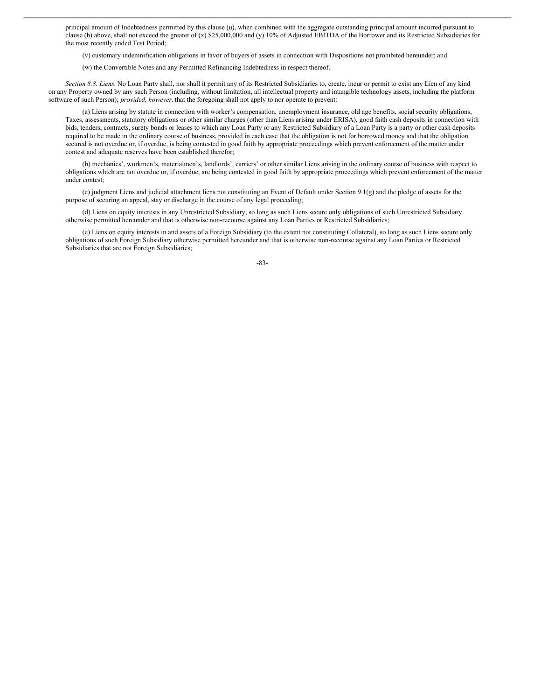principal amount of Indebtedness permitted by this clause (u), when combined with the aggregate outstanding principal amount incurred pursuant to clause (b) above, shall not exceed the greater of (x) \$25,000,000 and (y) 10% of Adjusted EBITDA of the Borrower and its Restricted Subsidiaries for the most recently ended Test Period;

(v) customary indemnification obligations in favor of buyers of assets in connection with Dispositions not prohibited hereunder; and

(w) the Convertible Notes and any Permitted Refinancing Indebtedness in respect thereof.

*Section 8.8. Liens.* No Loan Party shall, nor shall it permit any of its Restricted Subsidiaries to, create, incur or permit to exist any Lien of any kind on any Property owned by any such Person (including, without limitation, all intellectual property and intangible technology assets, including the platform software of such Person); *provided, however,* that the foregoing shall not apply to nor operate to prevent:

(a) Liens arising by statute in connection with worker's compensation, unemployment insurance, old age benefits, social security obligations, Taxes, assessments, statutory obligations or other similar charges (other than Liens arising under ERISA), good faith cash deposits in connection with bids, tenders, contracts, surety bonds or leases to which any Loan Party or any Restricted Subsidiary of a Loan Party is a party or other cash deposits required to be made in the ordinary course of business, provided in each case that the obligation is not for borrowed money and that the obligation secured is not overdue or, if overdue, is being contested in good faith by appropriate proceedings which prevent enforcement of the matter under contest and adequate reserves have been established therefor;

(b) mechanics', workmen's, materialmen's, landlords', carriers' or other similar Liens arising in the ordinary course of business with respect to obligations which are not overdue or, if overdue, are being contested in good faith by appropriate proceedings which prevent enforcement of the matter under contest;

(c) judgment Liens and judicial attachment liens not constituting an Event of Default under Section 9.1(g) and the pledge of assets for the purpose of securing an appeal, stay or discharge in the course of any legal proceeding;

(d) Liens on equity interests in any Unrestricted Subsidiary, so long as such Liens secure only obligations of such Unrestricted Subsidiary otherwise permitted hereunder and that is otherwise non-recourse against any Loan Parties or Restricted Subsidiaries;

(e) Liens on equity interests in and assets of a Foreign Subsidiary (to the extent not constituting Collateral), so long as such Liens secure only obligations of such Foreign Subsidiary otherwise permitted hereunder and that is otherwise non-recourse against any Loan Parties or Restricted Subsidiaries that are not Foreign Subsidiaries;

-83-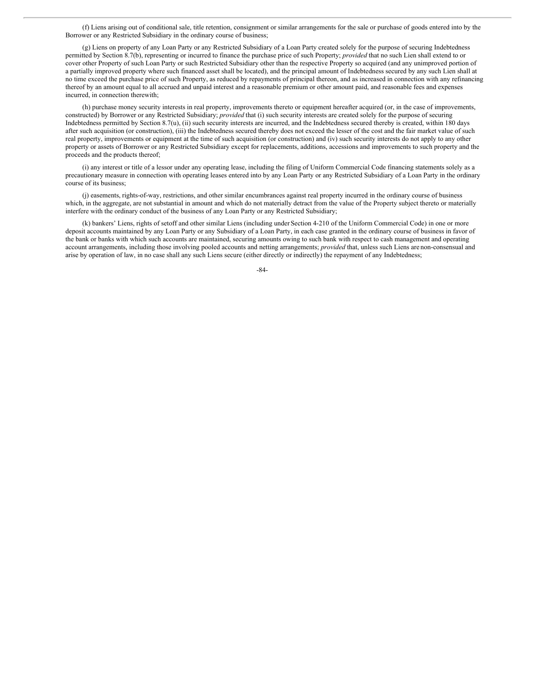(f) Liens arising out of conditional sale, title retention, consignment or similar arrangements for the sale or purchase of goods entered into by the Borrower or any Restricted Subsidiary in the ordinary course of business;

(g) Liens on property of any Loan Party or any Restricted Subsidiary of a Loan Party created solely for the purpose of securing Indebtedness permitted by Section 8.7(b), representing or incurred to finance the purchase price of such Property; *provided* that no such Lien shall extend to or cover other Property of such Loan Party or such Restricted Subsidiary other than the respective Property so acquired (and any unimproved portion of a partially improved property where such financed asset shall be located), and the principal amount of Indebtedness secured by any such Lien shall at no time exceed the purchase price of such Property, as reduced by repayments of principal thereon, and as increased in connection with any refinancing thereof by an amount equal to all accrued and unpaid interest and a reasonable premium or other amount paid, and reasonable fees and expenses incurred, in connection therewith;

(h) purchase money security interests in real property, improvements thereto or equipment hereafter acquired (or, in the case of improvements, constructed) by Borrower or any Restricted Subsidiary; *provided* that (i) such security interests are created solely for the purpose of securing Indebtedness permitted by Section 8.7(u), (ii) such security interests are incurred, and the Indebtedness secured thereby is created, within 180 days after such acquisition (or construction), (iii) the Indebtedness secured thereby does not exceed the lesser of the cost and the fair market value of such real property, improvements or equipment at the time of such acquisition (or construction) and (iv) such security interests do not apply to any other property or assets of Borrower or any Restricted Subsidiary except for replacements, additions, accessions and improvements to such property and the proceeds and the products thereof;

(i) any interest or title of a lessor under any operating lease, including the filing of Uniform Commercial Code financing statements solely as a precautionary measure in connection with operating leases entered into by any Loan Party or any Restricted Subsidiary of a Loan Party in the ordinary course of its business;

(j) easements, rights-of-way, restrictions, and other similar encumbrances against real property incurred in the ordinary course of business which, in the aggregate, are not substantial in amount and which do not materially detract from the value of the Property subject thereto or materially interfere with the ordinary conduct of the business of any Loan Party or any Restricted Subsidiary;

(k) bankers' Liens, rights of setoff and other similar Liens (including under Section 4-210 of the Uniform Commercial Code) in one or more deposit accounts maintained by any Loan Party or any Subsidiary of a Loan Party, in each case granted in the ordinary course of business in favor of the bank or banks with which such accounts are maintained, securing amounts owing to such bank with respect to cash management and operating account arrangements, including those involving pooled accounts and netting arrangements; *provided* that, unless such Liens are non-consensual and arise by operation of law, in no case shall any such Liens secure (either directly or indirectly) the repayment of any Indebtedness;

-84-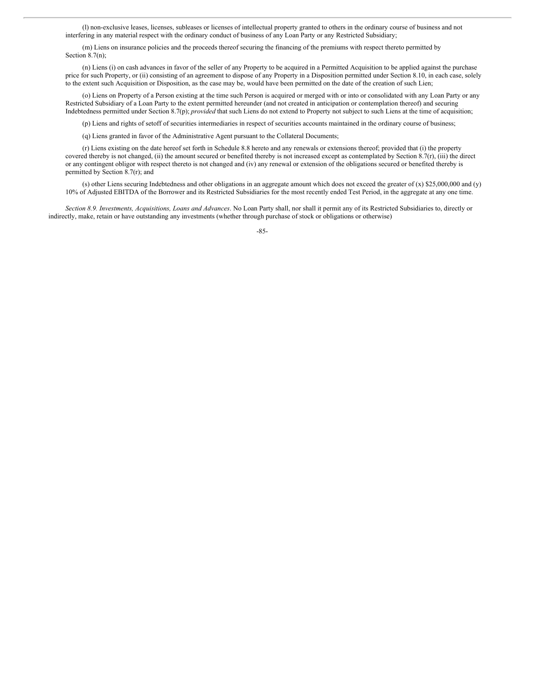(l) non-exclusive leases, licenses, subleases or licenses of intellectual property granted to others in the ordinary course of business and not interfering in any material respect with the ordinary conduct of business of any Loan Party or any Restricted Subsidiary;

(m) Liens on insurance policies and the proceeds thereof securing the financing of the premiums with respect thereto permitted by Section 8.7(n);

(n) Liens (i) on cash advances in favor of the seller of any Property to be acquired in a Permitted Acquisition to be applied against the purchase price for such Property, or (ii) consisting of an agreement to dispose of any Property in a Disposition permitted under Section 8.10, in each case, solely to the extent such Acquisition or Disposition, as the case may be, would have been permitted on the date of the creation of such Lien;

(o) Liens on Property of a Person existing at the time such Person is acquired or merged with or into or consolidated with any Loan Party or any Restricted Subsidiary of a Loan Party to the extent permitted hereunder (and not created in anticipation or contemplation thereof) and securing Indebtedness permitted under Section 8.7(p); *provided* that such Liens do not extend to Property not subject to such Liens at the time of acquisition;

(p) Liens and rights of setoff of securities intermediaries in respect of securities accounts maintained in the ordinary course of business;

(q) Liens granted in favor of the Administrative Agent pursuant to the Collateral Documents;

(r) Liens existing on the date hereof set forth in Schedule 8.8 hereto and any renewals or extensions thereof; provided that (i) the property covered thereby is not changed, (ii) the amount secured or benefited thereby is not increased except as contemplated by Section 8.7(r), (iii) the direct or any contingent obligor with respect thereto is not changed and (iv) any renewal or extension of the obligations secured or benefited thereby is permitted by Section 8.7(r); and

(s) other Liens securing Indebtedness and other obligations in an aggregate amount which does not exceed the greater of  $(x)$  \$25,000,000 and  $(y)$ 10% of Adjusted EBITDA of the Borrower and its Restricted Subsidiaries for the most recently ended Test Period, in the aggregate at any one time.

*Section 8.9. Investments, Acquisitions, Loans and Advances*. No Loan Party shall, nor shall it permit any of its Restricted Subsidiaries to, directly or indirectly, make, retain or have outstanding any investments (whether through purchase of stock or obligations or otherwise)

-85-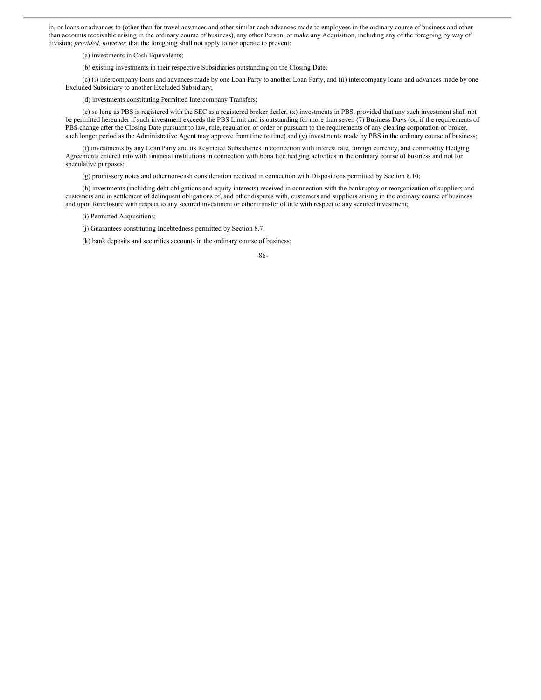in, or loans or advances to (other than for travel advances and other similar cash advances made to employees in the ordinary course of business and other than accounts receivable arising in the ordinary course of business), any other Person, or make any Acquisition, including any of the foregoing by way of division; *provided, however,* that the foregoing shall not apply to nor operate to prevent:

(a) investments in Cash Equivalents;

(b) existing investments in their respective Subsidiaries outstanding on the Closing Date;

(c) (i) intercompany loans and advances made by one Loan Party to another Loan Party, and (ii) intercompany loans and advances made by one Excluded Subsidiary to another Excluded Subsidiary;

(d) investments constituting Permitted Intercompany Transfers;

(e) so long as PBS is registered with the SEC as a registered broker dealer, (x) investments in PBS, provided that any such investment shall not be permitted hereunder if such investment exceeds the PBS Limit and is outstanding for more than seven  $(7)$  Business Days (or, if the requirements of PBS change after the Closing Date pursuant to law, rule, regulation or order or pursuant to the requirements of any clearing corporation or broker, such longer period as the Administrative Agent may approve from time to time) and (y) investments made by PBS in the ordinary course of business;

(f) investments by any Loan Party and its Restricted Subsidiaries in connection with interest rate, foreign currency, and commodity Hedging Agreements entered into with financial institutions in connection with bona fide hedging activities in the ordinary course of business and not for speculative purposes;

(g) promissory notes and othernon-cash consideration received in connection with Dispositions permitted by Section 8.10;

(h) investments (including debt obligations and equity interests) received in connection with the bankruptcy or reorganization of suppliers and customers and in settlement of delinquent obligations of, and other disputes with, customers and suppliers arising in the ordinary course of business and upon foreclosure with respect to any secured investment or other transfer of title with respect to any secured investment;

(i) Permitted Acquisitions;

(j) Guarantees constituting Indebtedness permitted by Section 8.7;

(k) bank deposits and securities accounts in the ordinary course of business;

-86-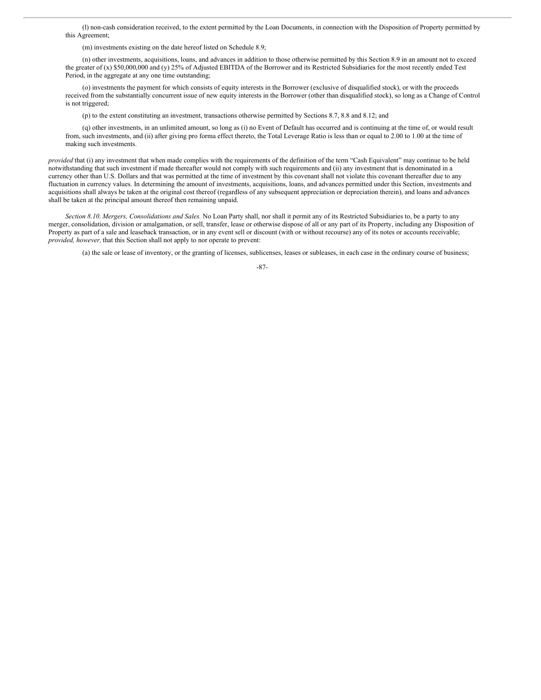(l) non-cash consideration received, to the extent permitted by the Loan Documents, in connection with the Disposition of Property permitted by this Agreement;

(m) investments existing on the date hereof listed on Schedule 8.9;

(n) other investments, acquisitions, loans, and advances in addition to those otherwise permitted by this Section 8.9 in an amount not to exceed the greater of (x) \$50,000,000 and (y) 25% of Adjusted EBITDA of the Borrower and its Restricted Subsidiaries for the most recently ended Test Period, in the aggregate at any one time outstanding;

(o) investments the payment for which consists of equity interests in the Borrower (exclusive of disqualified stock), or with the proceeds received from the substantially concurrent issue of new equity interests in the Borrower (other than disqualified stock), so long as a Change of Control is not triggered;

(p) to the extent constituting an investment, transactions otherwise permitted by Sections 8.7, 8.8 and 8.12; and

(q) other investments, in an unlimited amount, so long as (i) no Event of Default has occurred and is continuing at the time of, or would result from, such investments, and (ii) after giving pro forma effect thereto, the Total Leverage Ratio is less than or equal to 2.00 to 1.00 at the time of making such investments.

*provided* that (i) any investment that when made complies with the requirements of the definition of the term "Cash Equivalent" may continue to be held notwithstanding that such investment if made thereafter would not comply with such requirements and (ii) any investment that is denominated in a currency other than U.S. Dollars and that was permitted at the time of investment by this covenant shall not violate this covenant thereafter due to any fluctuation in currency values. In determining the amount of investments, acquisitions, loans, and advances permitted under this Section, investments and acquisitions shall always be taken at the original cost thereof (regardless of any subsequent appreciation or depreciation therein), and loans and advances shall be taken at the principal amount thereof then remaining unpaid.

*Section 8.10. Mergers, Consolidations and Sales.* No Loan Party shall, nor shall it permit any of its Restricted Subsidiaries to, be a party to any merger, consolidation, division or amalgamation, or sell, transfer, lease or otherwise dispose of all or any part of its Property, including any Disposition of Property as part of a sale and leaseback transaction, or in any event sell or discount (with or without recourse) any of its notes or accounts receivable; *provided, however,* that this Section shall not apply to nor operate to prevent:

(a) the sale or lease of inventory, or the granting of licenses, sublicenses, leases or subleases, in each case in the ordinary course of business;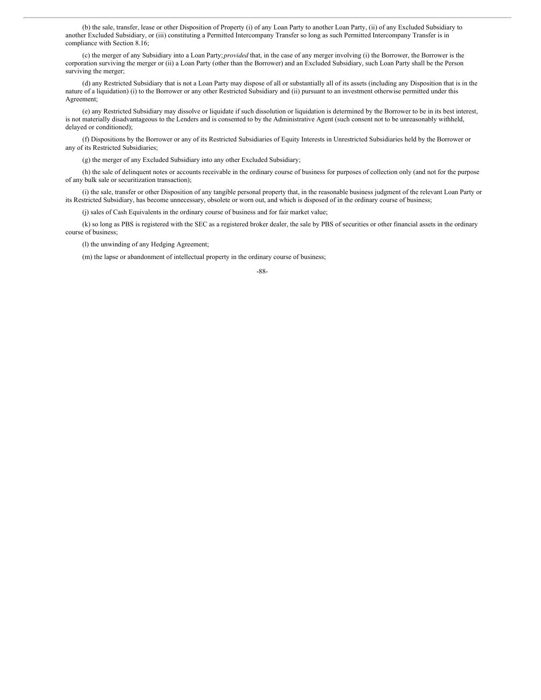(b) the sale, transfer, lease or other Disposition of Property (i) of any Loan Party to another Loan Party, (ii) of any Excluded Subsidiary to another Excluded Subsidiary, or (iii) constituting a Permitted Intercompany Transfer so long as such Permitted Intercompany Transfer is in compliance with Section 8.16;

(c) the merger of any Subsidiary into a Loan Party; *provided* that, in the case of any merger involving (i) the Borrower, the Borrower is the corporation surviving the merger or (ii) a Loan Party (other than the Borrower) and an Excluded Subsidiary, such Loan Party shall be the Person surviving the merger;

(d) any Restricted Subsidiary that is not a Loan Party may dispose of all or substantially all of its assets (including any Disposition that is in the nature of a liquidation) (i) to the Borrower or any other Restricted Subsidiary and (ii) pursuant to an investment otherwise permitted under this Agreement;

(e) any Restricted Subsidiary may dissolve or liquidate if such dissolution or liquidation is determined by the Borrower to be in its best interest, is not materially disadvantageous to the Lenders and is consented to by the Administrative Agent (such consent not to be unreasonably withheld, delayed or conditioned);

(f) Dispositions by the Borrower or any of its Restricted Subsidiaries of Equity Interests in Unrestricted Subsidiaries held by the Borrower or any of its Restricted Subsidiaries;

(g) the merger of any Excluded Subsidiary into any other Excluded Subsidiary;

(h) the sale of delinquent notes or accounts receivable in the ordinary course of business for purposes of collection only (and not for the purpose of any bulk sale or securitization transaction);

(i) the sale, transfer or other Disposition of any tangible personal property that, in the reasonable business judgment of the relevant Loan Party or its Restricted Subsidiary, has become unnecessary, obsolete or worn out, and which is disposed of in the ordinary course of business;

(j) sales of Cash Equivalents in the ordinary course of business and for fair market value;

(k) so long as PBS is registered with the SEC as a registered broker dealer, the sale by PBS of securities or other financial assets in the ordinary course of business;

(l) the unwinding of any Hedging Agreement;

(m) the lapse or abandonment of intellectual property in the ordinary course of business;

-88-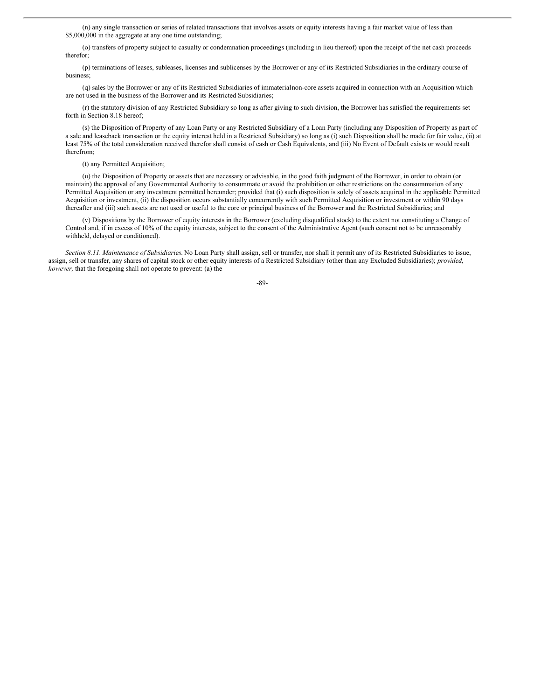(n) any single transaction or series of related transactions that involves assets or equity interests having a fair market value of less than \$5,000,000 in the aggregate at any one time outstanding;

(o) transfers of property subject to casualty or condemnation proceedings (including in lieu thereof) upon the receipt of the net cash proceeds therefor;

(p) terminations of leases, subleases, licenses and sublicenses by the Borrower or any of its Restricted Subsidiaries in the ordinary course of business;

(q) sales by the Borrower or any of its Restricted Subsidiaries of immaterialnon-core assets acquired in connection with an Acquisition which are not used in the business of the Borrower and its Restricted Subsidiaries;

(r) the statutory division of any Restricted Subsidiary so long as after giving to such division, the Borrower has satisfied the requirements set forth in Section 8.18 hereof;

(s) the Disposition of Property of any Loan Party or any Restricted Subsidiary of a Loan Party (including any Disposition of Property as part of a sale and leaseback transaction or the equity interest held in a Restricted Subsidiary) so long as (i) such Disposition shall be made for fair value, (ii) at least 75% of the total consideration received therefor shall consist of cash or Cash Equivalents, and (iii) No Event of Default exists or would result therefrom;

(t) any Permitted Acquisition;

(u) the Disposition of Property or assets that are necessary or advisable, in the good faith judgment of the Borrower, in order to obtain (or maintain) the approval of any Governmental Authority to consummate or avoid the prohibition or other restrictions on the consummation of any Permitted Acquisition or any investment permitted hereunder; provided that (i) such disposition is solely of assets acquired in the applicable Permitted Acquisition or investment, (ii) the disposition occurs substantially concurrently with such Permitted Acquisition or investment or within 90 days thereafter and (iii) such assets are not used or useful to the core or principal business of the Borrower and the Restricted Subsidiaries; and

(v) Dispositions by the Borrower of equity interests in the Borrower (excluding disqualified stock) to the extent not constituting a Change of Control and, if in excess of 10% of the equity interests, subject to the consent of the Administrative Agent (such consent not to be unreasonably withheld, delayed or conditioned).

*Section 8.11. Maintenance of Subsidiaries.* No Loan Party shall assign, sell or transfer, nor shall it permit any of its Restricted Subsidiaries to issue, assign, sell or transfer, any shares of capital stock or other equity interests of a Restricted Subsidiary (other than any Excluded Subsidiaries); *provided, however,* that the foregoing shall not operate to prevent: (a) the

-89-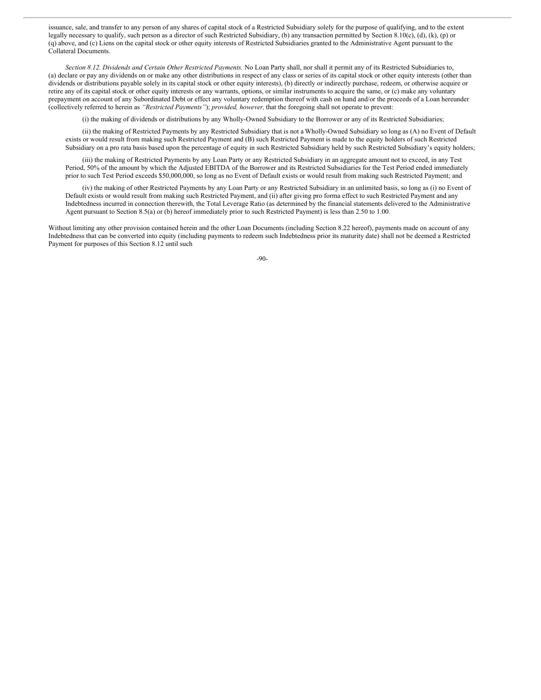issuance, sale, and transfer to any person of any shares of capital stock of a Restricted Subsidiary solely for the purpose of qualifying, and to the extent legally necessary to qualify, such person as a director of such Restricted Subsidiary, (b) any transaction permitted by Section 8.10(c), (d), (k), (p) or (q) above, and (c) Liens on the capital stock or other equity interests of Restricted Subsidiaries granted to the Administrative Agent pursuant to the Collateral Documents.

*Section 8.12. Dividends and Certain Other Restricted Payments.* No Loan Party shall, nor shall it permit any of its Restricted Subsidiaries to, (a) declare or pay any dividends on or make any other distributions in respect of any class or series of its capital stock or other equity interests (other than dividends or distributions payable solely in its capital stock or other equity interests), (b) directly or indirectly purchase, redeem, or otherwise acquire or retire any of its capital stock or other equity interests or any warrants, options, or similar instruments to acquire the same, or (c) make any voluntary prepayment on account of any Subordinated Debt or effect any voluntary redemption thereof with cash on hand and/or the proceeds of a Loan hereunder (collectively referred to herein as *"Restricted Payments"*); *provided, however,* that the foregoing shall not operate to prevent:

(i) the making of dividends or distributions by any Wholly-Owned Subsidiary to the Borrower or any of its Restricted Subsidiaries;

(ii) the making of Restricted Payments by any Restricted Subsidiary that is not a Wholly-Owned Subsidiary so long as (A) no Event of Default exists or would result from making such Restricted Payment and (B) such Restricted Payment is made to the equity holders of such Restricted Subsidiary on a pro rata basis based upon the percentage of equity in such Restricted Subsidiary held by such Restricted Subsidiary's equity holders;

(iii) the making of Restricted Payments by any Loan Party or any Restricted Subsidiary in an aggregate amount not to exceed, in any Test Period, 50% of the amount by which the Adjusted EBITDA of the Borrower and its Restricted Subsidiaries for the Test Period ended immediately prior to such Test Period exceeds \$50,000,000, so long as no Event of Default exists or would result from making such Restricted Payment; and

(iv) the making of other Restricted Payments by any Loan Party or any Restricted Subsidiary in an unlimited basis, so long as (i) no Event of Default exists or would result from making such Restricted Payment, and (ii) after giving pro forma effect to such Restricted Payment and any Indebtedness incurred in connection therewith, the Total Leverage Ratio (as determined by the financial statements delivered to the Administrative Agent pursuant to Section 8.5(a) or (b) hereof immediately prior to such Restricted Payment) is less than 2.50 to 1.00.

Without limiting any other provision contained herein and the other Loan Documents (including Section 8.22 hereof), payments made on account of any Indebtedness that can be converted into equity (including payments to redeem such Indebtedness prior its maturity date) shall not be deemed a Restricted Payment for purposes of this Section 8.12 until such

-90-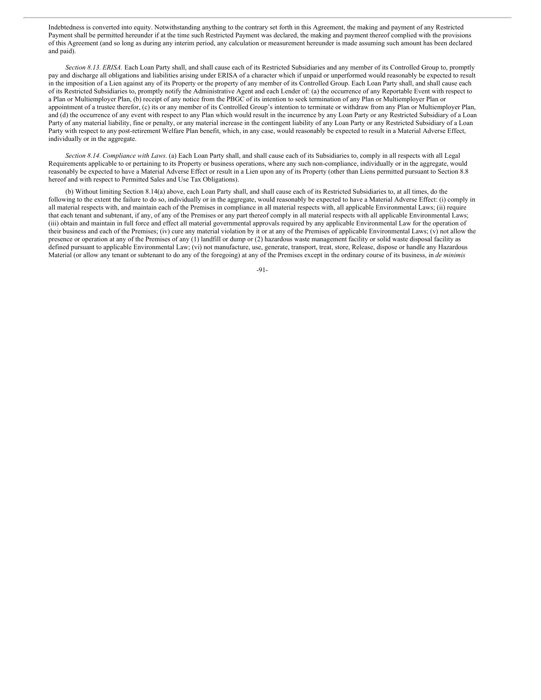Indebtedness is converted into equity. Notwithstanding anything to the contrary set forth in this Agreement, the making and payment of any Restricted Payment shall be permitted hereunder if at the time such Restricted Payment was declared, the making and payment thereof complied with the provisions of this Agreement (and so long as during any interim period, any calculation or measurement hereunder is made assuming such amount has been declared and paid).

*Section 8.13. ERISA.* Each Loan Party shall, and shall cause each of its Restricted Subsidiaries and any member of its Controlled Group to, promptly pay and discharge all obligations and liabilities arising under ERISA of a character which if unpaid or unperformed would reasonably be expected to result in the imposition of a Lien against any of its Property or the property of any member of its Controlled Group. Each Loan Party shall, and shall cause each of its Restricted Subsidiaries to, promptly notify the Administrative Agent and each Lender of: (a) the occurrence of any Reportable Event with respect to a Plan or Multiemployer Plan, (b) receipt of any notice from the PBGC of its intention to seek termination of any Plan or Multiemployer Plan or appointment of a trustee therefor, (c) its or any member of its Controlled Group's intention to terminate or withdraw from any Plan or Multiemployer Plan, and (d) the occurrence of any event with respect to any Plan which would result in the incurrence by any Loan Party or any Restricted Subsidiary of a Loan Party of any material liability, fine or penalty, or any material increase in the contingent liability of any Loan Party or any Restricted Subsidiary of a Loan Party with respect to any post-retirement Welfare Plan benefit, which, in any case, would reasonably be expected to result in a Material Adverse Effect, individually or in the aggregate.

*Section 8.14. Compliance with Laws.* (a) Each Loan Party shall, and shall cause each of its Subsidiaries to, comply in all respects with all Legal Requirements applicable to or pertaining to its Property or business operations, where any such non-compliance, individually or in the aggregate, would reasonably be expected to have a Material Adverse Effect or result in a Lien upon any of its Property (other than Liens permitted pursuant to Section 8.8 hereof and with respect to Permitted Sales and Use Tax Obligations).

(b) Without limiting Section 8.14(a) above, each Loan Party shall, and shall cause each of its Restricted Subsidiaries to, at all times, do the following to the extent the failure to do so, individually or in the aggregate, would reasonably be expected to have a Material Adverse Effect: (i) comply in all material respects with, and maintain each of the Premises in compliance in all material respects with, all applicable Environmental Laws; (ii) require that each tenant and subtenant, if any, of any of the Premises or any part thereof comply in all material respects with all applicable Environmental Laws; (iii) obtain and maintain in full force and effect all material governmental approvals required by any applicable Environmental Law for the operation of their business and each of the Premises; (iv) cure any material violation by it or at any of the Premises of applicable Environmental Laws; (v) not allow the presence or operation at any of the Premises of any (1) landfill or dump or (2) hazardous waste management facility or solid waste disposal facility as defined pursuant to applicable Environmental Law; (vi) not manufacture, use, generate, transport, treat, store, Release, dispose or handle any Hazardous Material (or allow any tenant or subtenant to do any of the foregoing) at any of the Premises except in the ordinary course of its business, in *de minimis*

-91-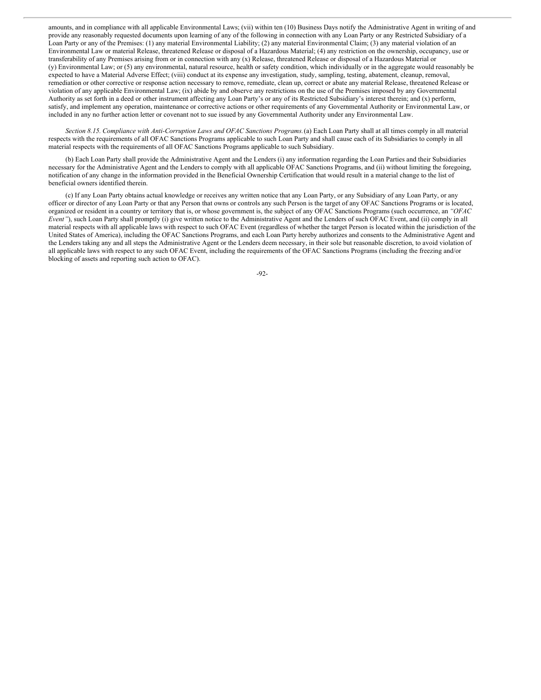amounts, and in compliance with all applicable Environmental Laws; (vii) within ten (10) Business Days notify the Administrative Agent in writing of and provide any reasonably requested documents upon learning of any of the following in connection with any Loan Party or any Restricted Subsidiary of a Loan Party or any of the Premises: (1) any material Environmental Liability; (2) any material Environmental Claim; (3) any material violation of an Environmental Law or material Release, threatened Release or disposal of a Hazardous Material; (4) any restriction on the ownership, occupancy, use or transferability of any Premises arising from or in connection with any (x) Release, threatened Release or disposal of a Hazardous Material or (y) Environmental Law; or (5) any environmental, natural resource, health or safety condition, which individually or in the aggregate would reasonably be expected to have a Material Adverse Effect; (viii) conduct at its expense any investigation, study, sampling, testing, abatement, cleanup, removal, remediation or other corrective or response action necessary to remove, remediate, clean up, correct or abate any material Release, threatened Release or violation of any applicable Environmental Law; (ix) abide by and observe any restrictions on the use of the Premises imposed by any Governmental Authority as set forth in a deed or other instrument affecting any Loan Party's or any of its Restricted Subsidiary's interest therein; and (x) perform, satisfy, and implement any operation, maintenance or corrective actions or other requirements of any Governmental Authority or Environmental Law, or included in any no further action letter or covenant not to sue issued by any Governmental Authority under any Environmental Law.

*Section 8.15. Compliance with Anti-Corruption Laws and OFAC Sanctions Programs.*(a) Each Loan Party shall at all times comply in all material respects with the requirements of all OFAC Sanctions Programs applicable to such Loan Party and shall cause each of its Subsidiaries to comply in all material respects with the requirements of all OFAC Sanctions Programs applicable to such Subsidiary.

(b) Each Loan Party shall provide the Administrative Agent and the Lenders (i) any information regarding the Loan Parties and their Subsidiaries necessary for the Administrative Agent and the Lenders to comply with all applicable OFAC Sanctions Programs, and (ii) without limiting the foregoing, notification of any change in the information provided in the Beneficial Ownership Certification that would result in a material change to the list of beneficial owners identified therein.

(c) If any Loan Party obtains actual knowledge or receives any written notice that any Loan Party, or any Subsidiary of any Loan Party, or any officer or director of any Loan Party or that any Person that owns or controls any such Person is the target of any OFAC Sanctions Programs or is located, organized or resident in a country or territory that is, or whose government is, the subject of any OFAC Sanctions Programs (such occurrence, an *"OFAC Event"*), such Loan Party shall promptly (i) give written notice to the Administrative Agent and the Lenders of such OFAC Event, and (ii) comply in all material respects with all applicable laws with respect to such OFAC Event (regardless of whether the target Person is located within the jurisdiction of the United States of America), including the OFAC Sanctions Programs, and each Loan Party hereby authorizes and consents to the Administrative Agent and the Lenders taking any and all steps the Administrative Agent or the Lenders deem necessary, in their sole but reasonable discretion, to avoid violation of all applicable laws with respect to any such OFAC Event, including the requirements of the OFAC Sanctions Programs (including the freezing and/or blocking of assets and reporting such action to OFAC).

-92-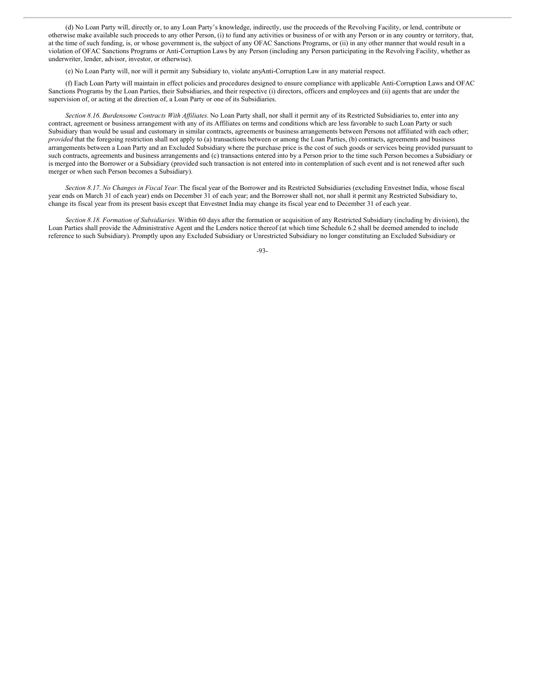(d) No Loan Party will, directly or, to any Loan Party's knowledge, indirectly, use the proceeds of the Revolving Facility, or lend, contribute or otherwise make available such proceeds to any other Person, (i) to fund any activities or business of or with any Person or in any country or territory, that, at the time of such funding, is, or whose government is, the subject of any OFAC Sanctions Programs, or (ii) in any other manner that would result in a violation of OFAC Sanctions Programs or Anti-Corruption Laws by any Person (including any Person participating in the Revolving Facility, whether as underwriter, lender, advisor, investor, or otherwise).

(e) No Loan Party will, nor will it permit any Subsidiary to, violate anyAnti-Corruption Law in any material respect.

(f) Each Loan Party will maintain in effect policies and procedures designed to ensure compliance with applicable Anti-Corruption Laws and OFAC Sanctions Programs by the Loan Parties, their Subsidiaries, and their respective (i) directors, officers and employees and (ii) agents that are under the supervision of, or acting at the direction of, a Loan Party or one of its Subsidiaries.

*Section 8.16. Burdensome Contracts With Af iliates.* No Loan Party shall, nor shall it permit any of its Restricted Subsidiaries to, enter into any contract, agreement or business arrangement with any of its Affiliates on terms and conditions which are less favorable to such Loan Party or such Subsidiary than would be usual and customary in similar contracts, agreements or business arrangements between Persons not affiliated with each other; *provided* that the foregoing restriction shall not apply to (a) transactions between or among the Loan Parties, (b) contracts, agreements and business arrangements between a Loan Party and an Excluded Subsidiary where the purchase price is the cost of such goods or services being provided pursuant to such contracts, agreements and business arrangements and (c) transactions entered into by a Person prior to the time such Person becomes a Subsidiary or is merged into the Borrower or a Subsidiary (provided such transaction is not entered into in contemplation of such event and is not renewed after such merger or when such Person becomes a Subsidiary).

*Section 8.17. No Changes in Fiscal Year.*The fiscal year of the Borrower and its Restricted Subsidiaries (excluding Envestnet India, whose fiscal year ends on March 31 of each year) ends on December 31 of each year; and the Borrower shall not, nor shall it permit any Restricted Subsidiary to, change its fiscal year from its present basis except that Envestnet India may change its fiscal year end to December 31 of each year.

*Section 8.18. Formation of Subsidiaries.* Within 60 days after the formation or acquisition of any Restricted Subsidiary (including by division), the Loan Parties shall provide the Administrative Agent and the Lenders notice thereof (at which time Schedule 6.2 shall be deemed amended to include reference to such Subsidiary). Promptly upon any Excluded Subsidiary or Unrestricted Subsidiary no longer constituting an Excluded Subsidiary or

-93-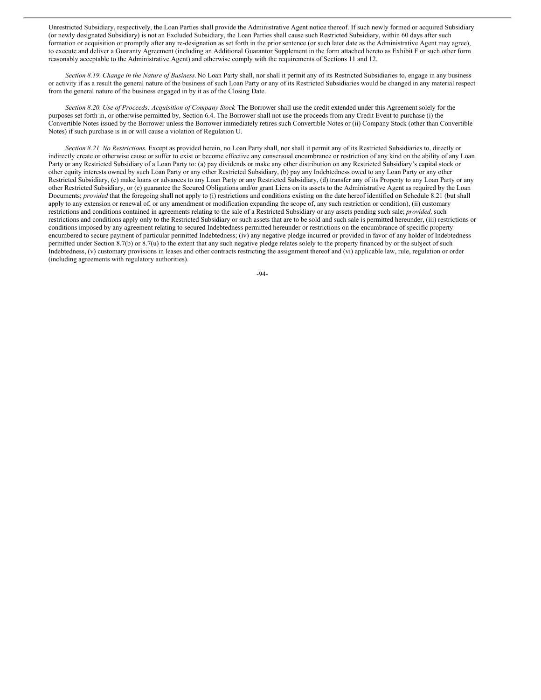Unrestricted Subsidiary, respectively, the Loan Parties shall provide the Administrative Agent notice thereof. If such newly formed or acquired Subsidiary (or newly designated Subsidiary) is not an Excluded Subsidiary, the Loan Parties shall cause such Restricted Subsidiary, within 60 days after such formation or acquisition or promptly after any re-designation as set forth in the prior sentence (or such later date as the Administrative Agent may agree), to execute and deliver a Guaranty Agreement (including an Additional Guarantor Supplement in the form attached hereto as Exhibit F or such other form reasonably acceptable to the Administrative Agent) and otherwise comply with the requirements of Sections 11 and 12.

*Section 8.19. Change in the Nature of Business.*No Loan Party shall, nor shall it permit any of its Restricted Subsidiaries to, engage in any business or activity if as a result the general nature of the business of such Loan Party or any of its Restricted Subsidiaries would be changed in any material respect from the general nature of the business engaged in by it as of the Closing Date.

*Section 8.20. Use of Proceeds; Acquisition of Company Stock*. The Borrower shall use the credit extended under this Agreement solely for the purposes set forth in, or otherwise permitted by, Section 6.4. The Borrower shall not use the proceeds from any Credit Event to purchase (i) the Convertible Notes issued by the Borrower unless the Borrower immediately retires such Convertible Notes or (ii) Company Stock (other than Convertible Notes) if such purchase is in or will cause a violation of Regulation U.

*Section 8.21. No Restrictions*. Except as provided herein, no Loan Party shall, nor shall it permit any of its Restricted Subsidiaries to, directly or indirectly create or otherwise cause or suffer to exist or become effective any consensual encumbrance or restriction of any kind on the ability of any Loan Party or any Restricted Subsidiary of a Loan Party to: (a) pay dividends or make any other distribution on any Restricted Subsidiary's capital stock or other equity interests owned by such Loan Party or any other Restricted Subsidiary, (b) pay any Indebtedness owed to any Loan Party or any other Restricted Subsidiary, (c) make loans or advances to any Loan Party or any Restricted Subsidiary, (d) transfer any of its Property to any Loan Party or any other Restricted Subsidiary, or (e) guarantee the Secured Obligations and/or grant Liens on its assets to the Administrative Agent as required by the Loan Documents; *provided* that the foregoing shall not apply to (i) restrictions and conditions existing on the date hereof identified on Schedule 8.21 (but shall apply to any extension or renewal of, or any amendment or modification expanding the scope of, any such restriction or condition), (ii) customary restrictions and conditions contained in agreements relating to the sale of a Restricted Subsidiary or any assets pending such sale; *provided,* such restrictions and conditions apply only to the Restricted Subsidiary or such assets that are to be sold and such sale is permitted hereunder, (iii) restrictions or conditions imposed by any agreement relating to secured Indebtedness permitted hereunder or restrictions on the encumbrance of specific property encumbered to secure payment of particular permitted Indebtedness; (iv) any negative pledge incurred or provided in favor of any holder of Indebtedness permitted under Section 8.7(b) or 8.7(u) to the extent that any such negative pledge relates solely to the property financed by or the subject of such Indebtedness, (v) customary provisions in leases and other contracts restricting the assignment thereof and (vi) applicable law, rule, regulation or order (including agreements with regulatory authorities).

-94-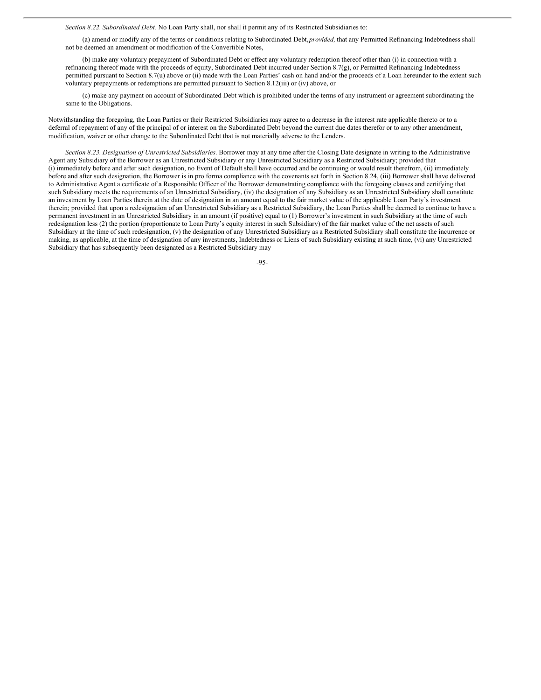*Section 8.22. Subordinated Debt.* No Loan Party shall, nor shall it permit any of its Restricted Subsidiaries to:

(a) amend or modify any of the terms or conditions relating to Subordinated Debt,*provided,* that any Permitted Refinancing Indebtedness shall not be deemed an amendment or modification of the Convertible Notes,

(b) make any voluntary prepayment of Subordinated Debt or effect any voluntary redemption thereof other than (i) in connection with a refinancing thereof made with the proceeds of equity, Subordinated Debt incurred under Section 8.7(g), or Permitted Refinancing Indebtedness permitted pursuant to Section 8.7(u) above or (ii) made with the Loan Parties' cash on hand and/or the proceeds of a Loan hereunder to the extent such voluntary prepayments or redemptions are permitted pursuant to Section 8.12(iii) or (iv) above, or

(c) make any payment on account of Subordinated Debt which is prohibited under the terms of any instrument or agreement subordinating the same to the Obligations.

Notwithstanding the foregoing, the Loan Parties or their Restricted Subsidiaries may agree to a decrease in the interest rate applicable thereto or to a deferral of repayment of any of the principal of or interest on the Subordinated Debt beyond the current due dates therefor or to any other amendment, modification, waiver or other change to the Subordinated Debt that is not materially adverse to the Lenders.

*Section 8.23. Designation of Unrestricted Subsidiaries*. Borrower may at any time after the Closing Date designate in writing to the Administrative Agent any Subsidiary of the Borrower as an Unrestricted Subsidiary or any Unrestricted Subsidiary as a Restricted Subsidiary; provided that (i) immediately before and after such designation, no Event of Default shall have occurred and be continuing or would result therefrom, (ii) immediately before and after such designation, the Borrower is in pro forma compliance with the covenants set forth in Section 8.24, (iii) Borrower shall have delivered to Administrative Agent a certificate of a Responsible Officer of the Borrower demonstrating compliance with the foregoing clauses and certifying that such Subsidiary meets the requirements of an Unrestricted Subsidiary, (iv) the designation of any Subsidiary as an Unrestricted Subsidiary shall constitute an investment by Loan Parties therein at the date of designation in an amount equal to the fair market value of the applicable Loan Party's investment therein; provided that upon a redesignation of an Unrestricted Subsidiary as a Restricted Subsidiary, the Loan Parties shall be deemed to continue to have a permanent investment in an Unrestricted Subsidiary in an amount (if positive) equal to (1) Borrower's investment in such Subsidiary at the time of such redesignation less (2) the portion (proportionate to Loan Party's equity interest in such Subsidiary) of the fair market value of the net assets of such Subsidiary at the time of such redesignation, (v) the designation of any Unrestricted Subsidiary as a Restricted Subsidiary shall constitute the incurrence or making, as applicable, at the time of designation of any investments, Indebtedness or Liens of such Subsidiary existing at such time, (vi) any Unrestricted Subsidiary that has subsequently been designated as a Restricted Subsidiary may

-95-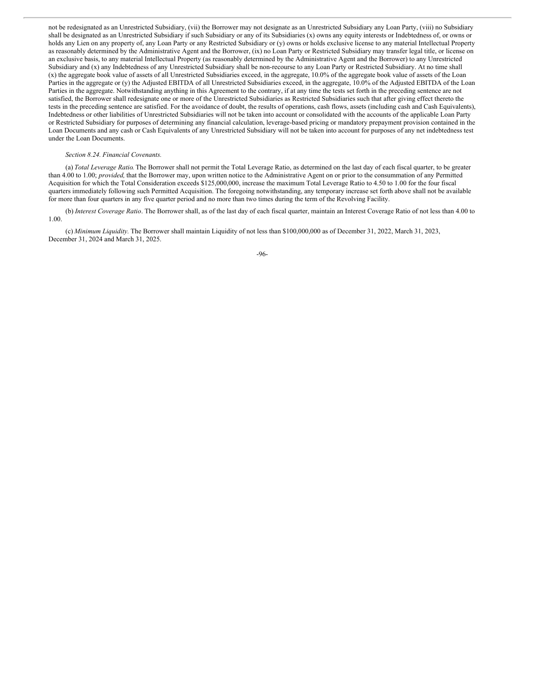not be redesignated as an Unrestricted Subsidiary, (vii) the Borrower may not designate as an Unrestricted Subsidiary any Loan Party, (viii) no Subsidiary shall be designated as an Unrestricted Subsidiary if such Subsidiary or any of its Subsidiaries (x) owns any equity interests or Indebtedness of, or owns or holds any Lien on any property of, any Loan Party or any Restricted Subsidiary or (y) owns or holds exclusive license to any material Intellectual Property as reasonably determined by the Administrative Agent and the Borrower, (ix) no Loan Party or Restricted Subsidiary may transfer legal title, or license on an exclusive basis, to any material Intellectual Property (as reasonably determined by the Administrative Agent and the Borrower) to any Unrestricted Subsidiary and (x) any Indebtedness of any Unrestricted Subsidiary shall be non-recourse to any Loan Party or Restricted Subsidiary. At no time shall (x) the aggregate book value of assets of all Unrestricted Subsidiaries exceed, in the aggregate, 10.0% of the aggregate book value of assets of the Loan Parties in the aggregate or (y) the Adjusted EBITDA of all Unrestricted Subsidiaries exceed, in the aggregate, 10.0% of the Adjusted EBITDA of the Loan Parties in the aggregate. Notwithstanding anything in this Agreement to the contrary, if at any time the tests set forth in the preceding sentence are not satisfied, the Borrower shall redesignate one or more of the Unrestricted Subsidiaries as Restricted Subsidiaries such that after giving effect thereto the tests in the preceding sentence are satisfied. For the avoidance of doubt, the results of operations, cash flows, assets (including cash and Cash Equivalents), Indebtedness or other liabilities of Unrestricted Subsidiaries will not be taken into account or consolidated with the accounts of the applicable Loan Party or Restricted Subsidiary for purposes of determining any financial calculation, leverage-based pricing or mandatory prepayment provision contained in the Loan Documents and any cash or Cash Equivalents of any Unrestricted Subsidiary will not be taken into account for purposes of any net indebtedness test under the Loan Documents.

# *Section 8.24. Financial Covenants.*

(a) *Total Leverage Ratio*. The Borrower shall not permit the Total Leverage Ratio, as determined on the last day of each fiscal quarter, to be greater than 4.00 to 1.00; *provided,* that the Borrower may, upon written notice to the Administrative Agent on or prior to the consummation of any Permitted Acquisition for which the Total Consideration exceeds \$125,000,000, increase the maximum Total Leverage Ratio to 4.50 to 1.00 for the four fiscal quarters immediately following such Permitted Acquisition. The foregoing notwithstanding, any temporary increase set forth above shall not be available for more than four quarters in any five quarter period and no more than two times during the term of the Revolving Facility.

(b) *Interest Coverage Ratio*. The Borrower shall, as of the last day of each fiscal quarter, maintain an Interest Coverage Ratio of not less than 4.00 to 1.00.

(c) *Minimum Liquidity.* The Borrower shall maintain Liquidity of not less than \$100,000,000 as of December 31, 2022, March 31, 2023, December 31, 2024 and March 31, 2025.

-96-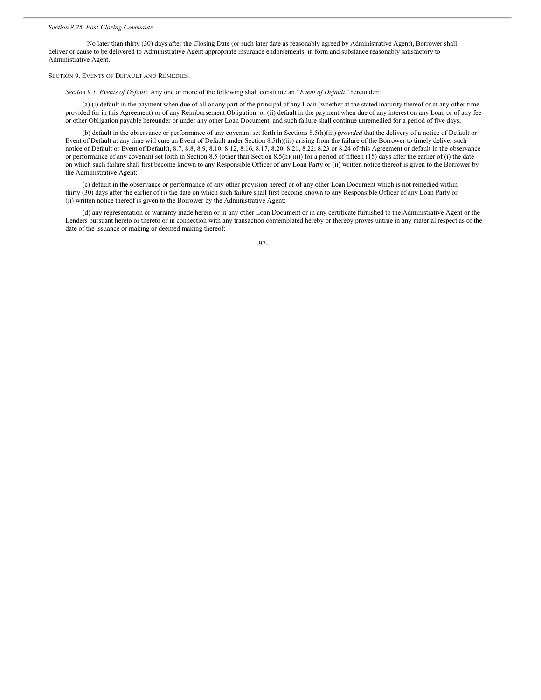### *Section 8.25. Post-Closing Covenants.*

No later than thirty (30) days after the Closing Date (or such later date as reasonably agreed by Administrative Agent), Borrower shall deliver or cause to be delivered to Administrative Agent appropriate insurance endorsements, in form and substance reasonably satisfactory to Administrative Agent.

### SECTION 9. EVENTS OF DEFAULT AND REMEDIES.

*Section 9.1. Events of Default.* Any one or more of the following shall constitute an *"Event of Default"* hereunder:

(a) (i) default in the payment when due of all or any part of the principal of any Loan (whether at the stated maturity thereof or at any other time provided for in this Agreement) or of any Reimbursement Obligation; or (ii) default in the payment when due of any interest on any Loan or of any fee or other Obligation payable hereunder or under any other Loan Document, and such failure shall continue unremedied for a period of five days;

(b) default in the observance or performance of any covenant set forth in Sections 8.5(h)(iii) *provided* that the delivery of a notice of Default or Event of Default at any time will cure an Event of Default under Section 8.5(h)(iii) arising from the failure of the Borrower to timely deliver such notice of Default or Event of Default), 8.7, 8.8, 8.9, 8.10, 8.12, 8.16, 8.17, 8.20, 8.21, 8.22, 8.23 or 8.24 of this Agreement or default in the observance or performance of any covenant set forth in Section 8.5 (other than Section 8.5(h)(iii)) for a period of fifteen (15) days after the earlier of (i) the date on which such failure shall first become known to any Responsible Officer of any Loan Party or (ii) written notice thereof is given to the Borrower by the Administrative Agent;

(c) default in the observance or performance of any other provision hereof or of any other Loan Document which is not remedied within thirty (30) days after the earlier of (i) the date on which such failure shall first become known to any Responsible Officer of any Loan Party or (ii) written notice thereof is given to the Borrower by the Administrative Agent;

(d) any representation or warranty made herein or in any other Loan Document or in any certificate furnished to the Administrative Agent or the Lenders pursuant hereto or thereto or in connection with any transaction contemplated hereby or thereby proves untrue in any material respect as of the date of the issuance or making or deemed making thereof;

-97-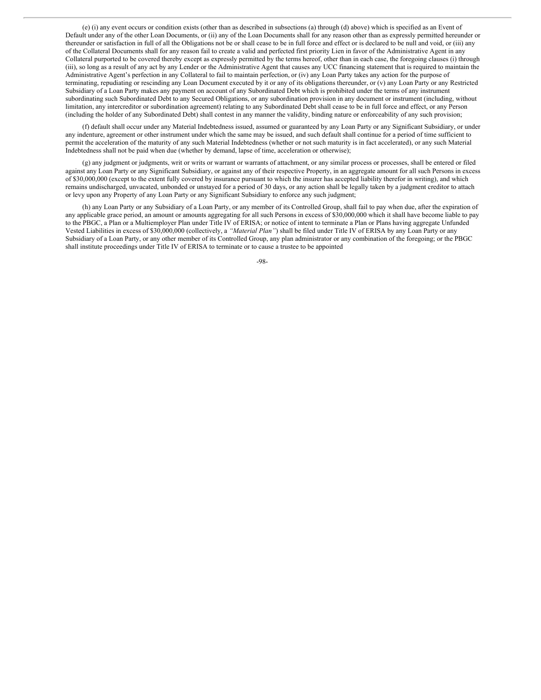(e) (i) any event occurs or condition exists (other than as described in subsections (a) through (d) above) which is specified as an Event of Default under any of the other Loan Documents, or (ii) any of the Loan Documents shall for any reason other than as expressly permitted hereunder or thereunder or satisfaction in full of all the Obligations not be or shall cease to be in full force and effect or is declared to be null and void, or (iii) any of the Collateral Documents shall for any reason fail to create a valid and perfected first priority Lien in favor of the Administrative Agent in any Collateral purported to be covered thereby except as expressly permitted by the terms hereof, other than in each case, the foregoing clauses (i) through (iii), so long as a result of any act by any Lender or the Administrative Agent that causes any UCC financing statement that is required to maintain the Administrative Agent's perfection in any Collateral to fail to maintain perfection, or (iv) any Loan Party takes any action for the purpose of terminating, repudiating or rescinding any Loan Document executed by it or any of its obligations thereunder, or (v) any Loan Party or any Restricted Subsidiary of a Loan Party makes any payment on account of any Subordinated Debt which is prohibited under the terms of any instrument subordinating such Subordinated Debt to any Secured Obligations, or any subordination provision in any document or instrument (including, without limitation, any intercreditor or subordination agreement) relating to any Subordinated Debt shall cease to be in full force and effect, or any Person (including the holder of any Subordinated Debt) shall contest in any manner the validity, binding nature or enforceability of any such provision;

(f) default shall occur under any Material Indebtedness issued, assumed or guaranteed by any Loan Party or any Significant Subsidiary, or under any indenture, agreement or other instrument under which the same may be issued, and such default shall continue for a period of time sufficient to permit the acceleration of the maturity of any such Material Indebtedness (whether or not such maturity is in fact accelerated), or any such Material Indebtedness shall not be paid when due (whether by demand, lapse of time, acceleration or otherwise);

(g) any judgment or judgments, writ or writs or warrant or warrants of attachment, or any similar process or processes, shall be entered or filed against any Loan Party or any Significant Subsidiary, or against any of their respective Property, in an aggregate amount for all such Persons in excess of \$30,000,000 (except to the extent fully covered by insurance pursuant to which the insurer has accepted liability therefor in writing), and which remains undischarged, unvacated, unbonded or unstayed for a period of 30 days, or any action shall be legally taken by a judgment creditor to attach or levy upon any Property of any Loan Party or any Significant Subsidiary to enforce any such judgment;

(h) any Loan Party or any Subsidiary of a Loan Party, or any member of its Controlled Group, shall fail to pay when due, after the expiration of any applicable grace period, an amount or amounts aggregating for all such Persons in excess of \$30,000,000 which it shall have become liable to pay to the PBGC, a Plan or a Multiemployer Plan under Title IV of ERISA; or notice of intent to terminate a Plan or Plans having aggregate Unfunded Vested Liabilities in excess of \$30,000,000 (collectively, a *"Material Plan"*) shall be filed under Title IV of ERISA by any Loan Party or any Subsidiary of a Loan Party, or any other member of its Controlled Group, any plan administrator or any combination of the foregoing; or the PBGC shall institute proceedings under Title IV of ERISA to terminate or to cause a trustee to be appointed

-98-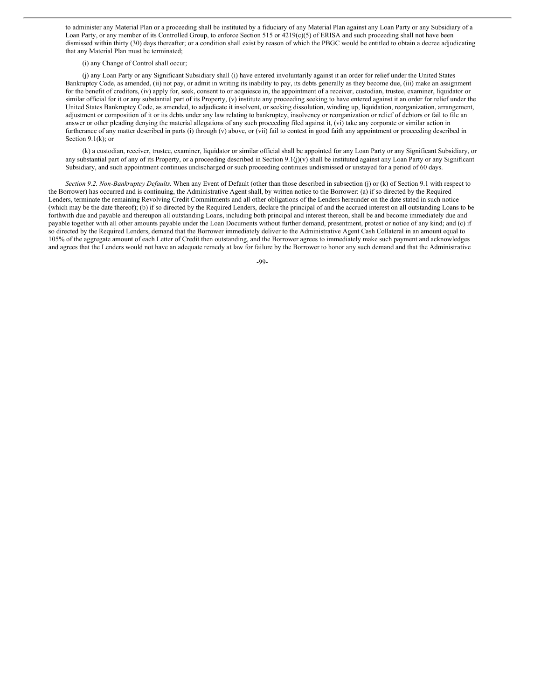to administer any Material Plan or a proceeding shall be instituted by a fiduciary of any Material Plan against any Loan Party or any Subsidiary of a Loan Party, or any member of its Controlled Group, to enforce Section 515 or 4219(c)(5) of ERISA and such proceeding shall not have been dismissed within thirty (30) days thereafter; or a condition shall exist by reason of which the PBGC would be entitled to obtain a decree adjudicating that any Material Plan must be terminated;

### (i) any Change of Control shall occur;

(j) any Loan Party or any Significant Subsidiary shall (i) have entered involuntarily against it an order for relief under the United States Bankruptcy Code, as amended, (ii) not pay, or admit in writing its inability to pay, its debts generally as they become due, (iii) make an assignment for the benefit of creditors, (iv) apply for, seek, consent to or acquiesce in, the appointment of a receiver, custodian, trustee, examiner, liquidator or similar official for it or any substantial part of its Property, (v) institute any proceeding seeking to have entered against it an order for relief under the United States Bankruptcy Code, as amended, to adjudicate it insolvent, or seeking dissolution, winding up, liquidation, reorganization, arrangement, adjustment or composition of it or its debts under any law relating to bankruptcy, insolvency or reorganization or relief of debtors or fail to file an answer or other pleading denying the material allegations of any such proceeding filed against it, (vi) take any corporate or similar action in furtherance of any matter described in parts (i) through (v) above, or (vii) fail to contest in good faith any appointment or proceeding described in Section 9.1(k): or

(k) a custodian, receiver, trustee, examiner, liquidator or similar official shall be appointed for any Loan Party or any Significant Subsidiary, or any substantial part of any of its Property, or a proceeding described in Section 9.1(j)(v) shall be instituted against any Loan Party or any Significant Subsidiary, and such appointment continues undischarged or such proceeding continues undismissed or unstayed for a period of 60 days.

*Section 9.2. Non-Bankruptcy Defaults.* When any Event of Default (other than those described in subsection (j) or (k) of Section 9.1 with respect to the Borrower) has occurred and is continuing, the Administrative Agent shall, by written notice to the Borrower: (a) if so directed by the Required Lenders, terminate the remaining Revolving Credit Commitments and all other obligations of the Lenders hereunder on the date stated in such notice (which may be the date thereof); (b) if so directed by the Required Lenders, declare the principal of and the accrued interest on all outstanding Loans to be forthwith due and payable and thereupon all outstanding Loans, including both principal and interest thereon, shall be and become immediately due and payable together with all other amounts payable under the Loan Documents without further demand, presentment, protest or notice of any kind; and (c) if so directed by the Required Lenders, demand that the Borrower immediately deliver to the Administrative Agent Cash Collateral in an amount equal to 105% of the aggregate amount of each Letter of Credit then outstanding, and the Borrower agrees to immediately make such payment and acknowledges and agrees that the Lenders would not have an adequate remedy at law for failure by the Borrower to honor any such demand and that the Administrative

-99-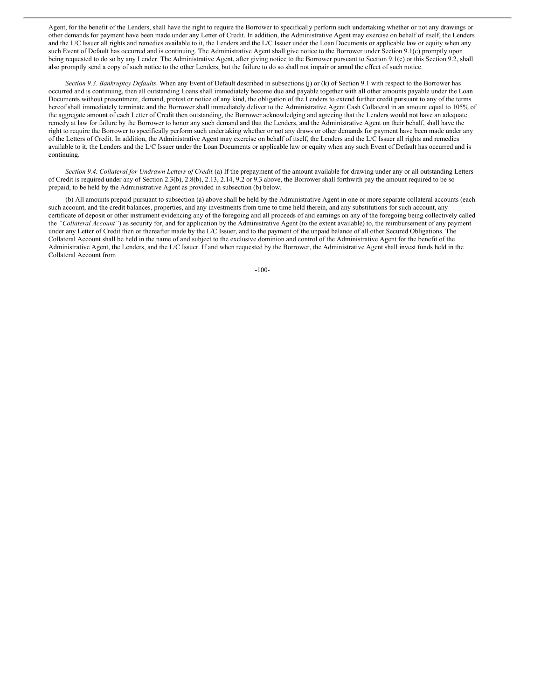Agent, for the benefit of the Lenders, shall have the right to require the Borrower to specifically perform such undertaking whether or not any drawings or other demands for payment have been made under any Letter of Credit. In addition, the Administrative Agent may exercise on behalf of itself, the Lenders and the L/C Issuer all rights and remedies available to it, the Lenders and the L/C Issuer under the Loan Documents or applicable law or equity when any such Event of Default has occurred and is continuing. The Administrative Agent shall give notice to the Borrower under Section 9.1(c) promptly upon being requested to do so by any Lender. The Administrative Agent, after giving notice to the Borrower pursuant to Section 9.1(c) or this Section 9.2, shall also promptly send a copy of such notice to the other Lenders, but the failure to do so shall not impair or annul the effect of such notice.

*Section 9.3. Bankruptcy Defaults*. When any Event of Default described in subsections (j) or (k) of Section 9.1 with respect to the Borrower has occurred and is continuing, then all outstanding Loans shall immediately become due and payable together with all other amounts payable under the Loan Documents without presentment, demand, protest or notice of any kind, the obligation of the Lenders to extend further credit pursuant to any of the terms hereof shall immediately terminate and the Borrower shall immediately deliver to the Administrative Agent Cash Collateral in an amount equal to 105% of the aggregate amount of each Letter of Credit then outstanding, the Borrower acknowledging and agreeing that the Lenders would not have an adequate remedy at law for failure by the Borrower to honor any such demand and that the Lenders, and the Administrative Agent on their behalf, shall have the right to require the Borrower to specifically perform such undertaking whether or not any draws or other demands for payment have been made under any of the Letters of Credit. In addition, the Administrative Agent may exercise on behalf of itself, the Lenders and the L/C Issuer all rights and remedies available to it, the Lenders and the L/C Issuer under the Loan Documents or applicable law or equity when any such Event of Default has occurred and is continuing.

*Section 9.4. Collateral for Undrawn Letters of Credit*. (a) If the prepayment of the amount available for drawing under any or all outstanding Letters of Credit is required under any of Section 2.3(b), 2.8(b), 2.13, 2.14, 9.2 or 9.3 above, the Borrower shall forthwith pay the amount required to be so prepaid, to be held by the Administrative Agent as provided in subsection (b) below.

(b) All amounts prepaid pursuant to subsection (a) above shall be held by the Administrative Agent in one or more separate collateral accounts (each such account, and the credit balances, properties, and any investments from time to time held therein, and any substitutions for such account, any certificate of deposit or other instrument evidencing any of the foregoing and all proceeds of and earnings on any of the foregoing being collectively called the "Collateral Account") as security for, and for application by the Administrative Agent (to the extent available) to, the reimbursement of any payment under any Letter of Credit then or thereafter made by the L/C Issuer, and to the payment of the unpaid balance of all other Secured Obligations. The Collateral Account shall be held in the name of and subject to the exclusive dominion and control of the Administrative Agent for the benefit of the Administrative Agent, the Lenders, and the L/C Issuer. If and when requested by the Borrower, the Administrative Agent shall invest funds held in the Collateral Account from

-100-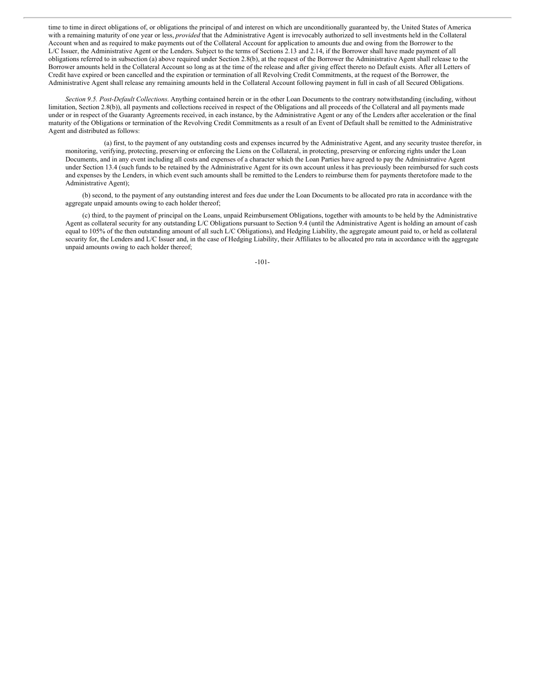time to time in direct obligations of, or obligations the principal of and interest on which are unconditionally guaranteed by, the United States of America with a remaining maturity of one year or less, *provided* that the Administrative Agent is irrevocably authorized to sell investments held in the Collateral Account when and as required to make payments out of the Collateral Account for application to amounts due and owing from the Borrower to the L/C Issuer, the Administrative Agent or the Lenders. Subject to the terms of Sections 2.13 and 2.14, if the Borrower shall have made payment of all obligations referred to in subsection (a) above required under Section 2.8(b), at the request of the Borrower the Administrative Agent shall release to the Borrower amounts held in the Collateral Account so long as at the time of the release and after giving effect thereto no Default exists. After all Letters of Credit have expired or been cancelled and the expiration or termination of all Revolving Credit Commitments, at the request of the Borrower, the Administrative Agent shall release any remaining amounts held in the Collateral Account following payment in full in cash of all Secured Obligations.

*Section 9.5. Post-Default Collections*. Anything contained herein or in the other Loan Documents to the contrary notwithstanding (including, without limitation, Section 2.8(b)), all payments and collections received in respect of the Obligations and all proceeds of the Collateral and all payments made under or in respect of the Guaranty Agreements received, in each instance, by the Administrative Agent or any of the Lenders after acceleration or the final maturity of the Obligations or termination of the Revolving Credit Commitments as a result of an Event of Default shall be remitted to the Administrative Agent and distributed as follows:

(a) first, to the payment of any outstanding costs and expenses incurred by the Administrative Agent, and any security trustee therefor, in monitoring, verifying, protecting, preserving or enforcing the Liens on the Collateral, in protecting, preserving or enforcing rights under the Loan Documents, and in any event including all costs and expenses of a character which the Loan Parties have agreed to pay the Administrative Agent under Section 13.4 (such funds to be retained by the Administrative Agent for its own account unless it has previously been reimbursed for such costs and expenses by the Lenders, in which event such amounts shall be remitted to the Lenders to reimburse them for payments theretofore made to the Administrative Agent);

(b) second, to the payment of any outstanding interest and fees due under the Loan Documents to be allocated pro rata in accordance with the aggregate unpaid amounts owing to each holder thereof;

(c) third, to the payment of principal on the Loans, unpaid Reimbursement Obligations, together with amounts to be held by the Administrative Agent as collateral security for any outstanding L/C Obligations pursuant to Section 9.4 (until the Administrative Agent is holding an amount of cash equal to 105% of the then outstanding amount of all such L/C Obligations), and Hedging Liability, the aggregate amount paid to, or held as collateral security for, the Lenders and L/C Issuer and, in the case of Hedging Liability, their Affiliates to be allocated pro rata in accordance with the aggregate unpaid amounts owing to each holder thereof;

-101-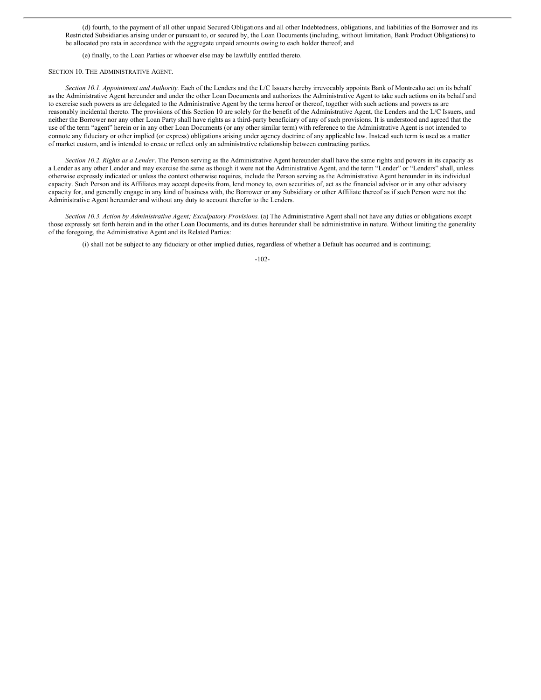(d) fourth, to the payment of all other unpaid Secured Obligations and all other Indebtedness, obligations, and liabilities of the Borrower and its Restricted Subsidiaries arising under or pursuant to, or secured by, the Loan Documents (including, without limitation, Bank Product Obligations) to be allocated pro rata in accordance with the aggregate unpaid amounts owing to each holder thereof; and

(e) finally, to the Loan Parties or whoever else may be lawfully entitled thereto.

## SECTION 10. THE ADMINISTRATIVE AGENT.

*Section 10.1. Appointment and Authority*. Each of the Lenders and the L/C Issuers hereby irrevocably appoints Bank of Montrealto act on its behalf as the Administrative Agent hereunder and under the other Loan Documents and authorizes the Administrative Agent to take such actions on its behalf and to exercise such powers as are delegated to the Administrative Agent by the terms hereof or thereof, together with such actions and powers as are reasonably incidental thereto. The provisions of this Section 10 are solely for the benefit of the Administrative Agent, the Lenders and the L/C Issuers, and neither the Borrower nor any other Loan Party shall have rights as a third-party beneficiary of any of such provisions. It is understood and agreed that the use of the term "agent" herein or in any other Loan Documents (or any other similar term) with reference to the Administrative Agent is not intended to connote any fiduciary or other implied (or express) obligations arising under agency doctrine of any applicable law. Instead such term is used as a matter of market custom, and is intended to create or reflect only an administrative relationship between contracting parties.

*Section 10.2. Rights as a Lender*. The Person serving as the Administrative Agent hereunder shall have the same rights and powers in its capacity as a Lender as any other Lender and may exercise the same as though it were not the Administrative Agent, and the term "Lender" or "Lenders" shall, unless otherwise expressly indicated or unless the context otherwise requires, include the Person serving as the Administrative Agent hereunder in its individual capacity. Such Person and its Affiliates may accept deposits from, lend money to, own securities of, act as the financial advisor or in any other advisory capacity for, and generally engage in any kind of business with, the Borrower or any Subsidiary or other Affiliate thereof as if such Person were not the Administrative Agent hereunder and without any duty to account therefor to the Lenders.

*Section 10.3. Action by Administrative Agent; Exculpatory Provisions*. (a) The Administrative Agent shall not have any duties or obligations except those expressly set forth herein and in the other Loan Documents, and its duties hereunder shall be administrative in nature. Without limiting the generality of the foregoing, the Administrative Agent and its Related Parties:

(i) shall not be subject to any fiduciary or other implied duties, regardless of whether a Default has occurred and is continuing;

# -102-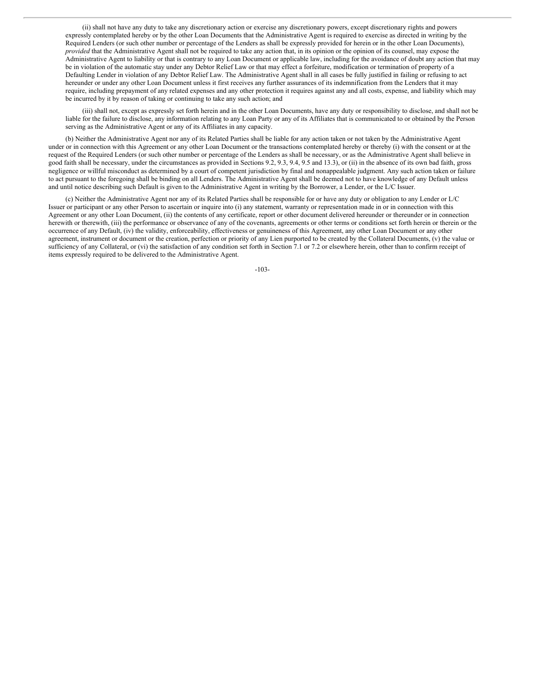(ii) shall not have any duty to take any discretionary action or exercise any discretionary powers, except discretionary rights and powers expressly contemplated hereby or by the other Loan Documents that the Administrative Agent is required to exercise as directed in writing by the Required Lenders (or such other number or percentage of the Lenders as shall be expressly provided for herein or in the other Loan Documents), *provided* that the Administrative Agent shall not be required to take any action that, in its opinion or the opinion of its counsel, may expose the Administrative Agent to liability or that is contrary to any Loan Document or applicable law, including for the avoidance of doubt any action that may be in violation of the automatic stay under any Debtor Relief Law or that may effect a forfeiture, modification or termination of property of a Defaulting Lender in violation of any Debtor Relief Law. The Administrative Agent shall in all cases be fully justified in failing or refusing to act hereunder or under any other Loan Document unless it first receives any further assurances of its indemnification from the Lenders that it may require, including prepayment of any related expenses and any other protection it requires against any and all costs, expense, and liability which may be incurred by it by reason of taking or continuing to take any such action; and

(iii) shall not, except as expressly set forth herein and in the other Loan Documents, have any duty or responsibility to disclose, and shall not be liable for the failure to disclose, any information relating to any Loan Party or any of its Affiliates that is communicated to or obtained by the Person serving as the Administrative Agent or any of its Affiliates in any capacity.

(b) Neither the Administrative Agent nor any of its Related Parties shall be liable for any action taken or not taken by the Administrative Agent under or in connection with this Agreement or any other Loan Document or the transactions contemplated hereby or thereby (i) with the consent or at the request of the Required Lenders (or such other number or percentage of the Lenders as shall be necessary, or as the Administrative Agent shall believe in good faith shall be necessary, under the circumstances as provided in Sections 9.2, 9.3, 9.4, 9.5 and 13.3), or (ii) in the absence of its own bad faith, gross negligence or willful misconduct as determined by a court of competent jurisdiction by final and nonappealable judgment. Any such action taken or failure to act pursuant to the foregoing shall be binding on all Lenders. The Administrative Agent shall be deemed not to have knowledge of any Default unless and until notice describing such Default is given to the Administrative Agent in writing by the Borrower, a Lender, or the L/C Issuer.

(c) Neither the Administrative Agent nor any of its Related Parties shall be responsible for or have any duty or obligation to any Lender or L/C Issuer or participant or any other Person to ascertain or inquire into (i) any statement, warranty or representation made in or in connection with this Agreement or any other Loan Document, (ii) the contents of any certificate, report or other document delivered hereunder or thereunder or in connection herewith or therewith, (iii) the performance or observance of any of the covenants, agreements or other terms or conditions set forth herein or therein or the occurrence of any Default, (iv) the validity, enforceability, effectiveness or genuineness of this Agreement, any other Loan Document or any other agreement, instrument or document or the creation, perfection or priority of any Lien purported to be created by the Collateral Documents, (v) the value or sufficiency of any Collateral, or (vi) the satisfaction of any condition set forth in Section 7.1 or 7.2 or elsewhere herein, other than to confirm receipt of items expressly required to be delivered to the Administrative Agent.

-103-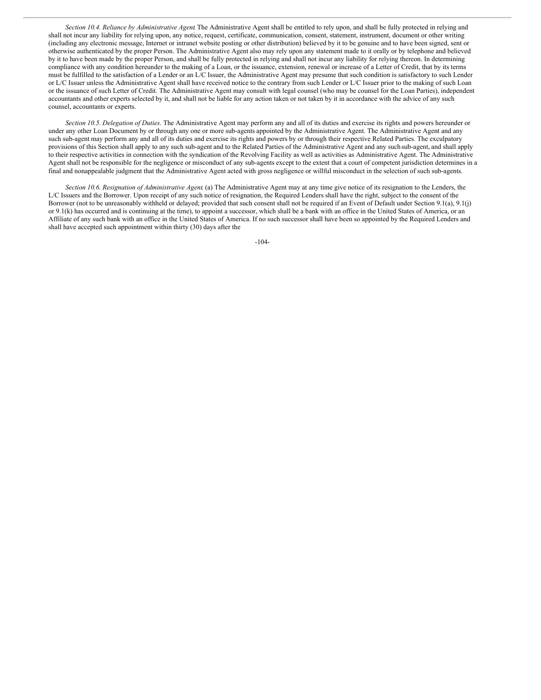*Section 10.4. Reliance by Administrative Agent*. The Administrative Agent shall be entitled to rely upon, and shall be fully protected in relying and shall not incur any liability for relying upon, any notice, request, certificate, communication, consent, statement, instrument, document or other writing (including any electronic message, Internet or intranet website posting or other distribution) believed by it to be genuine and to have been signed, sent or otherwise authenticated by the proper Person. The Administrative Agent also may rely upon any statement made to it orally or by telephone and believed by it to have been made by the proper Person, and shall be fully protected in relying and shall not incur any liability for relying thereon. In determining compliance with any condition hereunder to the making of a Loan, or the issuance, extension, renewal or increase of a Letter of Credit, that by its terms must be fulfilled to the satisfaction of a Lender or an L/C Issuer, the Administrative Agent may presume that such condition is satisfactory to such Lender or L/C Issuer unless the Administrative Agent shall have received notice to the contrary from such Lender or L/C Issuer prior to the making of such Loan or the issuance of such Letter of Credit. The Administrative Agent may consult with legal counsel (who may be counsel for the Loan Parties), independent accountants and other experts selected by it, and shall not be liable for any action taken or not taken by it in accordance with the advice of any such counsel, accountants or experts.

*Section 10.5. Delegation of Duties*. The Administrative Agent may perform any and all of its duties and exercise its rights and powers hereunder or under any other Loan Document by or through any one or more sub-agents appointed by the Administrative Agent. The Administrative Agent and any such sub-agent may perform any and all of its duties and exercise its rights and powers by or through their respective Related Parties. The exculpatory provisions of this Section shall apply to any such sub-agent and to the Related Parties of the Administrative Agent and any suchsub-agent, and shall apply to their respective activities in connection with the syndication of the Revolving Facility as well as activities as Administrative Agent. The Administrative Agent shall not be responsible for the negligence or misconduct of any sub-agents except to the extent that a court of competent jurisdiction determines in a final and nonappealable judgment that the Administrative Agent acted with gross negligence or willful misconduct in the selection of such sub-agents.

*Section 10.6. Resignation of Administrative Agent*. (a) The Administrative Agent may at any time give notice of its resignation to the Lenders, the L/C Issuers and the Borrower. Upon receipt of any such notice of resignation, the Required Lenders shall have the right, subject to the consent of the Borrower (not to be unreasonably withheld or delayed; provided that such consent shall not be required if an Event of Default under Section 9.1(a), 9.1(j) or 9.1(k) has occurred and is continuing at the time), to appoint a successor, which shall be a bank with an office in the United States of America, or an Affiliate of any such bank with an office in the United States of America. If no such successor shall have been so appointed by the Required Lenders and shall have accepted such appointment within thirty (30) days after the

-104-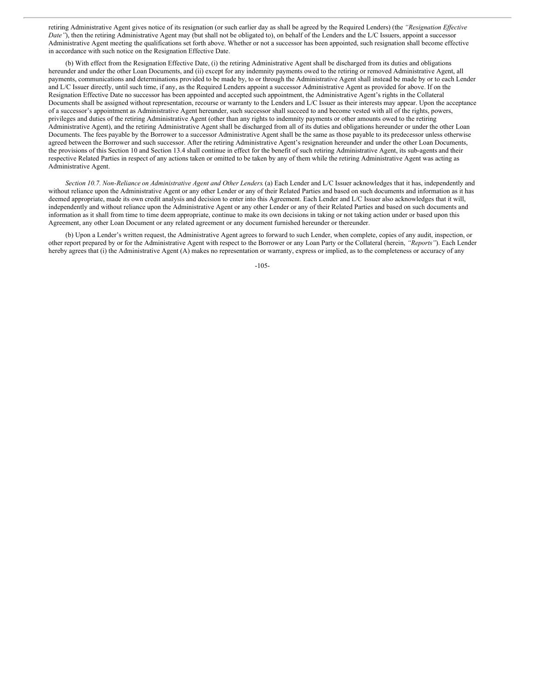retiring Administrative Agent gives notice of its resignation (or such earlier day as shall be agreed by the Required Lenders) (the *"Resignation Ef ective Date"*), then the retiring Administrative Agent may (but shall not be obligated to), on behalf of the Lenders and the L/C Issuers, appoint a successor Administrative Agent meeting the qualifications set forth above. Whether or not a successor has been appointed, such resignation shall become effective in accordance with such notice on the Resignation Effective Date.

(b) With effect from the Resignation Effective Date, (i) the retiring Administrative Agent shall be discharged from its duties and obligations hereunder and under the other Loan Documents, and (ii) except for any indemnity payments owed to the retiring or removed Administrative Agent, all payments, communications and determinations provided to be made by, to or through the Administrative Agent shall instead be made by or to each Lender and L/C Issuer directly, until such time, if any, as the Required Lenders appoint a successor Administrative Agent as provided for above. If on the Resignation Effective Date no successor has been appointed and accepted such appointment, the Administrative Agent's rights in the Collateral Documents shall be assigned without representation, recourse or warranty to the Lenders and L/C Issuer as their interests may appear. Upon the acceptance of a successor's appointment as Administrative Agent hereunder, such successor shall succeed to and become vested with all of the rights, powers, privileges and duties of the retiring Administrative Agent (other than any rights to indemnity payments or other amounts owed to the retiring Administrative Agent), and the retiring Administrative Agent shall be discharged from all of its duties and obligations hereunder or under the other Loan Documents. The fees payable by the Borrower to a successor Administrative Agent shall be the same as those payable to its predecessor unless otherwise agreed between the Borrower and such successor. After the retiring Administrative Agent's resignation hereunder and under the other Loan Documents, the provisions of this Section 10 and Section 13.4 shall continue in effect for the benefit of such retiring Administrative Agent, its sub-agents and their respective Related Parties in respect of any actions taken or omitted to be taken by any of them while the retiring Administrative Agent was acting as Administrative Agent.

*Section 10.7. Non-Reliance on Administrative Agent and Other Lenders*. (a) Each Lender and L/C Issuer acknowledges that it has, independently and without reliance upon the Administrative Agent or any other Lender or any of their Related Parties and based on such documents and information as it has deemed appropriate, made its own credit analysis and decision to enter into this Agreement. Each Lender and L/C Issuer also acknowledges that it will, independently and without reliance upon the Administrative Agent or any other Lender or any of their Related Parties and based on such documents and information as it shall from time to time deem appropriate, continue to make its own decisions in taking or not taking action under or based upon this Agreement, any other Loan Document or any related agreement or any document furnished hereunder or thereunder.

(b) Upon a Lender's written request, the Administrative Agent agrees to forward to such Lender, when complete, copies of any audit, inspection, or other report prepared by or for the Administrative Agent with respect to the Borrower or any Loan Party or the Collateral (herein, *"Reports"*). Each Lender hereby agrees that (i) the Administrative Agent (A) makes no representation or warranty, express or implied, as to the completeness or accuracy of any

-105-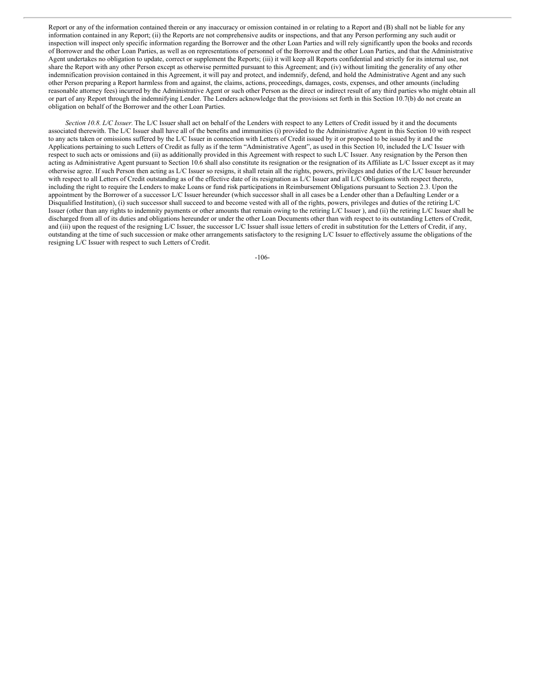Report or any of the information contained therein or any inaccuracy or omission contained in or relating to a Report and (B) shall not be liable for any information contained in any Report; (ii) the Reports are not comprehensive audits or inspections, and that any Person performing any such audit or inspection will inspect only specific information regarding the Borrower and the other Loan Parties and will rely significantly upon the books and records of Borrower and the other Loan Parties, as well as on representations of personnel of the Borrower and the other Loan Parties, and that the Administrative Agent undertakes no obligation to update, correct or supplement the Reports; (iii) it will keep all Reports confidential and strictly for its internal use, not share the Report with any other Person except as otherwise permitted pursuant to this Agreement; and (iv) without limiting the generality of any other indemnification provision contained in this Agreement, it will pay and protect, and indemnify, defend, and hold the Administrative Agent and any such other Person preparing a Report harmless from and against, the claims, actions, proceedings, damages, costs, expenses, and other amounts (including reasonable attorney fees) incurred by the Administrative Agent or such other Person as the direct or indirect result of any third parties who might obtain all or part of any Report through the indemnifying Lender. The Lenders acknowledge that the provisions set forth in this Section 10.7(b) do not create an obligation on behalf of the Borrower and the other Loan Parties.

*Section 10.8. L/C Issuer.* The L/C Issuer shall act on behalf of the Lenders with respect to any Letters of Credit issued by it and the documents associated therewith. The L/C Issuer shall have all of the benefits and immunities (i) provided to the Administrative Agent in this Section 10 with respect to any acts taken or omissions suffered by the L/C Issuer in connection with Letters of Credit issued by it or proposed to be issued by it and the Applications pertaining to such Letters of Credit as fully as if the term "Administrative Agent", as used in this Section 10, included the L/C Issuer with respect to such acts or omissions and (ii) as additionally provided in this Agreement with respect to such L/C Issuer. Any resignation by the Person then acting as Administrative Agent pursuant to Section 10.6 shall also constitute its resignation or the resignation of its Affiliate as L/C Issuer except as it may otherwise agree. If such Person then acting as L/C Issuer so resigns, it shall retain all the rights, powers, privileges and duties of the L/C Issuer hereunder with respect to all Letters of Credit outstanding as of the effective date of its resignation as L/C Issuer and all L/C Obligations with respect thereto, including the right to require the Lenders to make Loans or fund risk participations in Reimbursement Obligations pursuant to Section 2.3. Upon the appointment by the Borrower of a successor L/C Issuer hereunder (which successor shall in all cases be a Lender other than a Defaulting Lender or a Disqualified Institution), (i) such successor shall succeed to and become vested with all of the rights, powers, privileges and duties of the retiring L/C Issuer (other than any rights to indemnity payments or other amounts that remain owing to the retiring L/C Issuer ), and (ii) the retiring L/C Issuer shall be discharged from all of its duties and obligations hereunder or under the other Loan Documents other than with respect to its outstanding Letters of Credit, and (iii) upon the request of the resigning L/C Issuer, the successor L/C Issuer shall issue letters of credit in substitution for the Letters of Credit, if any, outstanding at the time of such succession or make other arrangements satisfactory to the resigning L/C Issuer to effectively assume the obligations of the resigning L/C Issuer with respect to such Letters of Credit.

-106-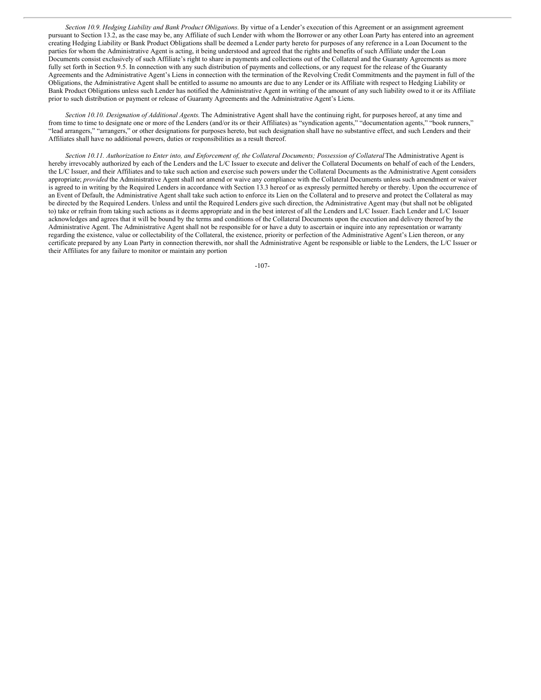*Section 10.9. Hedging Liability and Bank Product Obligations*. By virtue of a Lender's execution of this Agreement or an assignment agreement pursuant to Section 13.2, as the case may be, any Affiliate of such Lender with whom the Borrower or any other Loan Party has entered into an agreement creating Hedging Liability or Bank Product Obligations shall be deemed a Lender party hereto for purposes of any reference in a Loan Document to the parties for whom the Administrative Agent is acting, it being understood and agreed that the rights and benefits of such Affiliate under the Loan Documents consist exclusively of such Affiliate's right to share in payments and collections out of the Collateral and the Guaranty Agreements as more fully set forth in Section 9.5. In connection with any such distribution of payments and collections, or any request for the release of the Guaranty Agreements and the Administrative Agent's Liens in connection with the termination of the Revolving Credit Commitments and the payment in full of the Obligations, the Administrative Agent shall be entitled to assume no amounts are due to any Lender or its Affiliate with respect to Hedging Liability or Bank Product Obligations unless such Lender has notified the Administrative Agent in writing of the amount of any such liability owed to it or its Affiliate prior to such distribution or payment or release of Guaranty Agreements and the Administrative Agent's Liens.

*Section 10.10. Designation of Additional Agents*. The Administrative Agent shall have the continuing right, for purposes hereof, at any time and from time to time to designate one or more of the Lenders (and/or its or their Affiliates) as "syndication agents," "documentation agents," "book runners," "lead arrangers," "arrangers," or other designations for purposes hereto, but such designation shall have no substantive effect, and such Lenders and their Affiliates shall have no additional powers, duties or responsibilities as a result thereof.

Section 10.11. Authorization to Enter into, and Enforcement of, the Collateral Documents; Possession of Collateral The Administrative Agent is hereby irrevocably authorized by each of the Lenders and the L/C Issuer to execute and deliver the Collateral Documents on behalf of each of the Lenders, the L/C Issuer, and their Affiliates and to take such action and exercise such powers under the Collateral Documents as the Administrative Agent considers appropriate; *provided* the Administrative Agent shall not amend or waive any compliance with the Collateral Documents unless such amendment or waiver is agreed to in writing by the Required Lenders in accordance with Section 13.3 hereof or as expressly permitted hereby or thereby. Upon the occurrence of an Event of Default, the Administrative Agent shall take such action to enforce its Lien on the Collateral and to preserve and protect the Collateral as may be directed by the Required Lenders. Unless and until the Required Lenders give such direction, the Administrative Agent may (but shall not be obligated to) take or refrain from taking such actions as it deems appropriate and in the best interest of all the Lenders and L/C Issuer. Each Lender and L/C Issuer acknowledges and agrees that it will be bound by the terms and conditions of the Collateral Documents upon the execution and delivery thereof by the Administrative Agent. The Administrative Agent shall not be responsible for or have a duty to ascertain or inquire into any representation or warranty regarding the existence, value or collectability of the Collateral, the existence, priority or perfection of the Administrative Agent's Lien thereon, or any certificate prepared by any Loan Party in connection therewith, nor shall the Administrative Agent be responsible or liable to the Lenders, the L/C Issuer or their Affiliates for any failure to monitor or maintain any portion

-107-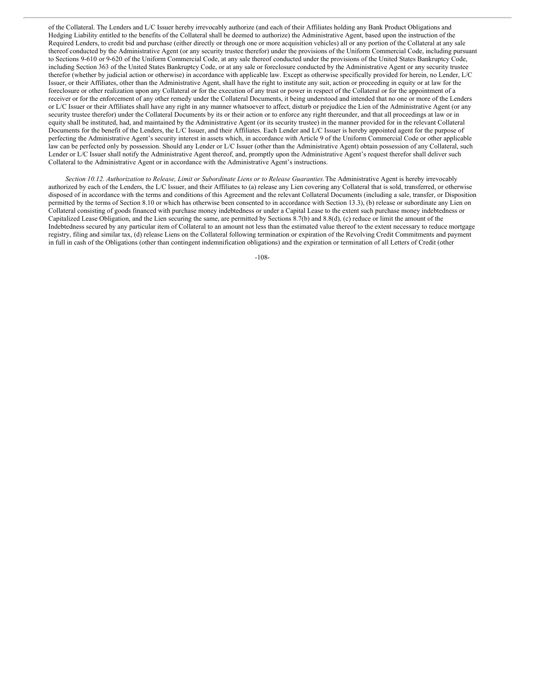of the Collateral. The Lenders and L/C Issuer hereby irrevocably authorize (and each of their Affiliates holding any Bank Product Obligations and Hedging Liability entitled to the benefits of the Collateral shall be deemed to authorize) the Administrative Agent, based upon the instruction of the Required Lenders, to credit bid and purchase (either directly or through one or more acquisition vehicles) all or any portion of the Collateral at any sale thereof conducted by the Administrative Agent (or any security trustee therefor) under the provisions of the Uniform Commercial Code, including pursuant to Sections 9-610 or 9-620 of the Uniform Commercial Code, at any sale thereof conducted under the provisions of the United States Bankruptcy Code, including Section 363 of the United States Bankruptcy Code, or at any sale or foreclosure conducted by the Administrative Agent or any security trustee therefor (whether by judicial action or otherwise) in accordance with applicable law. Except as otherwise specifically provided for herein, no Lender, L/C Issuer, or their Affiliates, other than the Administrative Agent, shall have the right to institute any suit, action or proceeding in equity or at law for the foreclosure or other realization upon any Collateral or for the execution of any trust or power in respect of the Collateral or for the appointment of a receiver or for the enforcement of any other remedy under the Collateral Documents, it being understood and intended that no one or more of the Lenders or L/C Issuer or their Affiliates shall have any right in any manner whatsoever to affect, disturb or prejudice the Lien of the Administrative Agent (or any security trustee therefor) under the Collateral Documents by its or their action or to enforce any right thereunder, and that all proceedings at law or in equity shall be instituted, had, and maintained by the Administrative Agent (or its security trustee) in the manner provided for in the relevant Collateral Documents for the benefit of the Lenders, the L/C Issuer, and their Affiliates. Each Lender and L/C Issuer is hereby appointed agent for the purpose of perfecting the Administrative Agent's security interest in assets which, in accordance with Article 9 of the Uniform Commercial Code or other applicable law can be perfected only by possession. Should any Lender or L/C Issuer (other than the Administrative Agent) obtain possession of any Collateral, such Lender or L/C Issuer shall notify the Administrative Agent thereof, and, promptly upon the Administrative Agent's request therefor shall deliver such Collateral to the Administrative Agent or in accordance with the Administrative Agent's instructions.

Section 10.12. Authorization to Release, Limit or Subordinate Liens or to Release Guaranties. The Administrative Agent is hereby irrevocably authorized by each of the Lenders, the L/C Issuer, and their Affiliates to (a) release any Lien covering any Collateral that is sold, transferred, or otherwise disposed of in accordance with the terms and conditions of this Agreement and the relevant Collateral Documents (including a sale, transfer, or Disposition permitted by the terms of Section 8.10 or which has otherwise been consented to in accordance with Section 13.3), (b) release or subordinate any Lien on Collateral consisting of goods financed with purchase money indebtedness or under a Capital Lease to the extent such purchase money indebtedness or Capitalized Lease Obligation, and the Lien securing the same, are permitted by Sections 8.7(b) and 8.8(d), (c) reduce or limit the amount of the Indebtedness secured by any particular item of Collateral to an amount not less than the estimated value thereof to the extent necessary to reduce mortgage registry, filing and similar tax, (d) release Liens on the Collateral following termination or expiration of the Revolving Credit Commitments and payment in full in cash of the Obligations (other than contingent indemnification obligations) and the expiration or termination of all Letters of Credit (other

-108-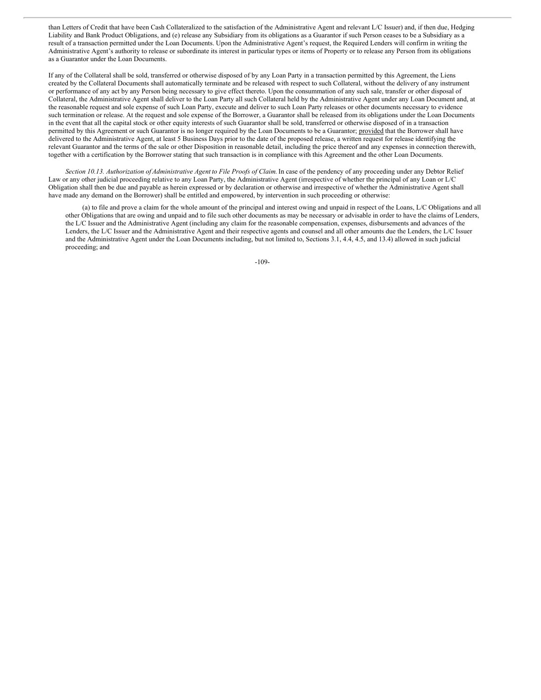than Letters of Credit that have been Cash Collateralized to the satisfaction of the Administrative Agent and relevant L/C Issuer) and, if then due, Hedging Liability and Bank Product Obligations, and (e) release any Subsidiary from its obligations as a Guarantor if such Person ceases to be a Subsidiary as a result of a transaction permitted under the Loan Documents. Upon the Administrative Agent's request, the Required Lenders will confirm in writing the Administrative Agent's authority to release or subordinate its interest in particular types or items of Property or to release any Person from its obligations as a Guarantor under the Loan Documents.

If any of the Collateral shall be sold, transferred or otherwise disposed of by any Loan Party in a transaction permitted by this Agreement, the Liens created by the Collateral Documents shall automatically terminate and be released with respect to such Collateral, without the delivery of any instrument or performance of any act by any Person being necessary to give effect thereto. Upon the consummation of any such sale, transfer or other disposal of Collateral, the Administrative Agent shall deliver to the Loan Party all such Collateral held by the Administrative Agent under any Loan Document and, at the reasonable request and sole expense of such Loan Party, execute and deliver to such Loan Party releases or other documents necessary to evidence such termination or release. At the request and sole expense of the Borrower, a Guarantor shall be released from its obligations under the Loan Documents in the event that all the capital stock or other equity interests of such Guarantor shall be sold, transferred or otherwise disposed of in a transaction permitted by this Agreement or such Guarantor is no longer required by the Loan Documents to be a Guarantor; provided that the Borrower shall have delivered to the Administrative Agent, at least 5 Business Days prior to the date of the proposed release, a written request for release identifying the relevant Guarantor and the terms of the sale or other Disposition in reasonable detail, including the price thereof and any expenses in connection therewith, together with a certification by the Borrower stating that such transaction is in compliance with this Agreement and the other Loan Documents.

*Section 10.13. Authorization of Administrative Agent to File Proofs of Claim.*In case of the pendency of any proceeding under any Debtor Relief Law or any other judicial proceeding relative to any Loan Party, the Administrative Agent (irrespective of whether the principal of any Loan or L/C Obligation shall then be due and payable as herein expressed or by declaration or otherwise and irrespective of whether the Administrative Agent shall have made any demand on the Borrower) shall be entitled and empowered, by intervention in such proceeding or otherwise:

(a) to file and prove a claim for the whole amount of the principal and interest owing and unpaid in respect of the Loans, L/C Obligations and all other Obligations that are owing and unpaid and to file such other documents as may be necessary or advisable in order to have the claims of Lenders, the L/C Issuer and the Administrative Agent (including any claim for the reasonable compensation, expenses, disbursements and advances of the Lenders, the L/C Issuer and the Administrative Agent and their respective agents and counsel and all other amounts due the Lenders, the L/C Issuer and the Administrative Agent under the Loan Documents including, but not limited to, Sections 3.1, 4.4, 4.5, and 13.4) allowed in such judicial proceeding; and

-109-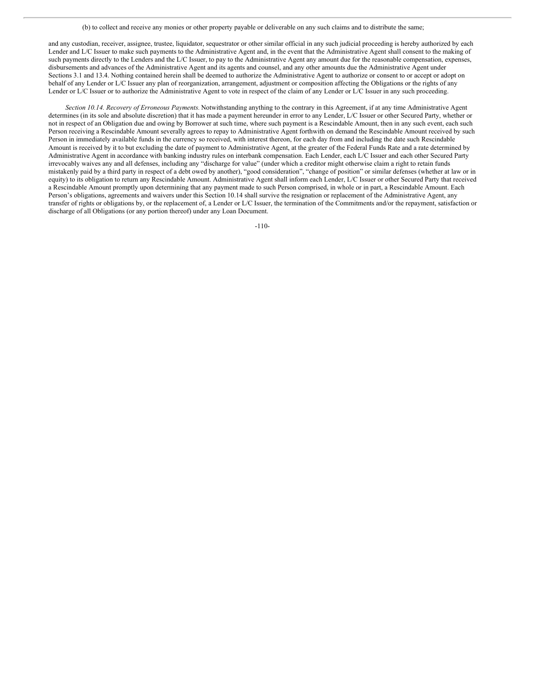(b) to collect and receive any monies or other property payable or deliverable on any such claims and to distribute the same;

and any custodian, receiver, assignee, trustee, liquidator, sequestrator or other similar official in any such judicial proceeding is hereby authorized by each Lender and L/C Issuer to make such payments to the Administrative Agent and, in the event that the Administrative Agent shall consent to the making of such payments directly to the Lenders and the L/C Issuer, to pay to the Administrative Agent any amount due for the reasonable compensation, expenses, disbursements and advances of the Administrative Agent and its agents and counsel, and any other amounts due the Administrative Agent under Sections 3.1 and 13.4. Nothing contained herein shall be deemed to authorize the Administrative Agent to authorize or consent to or accept or adopt on behalf of any Lender or L/C Issuer any plan of reorganization, arrangement, adjustment or composition affecting the Obligations or the rights of any Lender or L/C Issuer or to authorize the Administrative Agent to vote in respect of the claim of any Lender or L/C Issuer in any such proceeding.

*Section 10.14. Recovery of Erroneous Payments.* Notwithstanding anything to the contrary in this Agreement, if at any time Administrative Agent determines (in its sole and absolute discretion) that it has made a payment hereunder in error to any Lender, L/C Issuer or other Secured Party, whether or not in respect of an Obligation due and owing by Borrower at such time, where such payment is a Rescindable Amount, then in any such event, each such Person receiving a Rescindable Amount severally agrees to repay to Administrative Agent forthwith on demand the Rescindable Amount received by such Person in immediately available funds in the currency so received, with interest thereon, for each day from and including the date such Rescindable Amount is received by it to but excluding the date of payment to Administrative Agent, at the greater of the Federal Funds Rate and a rate determined by Administrative Agent in accordance with banking industry rules on interbank compensation. Each Lender, each L/C Issuer and each other Secured Party irrevocably waives any and all defenses, including any "discharge for value" (under which a creditor might otherwise claim a right to retain funds mistakenly paid by a third party in respect of a debt owed by another), "good consideration", "change of position" or similar defenses (whether at law or in equity) to its obligation to return any Rescindable Amount. Administrative Agent shall inform each Lender, L/C Issuer or other Secured Party that received a Rescindable Amount promptly upon determining that any payment made to such Person comprised, in whole or in part, a Rescindable Amount. Each Person's obligations, agreements and waivers under this Section 10.14 shall survive the resignation or replacement of the Administrative Agent, any transfer of rights or obligations by, or the replacement of, a Lender or L/C Issuer, the termination of the Commitments and/or the repayment, satisfaction or discharge of all Obligations (or any portion thereof) under any Loan Document.

-110-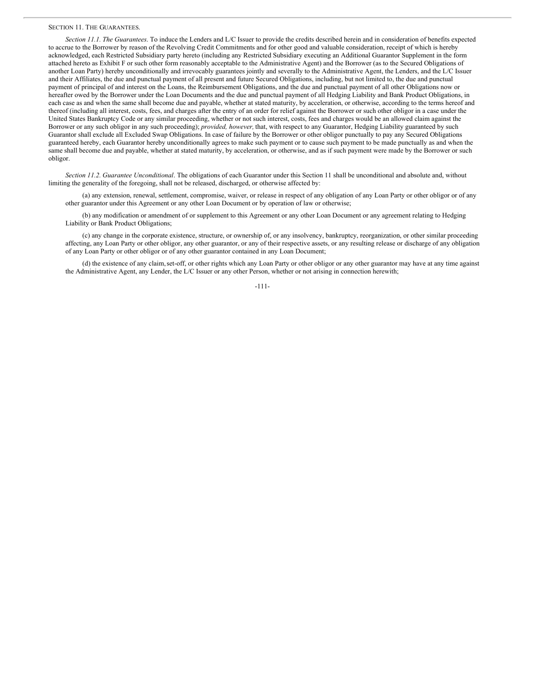*Section 11.1. The Guarantees*. To induce the Lenders and L/C Issuer to provide the credits described herein and in consideration of benefits expected to accrue to the Borrower by reason of the Revolving Credit Commitments and for other good and valuable consideration, receipt of which is hereby acknowledged, each Restricted Subsidiary party hereto (including any Restricted Subsidiary executing an Additional Guarantor Supplement in the form attached hereto as Exhibit F or such other form reasonably acceptable to the Administrative Agent) and the Borrower (as to the Secured Obligations of another Loan Party) hereby unconditionally and irrevocably guarantees jointly and severally to the Administrative Agent, the Lenders, and the L/C Issuer and their Affiliates, the due and punctual payment of all present and future Secured Obligations, including, but not limited to, the due and punctual payment of principal of and interest on the Loans, the Reimbursement Obligations, and the due and punctual payment of all other Obligations now or hereafter owed by the Borrower under the Loan Documents and the due and punctual payment of all Hedging Liability and Bank Product Obligations, in each case as and when the same shall become due and payable, whether at stated maturity, by acceleration, or otherwise, according to the terms hereof and thereof (including all interest, costs, fees, and charges after the entry of an order for relief against the Borrower or such other obligor in a case under the United States Bankruptcy Code or any similar proceeding, whether or not such interest, costs, fees and charges would be an allowed claim against the Borrower or any such obligor in any such proceeding); *provided, however,* that, with respect to any Guarantor, Hedging Liability guaranteed by such Guarantor shall exclude all Excluded Swap Obligations. In case of failure by the Borrower or other obligor punctually to pay any Secured Obligations guaranteed hereby, each Guarantor hereby unconditionally agrees to make such payment or to cause such payment to be made punctually as and when the same shall become due and payable, whether at stated maturity, by acceleration, or otherwise, and as if such payment were made by the Borrower or such obligor.

*Section 11.2. Guarantee Unconditional*. The obligations of each Guarantor under this Section 11 shall be unconditional and absolute and, without limiting the generality of the foregoing, shall not be released, discharged, or otherwise affected by:

(a) any extension, renewal, settlement, compromise, waiver, or release in respect of any obligation of any Loan Party or other obligor or of any other guarantor under this Agreement or any other Loan Document or by operation of law or otherwise;

(b) any modification or amendment of or supplement to this Agreement or any other Loan Document or any agreement relating to Hedging Liability or Bank Product Obligations;

(c) any change in the corporate existence, structure, or ownership of, or any insolvency, bankruptcy, reorganization, or other similar proceeding affecting, any Loan Party or other obligor, any other guarantor, or any of their respective assets, or any resulting release or discharge of any obligation of any Loan Party or other obligor or of any other guarantor contained in any Loan Document;

(d) the existence of any claim,set-off, or other rights which any Loan Party or other obligor or any other guarantor may have at any time against the Administrative Agent, any Lender, the L/C Issuer or any other Person, whether or not arising in connection herewith;

-111-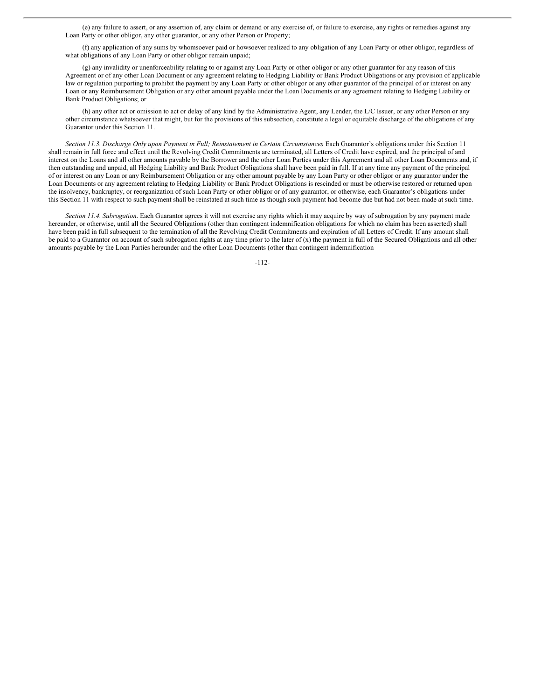(e) any failure to assert, or any assertion of, any claim or demand or any exercise of, or failure to exercise, any rights or remedies against any Loan Party or other obligor, any other guarantor, or any other Person or Property;

(f) any application of any sums by whomsoever paid or howsoever realized to any obligation of any Loan Party or other obligor, regardless of what obligations of any Loan Party or other obligor remain unpaid;

(g) any invalidity or unenforceability relating to or against any Loan Party or other obligor or any other guarantor for any reason of this Agreement or of any other Loan Document or any agreement relating to Hedging Liability or Bank Product Obligations or any provision of applicable law or regulation purporting to prohibit the payment by any Loan Party or other obligor or any other guarantor of the principal of or interest on any Loan or any Reimbursement Obligation or any other amount payable under the Loan Documents or any agreement relating to Hedging Liability or Bank Product Obligations; or

(h) any other act or omission to act or delay of any kind by the Administrative Agent, any Lender, the L/C Issuer, or any other Person or any other circumstance whatsoever that might, but for the provisions of this subsection, constitute a legal or equitable discharge of the obligations of any Guarantor under this Section 11.

Section 11.3. Discharge Only upon Payment in Full; Reinstatement in Certain Circumstances Each Guarantor's obligations under this Section 11 shall remain in full force and effect until the Revolving Credit Commitments are terminated, all Letters of Credit have expired, and the principal of and interest on the Loans and all other amounts payable by the Borrower and the other Loan Parties under this Agreement and all other Loan Documents and, if then outstanding and unpaid, all Hedging Liability and Bank Product Obligations shall have been paid in full. If at any time any payment of the principal of or interest on any Loan or any Reimbursement Obligation or any other amount payable by any Loan Party or other obligor or any guarantor under the Loan Documents or any agreement relating to Hedging Liability or Bank Product Obligations is rescinded or must be otherwise restored or returned upon the insolvency, bankruptcy, or reorganization of such Loan Party or other obligor or of any guarantor, or otherwise, each Guarantor's obligations under this Section 11 with respect to such payment shall be reinstated at such time as though such payment had become due but had not been made at such time.

*Section 11.4. Subrogation*. Each Guarantor agrees it will not exercise any rights which it may acquire by way of subrogation by any payment made hereunder, or otherwise, until all the Secured Obligations (other than contingent indemnification obligations for which no claim has been asserted) shall have been paid in full subsequent to the termination of all the Revolving Credit Commitments and expiration of all Letters of Credit. If any amount shall be paid to a Guarantor on account of such subrogation rights at any time prior to the later of (x) the payment in full of the Secured Obligations and all other amounts payable by the Loan Parties hereunder and the other Loan Documents (other than contingent indemnification

-112-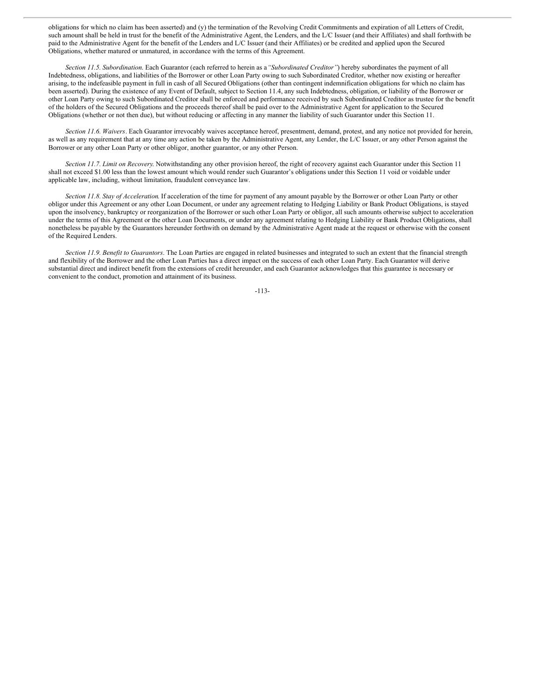obligations for which no claim has been asserted) and (y) the termination of the Revolving Credit Commitments and expiration of all Letters of Credit, such amount shall be held in trust for the benefit of the Administrative Agent, the Lenders, and the L/C Issuer (and their Affiliates) and shall forthwith be paid to the Administrative Agent for the benefit of the Lenders and L/C Issuer (and their Affiliates) or be credited and applied upon the Secured Obligations, whether matured or unmatured, in accordance with the terms of this Agreement.

*Section 11.5. Subordination*. Each Guarantor (each referred to herein as a*"Subordinated Creditor"*) hereby subordinates the payment of all Indebtedness, obligations, and liabilities of the Borrower or other Loan Party owing to such Subordinated Creditor, whether now existing or hereafter arising, to the indefeasible payment in full in cash of all Secured Obligations (other than contingent indemnification obligations for which no claim has been asserted). During the existence of any Event of Default, subject to Section 11.4, any such Indebtedness, obligation, or liability of the Borrower or other Loan Party owing to such Subordinated Creditor shall be enforced and performance received by such Subordinated Creditor as trustee for the benefit of the holders of the Secured Obligations and the proceeds thereof shall be paid over to the Administrative Agent for application to the Secured Obligations (whether or not then due), but without reducing or affecting in any manner the liability of such Guarantor under this Section 11.

*Section 11.6. Waivers*. Each Guarantor irrevocably waives acceptance hereof, presentment, demand, protest, and any notice not provided for herein, as well as any requirement that at any time any action be taken by the Administrative Agent, any Lender, the L/C Issuer, or any other Person against the Borrower or any other Loan Party or other obligor, another guarantor, or any other Person.

*Section 11.7. Limit on Recovery*. Notwithstanding any other provision hereof, the right of recovery against each Guarantor under this Section 11 shall not exceed \$1.00 less than the lowest amount which would render such Guarantor's obligations under this Section 11 void or voidable under applicable law, including, without limitation, fraudulent conveyance law.

*Section 11.8. Stay of Acceleration*. If acceleration of the time for payment of any amount payable by the Borrower or other Loan Party or other obligor under this Agreement or any other Loan Document, or under any agreement relating to Hedging Liability or Bank Product Obligations, is stayed upon the insolvency, bankruptcy or reorganization of the Borrower or such other Loan Party or obligor, all such amounts otherwise subject to acceleration under the terms of this Agreement or the other Loan Documents, or under any agreement relating to Hedging Liability or Bank Product Obligations, shall nonetheless be payable by the Guarantors hereunder forthwith on demand by the Administrative Agent made at the request or otherwise with the consent of the Required Lenders.

*Section 11.9. Benefit to Guarantors*. The Loan Parties are engaged in related businesses and integrated to such an extent that the financial strength and flexibility of the Borrower and the other Loan Parties has a direct impact on the success of each other Loan Party. Each Guarantor will derive substantial direct and indirect benefit from the extensions of credit hereunder, and each Guarantor acknowledges that this guarantee is necessary or convenient to the conduct, promotion and attainment of its business.

-113-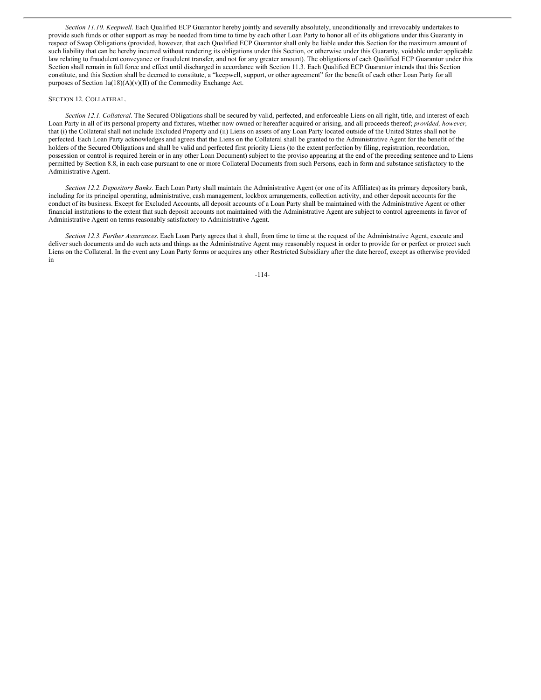*Section 11.10. Keepwell*. Each Qualified ECP Guarantor hereby jointly and severally absolutely, unconditionally and irrevocably undertakes to provide such funds or other support as may be needed from time to time by each other Loan Party to honor all of its obligations under this Guaranty in respect of Swap Obligations (provided, however, that each Qualified ECP Guarantor shall only be liable under this Section for the maximum amount of such liability that can be hereby incurred without rendering its obligations under this Section, or otherwise under this Guaranty, voidable under applicable law relating to fraudulent conveyance or fraudulent transfer, and not for any greater amount). The obligations of each Qualified ECP Guarantor under this Section shall remain in full force and effect until discharged in accordance with Section 11.3. Each Qualified ECP Guarantor intends that this Section constitute, and this Section shall be deemed to constitute, a "keepwell, support, or other agreement" for the benefit of each other Loan Party for all purposes of Section 1a(18)(A)(v)(II) of the Commodity Exchange Act.

#### SECTION 12. COLLATERAL.

*Section 12.1. Collateral*. The Secured Obligations shall be secured by valid, perfected, and enforceable Liens on all right, title, and interest of each Loan Party in all of its personal property and fixtures, whether now owned or hereafter acquired or arising, and all proceeds thereof; *provided, however,* that (i) the Collateral shall not include Excluded Property and (ii) Liens on assets of any Loan Party located outside of the United States shall not be perfected. Each Loan Party acknowledges and agrees that the Liens on the Collateral shall be granted to the Administrative Agent for the benefit of the holders of the Secured Obligations and shall be valid and perfected first priority Liens (to the extent perfection by filing, registration, recordation, possession or control is required herein or in any other Loan Document) subject to the proviso appearing at the end of the preceding sentence and to Liens permitted by Section 8.8, in each case pursuant to one or more Collateral Documents from such Persons, each in form and substance satisfactory to the Administrative Agent.

*Section 12.2. Depository Banks*. Each Loan Party shall maintain the Administrative Agent (or one of its Affiliates) as its primary depository bank, including for its principal operating, administrative, cash management, lockbox arrangements, collection activity, and other deposit accounts for the conduct of its business. Except for Excluded Accounts, all deposit accounts of a Loan Party shall be maintained with the Administrative Agent or other financial institutions to the extent that such deposit accounts not maintained with the Administrative Agent are subject to control agreements in favor of Administrative Agent on terms reasonably satisfactory to Administrative Agent.

*Section 12.3. Further Assurances*. Each Loan Party agrees that it shall, from time to time at the request of the Administrative Agent, execute and deliver such documents and do such acts and things as the Administrative Agent may reasonably request in order to provide for or perfect or protect such Liens on the Collateral. In the event any Loan Party forms or acquires any other Restricted Subsidiary after the date hereof, except as otherwise provided in

-114-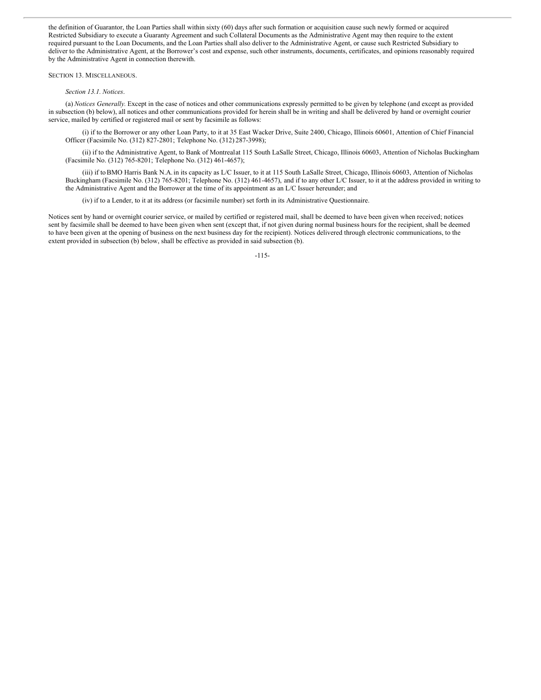the definition of Guarantor, the Loan Parties shall within sixty (60) days after such formation or acquisition cause such newly formed or acquired Restricted Subsidiary to execute a Guaranty Agreement and such Collateral Documents as the Administrative Agent may then require to the extent required pursuant to the Loan Documents, and the Loan Parties shall also deliver to the Administrative Agent, or cause such Restricted Subsidiary to deliver to the Administrative Agent, at the Borrower's cost and expense, such other instruments, documents, certificates, and opinions reasonably required by the Administrative Agent in connection therewith.

#### SECTION 13. MISCELLANEOUS.

#### *Section 13.1. Notices*.

(a) *Notices Generally.* Except in the case of notices and other communications expressly permitted to be given by telephone (and except as provided in subsection (b) below), all notices and other communications provided for herein shall be in writing and shall be delivered by hand or overnight courier service, mailed by certified or registered mail or sent by facsimile as follows:

(i) if to the Borrower or any other Loan Party, to it at 35 East Wacker Drive, Suite 2400, Chicago, Illinois 60601, Attention of Chief Financial Officer (Facsimile No. (312) 827-2801; Telephone No. (312) 287-3998);

(ii) if to the Administrative Agent, to Bank of Montrealat 115 South LaSalle Street, Chicago, Illinois 60603, Attention of Nicholas Buckingham (Facsimile No. (312) 765-8201; Telephone No. (312) 461-4657);

(iii) if toBMO Harris Bank N.A.in its capacity as L/C Issuer, to it at 115 South LaSalle Street, Chicago, Illinois 60603, Attention of Nicholas Buckingham (Facsimile No. (312) 765-8201; Telephone No. (312) 461-4657), and if to any other L/C Issuer, to it at the address provided in writing to the Administrative Agent and the Borrower at the time of its appointment as an L/C Issuer hereunder; and

(iv) if to a Lender, to it at its address (or facsimile number) set forth in its Administrative Questionnaire.

Notices sent by hand or overnight courier service, or mailed by certified or registered mail, shall be deemed to have been given when received; notices sent by facsimile shall be deemed to have been given when sent (except that, if not given during normal business hours for the recipient, shall be deemed to have been given at the opening of business on the next business day for the recipient). Notices delivered through electronic communications, to the extent provided in subsection (b) below, shall be effective as provided in said subsection (b).

-115-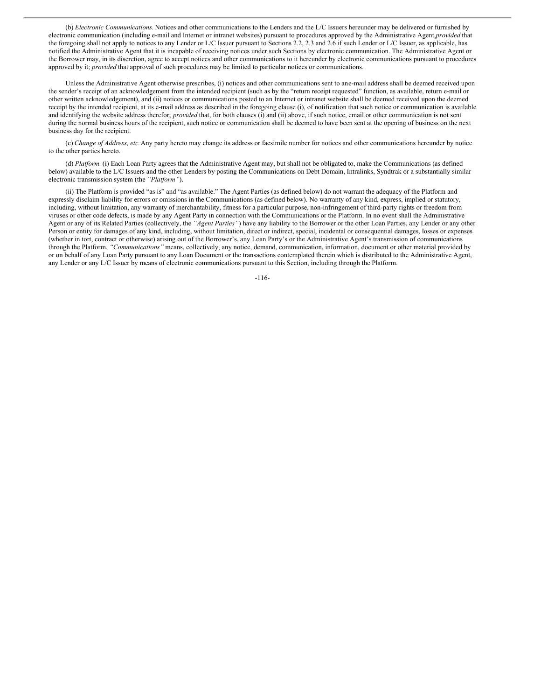(b) *Electronic Communications.* Notices and other communications to the Lenders and the L/C Issuers hereunder may be delivered or furnished by electronic communication (including e-mail and Internet or intranet websites) pursuant to procedures approved by the Administrative Agent,*provided* that the foregoing shall not apply to notices to any Lender or L/C Issuer pursuant to Sections 2.2, 2.3 and 2.6 if such Lender or L/C Issuer, as applicable, has notified the Administrative Agent that it is incapable of receiving notices under such Sections by electronic communication. The Administrative Agent or the Borrower may, in its discretion, agree to accept notices and other communications to it hereunder by electronic communications pursuant to procedures approved by it; *provided* that approval of such procedures may be limited to particular notices or communications.

Unless the Administrative Agent otherwise prescribes, (i) notices and other communications sent to ane-mail address shall be deemed received upon the sender's receipt of an acknowledgement from the intended recipient (such as by the "return receipt requested" function, as available, return e-mail or other written acknowledgement), and (ii) notices or communications posted to an Internet or intranet website shall be deemed received upon the deemed receipt by the intended recipient, at its e-mail address as described in the foregoing clause (i), of notification that such notice or communication is available and identifying the website address therefor; *provided* that, for both clauses (i) and (ii) above, if such notice, email or other communication is not sent during the normal business hours of the recipient, such notice or communication shall be deemed to have been sent at the opening of business on the next business day for the recipient.

(c) *Change of Address, etc.*Any party hereto may change its address or facsimile number for notices and other communications hereunder by notice to the other parties hereto.

(d) *Platform.* (i) Each Loan Party agrees that the Administrative Agent may, but shall not be obligated to, make the Communications (as defined below) available to the L/C Issuers and the other Lenders by posting the Communications on Debt Domain, Intralinks, Syndtrak or a substantially similar electronic transmission system (the *"Platform"*).

(ii) The Platform is provided "as is" and "as available." The Agent Parties (as defined below) do not warrant the adequacy of the Platform and expressly disclaim liability for errors or omissions in the Communications (as defined below). No warranty of any kind, express, implied or statutory, including, without limitation, any warranty of merchantability, fitness for a particular purpose, non-infringement of third-party rights or freedom from viruses or other code defects, is made by any Agent Party in connection with the Communications or the Platform. In no event shall the Administrative Agent or any of its Related Parties (collectively, the *"Agent Parties"*) have any liability to the Borrower or the other Loan Parties, any Lender or any other Person or entity for damages of any kind, including, without limitation, direct or indirect, special, incidental or consequential damages, losses or expenses (whether in tort, contract or otherwise) arising out of the Borrower's, any Loan Party's or the Administrative Agent's transmission of communications through the Platform. *"Communications"* means, collectively, any notice, demand, communication, information, document or other material provided by or on behalf of any Loan Party pursuant to any Loan Document or the transactions contemplated therein which is distributed to the Administrative Agent, any Lender or any L/C Issuer by means of electronic communications pursuant to this Section, including through the Platform.

-116-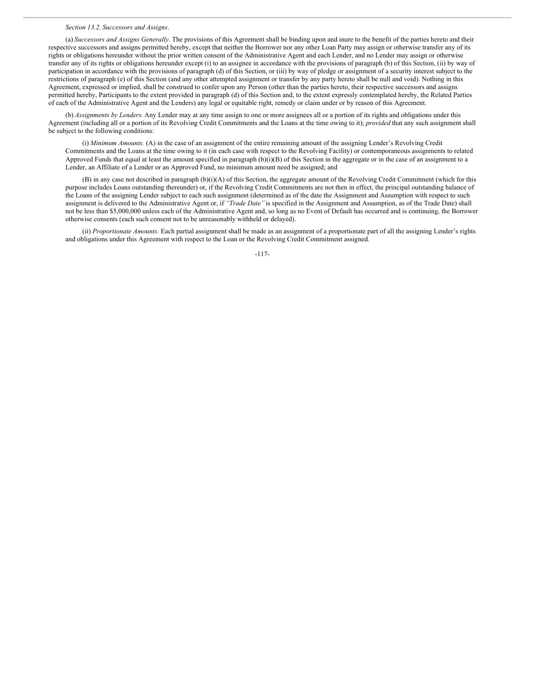#### *Section 13.2. Successors and Assigns*.

(a) *Successors and Assigns Generally.* The provisions of this Agreement shall be binding upon and inure to the benefit of the parties hereto and their respective successors and assigns permitted hereby, except that neither the Borrower nor any other Loan Party may assign or otherwise transfer any of its rights or obligations hereunder without the prior written consent of the Administrative Agent and each Lender, and no Lender may assign or otherwise transfer any of its rights or obligations hereunder except (i) to an assignee in accordance with the provisions of paragraph (b) of this Section, (ii) by way of participation in accordance with the provisions of paragraph (d) of this Section, or (iii) by way of pledge or assignment of a security interest subject to the restrictions of paragraph (e) of this Section (and any other attempted assignment or transfer by any party hereto shall be null and void). Nothing in this Agreement, expressed or implied, shall be construed to confer upon any Person (other than the parties hereto, their respective successors and assigns permitted hereby, Participants to the extent provided in paragraph (d) of this Section and, to the extent expressly contemplated hereby, the Related Parties of each of the Administrative Agent and the Lenders) any legal or equitable right, remedy or claim under or by reason of this Agreement.

(b) *Assignments by Lenders.* Any Lender may at any time assign to one or more assignees all or a portion of its rights and obligations under this Agreement (including all or a portion of its Revolving Credit Commitments and the Loans at the time owing to it); *provided* that any such assignment shall be subject to the following conditions:

(i) *Minimum Amounts.* (A) in the case of an assignment of the entire remaining amount of the assigning Lender's Revolving Credit Commitments and the Loans at the time owing to it (in each case with respect to the Revolving Facility) or contemporaneous assignments to related Approved Funds that equal at least the amount specified in paragraph (b)(i)(B) of this Section in the aggregate or in the case of an assignment to a Lender, an Affiliate of a Lender or an Approved Fund, no minimum amount need be assigned; and

(B) in any case not described in paragraph (b)(i)(A) of this Section, the aggregate amount of the Revolving Credit Commitment (which for this purpose includes Loans outstanding thereunder) or, if the Revolving Credit Commitments are not then in effect, the principal outstanding balance of the Loans of the assigning Lender subject to each such assignment (determined as of the date the Assignment and Assumption with respect to such assignment is delivered to the Administrative Agent or, if *"Trade Date"* is specified in the Assignment and Assumption, as of the Trade Date) shall not be less than \$5,000,000 unless each of the Administrative Agent and, so long as no Event of Default has occurred and is continuing, the Borrower otherwise consents (each such consent not to be unreasonably withheld or delayed).

(ii) *Proportionate Amounts.* Each partial assignment shall be made as an assignment of a proportionate part of all the assigning Lender's rights and obligations under this Agreement with respect to the Loan or the Revolving Credit Commitment assigned.

-117-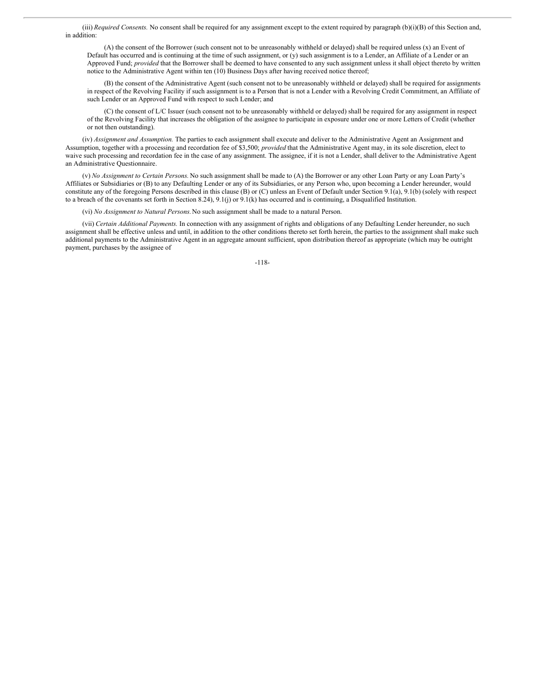(iii) *Required Consents.* No consent shall be required for any assignment except to the extent required by paragraph (b)(i)(B) of this Section and, in addition:

(A) the consent of the Borrower (such consent not to be unreasonably withheld or delayed) shall be required unless (x) an Event of Default has occurred and is continuing at the time of such assignment, or (y) such assignment is to a Lender, an Affiliate of a Lender or an Approved Fund; *provided* that the Borrower shall be deemed to have consented to any such assignment unless it shall object thereto by written notice to the Administrative Agent within ten (10) Business Days after having received notice thereof;

(B) the consent of the Administrative Agent (such consent not to be unreasonably withheld or delayed) shall be required for assignments in respect of the Revolving Facility if such assignment is to a Person that is not a Lender with a Revolving Credit Commitment, an Affiliate of such Lender or an Approved Fund with respect to such Lender; and

(C) the consent of L/C Issuer (such consent not to be unreasonably withheld or delayed) shall be required for any assignment in respect of the Revolving Facility that increases the obligation of the assignee to participate in exposure under one or more Letters of Credit (whether or not then outstanding).

(iv) *Assignment and Assumption.* The parties to each assignment shall execute and deliver to the Administrative Agent an Assignment and Assumption, together with a processing and recordation fee of \$3,500; *provided* that the Administrative Agent may, in its sole discretion, elect to waive such processing and recordation fee in the case of any assignment. The assignee, if it is not a Lender, shall deliver to the Administrative Agent an Administrative Questionnaire.

(v) *No Assignment to Certain Persons.* No such assignment shall be made to (A) the Borrower or any other Loan Party or any Loan Party's Affiliates or Subsidiaries or (B) to any Defaulting Lender or any of its Subsidiaries, or any Person who, upon becoming a Lender hereunder, would constitute any of the foregoing Persons described in this clause (B) or (C) unless an Event of Default under Section 9.1(a), 9.1(b) (solely with respect to a breach of the covenants set forth in Section 8.24), 9.1(j) or 9.1(k) has occurred and is continuing, a Disqualified Institution.

(vi) *No Assignment to Natural Persons.*No such assignment shall be made to a natural Person.

(vii) *Certain Additional Payments.* In connection with any assignment of rights and obligations of any Defaulting Lender hereunder, no such assignment shall be effective unless and until, in addition to the other conditions thereto set forth herein, the parties to the assignment shall make such additional payments to the Administrative Agent in an aggregate amount sufficient, upon distribution thereof as appropriate (which may be outright payment, purchases by the assignee of

-118-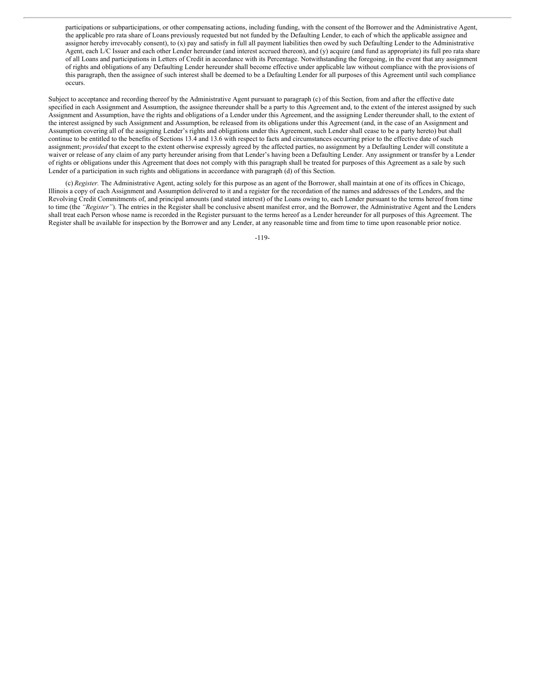participations or subparticipations, or other compensating actions, including funding, with the consent of the Borrower and the Administrative Agent, the applicable pro rata share of Loans previously requested but not funded by the Defaulting Lender, to each of which the applicable assignee and assignor hereby irrevocably consent), to (x) pay and satisfy in full all payment liabilities then owed by such Defaulting Lender to the Administrative Agent, each L/C Issuer and each other Lender hereunder (and interest accrued thereon), and (y) acquire (and fund as appropriate) its full pro rata share of all Loans and participations in Letters of Credit in accordance with its Percentage. Notwithstanding the foregoing, in the event that any assignment of rights and obligations of any Defaulting Lender hereunder shall become effective under applicable law without compliance with the provisions of this paragraph, then the assignee of such interest shall be deemed to be a Defaulting Lender for all purposes of this Agreement until such compliance occurs.

Subject to acceptance and recording thereof by the Administrative Agent pursuant to paragraph (c) of this Section, from and after the effective date specified in each Assignment and Assumption, the assignee thereunder shall be a party to this Agreement and, to the extent of the interest assigned by such Assignment and Assumption, have the rights and obligations of a Lender under this Agreement, and the assigning Lender thereunder shall, to the extent of the interest assigned by such Assignment and Assumption, be released from its obligations under this Agreement (and, in the case of an Assignment and Assumption covering all of the assigning Lender's rights and obligations under this Agreement, such Lender shall cease to be a party hereto) but shall continue to be entitled to the benefits of Sections 13.4 and 13.6 with respect to facts and circumstances occurring prior to the effective date of such assignment; *provided* that except to the extent otherwise expressly agreed by the affected parties, no assignment by a Defaulting Lender will constitute a waiver or release of any claim of any party hereunder arising from that Lender's having been a Defaulting Lender. Any assignment or transfer by a Lender of rights or obligations under this Agreement that does not comply with this paragraph shall be treated for purposes of this Agreement as a sale by such Lender of a participation in such rights and obligations in accordance with paragraph (d) of this Section.

(c) *Register.* The Administrative Agent, acting solely for this purpose as an agent of the Borrower, shall maintain at one of its offices in Chicago, Illinois a copy of each Assignment and Assumption delivered to it and a register for the recordation of the names and addresses of the Lenders, and the Revolving Credit Commitments of, and principal amounts (and stated interest) of the Loans owing to, each Lender pursuant to the terms hereof from time to time (the *"Register"*). The entries in the Register shall be conclusive absent manifest error, and the Borrower, the Administrative Agent and the Lenders shall treat each Person whose name is recorded in the Register pursuant to the terms hereof as a Lender hereunder for all purposes of this Agreement. The Register shall be available for inspection by the Borrower and any Lender, at any reasonable time and from time to time upon reasonable prior notice.

-119-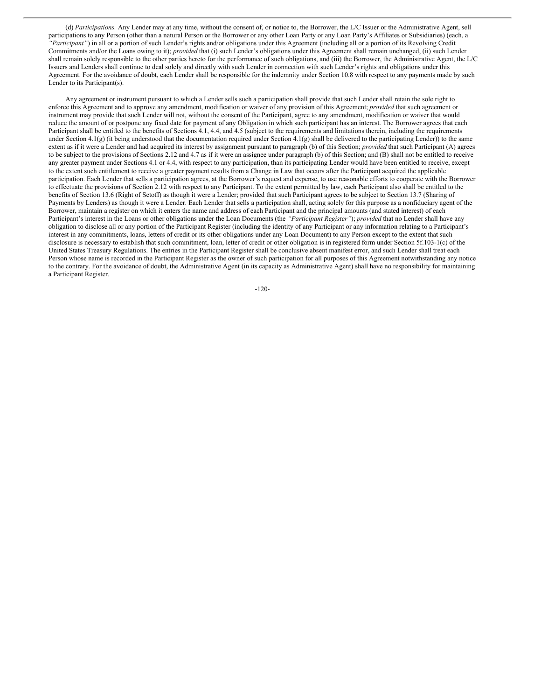(d) *Participations.* Any Lender may at any time, without the consent of, or notice to, the Borrower, the L/C Issuer or the Administrative Agent, sell participations to any Person (other than a natural Person or the Borrower or any other Loan Party or any Loan Party's Affiliates or Subsidiaries) (each, a *"Participant"*) in all or a portion of such Lender's rights and/or obligations under this Agreement (including all or a portion of its Revolving Credit Commitments and/or the Loans owing to it); *provided* that (i) such Lender's obligations under this Agreement shall remain unchanged, (ii) such Lender shall remain solely responsible to the other parties hereto for the performance of such obligations, and (iii) the Borrower, the Administrative Agent, the L/C Issuers and Lenders shall continue to deal solely and directly with such Lender in connection with such Lender's rights and obligations under this Agreement. For the avoidance of doubt, each Lender shall be responsible for the indemnity under Section 10.8 with respect to any payments made by such Lender to its Participant(s).

Any agreement or instrument pursuant to which a Lender sells such a participation shall provide that such Lender shall retain the sole right to enforce this Agreement and to approve any amendment, modification or waiver of any provision of this Agreement; *provided* that such agreement or instrument may provide that such Lender will not, without the consent of the Participant, agree to any amendment, modification or waiver that would reduce the amount of or postpone any fixed date for payment of any Obligation in which such participant has an interest. The Borrower agrees that each Participant shall be entitled to the benefits of Sections 4.1, 4.4, and 4.5 (subject to the requirements and limitations therein, including the requirements under Section 4.1(g) (it being understood that the documentation required under Section 4.1(g) shall be delivered to the participating Lender)) to the same extent as if it were a Lender and had acquired its interest by assignment pursuant to paragraph (b) of this Section; *provided* that such Participant (A) agrees to be subject to the provisions of Sections 2.12 and 4.7 as if it were an assignee under paragraph (b) of this Section; and (B) shall not be entitled to receive any greater payment under Sections 4.1 or 4.4, with respect to any participation, than its participating Lender would have been entitled to receive, except to the extent such entitlement to receive a greater payment results from a Change in Law that occurs after the Participant acquired the applicable participation. Each Lender that sells a participation agrees, at the Borrower's request and expense, to use reasonable efforts to cooperate with the Borrower to effectuate the provisions of Section 2.12 with respect to any Participant. To the extent permitted by law, each Participant also shall be entitled to the benefits of Section 13.6 (Right of Setoff) as though it were a Lender; provided that such Participant agrees to be subject to Section 13.7 (Sharing of Payments by Lenders) as though it were a Lender. Each Lender that sells a participation shall, acting solely for this purpose as a nonfiduciary agent of the Borrower, maintain a register on which it enters the name and address of each Participant and the principal amounts (and stated interest) of each Participant's interest in the Loans or other obligations under the Loan Documents (the *"Participant Register"*); *provided* that no Lender shall have any obligation to disclose all or any portion of the Participant Register (including the identity of any Participant or any information relating to a Participant's interest in any commitments, loans, letters of credit or its other obligations under any Loan Document) to any Person except to the extent that such disclosure is necessary to establish that such commitment, loan, letter of credit or other obligation is in registered form under Section 5f.103-1(c) of the United States Treasury Regulations. The entries in the Participant Register shall be conclusive absent manifest error, and such Lender shall treat each Person whose name is recorded in the Participant Register as the owner of such participation for all purposes of this Agreement notwithstanding any notice to the contrary. For the avoidance of doubt, the Administrative Agent (in its capacity as Administrative Agent) shall have no responsibility for maintaining a Participant Register.

-120-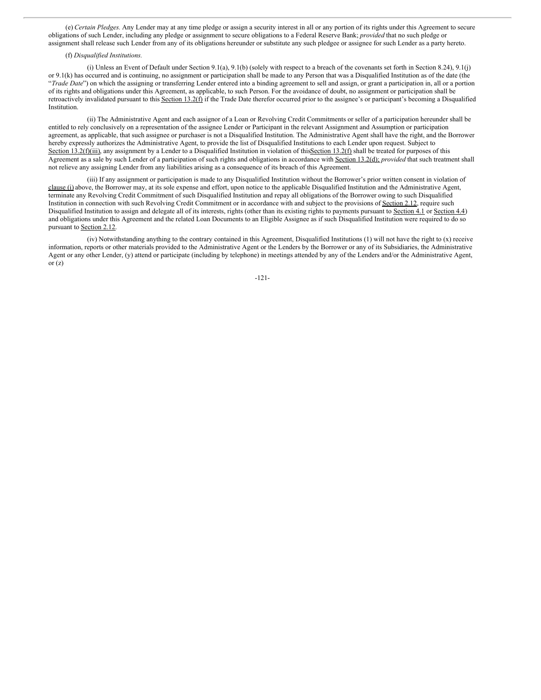(e) *Certain Pledges.* Any Lender may at any time pledge or assign a security interest in all or any portion of its rights under this Agreement to secure obligations of such Lender, including any pledge or assignment to secure obligations to a Federal Reserve Bank; *provided* that no such pledge or assignment shall release such Lender from any of its obligations hereunder or substitute any such pledgee or assignee for such Lender as a party hereto.

#### (f) *Disqualified Institutions.*

(i) Unless an Event of Default under Section 9.1(a), 9.1(b) (solely with respect to a breach of the covenants set forth in Section 8.24), 9.1(j) or 9.1(k) has occurred and is continuing, no assignment or participation shall be made to any Person that was a Disqualified Institution as of the date (the "*Trade Date*") on which the assigning or transferring Lender entered into a binding agreement to sell and assign, or grant a participation in, all or a portion of its rights and obligations under this Agreement, as applicable, to such Person. For the avoidance of doubt, no assignment or participation shall be retroactively invalidated pursuant to this Section  $13.2(f)$  if the Trade Date therefor occurred prior to the assignee's or participant's becoming a Disqualified Institution.

(ii) The Administrative Agent and each assignor of a Loan or Revolving Credit Commitments or seller of a participation hereunder shall be entitled to rely conclusively on a representation of the assignee Lender or Participant in the relevant Assignment and Assumption or participation agreement, as applicable, that such assignee or purchaser is not a Disqualified Institution. The Administrative Agent shall have the right, and the Borrower hereby expressly authorizes the Administrative Agent, to provide the list of Disqualified Institutions to each Lender upon request. Subject to Section 13.2(f)(iii), any assignment by a Lender to a Disqualified Institution in violation of thisSection 13.2(f) shall be treated for purposes of this Agreement as a sale by such Lender of a participation of such rights and obligations in accordance with Section 13.2(d); *provided* that such treatment shall not relieve any assigning Lender from any liabilities arising as a consequence of its breach of this Agreement.

(iii) If any assignment or participation is made to any Disqualified Institution without the Borrower's prior written consent in violation of clause (i) above, the Borrower may, at its sole expense and effort, upon notice to the applicable Disqualified Institution and the Administrative Agent, terminate any Revolving Credit Commitment of such Disqualified Institution and repay all obligations of the Borrower owing to such Disqualified Institution in connection with such Revolving Credit Commitment or in accordance with and subject to the provisions of Section 2.12, require such Disqualified Institution to assign and delegate all of its interests, rights (other than its existing rights to payments pursuant to Section 4.1 or Section 4.4) and obligations under this Agreement and the related Loan Documents to an Eligible Assignee as if such Disqualified Institution were required to do so pursuant to Section 2.12.

(iv) Notwithstanding anything to the contrary contained in this Agreement, Disqualified Institutions (1) will not have the right to (x) receive information, reports or other materials provided to the Administrative Agent or the Lenders by the Borrower or any of its Subsidiaries, the Administrative Agent or any other Lender, (y) attend or participate (including by telephone) in meetings attended by any of the Lenders and/or the Administrative Agent, or $(z)$ 

-121-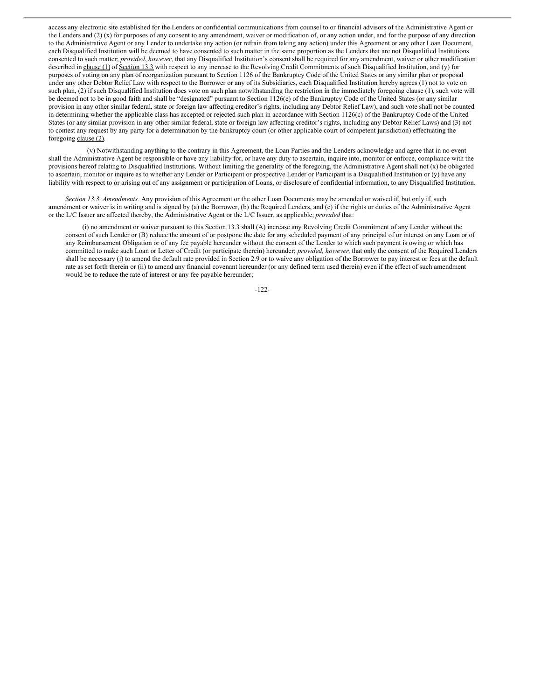access any electronic site established for the Lenders or confidential communications from counsel to or financial advisors of the Administrative Agent or the Lenders and  $(2)$  (x) for purposes of any consent to any amendment, waiver or modification of, or any action under, and for the purpose of any direction to the Administrative Agent or any Lender to undertake any action (or refrain from taking any action) under this Agreement or any other Loan Document, each Disqualified Institution will be deemed to have consented to such matter in the same proportion as the Lenders that are not Disqualified Institutions consented to such matter; *provided*, *however*, that any Disqualified Institution's consent shall be required for any amendment, waiver or other modification described in clause (1) of Section 13.3 with respect to any increase to the Revolving Credit Commitments of such Disqualified Institution, and (y) for purposes of voting on any plan of reorganization pursuant to Section 1126 of the Bankruptcy Code of the United States or any similar plan or proposal under any other Debtor Relief Law with respect to the Borrower or any of its Subsidiaries, each Disqualified Institution hereby agrees (1) not to vote on such plan,  $(2)$  if such Disqualified Institution does vote on such plan notwithstanding the restriction in the immediately foregoing clause  $(1)$ , such vote will be deemed not to be in good faith and shall be "designated" pursuant to Section 1126(e) of the Bankruptcy Code of the United States (or any similar provision in any other similar federal, state or foreign law affecting creditor's rights, including any Debtor Relief Law), and such vote shall not be counted in determining whether the applicable class has accepted or rejected such plan in accordance with Section 1126(c) of the Bankruptcy Code of the United States (or any similar provision in any other similar federal, state or foreign law affecting creditor's rights, including any Debtor Relief Laws) and (3) not to contest any request by any party for a determination by the bankruptcy court (or other applicable court of competent jurisdiction) effectuating the foregoing clause (2).

(v) Notwithstanding anything to the contrary in this Agreement, the Loan Parties and the Lenders acknowledge and agree that in no event shall the Administrative Agent be responsible or have any liability for, or have any duty to ascertain, inquire into, monitor or enforce, compliance with the provisions hereof relating to Disqualified Institutions. Without limiting the generality of the foregoing, the Administrative Agent shall not (x) be obligated to ascertain, monitor or inquire as to whether any Lender or Participant or prospective Lender or Participant is a Disqualified Institution or (y) have any liability with respect to or arising out of any assignment or participation of Loans, or disclosure of confidential information, to any Disqualified Institution.

*Section 13.3. Amendments.* Any provision of this Agreement or the other Loan Documents may be amended or waived if, but only if, such amendment or waiver is in writing and is signed by (a) the Borrower, (b) the Required Lenders, and (c) if the rights or duties of the Administrative Agent or the L/C Issuer are affected thereby, the Administrative Agent or the L/C Issuer, as applicable; *provided* that:

(i) no amendment or waiver pursuant to this Section 13.3 shall (A) increase any Revolving Credit Commitment of any Lender without the consent of such Lender or (B) reduce the amount of or postpone the date for any scheduled payment of any principal of or interest on any Loan or of any Reimbursement Obligation or of any fee payable hereunder without the consent of the Lender to which such payment is owing or which has committed to make such Loan or Letter of Credit (or participate therein) hereunder; *provided, however,* that only the consent of the Required Lenders shall be necessary (i) to amend the default rate provided in Section 2.9 or to waive any obligation of the Borrower to pay interest or fees at the default rate as set forth therein or (ii) to amend any financial covenant hereunder (or any defined term used therein) even if the effect of such amendment would be to reduce the rate of interest or any fee payable hereunder;

-122-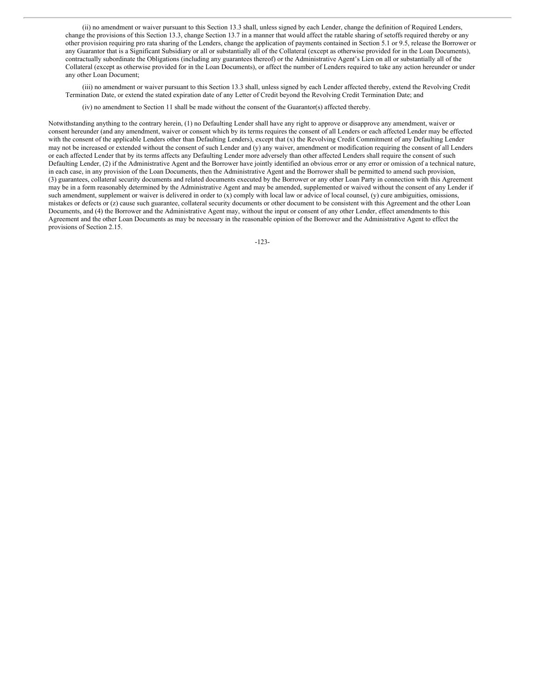(ii) no amendment or waiver pursuant to this Section 13.3 shall, unless signed by each Lender, change the definition of Required Lenders, change the provisions of this Section 13.3, change Section 13.7 in a manner that would affect the ratable sharing of setoffs required thereby or any other provision requiring pro rata sharing of the Lenders, change the application of payments contained in Section 5.1 or 9.5, release the Borrower or any Guarantor that is a Significant Subsidiary or all or substantially all of the Collateral (except as otherwise provided for in the Loan Documents), contractually subordinate the Obligations (including any guarantees thereof) or the Administrative Agent's Lien on all or substantially all of the Collateral (except as otherwise provided for in the Loan Documents), or affect the number of Lenders required to take any action hereunder or under any other Loan Document;

(iii) no amendment or waiver pursuant to this Section 13.3 shall, unless signed by each Lender affected thereby, extend the Revolving Credit Termination Date, or extend the stated expiration date of any Letter of Credit beyond the Revolving Credit Termination Date; and

(iv) no amendment to Section 11 shall be made without the consent of the Guarantor(s) affected thereby.

Notwithstanding anything to the contrary herein, (1) no Defaulting Lender shall have any right to approve or disapprove any amendment, waiver or consent hereunder (and any amendment, waiver or consent which by its terms requires the consent of all Lenders or each affected Lender may be effected with the consent of the applicable Lenders other than Defaulting Lenders), except that (x) the Revolving Credit Commitment of any Defaulting Lender may not be increased or extended without the consent of such Lender and (y) any waiver, amendment or modification requiring the consent of all Lenders or each affected Lender that by its terms affects any Defaulting Lender more adversely than other affected Lenders shall require the consent of such Defaulting Lender, (2) if the Administrative Agent and the Borrower have jointly identified an obvious error or any error or omission of a technical nature, in each case, in any provision of the Loan Documents, then the Administrative Agent and the Borrower shall be permitted to amend such provision, (3) guarantees, collateral security documents and related documents executed by the Borrower or any other Loan Party in connection with this Agreement may be in a form reasonably determined by the Administrative Agent and may be amended, supplemented or waived without the consent of any Lender if such amendment, supplement or waiver is delivered in order to (x) comply with local law or advice of local counsel, (y) cure ambiguities, omissions, mistakes or defects or (z) cause such guarantee, collateral security documents or other document to be consistent with this Agreement and the other Loan Documents, and (4) the Borrower and the Administrative Agent may, without the input or consent of any other Lender, effect amendments to this Agreement and the other Loan Documents as may be necessary in the reasonable opinion of the Borrower and the Administrative Agent to effect the provisions of Section 2.15.

-123-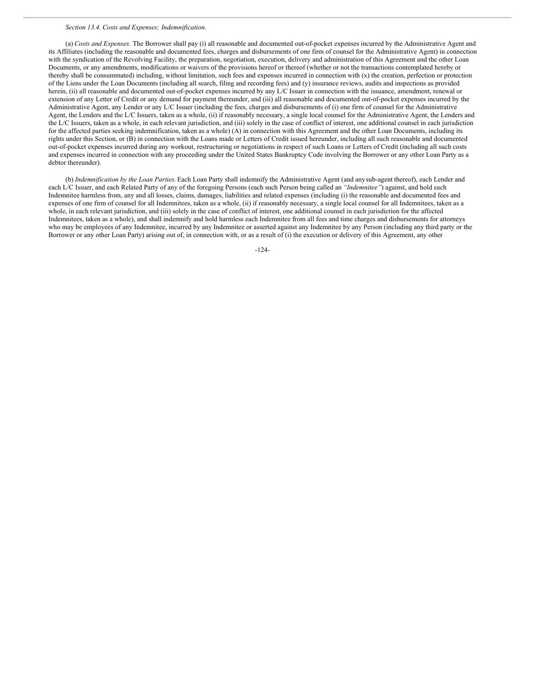#### *Section 13.4. Costs and Expenses; Indemnification*.

(a) *Costs and Expenses.* The Borrower shall pay (i) all reasonable and documented out-of-pocket expenses incurred by the Administrative Agent and its Affiliates (including the reasonable and documented fees, charges and disbursements of one firm of counsel for the Administrative Agent) in connection with the syndication of the Revolving Facility, the preparation, negotiation, execution, delivery and administration of this Agreement and the other Loan Documents, or any amendments, modifications or waivers of the provisions hereof or thereof (whether or not the transactions contemplated hereby or thereby shall be consummated) including, without limitation, such fees and expenses incurred in connection with  $(x)$  the creation, perfection or protection of the Liens under the Loan Documents (including all search, filing and recording fees) and (y) insurance reviews, audits and inspections as provided herein, (ii) all reasonable and documented out-of-pocket expenses incurred by any L/C Issuer in connection with the issuance, amendment, renewal or extension of any Letter of Credit or any demand for payment thereunder, and (iii) all reasonable and documented out-of-pocket expenses incurred by the Administrative Agent, any Lender or any L/C Issuer (including the fees, charges and disbursements of (i) one firm of counsel for the Administrative Agent, the Lenders and the L/C Issuers, taken as a whole, (ii) if reasonably necessary, a single local counsel for the Administrative Agent, the Lenders and the L/C Issuers, taken as a whole, in each relevant jurisdiction, and (iii) solely in the case of conflict of interest, one additional counsel in each jurisdiction for the affected parties seeking indemnification, taken as a whole) (A) in connection with this Agreement and the other Loan Documents, including its rights under this Section, or (B) in connection with the Loans made or Letters of Credit issued hereunder, including all such reasonable and documented out-of-pocket expenses incurred during any workout, restructuring or negotiations in respect of such Loans or Letters of Credit (including all such costs and expenses incurred in connection with any proceeding under the United States Bankruptcy Code involving the Borrower or any other Loan Party as a debtor thereunder).

(b) *Indemnification by the Loan Parties.* Each Loan Party shall indemnify the Administrative Agent (and anysub-agent thereof), each Lender and each L/C Issuer, and each Related Party of any of the foregoing Persons (each such Person being called an *"Indemnitee"*) against, and hold each Indemnitee harmless from, any and all losses, claims, damages, liabilities and related expenses (including (i) the reasonable and documented fees and expenses of one firm of counsel for all Indemnitees, taken as a whole, (ii) if reasonably necessary, a single local counsel for all Indemnitees, taken as a whole, in each relevant jurisdiction, and (iii) solely in the case of conflict of interest, one additional counsel in each jurisdiction for the affected Indemnitees, taken as a whole), and shall indemnify and hold harmless each Indemnitee from all fees and time charges and disbursements for attorneys who may be employees of any Indemnitee, incurred by any Indemnitee or asserted against any Indemnitee by any Person (including any third party or the Borrower or any other Loan Party) arising out of, in connection with, or as a result of (i) the execution or delivery of this Agreement, any other

-124-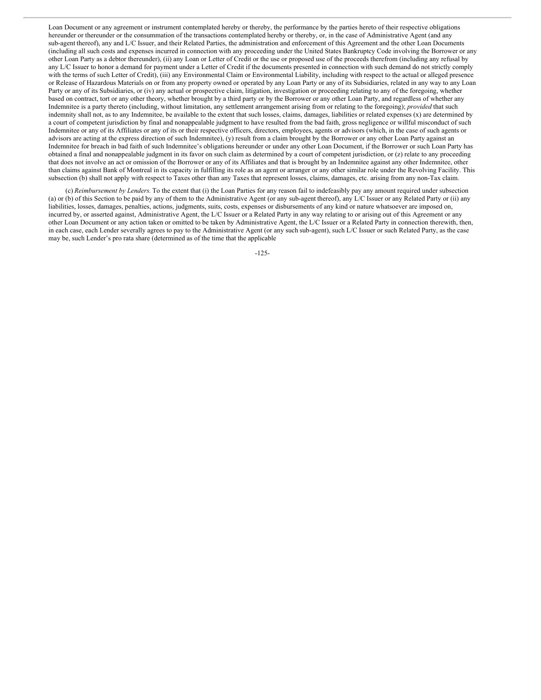Loan Document or any agreement or instrument contemplated hereby or thereby, the performance by the parties hereto of their respective obligations hereunder or thereunder or the consummation of the transactions contemplated hereby or thereby, or, in the case of Administrative Agent (and any sub-agent thereof), any and L/C Issuer, and their Related Parties, the administration and enforcement of this Agreement and the other Loan Documents (including all such costs and expenses incurred in connection with any proceeding under the United States Bankruptcy Code involving the Borrower or any other Loan Party as a debtor thereunder), (ii) any Loan or Letter of Credit or the use or proposed use of the proceeds therefrom (including any refusal by any L/C Issuer to honor a demand for payment under a Letter of Credit if the documents presented in connection with such demand do not strictly comply with the terms of such Letter of Credit), (iii) any Environmental Claim or Environmental Liability, including with respect to the actual or alleged presence or Release of Hazardous Materials on or from any property owned or operated by any Loan Party or any of its Subsidiaries, related in any way to any Loan Party or any of its Subsidiaries, or (iv) any actual or prospective claim, litigation, investigation or proceeding relating to any of the foregoing, whether based on contract, tort or any other theory, whether brought by a third party or by the Borrower or any other Loan Party, and regardless of whether any Indemnitee is a party thereto (including, without limitation, any settlement arrangement arising from or relating to the foregoing); *provided* that such indemnity shall not, as to any Indemnitee, be available to the extent that such losses, claims, damages, liabilities or related expenses (x) are determined by a court of competent jurisdiction by final and nonappealable judgment to have resulted from the bad faith, gross negligence or willful misconduct of such Indemnitee or any of its Affiliates or any of its or their respective officers, directors, employees, agents or advisors (which, in the case of such agents or advisors are acting at the express direction of such Indemnitee), (y) result from a claim brought by the Borrower or any other Loan Party against an Indemnitee for breach in bad faith of such Indemnitee's obligations hereunder or under any other Loan Document, if the Borrower or such Loan Party has obtained a final and nonappealable judgment in its favor on such claim as determined by a court of competent jurisdiction, or (z) relate to any proceeding that does not involve an act or omission of the Borrower or any of its Affiliates and that is brought by an Indemnitee against any other Indemnitee, other than claims against Bank of Montreal in its capacity in fulfilling its role as an agent or arranger or any other similar role under the Revolving Facility. This subsection (b) shall not apply with respect to Taxes other than any Taxes that represent losses, claims, damages, etc. arising from any non-Tax claim.

(c) *Reimbursement by Lenders.* To the extent that (i) the Loan Parties for any reason fail to indefeasibly pay any amount required under subsection (a) or (b) of this Section to be paid by any of them to the Administrative Agent (or any sub-agent thereof), any L/C Issuer or any Related Party or (ii) any liabilities, losses, damages, penalties, actions, judgments, suits, costs, expenses or disbursements of any kind or nature whatsoever are imposed on, incurred by, or asserted against, Administrative Agent, the L/C Issuer or a Related Party in any way relating to or arising out of this Agreement or any other Loan Document or any action taken or omitted to be taken by Administrative Agent, the L/C Issuer or a Related Party in connection therewith, then, in each case, each Lender severally agrees to pay to the Administrative Agent (or any such sub-agent), such L/C Issuer or such Related Party, as the case may be, such Lender's pro rata share (determined as of the time that the applicable

-125-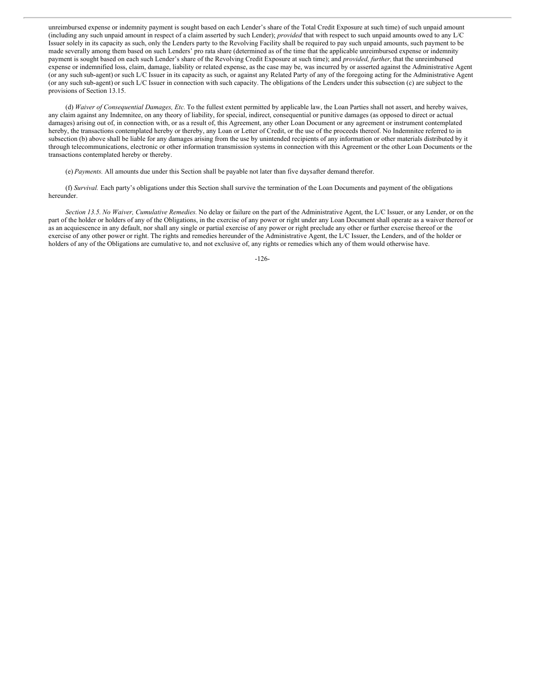unreimbursed expense or indemnity payment is sought based on each Lender's share of the Total Credit Exposure at such time) of such unpaid amount (including any such unpaid amount in respect of a claim asserted by such Lender); *provided* that with respect to such unpaid amounts owed to any L/C Issuer solely in its capacity as such, only the Lenders party to the Revolving Facility shall be required to pay such unpaid amounts, such payment to be made severally among them based on such Lenders' pro rata share (determined as of the time that the applicable unreimbursed expense or indemnity payment is sought based on each such Lender's share of the Revolving Credit Exposure at such time); and *provided, further,* that the unreimbursed expense or indemnified loss, claim, damage, liability or related expense, as the case may be, was incurred by or asserted against the Administrative Agent (or any such sub-agent) or such L/C Issuer in its capacity as such, or against any Related Party of any of the foregoing acting for the Administrative Agent (or any such sub-agent) or such L/C Issuer in connection with such capacity. The obligations of the Lenders under this subsection (c) are subject to the provisions of Section 13.15.

(d) *Waiver of Consequential Damages, Etc.* To the fullest extent permitted by applicable law, the Loan Parties shall not assert, and hereby waives, any claim against any Indemnitee, on any theory of liability, for special, indirect, consequential or punitive damages (as opposed to direct or actual damages) arising out of, in connection with, or as a result of, this Agreement, any other Loan Document or any agreement or instrument contemplated hereby, the transactions contemplated hereby or thereby, any Loan or Letter of Credit, or the use of the proceeds thereof. No Indemnitee referred to in subsection (b) above shall be liable for any damages arising from the use by unintended recipients of any information or other materials distributed by it through telecommunications, electronic or other information transmission systems in connection with this Agreement or the other Loan Documents or the transactions contemplated hereby or thereby.

(e) *Payments.* All amounts due under this Section shall be payable not later than five daysafter demand therefor.

(f) *Survival.* Each party's obligations under this Section shall survive the termination of the Loan Documents and payment of the obligations hereunder.

*Section 13.5. No Waiver, Cumulative Remedies.* No delay or failure on the part of the Administrative Agent, the L/C Issuer, or any Lender, or on the part of the holder or holders of any of the Obligations, in the exercise of any power or right under any Loan Document shall operate as a waiver thereof or as an acquiescence in any default, nor shall any single or partial exercise of any power or right preclude any other or further exercise thereof or the exercise of any other power or right. The rights and remedies hereunder of the Administrative Agent, the L/C Issuer, the Lenders, and of the holder or holders of any of the Obligations are cumulative to, and not exclusive of, any rights or remedies which any of them would otherwise have.

-126-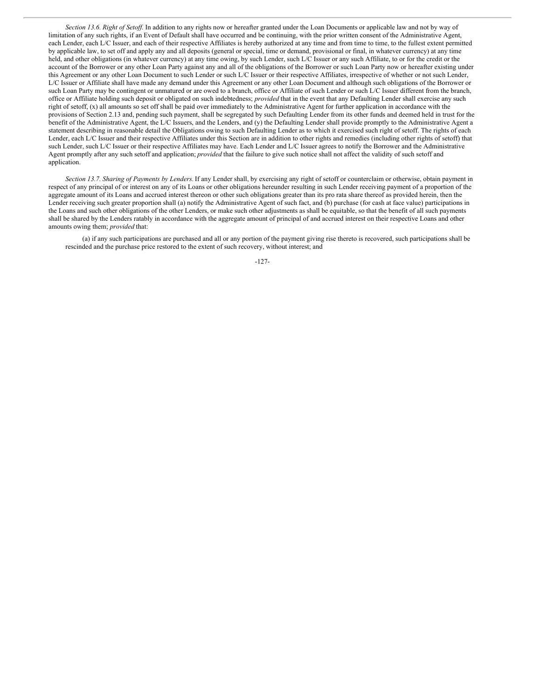*Section 13.6. Right of Setof* . In addition to any rights now or hereafter granted under the Loan Documents or applicable law and not by way of limitation of any such rights, if an Event of Default shall have occurred and be continuing, with the prior written consent of the Administrative Agent, each Lender, each L/C Issuer, and each of their respective Affiliates is hereby authorized at any time and from time to time, to the fullest extent permitted by applicable law, to set off and apply any and all deposits (general or special, time or demand, provisional or final, in whatever currency) at any time held, and other obligations (in whatever currency) at any time owing, by such Lender, such L/C Issuer or any such Affiliate, to or for the credit or the account of the Borrower or any other Loan Party against any and all of the obligations of the Borrower or such Loan Party now or hereafter existing under this Agreement or any other Loan Document to such Lender or such L/C Issuer or their respective Affiliates, irrespective of whether or not such Lender, L/C Issuer or Affiliate shall have made any demand under this Agreement or any other Loan Document and although such obligations of the Borrower or such Loan Party may be contingent or unmatured or are owed to a branch, office or Affiliate of such Lender or such L/C Issuer different from the branch, office or Affiliate holding such deposit or obligated on such indebtedness; *provided* that in the event that any Defaulting Lender shall exercise any such right of setoff, (x) all amounts so set off shall be paid over immediately to the Administrative Agent for further application in accordance with the provisions of Section 2.13 and, pending such payment, shall be segregated by such Defaulting Lender from its other funds and deemed held in trust for the benefit of the Administrative Agent, the L/C Issuers, and the Lenders, and (y) the Defaulting Lender shall provide promptly to the Administrative Agent a statement describing in reasonable detail the Obligations owing to such Defaulting Lender as to which it exercised such right of setoff. The rights of each Lender, each L/C Issuer and their respective Affiliates under this Section are in addition to other rights and remedies (including other rights of setoff) that such Lender, such L/C Issuer or their respective Affiliates may have. Each Lender and L/C Issuer agrees to notify the Borrower and the Administrative Agent promptly after any such setoff and application; *provided* that the failure to give such notice shall not affect the validity of such setoff and application.

*Section 13.7. Sharing of Payments by Lenders.* If any Lender shall, by exercising any right of setoff or counterclaim or otherwise, obtain payment in respect of any principal of or interest on any of its Loans or other obligations hereunder resulting in such Lender receiving payment of a proportion of the aggregate amount of its Loans and accrued interest thereon or other such obligations greater than its pro rata share thereof as provided herein, then the Lender receiving such greater proportion shall (a) notify the Administrative Agent of such fact, and (b) purchase (for cash at face value) participations in the Loans and such other obligations of the other Lenders, or make such other adjustments as shall be equitable, so that the benefit of all such payments shall be shared by the Lenders ratably in accordance with the aggregate amount of principal of and accrued interest on their respective Loans and other amounts owing them; *provided* that:

(a) if any such participations are purchased and all or any portion of the payment giving rise thereto is recovered, such participations shall be rescinded and the purchase price restored to the extent of such recovery, without interest; and

-127-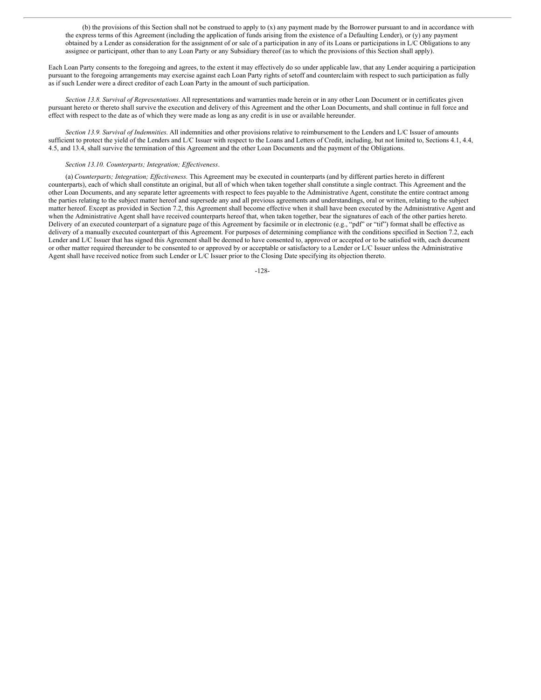(b) the provisions of this Section shall not be construed to apply to (x) any payment made by the Borrower pursuant to and in accordance with the express terms of this Agreement (including the application of funds arising from the existence of a Defaulting Lender), or (y) any payment obtained by a Lender as consideration for the assignment of or sale of a participation in any of its Loans or participations in L/C Obligations to any assignee or participant, other than to any Loan Party or any Subsidiary thereof (as to which the provisions of this Section shall apply).

Each Loan Party consents to the foregoing and agrees, to the extent it may effectively do so under applicable law, that any Lender acquiring a participation pursuant to the foregoing arrangements may exercise against each Loan Party rights of setoff and counterclaim with respect to such participation as fully as if such Lender were a direct creditor of each Loan Party in the amount of such participation.

*Section 13.8. Survival of Representations.* All representations and warranties made herein or in any other Loan Document or in certificates given pursuant hereto or thereto shall survive the execution and delivery of this Agreement and the other Loan Documents, and shall continue in full force and effect with respect to the date as of which they were made as long as any credit is in use or available hereunder.

*Section 13.9. Survival of Indemnities*. All indemnities and other provisions relative to reimbursement to the Lenders and L/C Issuer of amounts sufficient to protect the yield of the Lenders and L/C Issuer with respect to the Loans and Letters of Credit, including, but not limited to, Sections 4.1, 4.4, 4.5, and 13.4, shall survive the termination of this Agreement and the other Loan Documents and the payment of the Obligations.

#### *Section 13.10. Counterparts; Integration; Ef ectiveness*.

(a) *Counterparts; Integration; Effectiveness*. This Agreement may be executed in counterparts (and by different parties hereto in different counterparts), each of which shall constitute an original, but all of which when taken together shall constitute a single contract. This Agreement and the other Loan Documents, and any separate letter agreements with respect to fees payable to the Administrative Agent, constitute the entire contract among the parties relating to the subject matter hereof and supersede any and all previous agreements and understandings, oral or written, relating to the subject matter hereof. Except as provided in Section 7.2, this Agreement shall become effective when it shall have been executed by the Administrative Agent and when the Administrative Agent shall have received counterparts hereof that, when taken together, bear the signatures of each of the other parties hereto. Delivery of an executed counterpart of a signature page of this Agreement by facsimile or in electronic (e.g., "pdf" or "tif") format shall be effective as delivery of a manually executed counterpart of this Agreement. For purposes of determining compliance with the conditions specified in Section 7.2, each Lender and L/C Issuer that has signed this Agreement shall be deemed to have consented to, approved or accepted or to be satisfied with, each document or other matter required thereunder to be consented to or approved by or acceptable or satisfactory to a Lender or L/C Issuer unless the Administrative Agent shall have received notice from such Lender or L/C Issuer prior to the Closing Date specifying its objection thereto.

-128-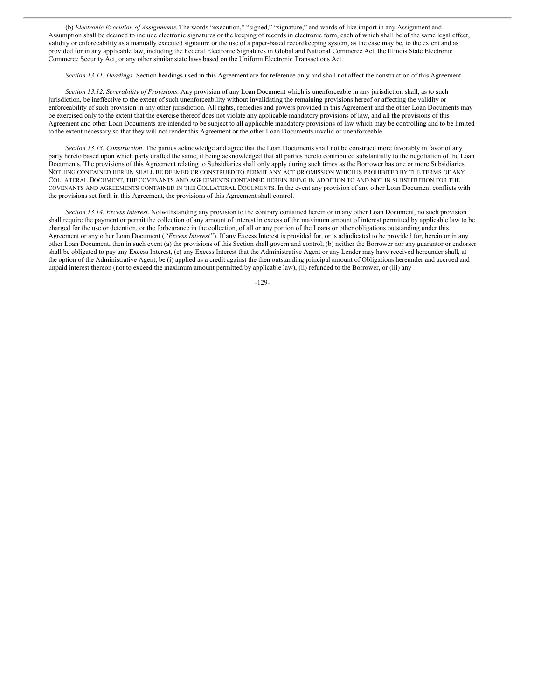(b) *Electronic Execution of Assignments.* The words "execution," "signed," "signature," and words of like import in any Assignment and Assumption shall be deemed to include electronic signatures or the keeping of records in electronic form, each of which shall be of the same legal effect, validity or enforceability as a manually executed signature or the use of a paper-based recordkeeping system, as the case may be, to the extent and as provided for in any applicable law, including the Federal Electronic Signatures in Global and National Commerce Act, the Illinois State Electronic Commerce Security Act, or any other similar state laws based on the Uniform Electronic Transactions Act.

*Section 13.11. Headings.* Section headings used in this Agreement are for reference only and shall not affect the construction of this Agreement.

*Section 13.12. Severability of Provisions.* Any provision of any Loan Document which is unenforceable in any jurisdiction shall, as to such jurisdiction, be ineffective to the extent of such unenforceability without invalidating the remaining provisions hereof or affecting the validity or enforceability of such provision in any other jurisdiction. All rights, remedies and powers provided in this Agreement and the other Loan Documents may be exercised only to the extent that the exercise thereof does not violate any applicable mandatory provisions of law, and all the provisions of this Agreement and other Loan Documents are intended to be subject to all applicable mandatory provisions of law which may be controlling and to be limited to the extent necessary so that they will not render this Agreement or the other Loan Documents invalid or unenforceable.

*Section 13.13. Construction*. The parties acknowledge and agree that the Loan Documents shall not be construed more favorably in favor of any party hereto based upon which party drafted the same, it being acknowledged that all parties hereto contributed substantially to the negotiation of the Loan Documents. The provisions of this Agreement relating to Subsidiaries shall only apply during such times as the Borrower has one or more Subsidiaries. NOTHING CONTAINED HEREIN SHALL BE DEEMED OR CONSTRUED TO PERMIT ANY ACT OR OMISSION WHICH IS PROHIBITED BY THE TERMS OF ANY COLLATERAL DOCUMENT, THE COVENANTS AND AGREEMENTS CONTAINED HEREIN BEING IN ADDITION TO AND NOT IN SUBSTITUTION FOR THE COVENANTS AND AGREEMENTS CONTAINED IN THE COLLATERAL DOCUMENTS. In the event any provision of any other Loan Document conflicts with the provisions set forth in this Agreement, the provisions of this Agreement shall control.

*Section 13.14. Excess Interest*. Notwithstanding any provision to the contrary contained herein or in any other Loan Document, no such provision shall require the payment or permit the collection of any amount of interest in excess of the maximum amount of interest permitted by applicable law to be charged for the use or detention, or the forbearance in the collection, of all or any portion of the Loans or other obligations outstanding under this Agreement or any other Loan Document (*"Excess Interest"*). If any Excess Interest is provided for, or is adjudicated to be provided for, herein or in any other Loan Document, then in such event (a) the provisions of this Section shall govern and control, (b) neither the Borrower nor any guarantor or endorser shall be obligated to pay any Excess Interest, (c) any Excess Interest that the Administrative Agent or any Lender may have received hereunder shall, at the option of the Administrative Agent, be (i) applied as a credit against the then outstanding principal amount of Obligations hereunder and accrued and unpaid interest thereon (not to exceed the maximum amount permitted by applicable law), (ii) refunded to the Borrower, or (iii) any

-129-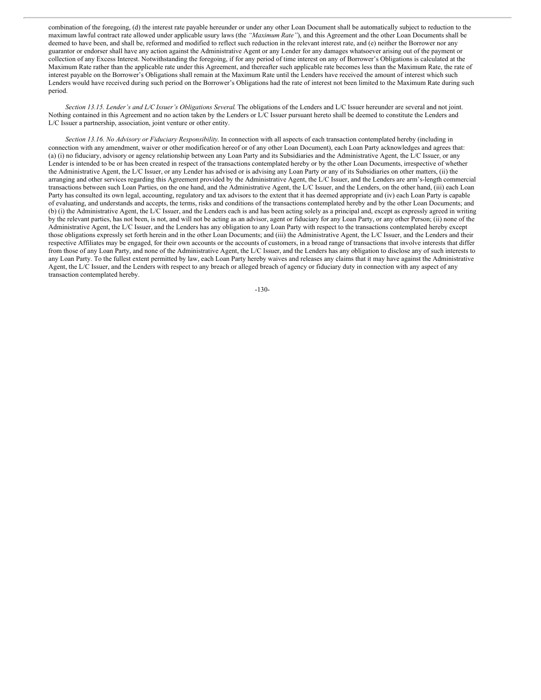combination of the foregoing, (d) the interest rate payable hereunder or under any other Loan Document shall be automatically subject to reduction to the maximum lawful contract rate allowed under applicable usury laws (the *"Maximum Rate"*), and this Agreement and the other Loan Documents shall be deemed to have been, and shall be, reformed and modified to reflect such reduction in the relevant interest rate, and (e) neither the Borrower nor any guarantor or endorser shall have any action against the Administrative Agent or any Lender for any damages whatsoever arising out of the payment or collection of any Excess Interest. Notwithstanding the foregoing, if for any period of time interest on any of Borrower's Obligations is calculated at the Maximum Rate rather than the applicable rate under this Agreement, and thereafter such applicable rate becomes less than the Maximum Rate, the rate of interest payable on the Borrower's Obligations shall remain at the Maximum Rate until the Lenders have received the amount of interest which such Lenders would have received during such period on the Borrower's Obligations had the rate of interest not been limited to the Maximum Rate during such period.

*Section 13.15. Lender's and L/C Issuer's Obligations Several*. The obligations of the Lenders and L/C Issuer hereunder are several and not joint. Nothing contained in this Agreement and no action taken by the Lenders or L/C Issuer pursuant hereto shall be deemed to constitute the Lenders and L/C Issuer a partnership, association, joint venture or other entity.

*Section 13.16. No Advisory or Fiduciary Responsibility*. In connection with all aspects of each transaction contemplated hereby (including in connection with any amendment, waiver or other modification hereof or of any other Loan Document), each Loan Party acknowledges and agrees that: (a) (i) no fiduciary, advisory or agency relationship between any Loan Party and its Subsidiaries and the Administrative Agent, the L/C Issuer, or any Lender is intended to be or has been created in respect of the transactions contemplated hereby or by the other Loan Documents, irrespective of whether the Administrative Agent, the L/C Issuer, or any Lender has advised or is advising any Loan Party or any of its Subsidiaries on other matters, (ii) the arranging and other services regarding this Agreement provided by the Administrative Agent, the L/C Issuer, and the Lenders are arm's-length commercial transactions between such Loan Parties, on the one hand, and the Administrative Agent, the L/C Issuer, and the Lenders, on the other hand, (iii) each Loan Party has consulted its own legal, accounting, regulatory and tax advisors to the extent that it has deemed appropriate and (iv) each Loan Party is capable of evaluating, and understands and accepts, the terms, risks and conditions of the transactions contemplated hereby and by the other Loan Documents; and (b) (i) the Administrative Agent, the L/C Issuer, and the Lenders each is and has been acting solely as a principal and, except as expressly agreed in writing by the relevant parties, has not been, is not, and will not be acting as an advisor, agent or fiduciary for any Loan Party, or any other Person; (ii) none of the Administrative Agent, the L/C Issuer, and the Lenders has any obligation to any Loan Party with respect to the transactions contemplated hereby except those obligations expressly set forth herein and in the other Loan Documents; and (iii) the Administrative Agent, the L/C Issuer, and the Lenders and their respective Affiliates may be engaged, for their own accounts or the accounts of customers, in a broad range of transactions that involve interests that differ from those of any Loan Party, and none of the Administrative Agent, the L/C Issuer, and the Lenders has any obligation to disclose any of such interests to any Loan Party. To the fullest extent permitted by law, each Loan Party hereby waives and releases any claims that it may have against the Administrative Agent, the L/C Issuer, and the Lenders with respect to any breach or alleged breach of agency or fiduciary duty in connection with any aspect of any transaction contemplated hereby.

-130-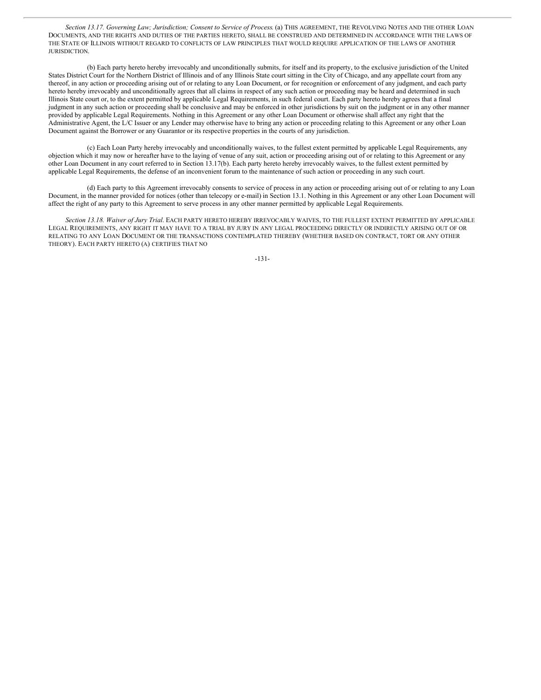*Section 13.17. Governing Law; Jurisdiction; Consent to Service of Process*. (a) THIS AGREEMENT, THE REVOLVING NOTES AND THE OTHER LOAN DOCUMENTS, AND THE RIGHTS AND DUTIES OF THE PARTIES HERETO, SHALL BE CONSTRUED AND DETERMINED IN ACCORDANCE WITH THE LAWS OF THE STATE OF ILLINOIS WITHOUT REGARD TO CONFLICTS OF LAW PRINCIPLES THAT WOULD REQUIRE APPLICATION OF THE LAWS OF ANOTHER JURISDICTION.

(b) Each party hereto hereby irrevocably and unconditionally submits, for itself and its property, to the exclusive jurisdiction of the United States District Court for the Northern District of Illinois and of any Illinois State court sitting in the City of Chicago, and any appellate court from any thereof, in any action or proceeding arising out of or relating to any Loan Document, or for recognition or enforcement of any judgment, and each party hereto hereby irrevocably and unconditionally agrees that all claims in respect of any such action or proceeding may be heard and determined in such Illinois State court or, to the extent permitted by applicable Legal Requirements, in such federal court. Each party hereto hereby agrees that a final judgment in any such action or proceeding shall be conclusive and may be enforced in other jurisdictions by suit on the judgment or in any other manner provided by applicable Legal Requirements. Nothing in this Agreement or any other Loan Document or otherwise shall affect any right that the Administrative Agent, the L/C Issuer or any Lender may otherwise have to bring any action or proceeding relating to this Agreement or any other Loan Document against the Borrower or any Guarantor or its respective properties in the courts of any jurisdiction.

(c) Each Loan Party hereby irrevocably and unconditionally waives, to the fullest extent permitted by applicable Legal Requirements, any objection which it may now or hereafter have to the laying of venue of any suit, action or proceeding arising out of or relating to this Agreement or any other Loan Document in any court referred to in Section 13.17(b). Each party hereto hereby irrevocably waives, to the fullest extent permitted by applicable Legal Requirements, the defense of an inconvenient forum to the maintenance of such action or proceeding in any such court.

(d) Each party to this Agreement irrevocably consents to service of process in any action or proceeding arising out of or relating to any Loan Document, in the manner provided for notices (other than telecopy or e-mail) in Section 13.1. Nothing in this Agreement or any other Loan Document will affect the right of any party to this Agreement to serve process in any other manner permitted by applicable Legal Requirements.

*Section 13.18. Waiver of Jury Trial*. EACH PARTY HERETO HEREBY IRREVOCABLY WAIVES, TO THE FULLEST EXTENT PERMITTED BY APPLICABLE LEGAL REQUIREMENTS, ANY RIGHT IT MAY HAVE TO A TRIAL BY JURY IN ANY LEGAL PROCEEDING DIRECTLY OR INDIRECTLY ARISING OUT OF OR RELATING TO ANY LOAN DOCUMENT OR THE TRANSACTIONS CONTEMPLATED THEREBY (WHETHER BASED ON CONTRACT, TORT OR ANY OTHER THEORY). EACH PARTY HERETO (A) CERTIFIES THAT NO

-131-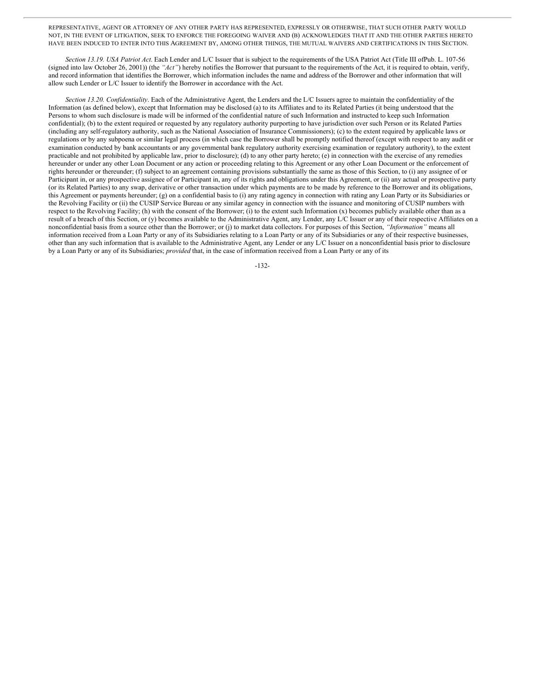REPRESENTATIVE, AGENT OR ATTORNEY OF ANY OTHER PARTY HAS REPRESENTED, EXPRESSLY OR OTHERWISE, THAT SUCH OTHER PARTY WOULD NOT, IN THE EVENT OF LITIGATION, SEEK TO ENFORCE THE FOREGOING WAIVER AND (B) ACKNOWLEDGES THAT IT AND THE OTHER PARTIES HERETO HAVE BEEN INDUCED TO ENTER INTO THIS AGREEMENT BY, AMONG OTHER THINGS, THE MUTUAL WAIVERS AND CERTIFICATIONS IN THIS SECTION.

*Section 13.19. USA Patriot Act*. Each Lender and L/C Issuer that is subject to the requirements of the USA Patriot Act (Title III ofPub. L. 107-56 (signed into law October 26, 2001)) (the "Act") hereby notifies the Borrower that pursuant to the requirements of the Act, it is required to obtain, verify, and record information that identifies the Borrower, which information includes the name and address of the Borrower and other information that will allow such Lender or L/C Issuer to identify the Borrower in accordance with the Act.

*Section 13.20. Confidentiality*. Each of the Administrative Agent, the Lenders and the L/C Issuers agree to maintain the confidentiality of the Information (as defined below), except that Information may be disclosed (a) to its Affiliates and to its Related Parties (it being understood that the Persons to whom such disclosure is made will be informed of the confidential nature of such Information and instructed to keep such Information confidential); (b) to the extent required or requested by any regulatory authority purporting to have jurisdiction over such Person or its Related Parties (including any self-regulatory authority, such as the National Association of Insurance Commissioners); (c) to the extent required by applicable laws or regulations or by any subpoena or similar legal process (in which case the Borrower shall be promptly notified thereof (except with respect to any audit or examination conducted by bank accountants or any governmental bank regulatory authority exercising examination or regulatory authority), to the extent practicable and not prohibited by applicable law, prior to disclosure); (d) to any other party hereto; (e) in connection with the exercise of any remedies hereunder or under any other Loan Document or any action or proceeding relating to this Agreement or any other Loan Document or the enforcement of rights hereunder or thereunder; (f) subject to an agreement containing provisions substantially the same as those of this Section, to (i) any assignee of or Participant in, or any prospective assignee of or Participant in, any of its rights and obligations under this Agreement, or (ii) any actual or prospective party (or its Related Parties) to any swap, derivative or other transaction under which payments are to be made by reference to the Borrower and its obligations, this Agreement or payments hereunder; (g) on a confidential basis to (i) any rating agency in connection with rating any Loan Party or its Subsidiaries or the Revolving Facility or (ii) the CUSIP Service Bureau or any similar agency in connection with the issuance and monitoring of CUSIP numbers with respect to the Revolving Facility; (h) with the consent of the Borrower; (i) to the extent such Information (x) becomes publicly available other than as a result of a breach of this Section, or (y) becomes available to the Administrative Agent, any Lender, any L/C Issuer or any of their respective Affiliates on a nonconfidential basis from a source other than the Borrower; or (j) to market data collectors. For purposes of this Section, *"Information"* means all information received from a Loan Party or any of its Subsidiaries relating to a Loan Party or any of its Subsidiaries or any of their respective businesses, other than any such information that is available to the Administrative Agent, any Lender or any L/C Issuer on a nonconfidential basis prior to disclosure by a Loan Party or any of its Subsidiaries; *provided* that, in the case of information received from a Loan Party or any of its

-132-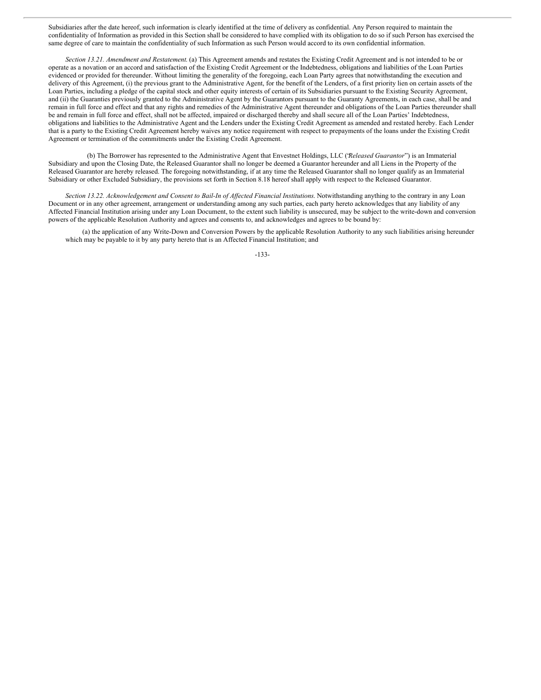Subsidiaries after the date hereof, such information is clearly identified at the time of delivery as confidential. Any Person required to maintain the confidentiality of Information as provided in this Section shall be considered to have complied with its obligation to do so if such Person has exercised the same degree of care to maintain the confidentiality of such Information as such Person would accord to its own confidential information.

*Section 13.21. Amendment and Restatement*. (a) This Agreement amends and restates the Existing Credit Agreement and is not intended to be or operate as a novation or an accord and satisfaction of the Existing Credit Agreement or the Indebtedness, obligations and liabilities of the Loan Parties evidenced or provided for thereunder. Without limiting the generality of the foregoing, each Loan Party agrees that notwithstanding the execution and delivery of this Agreement, (i) the previous grant to the Administrative Agent, for the benefit of the Lenders, of a first priority lien on certain assets of the Loan Parties, including a pledge of the capital stock and other equity interests of certain of its Subsidiaries pursuant to the Existing Security Agreement, and (ii) the Guaranties previously granted to the Administrative Agent by the Guarantors pursuant to the Guaranty Agreements, in each case, shall be and remain in full force and effect and that any rights and remedies of the Administrative Agent thereunder and obligations of the Loan Parties thereunder shall be and remain in full force and effect, shall not be affected, impaired or discharged thereby and shall secure all of the Loan Parties' Indebtedness, obligations and liabilities to the Administrative Agent and the Lenders under the Existing Credit Agreement as amended and restated hereby. Each Lender that is a party to the Existing Credit Agreement hereby waives any notice requirement with respect to prepayments of the loans under the Existing Credit Agreement or termination of the commitments under the Existing Credit Agreement.

(b) The Borrower has represented to the Administrative Agent that Envestnet Holdings, LLC ("*Released Guarantor*") is an Immaterial Subsidiary and upon the Closing Date, the Released Guarantor shall no longer be deemed a Guarantor hereunder and all Liens in the Property of the Released Guarantor are hereby released. The foregoing notwithstanding, if at any time the Released Guarantor shall no longer qualify as an Immaterial Subsidiary or other Excluded Subsidiary, the provisions set forth in Section 8.18 hereof shall apply with respect to the Released Guarantor.

Section 13.22. Acknowledgement and Consent to Bail-In of Affected Financial Institutions. Notwithstanding anything to the contrary in any Loan Document or in any other agreement, arrangement or understanding among any such parties, each party hereto acknowledges that any liability of any Affected Financial Institution arising under any Loan Document, to the extent such liability is unsecured, may be subject to the write-down and conversion powers of the applicable Resolution Authority and agrees and consents to, and acknowledges and agrees to be bound by:

(a) the application of any Write-Down and Conversion Powers by the applicable Resolution Authority to any such liabilities arising hereunder which may be payable to it by any party hereto that is an Affected Financial Institution; and

-133-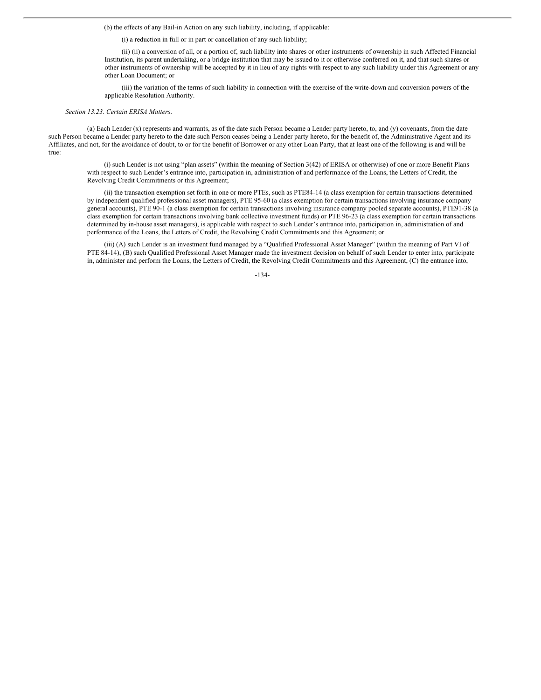(b) the effects of any Bail-in Action on any such liability, including, if applicable:

(i) a reduction in full or in part or cancellation of any such liability;

(ii) (ii) a conversion of all, or a portion of, such liability into shares or other instruments of ownership in such Affected Financial Institution, its parent undertaking, or a bridge institution that may be issued to it or otherwise conferred on it, and that such shares or other instruments of ownership will be accepted by it in lieu of any rights with respect to any such liability under this Agreement or any other Loan Document; or

(iii) the variation of the terms of such liability in connection with the exercise of the write-down and conversion powers of the applicable Resolution Authority.

## *Section 13.23. Certain ERISA Matters*.

(a) Each Lender (x) represents and warrants, as of the date such Person became a Lender party hereto, to, and (y) covenants, from the date such Person became a Lender party hereto to the date such Person ceases being a Lender party hereto, for the benefit of, the Administrative Agent and its Affiliates, and not, for the avoidance of doubt, to or for the benefit of Borrower or any other Loan Party, that at least one of the following is and will be true:

(i) such Lender is not using "plan assets" (within the meaning of Section 3(42) of ERISA or otherwise) of one or more Benefit Plans with respect to such Lender's entrance into, participation in, administration of and performance of the Loans, the Letters of Credit, the Revolving Credit Commitments or this Agreement;

(ii) the transaction exemption set forth in one or more PTEs, such as PTE84-14 (a class exemption for certain transactions determined by independent qualified professional asset managers), PTE 95-60 (a class exemption for certain transactions involving insurance company general accounts), PTE 90-1 (a class exemption for certain transactions involving insurance company pooled separate accounts), PTE91-38 (a class exemption for certain transactions involving bank collective investment funds) or PTE 96-23 (a class exemption for certain transactions determined by in-house asset managers), is applicable with respect to such Lender's entrance into, participation in, administration of and performance of the Loans, the Letters of Credit, the Revolving Credit Commitments and this Agreement; or

(iii) (A) such Lender is an investment fund managed by a "Qualified Professional Asset Manager" (within the meaning of Part VI of PTE 84-14), (B) such Qualified Professional Asset Manager made the investment decision on behalf of such Lender to enter into, participate in, administer and perform the Loans, the Letters of Credit, the Revolving Credit Commitments and this Agreement, (C) the entrance into,

-134-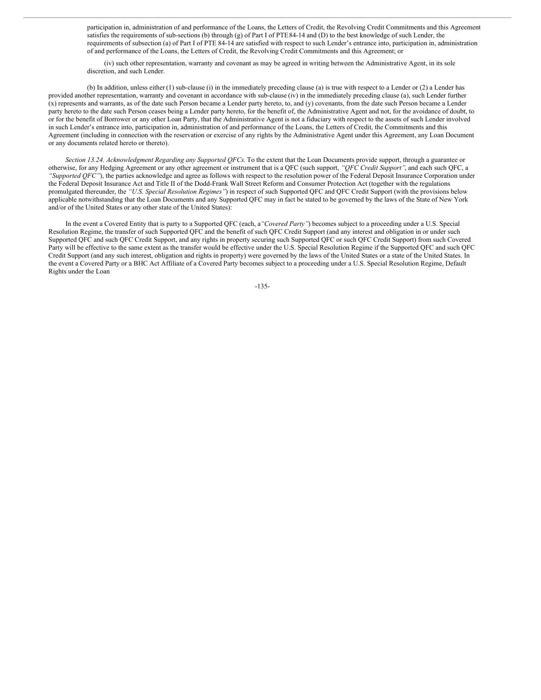participation in, administration of and performance of the Loans, the Letters of Credit, the Revolving Credit Commitments and this Agreement satisfies the requirements of sub-sections (b) through (g) of Part I of PTE84-14 and (D) to the best knowledge of such Lender, the requirements of subsection (a) of Part I of PTE 84-14 are satisfied with respect to such Lender's entrance into, participation in, administration of and performance of the Loans, the Letters of Credit, the Revolving Credit Commitments and this Agreement; or

(iv) such other representation, warranty and covenant as may be agreed in writing between the Administrative Agent, in its sole discretion, and such Lender.

(b) In addition, unless either (1) sub-clause (i) in the immediately preceding clause (a) is true with respect to a Lender or (2) a Lender has provided another representation, warranty and covenant in accordance with sub-clause (iv) in the immediately preceding clause (a), such Lender further (x) represents and warrants, as of the date such Person became a Lender party hereto, to, and (y) covenants, from the date such Person became a Lender party hereto to the date such Person ceases being a Lender party hereto, for the benefit of, the Administrative Agent and not, for the avoidance of doubt, to or for the benefit of Borrower or any other Loan Party, that the Administrative Agent is not a fiduciary with respect to the assets of such Lender involved in such Lender's entrance into, participation in, administration of and performance of the Loans, the Letters of Credit, the Commitments and this Agreement (including in connection with the reservation or exercise of any rights by the Administrative Agent under this Agreement, any Loan Document or any documents related hereto or thereto).

*Section 13.24. Acknowledgment Regarding any Supported QFCs*. To the extent that the Loan Documents provide support, through a guarantee or otherwise, for any Hedging Agreement or any other agreement or instrument that is a QFC (such support, *"QFC Credit Support"*, and each such QFC, a *"Supported QFC"*), the parties acknowledge and agree as follows with respect to the resolution power of the Federal Deposit Insurance Corporation under the Federal Deposit Insurance Act and Title II of the Dodd-Frank Wall Street Reform and Consumer Protection Act (together with the regulations promulgated thereunder, the *"U.S. Special Resolution Regimes"*) in respect of such Supported QFC and QFC Credit Support (with the provisions below applicable notwithstanding that the Loan Documents and any Supported QFC may in fact be stated to be governed by the laws of the State of New York and/or of the United States or any other state of the United States):

In the event a Covered Entity that is party to a Supported QFC (each, a*"Covered Party"*) becomes subject to a proceeding under a U.S. Special Resolution Regime, the transfer of such Supported QFC and the benefit of such QFC Credit Support (and any interest and obligation in or under such Supported QFC and such QFC Credit Support, and any rights in property securing such Supported QFC or such QFC Credit Support) from such Covered Party will be effective to the same extent as the transfer would be effective under the U.S. Special Resolution Regime if the Supported QFC and such QFC Credit Support (and any such interest, obligation and rights in property) were governed by the laws of the United States or a state of the United States. In the event a Covered Party or a BHC Act Affiliate of a Covered Party becomes subject to a proceeding under a U.S. Special Resolution Regime, Default Rights under the Loan

-135-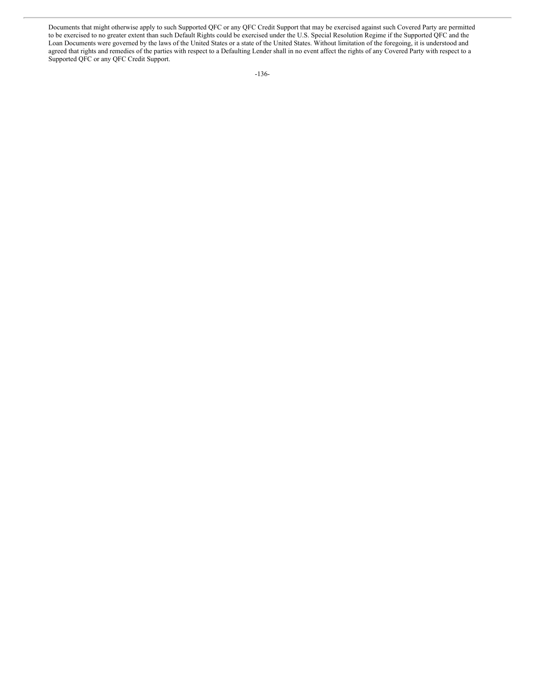Documents that might otherwise apply to such Supported QFC or any QFC Credit Support that may be exercised against such Covered Party are permitted to be exercised to no greater extent than such Default Rights could be exercised under the U.S. Special Resolution Regime if the Supported QFC and the Loan Documents were governed by the laws of the United States or a state of the United States. Without limitation of the foregoing, it is understood and agreed that rights and remedies of the parties with respect to a Defaulting Lender shall in no event affect the rights of any Covered Party with respect to a Supported QFC or any QFC Credit Support.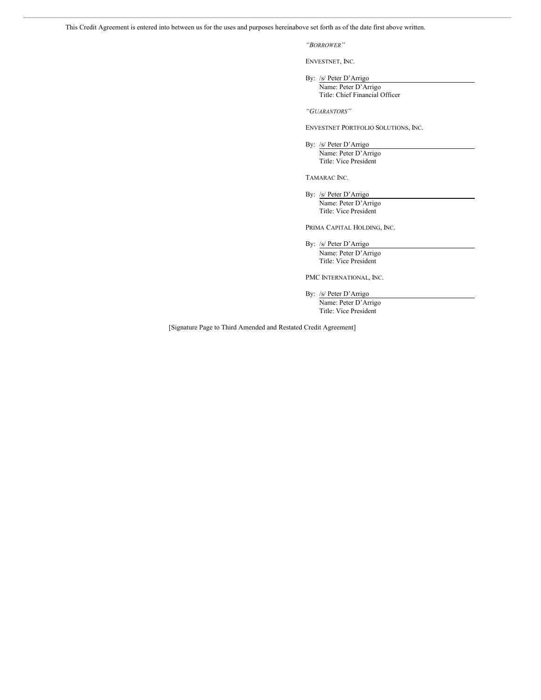This Credit Agreement is entered into between us for the uses and purposes hereinabove set forth as of the date first above written.

*"BORROWER"*

ENVESTNET, INC.

By: /s/ Peter D'Arrigo

Name: Peter D'Arrigo Title: Chief Financial Officer

*"GUARANTORS"*

ENVESTNET PORTFOLIO SOLUTIONS, INC.

By: /s/ Peter D'Arrigo Name: Peter D'Arrigo Title: Vice President

TAMARAC INC.

By: /s/ Peter D'Arrigo

Name: Peter D'Arrigo Title: Vice President

PRIMA CAPITAL HOLDING, INC.

By: /s/ Peter D'Arrigo Name: Peter D'Arrigo Title: Vice President

PMC INTERNATIONAL, INC.

By: /s/ Peter D'Arrigo Name: Peter D'Arrigo Title: Vice President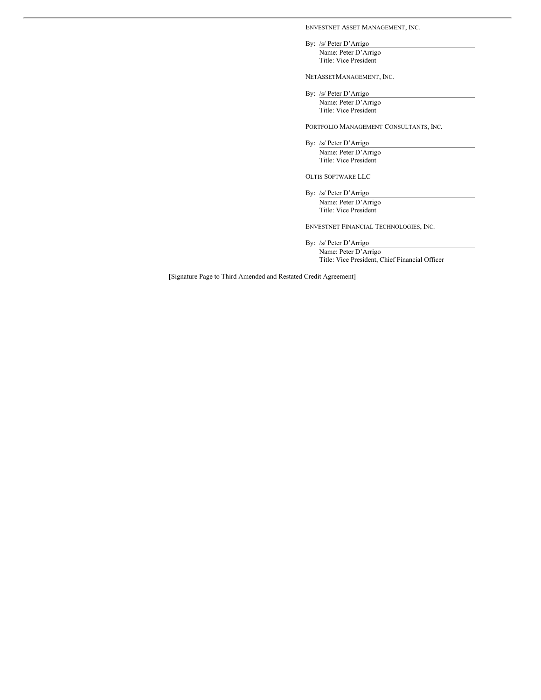ENVESTNET ASSET MANAGEMENT, INC.

By: /s/ Peter D'Arrigo Name: Peter D'Arrigo Title: Vice President

NETASSETMANAGEMENT, INC.

By: /s/ Peter D'Arrigo

Name: Peter D'Arrigo Title: Vice President

PORTFOLIO MANAGEMENT CONSULTANTS, INC.

By: /s/ Peter D'Arrigo Name: Peter D'Arrigo Title: Vice President

OLTIS SOFTWARE LLC

By: /s/ Peter D'Arrigo Name: Peter D'Arrigo Title: Vice President

ENVESTNET FINANCIAL TECHNOLOGIES, INC.

By: /s/ Peter D'Arrigo

Name: Peter D'Arrigo Title: Vice President, Chief Financial Officer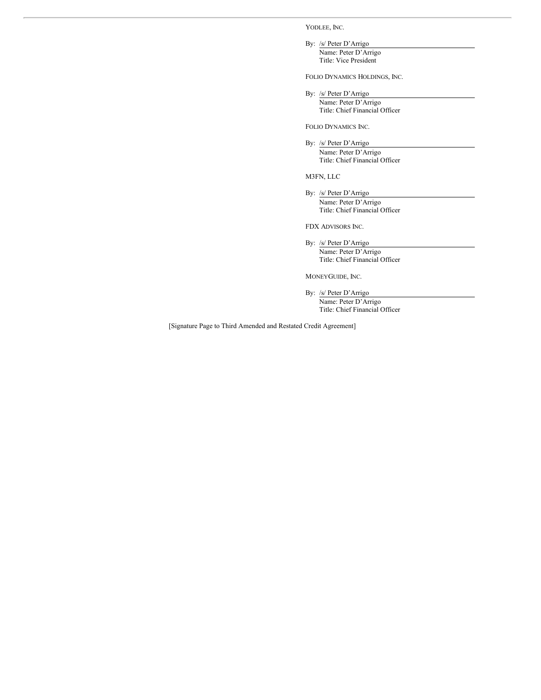YODLEE, INC.

By: /s/ Peter D'Arrigo Name: Peter D'Arrigo Title: Vice President

FOLIO DYNAMICS HOLDINGS, INC.

By: /s/ Peter D'Arrigo

Name: Peter D'Arrigo Title: Chief Financial Officer

FOLIO DYNAMICS INC.

By: /s/ Peter D'Arrigo Name: Peter D'Arrigo Title: Chief Financial Officer

M3FN, LLC

By: /s/ Peter D'Arrigo Name: Peter D'Arrigo Title: Chief Financial Officer

FDX ADVISORS INC.

By: /s/ Peter D'Arrigo

Name: Peter D'Arrigo Title: Chief Financial Officer

MONEYGUIDE, INC.

By: /s/ Peter D'Arrigo Name: Peter D'Arrigo Title: Chief Financial Officer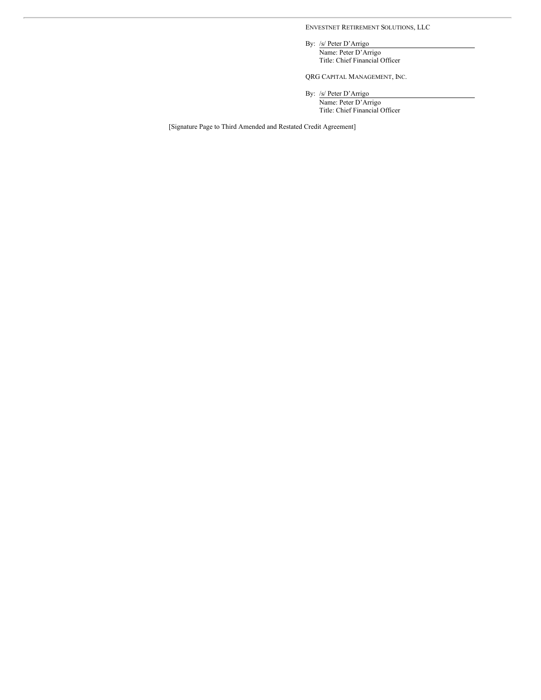ENVESTNET RETIREMENT SOLUTIONS, LLC

By: /s/ Peter D'Arrigo

Name: Peter D'Arrigo Title: Chief Financial Officer

QRG CAPITAL MANAGEMENT, INC.

By: /s/ Peter D'Arrigo

Name: Peter D'Arrigo Title: Chief Financial Officer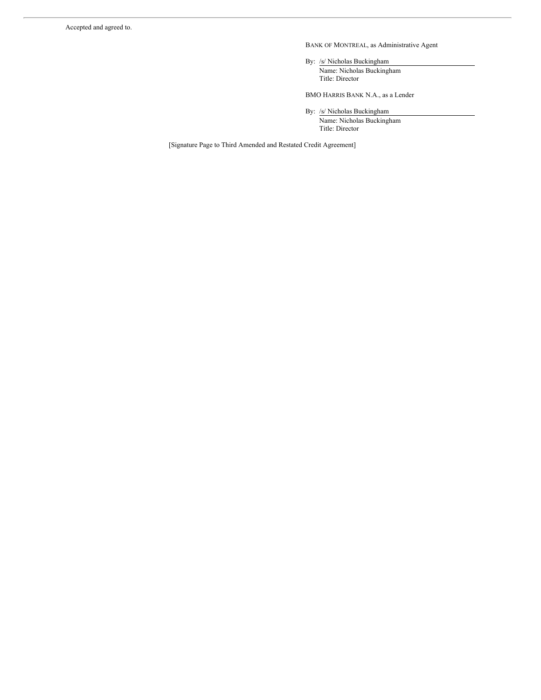## BANK OF MONTREAL, as Administrative Agent

By: /s/ Nicholas Buckingham

Name: Nicholas Buckingham Title: Director

BMO HARRIS BANK N.A., as a Lender

By: /s/ Nicholas Buckingham Name: Nicholas Buckingham Title: Director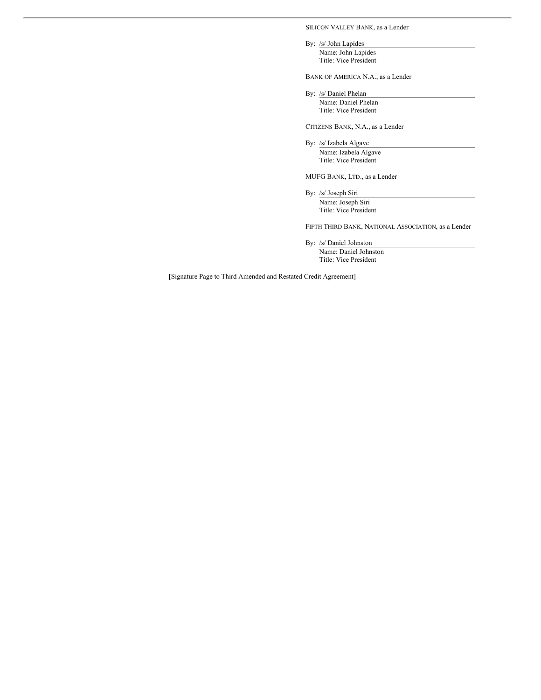SILICON VALLEY BANK, as a Lender

By: /s/ John Lapides Name: John Lapides Title: Vice President

BANK OF AMERICA N.A., as a Lender

By: /s/ Daniel Phelan

Name: Daniel Phelan Title: Vice President

CITIZENS BANK, N.A., as a Lender

By: /s/ Izabela Algave Name: Izabela Algave Title: Vice President

MUFG BANK, LTD., as a Lender

By: /s/ Joseph Siri

Name: Joseph Siri Title: Vice President

FIFTH THIRD BANK, NATIONAL ASSOCIATION, as a Lender

By: /s/ Daniel Johnston

Name: Daniel Johnston Title: Vice President